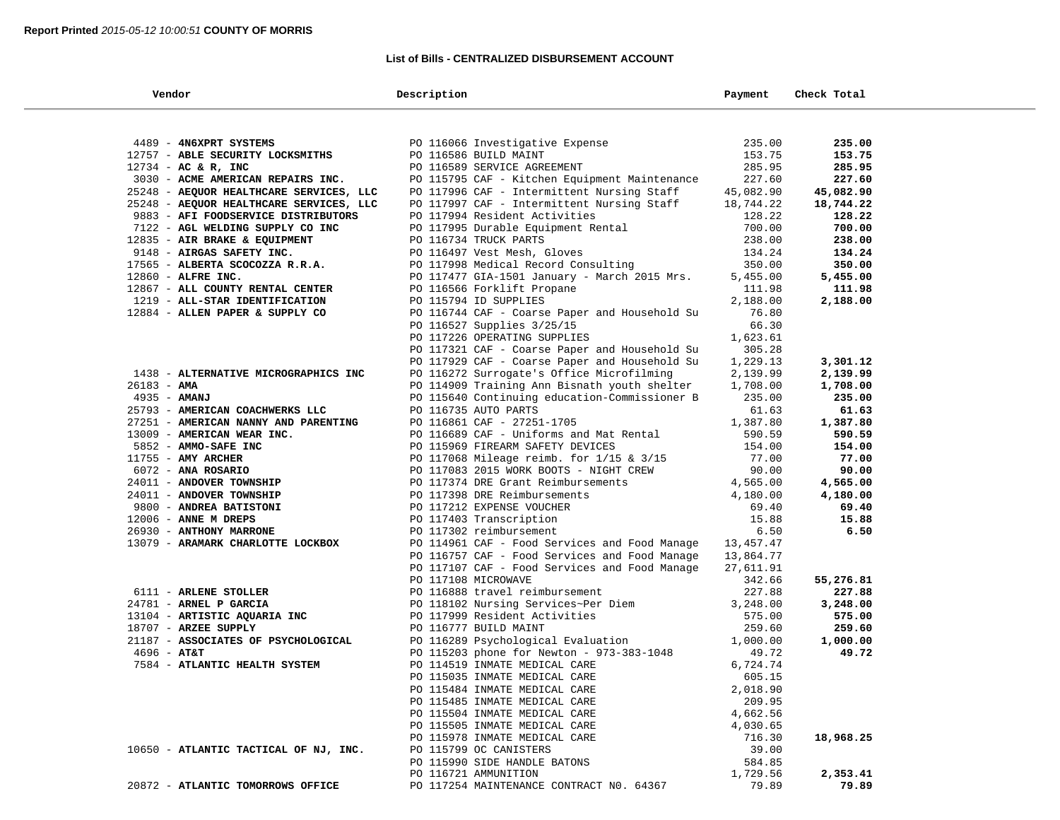#### **List of Bills - CENTRALIZED DISBURSEMENT ACCOUNT**

| Vendor                                         | Description                                                    | Payment            | Check Total |
|------------------------------------------------|----------------------------------------------------------------|--------------------|-------------|
|                                                |                                                                |                    |             |
| 4489 - 4N6XPRT SYSTEMS                         | PO 116066 Investigative Expense                                | 235.00             | 235.00      |
| 12757 - ABLE SECURITY LOCKSMITHS               | PO 116586 BUILD MAINT                                          | 153.75             | 153.75      |
| $12734$ - AC & R, INC                          | PO 116589 SERVICE AGREEMENT                                    | 285.95             | 285.95      |
| 3030 - ACME AMERICAN REPAIRS INC.              | PO 115795 CAF - Kitchen Equipment Maintenance                  | 227.60             | 227.60      |
| 25248 - AEQUOR HEALTHCARE SERVICES, LLC        | PO 117996 CAF - Intermittent Nursing Staff                     | 45,082.90          | 45,082.90   |
| 25248 - AEQUOR HEALTHCARE SERVICES, LLC        | PO 117997 CAF - Intermittent Nursing Staff                     | 18,744.22          | 18,744.22   |
| 9883 - AFI FOODSERVICE DISTRIBUTORS            | PO 117994 Resident Activities                                  | 128.22             | 128.22      |
| 7122 - AGL WELDING SUPPLY CO INC               | PO 117995 Durable Equipment Rental                             | 700.00             | 700.00      |
| 12835 - AIR BRAKE & EQUIPMENT                  | PO 116734 TRUCK PARTS                                          | 238.00             | 238.00      |
| 9148 - AIRGAS SAFETY INC.                      | PO 116497 Vest Mesh, Gloves                                    | 134.24             | 134.24      |
| 17565 - ALBERTA SCOCOZZA R.R.A.                | PO 117998 Medical Record Consulting                            | 350.00             | 350.00      |
| 12860 - ALFRE INC.                             | PO 117477 GIA-1501 January - March 2015 Mrs.                   | 5,455.00           | 5,455.00    |
| 12867 - ALL COUNTY RENTAL CENTER               | PO 116566 Forklift Propane                                     | 111.98             | 111.98      |
| 1219 - ALL-STAR IDENTIFICATION                 | PO 115794 ID SUPPLIES                                          | 2,188.00           | 2,188.00    |
| 12884 - ALLEN PAPER & SUPPLY CO                | PO 116744 CAF - Coarse Paper and Household Su                  | 76.80              |             |
|                                                | PO 116527 Supplies $3/25/15$                                   | 66.30              |             |
|                                                | PO 117226 OPERATING SUPPLIES                                   | 1,623.61           |             |
|                                                | PO 117321 CAF - Coarse Paper and Household Su                  | 305.28             |             |
|                                                | PO 117929 CAF - Coarse Paper and Household Su                  | 1,229.13           | 3,301.12    |
| 1438 - ALTERNATIVE MICROGRAPHICS INC           | PO 116272 Surrogate's Office Microfilming                      | 2,139.99           | 2,139.99    |
| $26183 - AMA$                                  | PO 114909 Training Ann Bisnath youth shelter                   | 1,708.00           | 1,708.00    |
| $4935 - AMANI$                                 | PO 115640 Continuing education-Commissioner B                  | 235.00             | 235.00      |
| 25793 - AMERICAN COACHWERKS LLC                | PO 116735 AUTO PARTS                                           | 61.63              | 61.63       |
| 27251 - AMERICAN NANNY AND PARENTING           | PO 116861 CAF - 27251-1705                                     | 1,387.80           | 1,387.80    |
| 13009 - AMERICAN WEAR INC.                     | PO 116689 CAF - Uniforms and Mat Rental                        | 590.59             | 590.59      |
| 5852 - AMMO-SAFE INC                           | PO 115969 FIREARM SAFETY DEVICES                               | 154.00             | 154.00      |
| $11755$ - AMY ARCHER                           | PO 117068 Mileage reimb. for 1/15 & 3/15                       | 77.00              | 77.00       |
| 6072 - ANA ROSARIO                             | PO 117083 2015 WORK BOOTS - NIGHT CREW                         | 90.00              | 90.00       |
| 24011 - ANDOVER TOWNSHIP                       | PO 117374 DRE Grant Reimbursements                             | 4,565.00           | 4,565.00    |
| 24011 - ANDOVER TOWNSHIP                       | PO 117398 DRE Reimbursements                                   | 4,180.00           | 4,180.00    |
| 9800 - ANDREA BATISTONI                        | PO 117212 EXPENSE VOUCHER                                      | 69.40              | 69.40       |
| $12006$ - ANNE M DREPS                         | PO 117403 Transcription                                        | 15.88              | 15.88       |
| 26930 - ANTHONY MARRONE                        | PO 117302 reimbursement                                        | 6.50               | 6.50        |
| 13079 - ARAMARK CHARLOTTE LOCKBOX              | PO 114961 CAF - Food Services and Food Manage                  | 13,457.47          |             |
|                                                | PO 116757 CAF - Food Services and Food Manage                  | 13,864.77          |             |
|                                                | PO 117107 CAF - Food Services and Food Manage                  | 27,611.91          |             |
|                                                | PO 117108 MICROWAVE                                            | 342.66             | 55,276.81   |
| 6111 - ARLENE STOLLER                          | PO 116888 travel reimbursement                                 | 227.88             | 227.88      |
| 24781 - ARNEL P GARCIA                         | PO 118102 Nursing Services~Per Diem                            | 3,248.00           | 3,248.00    |
| 13104 - ARTISTIC AQUARIA INC                   | PO 117999 Resident Activities                                  | 575.00             | 575.00      |
| 18707 - ARZEE SUPPLY                           | PO 116777 BUILD MAINT                                          | 259.60             | 259.60      |
| 21187 - ASSOCIATES OF PSYCHOLOGICAL            | PO 116289 Psychological Evaluation                             | 1,000.00           | 1,000.00    |
| $4696 - AT&T$<br>7584 - ATLANTIC HEALTH SYSTEM | PO 115203 phone for Newton - 973-383-1048                      | 49.72              | 49.72       |
|                                                | PO 114519 INMATE MEDICAL CARE                                  | 6,724.74<br>605.15 |             |
|                                                | PO 115035 INMATE MEDICAL CARE                                  |                    |             |
|                                                | PO 115484 INMATE MEDICAL CARE<br>PO 115485 INMATE MEDICAL CARE | 2,018.90<br>209.95 |             |
|                                                | PO 115504 INMATE MEDICAL CARE                                  | 4,662.56           |             |
|                                                | PO 115505 INMATE MEDICAL CARE                                  | 4,030.65           |             |
|                                                | PO 115978 INMATE MEDICAL CARE                                  | 716.30             | 18,968.25   |
| 10650 - ATLANTIC TACTICAL OF NJ, INC.          | PO 115799 OC CANISTERS                                         | 39.00              |             |
|                                                | PO 115990 SIDE HANDLE BATONS                                   | 584.85             |             |
|                                                | PO 116721 AMMUNITION                                           | 1,729.56           | 2,353.41    |
| 20872 - ATLANTIC TOMORROWS OFFICE              | PO 117254 MAINTENANCE CONTRACT NO. 64367                       | 79.89              | 79.89       |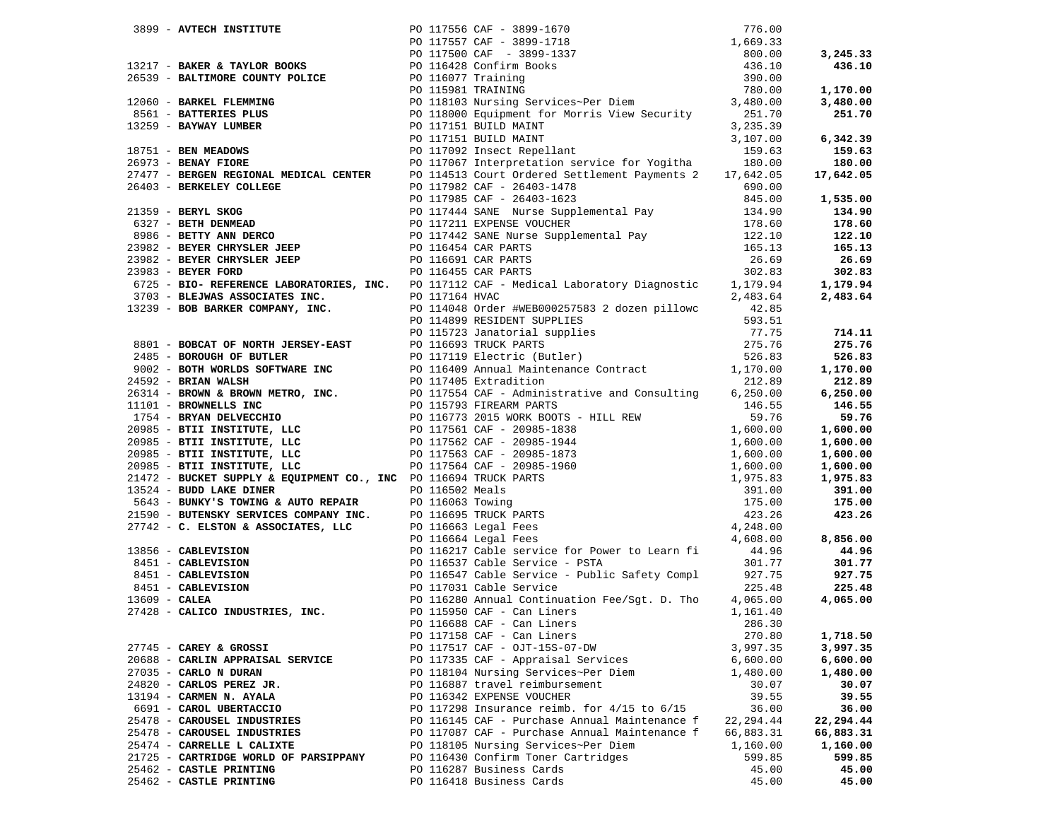|                                       | 7997 - NEW YORK 2007 - 1997 - 1997 - 1997 - 1997 - 1997 - 1997 - 1997 - 1997 - 1997 - 1998 - 1997 - 1998 - 1998 - 1998 - 1998 - 1998 - 1998 - 1998 - 1998 - 1998 - 1998 - 1998 - 1998 - 1998 - 1998 - 1998 - 1998 - 1998 - 19 |            |           |
|---------------------------------------|-------------------------------------------------------------------------------------------------------------------------------------------------------------------------------------------------------------------------------|------------|-----------|
|                                       |                                                                                                                                                                                                                               |            |           |
|                                       |                                                                                                                                                                                                                               |            |           |
|                                       |                                                                                                                                                                                                                               |            |           |
|                                       |                                                                                                                                                                                                                               |            |           |
|                                       |                                                                                                                                                                                                                               |            |           |
|                                       |                                                                                                                                                                                                                               |            |           |
|                                       |                                                                                                                                                                                                                               | 270.80     |           |
|                                       | PO 117158 CAF - Can Liners                                                                                                                                                                                                    |            | 1,718.50  |
| 27745 - CAREY & GROSSI                | PO 117517 CAF - OJT-15S-07-DW                                                                                                                                                                                                 | 3,997.35   | 3,997.35  |
| 20688 - CARLIN APPRAISAL SERVICE      | PO 117335 CAF - Appraisal Services                                                                                                                                                                                            | 6,600.00   | 6,600.00  |
| 27035 - CARLO N DURAN                 | PO 118104 Nursing Services~Per Diem                                                                                                                                                                                           | 1,480.00   | 1,480.00  |
| 24820 - CARLOS PEREZ JR.              | PO 116887 travel reimbursement                                                                                                                                                                                                | 30.07      | 30.07     |
| 13194 - CARMEN N. AYALA               | PO 116342 EXPENSE VOUCHER                                                                                                                                                                                                     | 39.55      | 39.55     |
| 6691 - CAROL UBERTACCIO               | PO 117298 Insurance reimb. for 4/15 to 6/15                                                                                                                                                                                   | 36.00      | 36.00     |
| 25478 - CAROUSEL INDUSTRIES           | PO 116145 CAF - Purchase Annual Maintenance f                                                                                                                                                                                 | 22, 294.44 | 22,294.44 |
| 25478 - CAROUSEL INDUSTRIES           | PO 117087 CAF - Purchase Annual Maintenance f                                                                                                                                                                                 | 66,883.31  | 66,883.31 |
| 25474 - CARRELLE L CALIXTE            | PO 118105 Nursing Services~Per Diem                                                                                                                                                                                           | 1,160.00   | 1,160.00  |
| 21725 - CARTRIDGE WORLD OF PARSIPPANY | PO 116430 Confirm Toner Cartridges                                                                                                                                                                                            | 599.85     | 599.85    |
| 25462 - CASTLE PRINTING               | PO 116287 Business Cards                                                                                                                                                                                                      | 45.00      | 45.00     |
| 25462 - CASTLE PRINTING               | PO 116418 Business Cards                                                                                                                                                                                                      | 45.00      | 45.00     |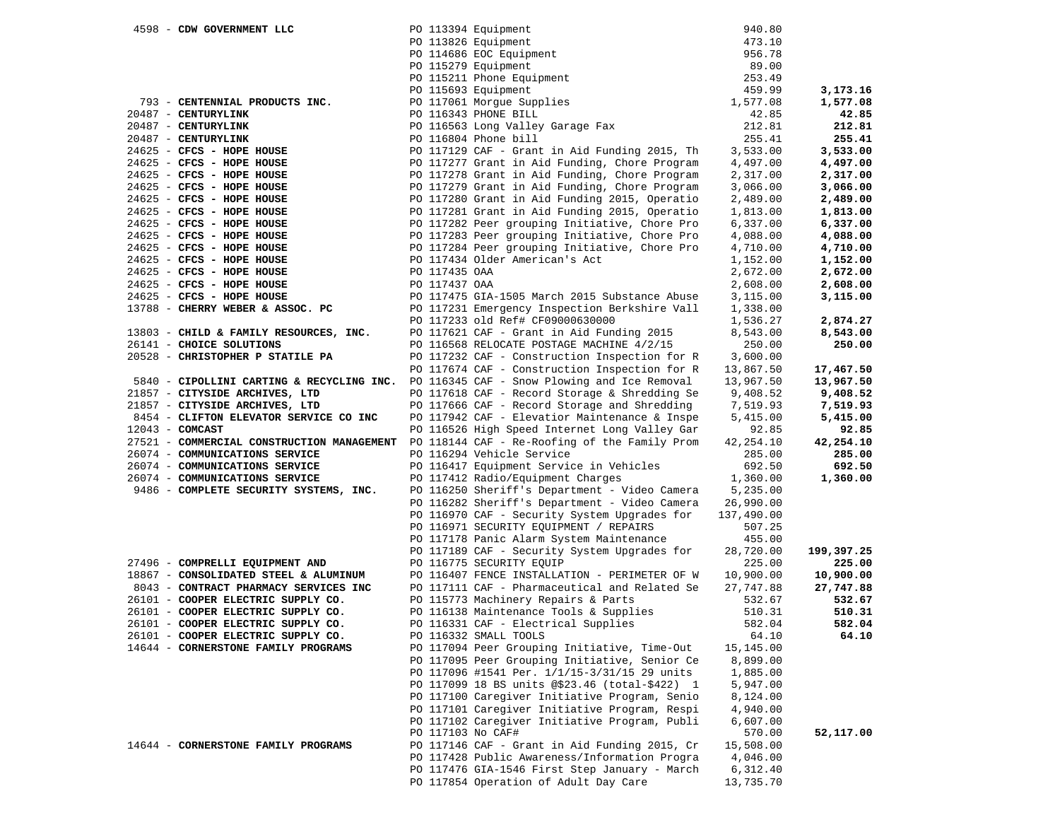| 4598 - CDW GOVERNMENT LLC                  |               |                                                                                                                           | 940.80     |            |
|--------------------------------------------|---------------|---------------------------------------------------------------------------------------------------------------------------|------------|------------|
|                                            |               |                                                                                                                           | 473.10     |            |
|                                            |               |                                                                                                                           | 956.78     |            |
|                                            |               | PO 113394 Equipment<br>PO 113826 Equipment<br>PO 114686 EOC Equipment<br>PO 115279 Equipment<br>PO 115211 Phone Equipment | 89.00      |            |
|                                            |               |                                                                                                                           | 253.49     |            |
|                                            |               | PO 115693 Equipment                                                                                                       | 459.99     | 3,173.16   |
| 793 - CENTENNIAL PRODUCTS INC.             |               | PO 117061 Morgue Supplies                                                                                                 | 1,577.08   | 1,577.08   |
| 20487 - CENTURYLINK                        |               | PO 116343 PHONE BILL                                                                                                      | 42.85      | 42.85      |
| 20487 - CENTURYLINK                        |               | PO 116563 Long Valley Garage Fax                                                                                          | 212.81     | 212.81     |
| 20487 - CENTURYLINK                        |               | PO 116804 Phone bill                                                                                                      | 255.41     | 255.41     |
| $24625$ - CFCS - HOPE HOUSE                |               | PO 117129 CAF - Grant in Aid Funding 2015, Th                                                                             | 3,533.00   | 3,533.00   |
| $24625$ - CFCS - HOPE HOUSE                |               | PO 117277 Grant in Aid Funding, Chore Program                                                                             | 4,497.00   | 4,497.00   |
| 24625 - CFCS - HOPE HOUSE                  |               | PO 117278 Grant in Aid Funding, Chore Program                                                                             | 2,317.00   | 2,317.00   |
| 24625 - CFCS - HOPE HOUSE                  |               | PO 117279 Grant in Aid Funding, Chore Program                                                                             | 3,066.00   | 3,066.00   |
| 24625 - CFCS - HOPE HOUSE                  |               | PO 117280 Grant in Aid Funding 2015, Operatio                                                                             | 2,489.00   | 2,489.00   |
| 24625 - CFCS - HOPE HOUSE                  |               | PO 117281 Grant in Aid Funding 2015, Operatio                                                                             | 1,813.00   | 1,813.00   |
| 24625 - CFCS - HOPE HOUSE                  |               | PO 117282 Peer grouping Initiative, Chore Pro                                                                             | 6,337.00   | 6,337.00   |
| 24625 - CFCS - HOPE HOUSE                  |               | PO 117283 Peer grouping Initiative, Chore Pro                                                                             | 4,088.00   | 4,088.00   |
|                                            |               |                                                                                                                           |            |            |
| 24625 - CFCS - HOPE HOUSE                  |               | PO 117284 Peer grouping Initiative, Chore Pro                                                                             | 4,710.00   | 4,710.00   |
| 24625 - CFCS - HOPE HOUSE                  |               | PO 117434 Older American's Act                                                                                            | 1,152.00   | 1,152.00   |
| 24625 - CFCS - HOPE HOUSE                  | PO 117435 OAA |                                                                                                                           | 2,672.00   | 2,672.00   |
| 24625 - CFCS - HOPE HOUSE                  | PO 117437 OAA |                                                                                                                           | 2,608.00   | 2,608.00   |
| 24625 - CFCS - HOPE HOUSE                  |               | PO 117475 GIA-1505 March 2015 Substance Abuse                                                                             | 3,115.00   | 3,115.00   |
| 13788 - CHERRY WEBER & ASSOC. PC           |               | PO 117231 Emergency Inspection Berkshire Vall                                                                             | 1,338.00   |            |
|                                            |               | PO 117233 old Ref# CF09000630000                                                                                          | 1,536.27   | 2,874.27   |
| 13803 - CHILD & FAMILY RESOURCES, INC.     |               | PO 117621 CAF - Grant in Aid Funding 2015                                                                                 | 8,543.00   | 8,543.00   |
| 26141 - CHOICE SOLUTIONS                   |               | PO 116568 RELOCATE POSTAGE MACHINE 4/2/15                                                                                 | 250.00     | 250.00     |
| 20528 - CHRISTOPHER P STATILE PA           |               | PO 117232 CAF - Construction Inspection for R                                                                             | 3,600.00   |            |
|                                            |               | PO 117674 CAF - Construction Inspection for R                                                                             | 13,867.50  | 17,467.50  |
| 5840 - CIPOLLINI CARTING & RECYCLING INC.  |               | PO 116345 CAF - Snow Plowing and Ice Removal                                                                              | 13,967.50  | 13,967.50  |
| 21857 - CITYSIDE ARCHIVES, LTD             |               | PO 117618 CAF - Record Storage & Shredding Se                                                                             | 9,408.52   | 9,408.52   |
| 21857 - CITYSIDE ARCHIVES, LTD             |               | PO 117666 CAF - Record Storage and Shredding                                                                              | 7,519.93   | 7,519.93   |
| 8454 - CLIFTON ELEVATOR SERVICE CO INC     |               | PO 117942 CAF - Elevatior Maintenance & Inspe                                                                             | 5,415.00   | 5,415.00   |
| $12043$ - COMCAST                          |               | PO 116526 High Speed Internet Long Valley Gar                                                                             | 92.85      | 92.85      |
| 27521 - COMMERCIAL CONSTRUCTION MANAGEMENT |               | PO 118144 CAF - Re-Roofing of the Family Prom                                                                             | 42,254.10  | 42,254.10  |
| 26074 - COMMUNICATIONS SERVICE             |               | PO 116294 Vehicle Service                                                                                                 | 285.00     | 285.00     |
| 26074 - COMMUNICATIONS SERVICE             |               | PO 116417 Equipment Service in Vehicles                                                                                   | 692.50     | 692.50     |
| 26074 - COMMUNICATIONS SERVICE             |               | PO 117412 Radio/Equipment Charges                                                                                         | 1,360.00   | 1,360.00   |
| 9486 - COMPLETE SECURITY SYSTEMS, INC.     |               | PO 116250 Sheriff's Department - Video Camera                                                                             | 5,235.00   |            |
|                                            |               | PO 116282 Sheriff's Department - Video Camera                                                                             | 26,990.00  |            |
|                                            |               | PO 116970 CAF - Security System Upgrades for                                                                              | 137,490.00 |            |
|                                            |               | PO 116971 SECURITY EQUIPMENT / REPAIRS                                                                                    | 507.25     |            |
|                                            |               | PO 117178 Panic Alarm System Maintenance                                                                                  | 455.00     |            |
|                                            |               | PO 117189 CAF - Security System Upgrades for                                                                              | 28,720.00  | 199,397.25 |
| 27496 - COMPRELLI EQUIPMENT AND            |               | PO 116775 SECURITY EQUIP                                                                                                  | 225.00     | 225.00     |
| 18867 - CONSOLIDATED STEEL & ALUMINUM      |               | PO 116407 FENCE INSTALLATION - PERIMETER OF W                                                                             | 10,900.00  | 10,900.00  |
| 8043 - CONTRACT PHARMACY SERVICES INC      |               | PO 117111 CAF - Pharmaceutical and Related Se                                                                             | 27,747.88  | 27,747.88  |
| 26101 - COOPER ELECTRIC SUPPLY CO.         |               | PO 115773 Machinery Repairs & Parts                                                                                       | 532.67     | 532.67     |
| 26101 - COOPER ELECTRIC SUPPLY CO.         |               | PO 116138 Maintenance Tools & Supplies                                                                                    | 510.31     | 510.31     |
| 26101 - COOPER ELECTRIC SUPPLY CO.         |               | PO 116331 CAF - Electrical Supplies                                                                                       | 582.04     | 582.04     |
| 26101 - COOPER ELECTRIC SUPPLY CO.         |               | PO 116332 SMALL TOOLS                                                                                                     | 64.10      | 64.10      |
| 14644 - CORNERSTONE FAMILY PROGRAMS        |               | PO 117094 Peer Grouping Initiative, Time-Out                                                                              | 15, 145.00 |            |
|                                            |               | PO 117095 Peer Grouping Initiative, Senior Ce                                                                             | 8,899.00   |            |
|                                            |               | PO 117096 #1541 Per. 1/1/15-3/31/15 29 units                                                                              | 1,885.00   |            |
|                                            |               | PO 117099 18 BS units @\$23.46 (total-\$422) 1                                                                            | 5,947.00   |            |
|                                            |               | PO 117100 Caregiver Initiative Program, Senio                                                                             | 8,124.00   |            |
|                                            |               | PO 117101 Caregiver Initiative Program, Respi                                                                             | 4,940.00   |            |
|                                            |               | PO 117102 Caregiver Initiative Program, Publi                                                                             | 6,607.00   |            |
|                                            |               | PO 117103 No CAF#                                                                                                         | 570.00     | 52,117.00  |
| 14644 - CORNERSTONE FAMILY PROGRAMS        |               | PO 117146 CAF - Grant in Aid Funding 2015, Cr                                                                             | 15,508.00  |            |
|                                            |               | PO 117428 Public Awareness/Information Progra                                                                             | 4,046.00   |            |
|                                            |               | PO 117476 GIA-1546 First Step January - March                                                                             | 6,312.40   |            |
|                                            |               | PO 117854 Operation of Adult Day Care                                                                                     | 13,735.70  |            |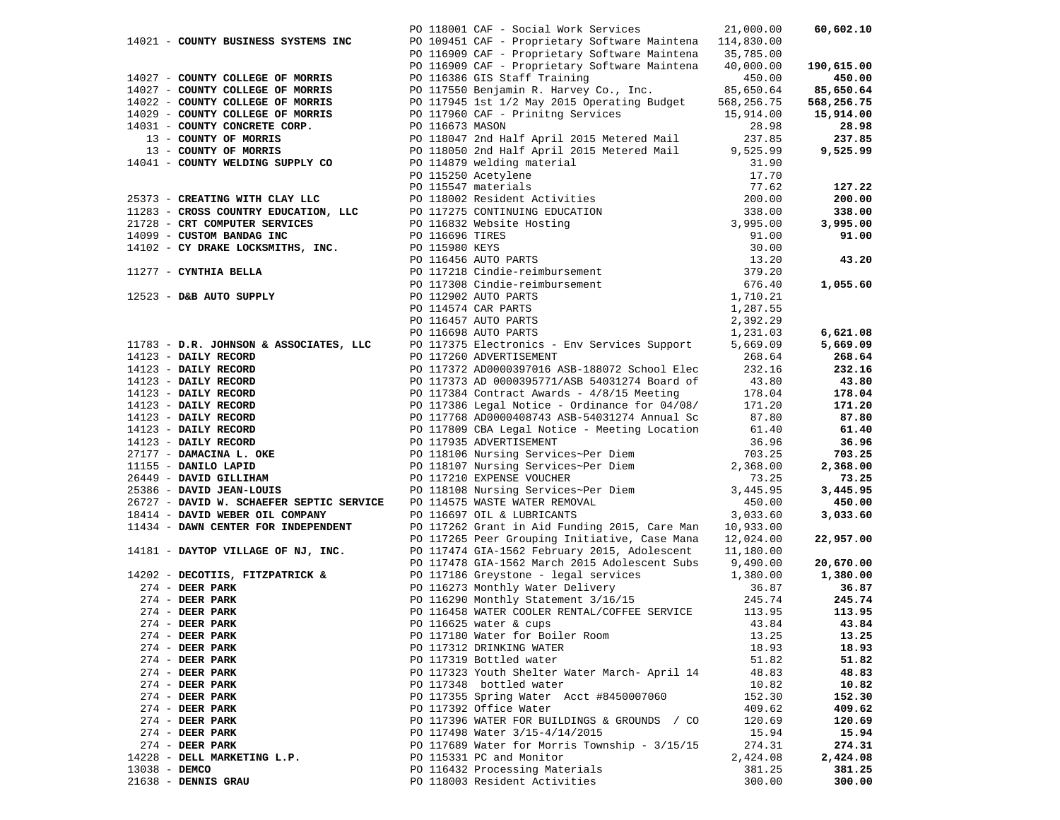|               |                                                                        |                 | PO 118001 CAF - Social Work Services                                                                                                                                                                                                         | 21,000.00           | 60,602.10  |
|---------------|------------------------------------------------------------------------|-----------------|----------------------------------------------------------------------------------------------------------------------------------------------------------------------------------------------------------------------------------------------|---------------------|------------|
|               | 14021 - COUNTY BUSINESS SYSTEMS INC                                    |                 | PO 109451 CAF - Proprietary Software Maintena 114,830.00                                                                                                                                                                                     |                     |            |
|               |                                                                        |                 | PO 116909 CAF - Proprietary Software Maintena 35,785.00                                                                                                                                                                                      |                     |            |
|               |                                                                        |                 | PO 116909 CAF - Proprietary Software Maintena                                                                                                                                                                                                | 40,000.00           | 190,615.00 |
|               | 14027 - COUNTY COLLEGE OF MORRIS                                       |                 | PO 116386 GIS Staff Training                                                                                                                                                                                                                 | 450.00              | 450.00     |
|               | 14027 - COUNTY COLLEGE OF MORRIS                                       |                 | PO 117550 Benjamin R. Harvey Co., Inc.                                                                                                                                                                                                       | 85,650.64           | 85,650.64  |
|               | 14022 - COUNTY COLLEGE OF MORRIS                                       |                 | PO 117945 1st 1/2 May 2015 Operating Budget                                                                                                                                                                                                  | 568,256.75          | 568,256.75 |
|               | 14029 - COUNTY COLLEGE OF MORRIS                                       |                 | PO 117960 CAF - Prinitng Services                                                                                                                                                                                                            | 15,914.00           | 15,914.00  |
|               | 14031 - COUNTY CONCRETE CORP.                                          | PO 116673 MASON |                                                                                                                                                                                                                                              | 28.98               | 28.98      |
|               | 13 - COUNTY OF MORRIS                                                  |                 | PO 118047 2nd Half April 2015 Metered Mail                                                                                                                                                                                                   | 237.85              | 237.85     |
|               | 13 - COUNTY OF MORRIS                                                  |                 | PO 118050 2nd Half April 2015 Metered Mail                                                                                                                                                                                                   | 9,525.99            | 9,525.99   |
|               | 14041 - COUNTY WELDING SUPPLY CO                                       |                 |                                                                                                                                                                                                                                              |                     |            |
|               |                                                                        |                 |                                                                                                                                                                                                                                              |                     |            |
|               |                                                                        |                 |                                                                                                                                                                                                                                              |                     | 127.22     |
|               |                                                                        |                 |                                                                                                                                                                                                                                              |                     | 200.00     |
|               | 25373 - CREATING WITH CLAI LLO<br>11283 - CROSS COUNTRY EDUCATION, LLC |                 |                                                                                                                                                                                                                                              |                     | 338.00     |
|               |                                                                        |                 |                                                                                                                                                                                                                                              |                     |            |
|               |                                                                        |                 |                                                                                                                                                                                                                                              |                     | 3,995.00   |
|               | 14099 - CUSTOM BANDAG INC                                              |                 |                                                                                                                                                                                                                                              |                     | 91.00      |
|               | 14102 - CY DRAKE LOCKSMITHS, INC.                                      |                 |                                                                                                                                                                                                                                              |                     |            |
|               |                                                                        |                 |                                                                                                                                                                                                                                              |                     | 43.20      |
|               | 11277 - CYNTHIA BELLA                                                  |                 |                                                                                                                                                                                                                                              |                     |            |
|               |                                                                        |                 |                                                                                                                                                                                                                                              |                     | 1,055.60   |
|               | 12523 - D&B AUTO SUPPLY                                                |                 |                                                                                                                                                                                                                                              |                     |            |
|               |                                                                        |                 |                                                                                                                                                                                                                                              |                     |            |
|               |                                                                        |                 |                                                                                                                                                                                                                                              |                     |            |
|               |                                                                        |                 | 11905 118050 2nd Half April 2015 Metered Mail 9,525.99<br>PO 11879 welding material 31.90<br>PO 115547 materials 77.62<br>PO 115547 materials 77.62<br>PO 115547 materials 77.62<br>PO 115580 KEVICATION<br>PO 116696 TIRES 91.00<br>PO 1166 |                     | 6,621.08   |
|               | 11783 - D.R. JOHNSON & ASSOCIATES, LLC                                 |                 | PO 117375 Electronics - Env Services Support                                                                                                                                                                                                 | 5,669.09            | 5,669.09   |
|               |                                                                        |                 |                                                                                                                                                                                                                                              | 268.64              | 268.64     |
|               |                                                                        |                 | PO 117372 AD0000397016 ASB-188072 School Elec                                                                                                                                                                                                | 232.16              | 232.16     |
|               |                                                                        |                 |                                                                                                                                                                                                                                              | $43.80$<br>$178.04$ | 43.80      |
|               |                                                                        |                 |                                                                                                                                                                                                                                              |                     | 178.04     |
|               |                                                                        |                 |                                                                                                                                                                                                                                              | 171.20              | 171.20     |
|               |                                                                        |                 |                                                                                                                                                                                                                                              | 87.80               | 87.80      |
|               |                                                                        |                 |                                                                                                                                                                                                                                              | 61.40               | 61.40      |
|               |                                                                        |                 |                                                                                                                                                                                                                                              | 36.96               | 36.96      |
|               |                                                                        |                 |                                                                                                                                                                                                                                              | 703.25              | 703.25     |
|               |                                                                        |                 | 11783 - DARIY RECORD PO 117260 ADVERTISEMENT 14123 - DAILY RECORD PO 117372 AD0000397016 ASB-188072 School Election 14123 - DAILY RECORD PO 117373 AD 0000395771/ASB 54031274 Board of 14123 - DAILY RECORD PO 117373 AD 0000                | 2,368.00            | 2,368.00   |
|               |                                                                        |                 |                                                                                                                                                                                                                                              | 73.25               | 73.25      |
|               |                                                                        |                 |                                                                                                                                                                                                                                              | 3,445.95            | 3,445.95   |
|               |                                                                        |                 |                                                                                                                                                                                                                                              | 450.00              | 450.00     |
|               | 18414 - DAVID WEBER OIL COMPANY                                        |                 | PO 116697 OIL & LUBRICANTS                                                                                                                                                                                                                   | 3,033.60            | 3,033.60   |
|               | 11434 - DAWN CENTER FOR INDEPENDENT                                    |                 | PO 117262 Grant in Aid Funding 2015, Care Man                                                                                                                                                                                                | 10,933.00           |            |
|               |                                                                        |                 | PO 117265 Peer Grouping Initiative, Case Mana                                                                                                                                                                                                | 12,024.00           | 22,957.00  |
|               | 14181 - DAYTOP VILLAGE OF NJ, INC.                                     |                 | PO 117474 GIA-1562 February 2015, Adolescent                                                                                                                                                                                                 | 11,180.00           |            |
|               |                                                                        |                 | PO 117478 GIA-1562 March 2015 Adolescent Subs                                                                                                                                                                                                |                     |            |
|               |                                                                        |                 |                                                                                                                                                                                                                                              | 9,490.00            | 20,670.00  |
|               | 14202 - DECOTIIS, FITZPATRICK &                                        |                 | PO 117186 Greystone - legal services                                                                                                                                                                                                         | 1,380.00            | 1,380.00   |
|               | $274$ - DEER PARK                                                      |                 | PO 116273 Monthly Water Delivery<br>PO 116290 Monthly Statement 3/16/15                                                                                                                                                                      | 36.87               | 36.87      |
|               | $274$ - DEER PARK                                                      |                 |                                                                                                                                                                                                                                              | 245.74              | 245.74     |
|               | $274$ - DEER PARK                                                      |                 | PO 116458 WATER COOLER RENTAL/COFFEE SERVICE                                                                                                                                                                                                 | 113.95              | 113.95     |
|               | $274$ - DEER PARK                                                      |                 | PO 116625 water $\&$ cups                                                                                                                                                                                                                    | 43.84               | 43.84      |
|               | $274$ - DEER PARK                                                      |                 | PO 117180 Water for Boiler Room                                                                                                                                                                                                              | 13.25               | 13.25      |
|               | 274 - DEER PARK                                                        |                 | PO 117312 DRINKING WATER                                                                                                                                                                                                                     | 18.93               | 18.93      |
|               | $274$ - DEER PARK                                                      |                 | PO 117319 Bottled water                                                                                                                                                                                                                      | 51.82               | 51.82      |
|               | $274$ - DEER PARK                                                      |                 | PO 117323 Youth Shelter Water March- April 14                                                                                                                                                                                                | 48.83               | 48.83      |
|               | $274$ - DEER PARK                                                      |                 | PO 117348 bottled water                                                                                                                                                                                                                      | 10.82               | 10.82      |
|               | $274$ - DEER PARK                                                      |                 | PO 117355 Spring Water Acct #8450007060                                                                                                                                                                                                      | 152.30              | 152.30     |
|               | $274$ - DEER PARK                                                      |                 | PO 117392 Office Water                                                                                                                                                                                                                       | 409.62              | 409.62     |
|               | $274$ - DEER PARK                                                      |                 | PO 117396 WATER FOR BUILDINGS & GROUNDS / CO                                                                                                                                                                                                 | 120.69              | 120.69     |
|               | $274$ - DEER PARK                                                      |                 | PO 117498 Water 3/15-4/14/2015                                                                                                                                                                                                               | 15.94               | 15.94      |
|               | $274$ - DEER PARK                                                      |                 | PO 117689 Water for Morris Township - 3/15/15                                                                                                                                                                                                | 274.31              | 274.31     |
|               | 14228 - DELL MARKETING L.P.                                            |                 | PO 115331 PC and Monitor                                                                                                                                                                                                                     | 2,424.08            | 2,424.08   |
| 13038 - DEMCO |                                                                        |                 | PO 116432 Processing Materials                                                                                                                                                                                                               | 381.25              | 381.25     |
|               | 21638 - DENNIS GRAU                                                    |                 | PO 118003 Resident Activities                                                                                                                                                                                                                | 300.00              | 300.00     |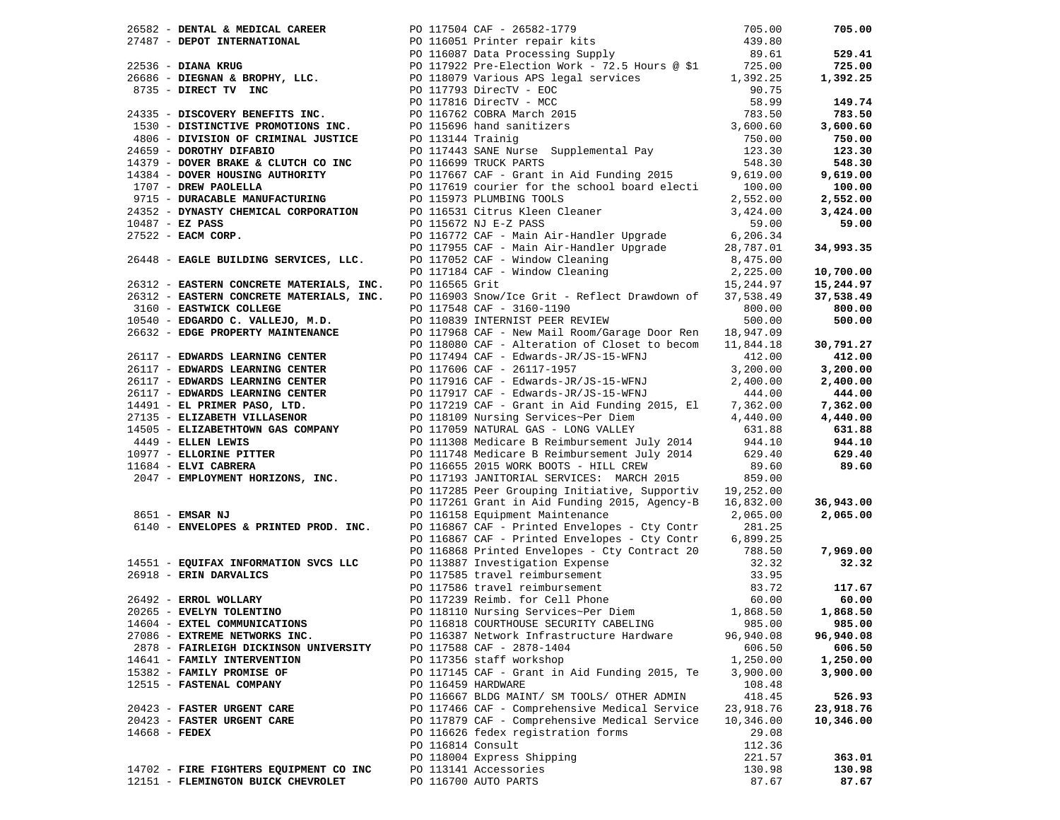|                                                                          |                                                                                                                                                                                                                                                                                                    |                         | 705.00    |
|--------------------------------------------------------------------------|----------------------------------------------------------------------------------------------------------------------------------------------------------------------------------------------------------------------------------------------------------------------------------------------------|-------------------------|-----------|
|                                                                          |                                                                                                                                                                                                                                                                                                    |                         |           |
|                                                                          |                                                                                                                                                                                                                                                                                                    |                         | 529.41    |
|                                                                          |                                                                                                                                                                                                                                                                                                    |                         | 725.00    |
|                                                                          |                                                                                                                                                                                                                                                                                                    |                         | 1,392.25  |
|                                                                          |                                                                                                                                                                                                                                                                                                    |                         |           |
|                                                                          |                                                                                                                                                                                                                                                                                                    |                         | 149.74    |
|                                                                          |                                                                                                                                                                                                                                                                                                    |                         | 783.50    |
|                                                                          |                                                                                                                                                                                                                                                                                                    |                         | 3,600.60  |
|                                                                          |                                                                                                                                                                                                                                                                                                    |                         | 750.00    |
|                                                                          |                                                                                                                                                                                                                                                                                                    |                         |           |
|                                                                          |                                                                                                                                                                                                                                                                                                    |                         | 123.30    |
|                                                                          |                                                                                                                                                                                                                                                                                                    | 548.30                  | 548.30    |
|                                                                          |                                                                                                                                                                                                                                                                                                    | 9,619.00                | 9,619.00  |
|                                                                          | 14379 - DOVER BRAKE & CLUTCH CO INC<br>14384 - DOVER HOUSING AUTHORITY<br>1707 - DREW PAOLELLA<br>1707 - DREW PAOLELLA<br>1707 - DURACABLE MANUFACTURING<br>1707 - DURACABLE MANUFACTURING<br>1707 - PO 117619 courier for the school boar<br>PO 117619 courier for the school board electi 100.00 |                         | 100.00    |
|                                                                          |                                                                                                                                                                                                                                                                                                    | 2,552.00                | 2,552.00  |
|                                                                          | 24352 - DYNASTY CHEMICAL CORPORATION PO 116531 Citrus Kleen Cleaner                                                                                                                                                                                                                                | 3,424.00                | 3,424.00  |
| $10487 - EZ$ PASS                                                        | PO 115672 NJ E-Z PASS                                                                                                                                                                                                                                                                              | 59.00                   | 59.00     |
| $27522$ - EACM CORP.                                                     | PO 116772 CAF - Main Air-Handler Upgrade 6,206.34<br>PO 117955 CAF - Main Air-Handler Upgrade 28,787.01                                                                                                                                                                                            |                         |           |
|                                                                          |                                                                                                                                                                                                                                                                                                    |                         | 34,993.35 |
| 26448 - EAGLE BUILDING SERVICES, LLC.                                    |                                                                                                                                                                                                                                                                                                    | 8,475.00                |           |
|                                                                          | PO 117052 CAF - Window Cleaning<br>PO 117184 CAF - Window Cleaning<br>PO 116565 Grit                                                                                                                                                                                                               | 2,225.00                | 10,700.00 |
| 26312 - EASTERN CONCRETE MATERIALS, INC.                                 | PO 116565 Grit                                                                                                                                                                                                                                                                                     | 15,244.97               | 15,244.97 |
|                                                                          | 26312 - EASTERN CONCRETE MATERIALS, INC. PO 116903 Snow/Ice Grit - Reflect Drawdown of 37,538.49                                                                                                                                                                                                   |                         | 37,538.49 |
| 3160 - EASTWICK COLLEGE                                                  | PO 117548 CAF - 3160-1190                                                                                                                                                                                                                                                                          | 800.00                  | 800.00    |
| 10540 - EDGARDO C. VALLEJO, M.D.                                         | PO 110839 INTERNIST PEER REVIEW                                                                                                                                                                                                                                                                    | 500.00                  | 500.00    |
|                                                                          | 26632 - EDGE PROPERTY MAINTENANCE PO 117968 CAF - New Mail Room/Garage Door Ren 18,947.09                                                                                                                                                                                                          |                         |           |
|                                                                          | PO 118080 CAF - Alteration of Closet to becom 11,844.18                                                                                                                                                                                                                                            |                         | 30,791.27 |
|                                                                          |                                                                                                                                                                                                                                                                                                    | 412.00                  |           |
|                                                                          | PO 117494 CAF - Edwards-JR/JS-15-WFNJ                                                                                                                                                                                                                                                              |                         | 412.00    |
|                                                                          |                                                                                                                                                                                                                                                                                                    | 3,200.00                | 3,200.00  |
|                                                                          | 26117 - EDWARDS LEARNING CENTER<br>26117 - EDWARDS LEARNING CENTER<br>26117 - EDWARDS LEARNING CENTER<br>27135 - ELIZABETH VILLASENOR<br>27135 - ELIZABETH VILLASENOR<br>27135 - ELIZABETH VILLASENOR<br>27135 - CHARDS CENTER<br>27135 - CH                                                       | 2,400.00                | 2,400.00  |
|                                                                          |                                                                                                                                                                                                                                                                                                    | 444.00                  | 444.00    |
|                                                                          |                                                                                                                                                                                                                                                                                                    | 7,362.00                | 7,362.00  |
|                                                                          |                                                                                                                                                                                                                                                                                                    | 4,440.00                | 4,440.00  |
|                                                                          | 14505 - ELIZABETHTOWN GAS COMPANY PO 117059 NATURAL GAS - LONG VALLEY                                                                                                                                                                                                                              | 631.88                  | 631.88    |
| 4449 - ELLEN LEWIS                                                       | PO 111308 Medicare B Reimbursement July 2014                                                                                                                                                                                                                                                       | 944.10                  | 944.10    |
| 10977 - ELLORINE PITTER                                                  | PO 111748 Medicare B Reimbursement July 2014 629.40                                                                                                                                                                                                                                                |                         | 629.40    |
| 11684 - ELVI CABRERA                                                     | PO 116655 2015 WORK BOOTS - HILL CREW                                                                                                                                                                                                                                                              | 89.60                   | 89.60     |
| 2047 - EMPLOYMENT HORIZONS, INC.                                         | PO 117193 JANITORIAL SERVICES: MARCH 2015                                                                                                                                                                                                                                                          | 859.00                  |           |
|                                                                          | PO 117285 Peer Grouping Initiative, Supportiv 19,252.00                                                                                                                                                                                                                                            |                         |           |
|                                                                          | PO 117261 Grant in Aid Funding 2015, Agency-B 16,832.00                                                                                                                                                                                                                                            |                         | 36,943.00 |
| 8651 - EMSAR NJ                                                          | PO 116158 Equipment Maintenance                                                                                                                                                                                                                                                                    | 2,065.00                | 2,065.00  |
| 6140 - ENVELOPES & PRINTED PROD. INC.                                    | PO 116867 CAF - Printed Envelopes - Cty Contr                                                                                                                                                                                                                                                      | 281.25                  |           |
|                                                                          | PO 116867 CAF - Printed Envelopes - Cty Contr                                                                                                                                                                                                                                                      | 6,899.25                |           |
|                                                                          | PO 116868 Printed Envelopes - Cty Contract 20 788.50                                                                                                                                                                                                                                               |                         | 7,969.00  |
| 14551 - EQUIFAX INFORMATION SVCS LLC                                     |                                                                                                                                                                                                                                                                                                    |                         | 32.32     |
| 26918 - ERIN DARVALICS                                                   |                                                                                                                                                                                                                                                                                                    |                         |           |
|                                                                          | PO 113887 Investigation Expense 32.32<br>PO 117585 travel reimbursement 33.95<br>PO 117586 travel reimbursement 83.72<br>PO 117239 Reimb. for Cell Phone 60.00<br>PO 118110 Nursing Services~Per Diem 1,868.50                                                                                     | 33.95<br>83.72<br>60.00 | 117.67    |
| 26492 - ERROL WOLLARY<br>20265 - EVELYN TOLENTINO<br>14604 - EVTET COLLE |                                                                                                                                                                                                                                                                                                    |                         | 60.00     |
|                                                                          |                                                                                                                                                                                                                                                                                                    |                         | 1,868.50  |
|                                                                          |                                                                                                                                                                                                                                                                                                    |                         |           |
| 14604 - EXTEL COMMUNICATIONS                                             | PO 116818 COURTHOUSE SECURITY CABELING                                                                                                                                                                                                                                                             | 985.00                  | 985.00    |
| 27086 - EXTREME NETWORKS INC.                                            | PO 116387 Network Infrastructure Hardware                                                                                                                                                                                                                                                          | 96,940.08               | 96,940.08 |
| 2878 - FAIRLEIGH DICKINSON UNIVERSITY                                    | PO 117588 CAF - 2878-1404                                                                                                                                                                                                                                                                          | 606.50                  | 606.50    |
| 14641 - FAMILY INTERVENTION                                              | PO 117356 staff workshop                                                                                                                                                                                                                                                                           | 1,250.00                | 1,250.00  |
| 15382 - FAMILY PROMISE OF                                                | PO 117145 CAF - Grant in Aid Funding 2015, Te                                                                                                                                                                                                                                                      | 3,900.00                | 3,900.00  |
| 12515 - FASTENAL COMPANY                                                 | PO 116459 HARDWARE                                                                                                                                                                                                                                                                                 | 108.48                  |           |
|                                                                          | PO 116667 BLDG MAINT/ SM TOOLS/ OTHER ADMIN                                                                                                                                                                                                                                                        | 418.45                  | 526.93    |
| 20423 - FASTER URGENT CARE                                               | PO 117466 CAF - Comprehensive Medical Service                                                                                                                                                                                                                                                      | 23,918.76               | 23,918.76 |
| 20423 - FASTER URGENT CARE                                               | PO 117879 CAF - Comprehensive Medical Service                                                                                                                                                                                                                                                      | 10,346.00               | 10,346.00 |
| $14668$ - FEDEX                                                          | PO 116626 fedex registration forms                                                                                                                                                                                                                                                                 | 29.08                   |           |
|                                                                          | PO 116814 Consult                                                                                                                                                                                                                                                                                  | 112.36                  |           |
|                                                                          | PO 118004 Express Shipping                                                                                                                                                                                                                                                                         | 221.57                  | 363.01    |
| 14702 - FIRE FIGHTERS EQUIPMENT CO INC                                   | PO 113141 Accessories                                                                                                                                                                                                                                                                              | 130.98                  | 130.98    |
| 12151 - FLEMINGTON BUICK CHEVROLET                                       | PO 116700 AUTO PARTS                                                                                                                                                                                                                                                                               | 87.67                   | 87.67     |
|                                                                          |                                                                                                                                                                                                                                                                                                    |                         |           |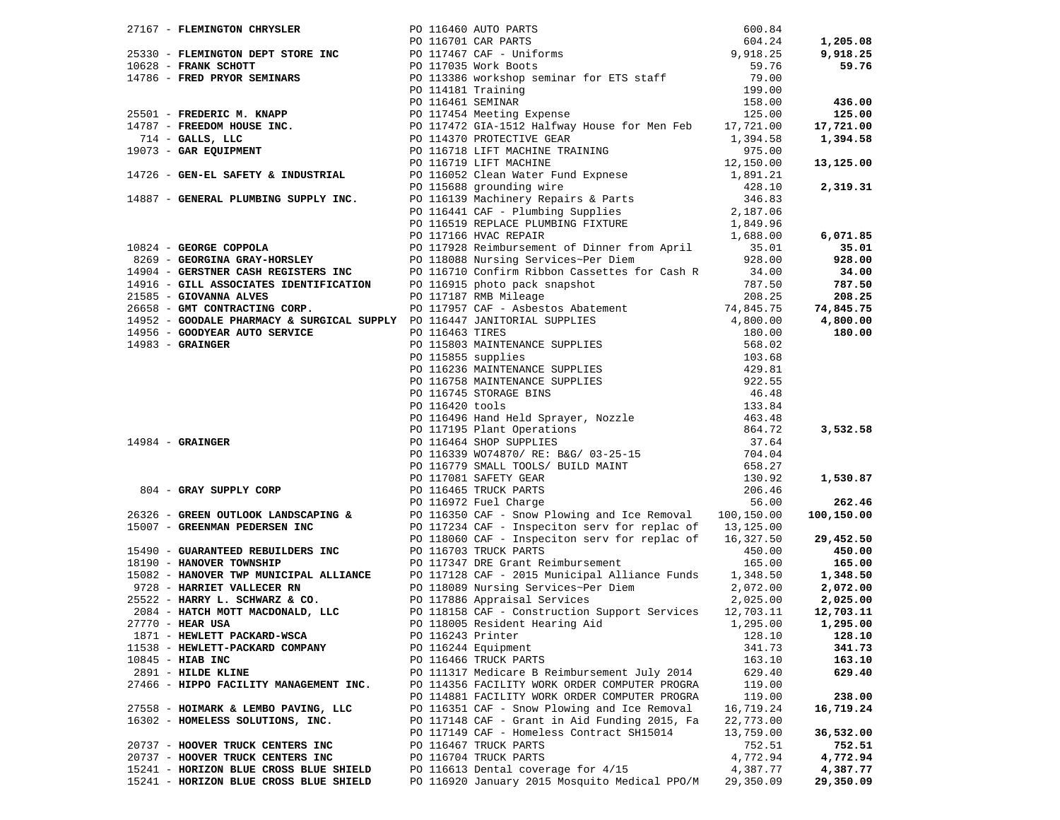|                                                                                                                                                                                                                                                                                                                                                                                                                                                                                                  |                   |                                                                                                                                                                                                             |                       | 1,205.08   |
|--------------------------------------------------------------------------------------------------------------------------------------------------------------------------------------------------------------------------------------------------------------------------------------------------------------------------------------------------------------------------------------------------------------------------------------------------------------------------------------------------|-------------------|-------------------------------------------------------------------------------------------------------------------------------------------------------------------------------------------------------------|-----------------------|------------|
|                                                                                                                                                                                                                                                                                                                                                                                                                                                                                                  |                   |                                                                                                                                                                                                             |                       | 9,918.25   |
|                                                                                                                                                                                                                                                                                                                                                                                                                                                                                                  |                   |                                                                                                                                                                                                             |                       | 59.76      |
|                                                                                                                                                                                                                                                                                                                                                                                                                                                                                                  |                   |                                                                                                                                                                                                             |                       |            |
|                                                                                                                                                                                                                                                                                                                                                                                                                                                                                                  |                   |                                                                                                                                                                                                             |                       |            |
|                                                                                                                                                                                                                                                                                                                                                                                                                                                                                                  |                   |                                                                                                                                                                                                             |                       |            |
|                                                                                                                                                                                                                                                                                                                                                                                                                                                                                                  |                   |                                                                                                                                                                                                             |                       | 436.00     |
|                                                                                                                                                                                                                                                                                                                                                                                                                                                                                                  |                   |                                                                                                                                                                                                             |                       | 125.00     |
|                                                                                                                                                                                                                                                                                                                                                                                                                                                                                                  |                   |                                                                                                                                                                                                             |                       | 17,721.00  |
|                                                                                                                                                                                                                                                                                                                                                                                                                                                                                                  |                   |                                                                                                                                                                                                             |                       | 1,394.58   |
|                                                                                                                                                                                                                                                                                                                                                                                                                                                                                                  |                   |                                                                                                                                                                                                             |                       |            |
|                                                                                                                                                                                                                                                                                                                                                                                                                                                                                                  |                   |                                                                                                                                                                                                             |                       | 13,125.00  |
| 14726 - GEN-EL SAFETY & INDUSTRIAL                                                                                                                                                                                                                                                                                                                                                                                                                                                               |                   | PO 116052 Clean Water Fund Expnese                                                                                                                                                                          | 12,150.00<br>1,891.21 |            |
|                                                                                                                                                                                                                                                                                                                                                                                                                                                                                                  |                   |                                                                                                                                                                                                             |                       |            |
|                                                                                                                                                                                                                                                                                                                                                                                                                                                                                                  |                   |                                                                                                                                                                                                             |                       | 2,319.31   |
| 14887 - GENERAL PLUMBING SUPPLY INC.                                                                                                                                                                                                                                                                                                                                                                                                                                                             |                   |                                                                                                                                                                                                             |                       |            |
|                                                                                                                                                                                                                                                                                                                                                                                                                                                                                                  |                   | PO 115688 grounding wire<br>PO 115688 grounding wire<br>PO 116139 Machinery Repairs & Parts<br>PO 116441 CAF - Plumbing Supplies<br>PO 116519 REPLACE PLUMBING FIXTURE<br>PO 117166 HVAC REPAIR<br>1,688.00 |                       |            |
|                                                                                                                                                                                                                                                                                                                                                                                                                                                                                                  |                   |                                                                                                                                                                                                             |                       |            |
| 10824 - GEORGE COPPOLA<br>2011/16 HVAC REPAIR<br>2011/16 HVAC REPAIR<br>2011/1928 Reimbursement of Dinner from April<br>2011/1928 Reimbursement of Dinner from April<br>2011/1928 Reimbursement of Dinner from April<br>2011/1928 Reimburs                                                                                                                                                                                                                                                       |                   |                                                                                                                                                                                                             |                       | 6,071.85   |
|                                                                                                                                                                                                                                                                                                                                                                                                                                                                                                  |                   |                                                                                                                                                                                                             |                       | 35.01      |
|                                                                                                                                                                                                                                                                                                                                                                                                                                                                                                  |                   |                                                                                                                                                                                                             |                       | 928.00     |
|                                                                                                                                                                                                                                                                                                                                                                                                                                                                                                  |                   |                                                                                                                                                                                                             |                       | 34.00      |
|                                                                                                                                                                                                                                                                                                                                                                                                                                                                                                  |                   |                                                                                                                                                                                                             |                       |            |
|                                                                                                                                                                                                                                                                                                                                                                                                                                                                                                  |                   |                                                                                                                                                                                                             |                       | 787.50     |
|                                                                                                                                                                                                                                                                                                                                                                                                                                                                                                  |                   |                                                                                                                                                                                                             |                       | 208.25     |
|                                                                                                                                                                                                                                                                                                                                                                                                                                                                                                  |                   |                                                                                                                                                                                                             |                       | 74,845.75  |
|                                                                                                                                                                                                                                                                                                                                                                                                                                                                                                  |                   |                                                                                                                                                                                                             |                       | 4,800.00   |
|                                                                                                                                                                                                                                                                                                                                                                                                                                                                                                  |                   |                                                                                                                                                                                                             |                       | 180.00     |
|                                                                                                                                                                                                                                                                                                                                                                                                                                                                                                  |                   |                                                                                                                                                                                                             |                       |            |
|                                                                                                                                                                                                                                                                                                                                                                                                                                                                                                  |                   |                                                                                                                                                                                                             |                       |            |
|                                                                                                                                                                                                                                                                                                                                                                                                                                                                                                  |                   |                                                                                                                                                                                                             |                       |            |
|                                                                                                                                                                                                                                                                                                                                                                                                                                                                                                  |                   |                                                                                                                                                                                                             |                       |            |
|                                                                                                                                                                                                                                                                                                                                                                                                                                                                                                  |                   |                                                                                                                                                                                                             |                       |            |
|                                                                                                                                                                                                                                                                                                                                                                                                                                                                                                  |                   |                                                                                                                                                                                                             |                       |            |
|                                                                                                                                                                                                                                                                                                                                                                                                                                                                                                  |                   |                                                                                                                                                                                                             |                       |            |
| 2658 - GMT CONTRACTING CORP.<br>14982 - GOODME PHARMACY & SURGICAL SUPPLY PO 117957 CAF - ASbestos Abatement<br>14985 - GOODMER AUTO SERVICE<br>14983 - GRAINGER<br>14983 - GRAINGER<br>20 015803 MAINTENANCE SUPPLIES<br>20 015855 suppli                                                                                                                                                                                                                                                       |                   |                                                                                                                                                                                                             |                       |            |
|                                                                                                                                                                                                                                                                                                                                                                                                                                                                                                  |                   |                                                                                                                                                                                                             |                       | 3,532.58   |
|                                                                                                                                                                                                                                                                                                                                                                                                                                                                                                  |                   |                                                                                                                                                                                                             |                       |            |
|                                                                                                                                                                                                                                                                                                                                                                                                                                                                                                  |                   |                                                                                                                                                                                                             |                       |            |
|                                                                                                                                                                                                                                                                                                                                                                                                                                                                                                  |                   |                                                                                                                                                                                                             |                       |            |
| PO 116420 tools<br>PO 116420 tools<br>PO 116496 Hand Held Sprayer, Nozz.<br>PO 117195 Plant Operations<br>PO 116464 SHOP SUPPLIES<br>PO 116464 SHOP SUPPLIES<br>PO 116464 SHOP SUPPLIES<br>PO 116779 SMALL TOOLS/ BUILD MAINT<br>PO 117081 SAF<br>804 - GRAY SUPPLY CORP<br>26326 - GREEN OUTLOOK LANDSCAPING &<br>26326 - GREEN OUTLOOK LANDSCAPING &<br>26326 - GREEN OUTLOOK LANDSCAPING &<br>2011091 SAFETY GEAR<br>2011091 SAFETY GEAR<br>2011091 SAFETY GEAR<br>2011091 SAFETY GEAR<br>201 |                   |                                                                                                                                                                                                             |                       | 1,530.87   |
|                                                                                                                                                                                                                                                                                                                                                                                                                                                                                                  |                   |                                                                                                                                                                                                             |                       |            |
|                                                                                                                                                                                                                                                                                                                                                                                                                                                                                                  |                   |                                                                                                                                                                                                             |                       |            |
|                                                                                                                                                                                                                                                                                                                                                                                                                                                                                                  |                   |                                                                                                                                                                                                             |                       | 262.46     |
|                                                                                                                                                                                                                                                                                                                                                                                                                                                                                                  |                   |                                                                                                                                                                                                             |                       | 100,150.00 |
|                                                                                                                                                                                                                                                                                                                                                                                                                                                                                                  |                   |                                                                                                                                                                                                             |                       |            |
|                                                                                                                                                                                                                                                                                                                                                                                                                                                                                                  |                   | PO 118060 CAF - Inspeciton serv for replac of 16,327.50                                                                                                                                                     |                       | 29,452.50  |
| 15490 - GUARANTEED REBUILDERS INC<br>18190 - HANOVER TOWNSHIP 1819 PO 117347 DRE Grant Re                                                                                                                                                                                                                                                                                                                                                                                                        |                   |                                                                                                                                                                                                             | 450.00                | 450.00     |
|                                                                                                                                                                                                                                                                                                                                                                                                                                                                                                  |                   | PO 117347 DRE Grant Reimbursement                                                                                                                                                                           | 165.00                | 165.00     |
| 15082 - HANOVER TWP MUNICIPAL ALLIANCE<br>9728 - HARRIET VALLECER RN<br>25522 - HARRY L. SCHWARZ & CO. DO 117128 CAF - 2015 Municipal Alliance Funds<br>25522 - HARRY L. SCHWARZ & CO. DO 117886 Appraisal Services                                                                                                                                                                                                                                                                              |                   |                                                                                                                                                                                                             | 1,348.50              | 1,348.50   |
|                                                                                                                                                                                                                                                                                                                                                                                                                                                                                                  |                   |                                                                                                                                                                                                             | 2,072.00              | 2,072.00   |
|                                                                                                                                                                                                                                                                                                                                                                                                                                                                                                  |                   |                                                                                                                                                                                                             | 2,025.00              | 2,025.00   |
|                                                                                                                                                                                                                                                                                                                                                                                                                                                                                                  |                   | PO 118158 CAF - Construction Support Services                                                                                                                                                               |                       |            |
| 2084 - HATCH MOTT MACDONALD, LLC<br>27770 - HEAP HSA                                                                                                                                                                                                                                                                                                                                                                                                                                             |                   |                                                                                                                                                                                                             | 12,703.11             | 12,703.11  |
| 27770 - HEAR USA                                                                                                                                                                                                                                                                                                                                                                                                                                                                                 |                   | PO 118005 Resident Hearing Aid                                                                                                                                                                              | 1,295.00              | 1,295.00   |
| 1871 - HEWLETT PACKARD-WSCA                                                                                                                                                                                                                                                                                                                                                                                                                                                                      | PO 116243 Printer |                                                                                                                                                                                                             | 128.10                | 128.10     |
| 11538 - HEWLETT-PACKARD COMPANY                                                                                                                                                                                                                                                                                                                                                                                                                                                                  |                   | PO 116244 Equipment                                                                                                                                                                                         | 341.73                | 341.73     |
| $10845$ - HIAB INC                                                                                                                                                                                                                                                                                                                                                                                                                                                                               |                   | PO 116466 TRUCK PARTS                                                                                                                                                                                       | 163.10                | 163.10     |
| 2891 - HILDE KLINE                                                                                                                                                                                                                                                                                                                                                                                                                                                                               |                   | PO 111317 Medicare B Reimbursement July 2014                                                                                                                                                                | 629.40                | 629.40     |
| 27466 - HIPPO FACILITY MANAGEMENT INC.                                                                                                                                                                                                                                                                                                                                                                                                                                                           |                   | PO 114356 FACILITY WORK ORDER COMPUTER PROGRA                                                                                                                                                               | 119.00                |            |
|                                                                                                                                                                                                                                                                                                                                                                                                                                                                                                  |                   | PO 114881 FACILITY WORK ORDER COMPUTER PROGRA                                                                                                                                                               | 119.00                | 238.00     |
| 27558 - HOIMARK & LEMBO PAVING, LLC                                                                                                                                                                                                                                                                                                                                                                                                                                                              |                   | PO 116351 CAF - Snow Plowing and Ice Removal                                                                                                                                                                |                       |            |
|                                                                                                                                                                                                                                                                                                                                                                                                                                                                                                  |                   |                                                                                                                                                                                                             | 16,719.24             | 16,719.24  |
| 16302 - HOMELESS SOLUTIONS, INC.                                                                                                                                                                                                                                                                                                                                                                                                                                                                 |                   | PO 117148 CAF - Grant in Aid Funding 2015, Fa                                                                                                                                                               | 22,773.00             |            |
|                                                                                                                                                                                                                                                                                                                                                                                                                                                                                                  |                   | PO 117149 CAF - Homeless Contract SH15014                                                                                                                                                                   | 13,759.00             | 36,532.00  |
| 20737 - HOOVER TRUCK CENTERS INC                                                                                                                                                                                                                                                                                                                                                                                                                                                                 |                   | PO 116467 TRUCK PARTS                                                                                                                                                                                       | 752.51                | 752.51     |
| 20737 - HOOVER TRUCK CENTERS INC                                                                                                                                                                                                                                                                                                                                                                                                                                                                 |                   | PO 116704 TRUCK PARTS                                                                                                                                                                                       | 4,772.94              | 4,772.94   |
| 15241 - HORIZON BLUE CROSS BLUE SHIELD                                                                                                                                                                                                                                                                                                                                                                                                                                                           |                   | PO 116613 Dental coverage for 4/15                                                                                                                                                                          | 4,387.77              | 4,387.77   |
| 15241 - HORIZON BLUE CROSS BLUE SHIELD                                                                                                                                                                                                                                                                                                                                                                                                                                                           |                   | PO 116920 January 2015 Mosquito Medical PPO/M                                                                                                                                                               | 29,350.09             | 29,350.09  |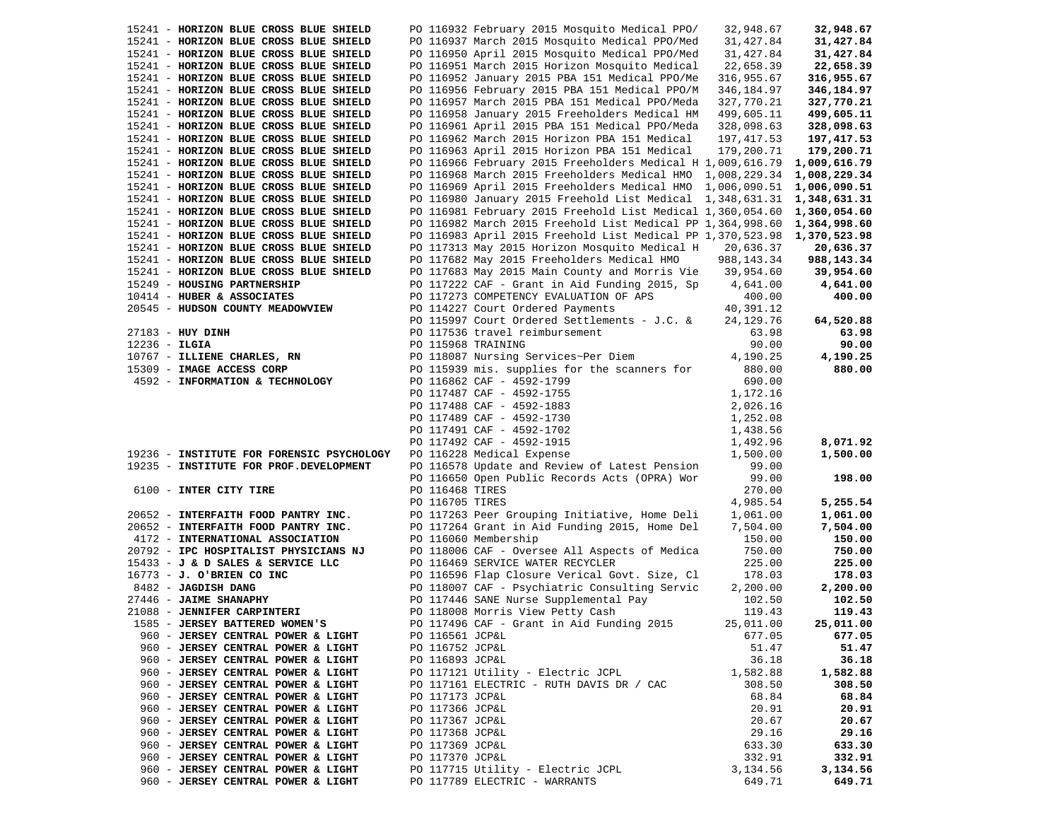|                                                                            |                    | PO 116932 February 2015 Mosquito Medical PPO/                                     | 32,948.67           | 32,948.67           |
|----------------------------------------------------------------------------|--------------------|-----------------------------------------------------------------------------------|---------------------|---------------------|
| 15241 - HORIZON BLUE CROSS BLUE SHIELD                                     |                    | PO 116937 March 2015 Mosquito Medical PPO/Med                                     | 31,427.84           | 31,427.84           |
| 15241 - HORIZON BLUE CROSS BLUE SHIELD                                     |                    | PO 116950 April 2015 Mosquito Medical PPO/Med                                     | 31,427.84           | 31,427.84           |
| 15241 - HORIZON BLUE CROSS BLUE SHIELD                                     |                    | PO 116951 March 2015 Horizon Mosquito Medical                                     | 22,658.39           | 22,658.39           |
| 15241 - HORIZON BLUE CROSS BLUE SHIELD                                     |                    | PO 116952 January 2015 PBA 151 Medical PPO/Me                                     | 316,955.67          | 316,955.67          |
| 15241 - HORIZON BLUE CROSS BLUE SHIELD                                     |                    | PO 116956 February 2015 PBA 151 Medical PPO/M                                     | 346,184.97          | 346,184.97          |
| 15241 - HORIZON BLUE CROSS BLUE SHIELD                                     |                    | PO 116957 March 2015 PBA 151 Medical PPO/Meda                                     | 327,770.21          | 327,770.21          |
| 15241 - HORIZON BLUE CROSS BLUE SHIELD                                     |                    | PO 116958 January 2015 Freeholders Medical HM                                     | 499,605.11          | 499,605.11          |
| 15241 - HORIZON BLUE CROSS BLUE SHIELD                                     |                    | PO 116961 April 2015 PBA 151 Medical PPO/Meda                                     | 328,098.63          | 328,098.63          |
| 15241 - HORIZON BLUE CROSS BLUE SHIELD                                     |                    | PO 116962 March 2015 Horizon PBA 151 Medical                                      | 197,417.53          | 197,417.53          |
| 15241 - HORIZON BLUE CROSS BLUE SHIELD                                     |                    | PO 116963 April 2015 Horizon PBA 151 Medical                                      | 179,200.71          | 179,200.71          |
| 15241 - HORIZON BLUE CROSS BLUE SHIELD                                     |                    | PO 116966 February 2015 Freeholders Medical H $1,009,616.79$                      |                     | 1,009,616.79        |
| 15241 - HORIZON BLUE CROSS BLUE SHIELD                                     |                    | PO 116968 March 2015 Freeholders Medical HMO 1,008,229.34                         |                     | 1,008,229.34        |
| 15241 - HORIZON BLUE CROSS BLUE SHIELD                                     |                    | PO 116969 April 2015 Freeholders Medical HMO 1,006,090.51                         |                     | 1,006,090.51        |
| 15241 - HORIZON BLUE CROSS BLUE SHIELD                                     |                    | PO 116980 January 2015 Freehold List Medical 1,348,631.31                         |                     | 1,348,631.31        |
| 15241 - HORIZON BLUE CROSS BLUE SHIELD                                     |                    | PO 116981 February 2015 Freehold List Medical 1,360,054.60                        |                     | 1,360,054.60        |
| 15241 - HORIZON BLUE CROSS BLUE SHIELD                                     |                    | PO 116982 March 2015 Freehold List Medical PP 1,364,998.60 1,364,998.60           |                     |                     |
| 15241 - HORIZON BLUE CROSS BLUE SHIELD                                     |                    | PO 116983 April 2015 Freehold List Medical PP 1,370,523.98 1,370,523.98           |                     |                     |
| 15241 - HORIZON BLUE CROSS BLUE SHIELD                                     |                    | PO 117313 May 2015 Horizon Mosquito Medical H                                     | 20,636.37           | 20,636.37           |
| 15241 - HORIZON BLUE CROSS BLUE SHIELD                                     |                    | PO 117682 May 2015 Freeholders Medical HMO                                        | 988,143.34          | 988, 143. 34        |
| 15241 - HORIZON BLUE CROSS BLUE SHIELD                                     |                    | PO 117683 May 2015 Main County and Morris Vie 39,954.60                           |                     | 39,954.60           |
| 15249 - HOUSING PARTNERSHIP                                                |                    | PO 117222 CAF - Grant in Aid Funding 2015, Sp                                     | 4,641.00            | 4,641.00            |
| 10414 - HUBER & ASSOCIATES                                                 |                    | PO 117273 COMPETENCY EVALUATION OF APS                                            | 400.00              | 400.00              |
| 20545 - HUDSON COUNTY MEADOWVIEW                                           |                    | PO 114227 Court Ordered Payments                                                  | 40,391.12           |                     |
|                                                                            |                    | PO 115997 Court Ordered Settlements - J.C. &                                      | 24,129.76           | 64,520.88           |
| 27183 - HUY DINH                                                           |                    | PO 117536 travel reimbursement                                                    | 63.98               | 63.98               |
| $12236 - ILGIA$                                                            | PO 115968 TRAINING |                                                                                   | 90.00               | 90.00               |
| 10767 - ILLIENE CHARLES, RN                                                |                    | PO 118087 Nursing Services~Per Diem                                               | 4,190.25            | 4,190.25            |
| 15309 - IMAGE ACCESS CORP                                                  |                    | PO 115939 mis. supplies for the scanners for                                      | 880.00              | 880.00              |
| 4592 - INFORMATION & TECHNOLOGY                                            |                    | PO 116862 CAF - 4592-1799                                                         | 690.00              |                     |
|                                                                            |                    | PO 117487 CAF - 4592-1755                                                         | 1,172.16            |                     |
|                                                                            |                    | PO 117488 CAF - 4592-1883                                                         | 2,026.16            |                     |
|                                                                            |                    | PO 117489 CAF - 4592-1730                                                         | 1,252.08            |                     |
|                                                                            |                    | PO 117491 CAF - 4592-1702                                                         | 1,438.56            |                     |
|                                                                            |                    | PO 117492 CAF - 4592-1915                                                         | 1,492.96            | 8,071.92            |
| 19236 - INSTITUTE FOR FORENSIC PSYCHOLOGY                                  |                    | PO 116228 Medical Expense                                                         | 1,500.00            | 1,500.00            |
| 19235 - INSTITUTE FOR PROF.DEVELOPMENT                                     |                    | PO 116578 Update and Review of Latest Pension                                     | 99.00               |                     |
|                                                                            |                    |                                                                                   |                     |                     |
|                                                                            |                    |                                                                                   |                     |                     |
|                                                                            |                    | PO 116650 Open Public Records Acts (OPRA) Wor                                     | 99.00               | 198.00              |
| 6100 - INTER CITY TIRE                                                     | PO 116468 TIRES    |                                                                                   | 270.00              |                     |
|                                                                            | PO 116705 TIRES    |                                                                                   | 4,985.54            | 5,255.54            |
| 20652 - INTERFAITH FOOD PANTRY INC.                                        |                    | PO 117263 Peer Grouping Initiative, Home Deli                                     | 1,061.00            | 1,061.00            |
| 20652 - INTERFAITH FOOD PANTRY INC.<br>4172 - INTERNATIONAL ASSOCIATION    |                    | PO 117264 Grant in Aid Funding 2015, Home Del<br>PO 116060 Membership             | 7,504.00<br>150.00  | 7,504.00<br>150.00  |
|                                                                            |                    |                                                                                   |                     |                     |
| 20792 - IPC HOSPITALIST PHYSICIANS NJ<br>15433 - J & D SALES & SERVICE LLC |                    | PO 118006 CAF - Oversee All Aspects of Medica<br>PO 116469 SERVICE WATER RECYCLER | 750.00<br>225.00    | 750.00              |
|                                                                            |                    |                                                                                   | 178.03              | 225.00<br>178.03    |
| 16773 - J. O'BRIEN CO INC<br>8482 - JAGDISH DANG                           |                    | PO 116596 Flap Closure Verical Govt. Size, Cl                                     |                     | 2,200.00            |
| 27446 - JAIME SHANAPHY                                                     |                    | PO 118007 CAF - Psychiatric Consulting Servic                                     | 2,200.00<br>102.50  | 102.50              |
| 21088 - JENNIFER CARPINTERI                                                |                    | PO 117446 SANE Nurse Supplemental Pay                                             | 119.43              | 119.43              |
| 1585 - JERSEY BATTERED WOMEN'S                                             |                    | PO 118008 Morris View Petty Cash                                                  |                     |                     |
| 960 - JERSEY CENTRAL POWER & LIGHT                                         | PO 116561 JCP&L    | PO 117496 CAF - Grant in Aid Funding 2015                                         | 25,011.00<br>677.05 | 25,011.00<br>677.05 |
| 960 - JERSEY CENTRAL POWER & LIGHT                                         | PO 116752 JCP&L    |                                                                                   | 51.47               | 51.47               |
| 960 - JERSEY CENTRAL POWER & LIGHT                                         | PO 116893 JCP&L    |                                                                                   | 36.18               | 36.18               |
| 960 - JERSEY CENTRAL POWER & LIGHT                                         |                    | PO 117121 Utility - Electric JCPL                                                 | 1,582.88            | 1,582.88            |
| 960 - JERSEY CENTRAL POWER & LIGHT                                         |                    | PO 117161 ELECTRIC - RUTH DAVIS DR / CAC                                          | 308.50              | 308.50              |
| 960 - JERSEY CENTRAL POWER & LIGHT                                         | PO 117173 JCP&L    |                                                                                   | 68.84               | 68.84               |
| 960 - JERSEY CENTRAL POWER & LIGHT                                         | PO 117366 JCP&L    |                                                                                   | 20.91               | 20.91               |
| 960 - JERSEY CENTRAL POWER & LIGHT                                         | PO 117367 JCP&L    |                                                                                   | 20.67               | 20.67               |
| 960 - JERSEY CENTRAL POWER & LIGHT                                         | PO 117368 JCP&L    |                                                                                   | 29.16               | 29.16               |
| 960 - JERSEY CENTRAL POWER & LIGHT                                         | PO 117369 JCP&L    |                                                                                   | 633.30              | 633.30              |
| 960 - JERSEY CENTRAL POWER & LIGHT                                         | PO 117370 JCP&L    |                                                                                   | 332.91              | 332.91              |
| 960 - JERSEY CENTRAL POWER & LIGHT                                         |                    | PO 117715 Utility - Electric JCPL                                                 | 3,134.56            | 3,134.56            |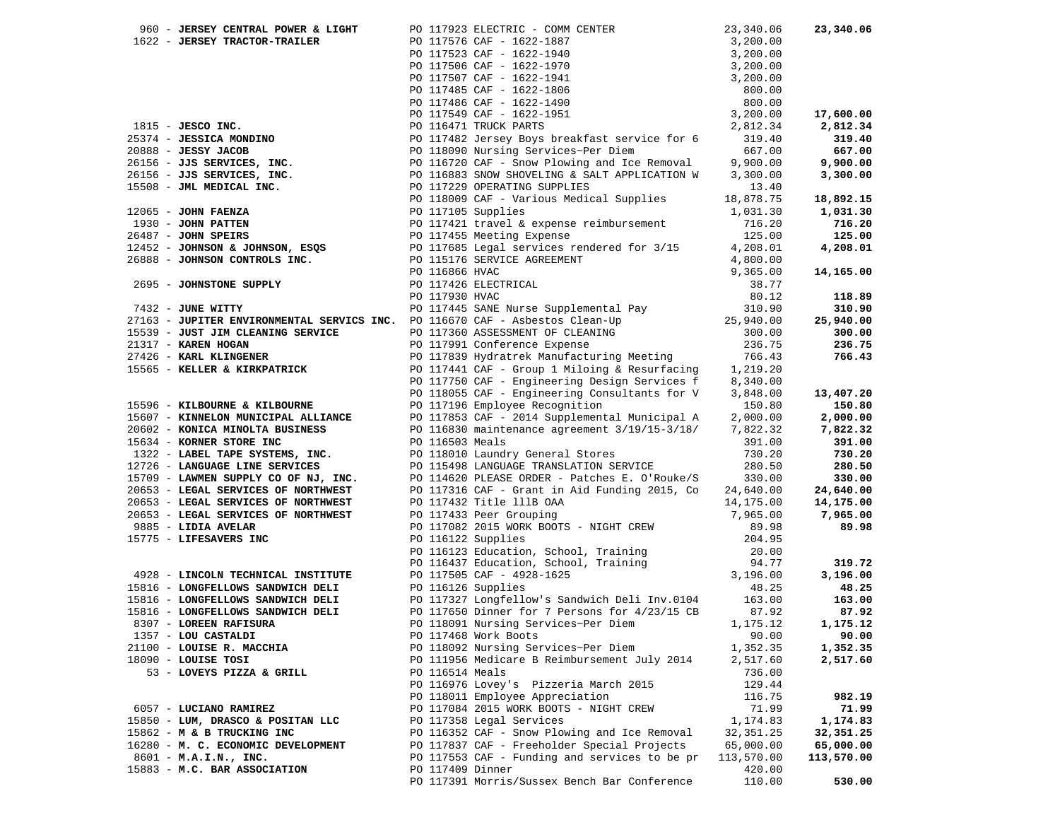| 960 - JERSEY CENTRAL POWER & LIGHT                                                                                                                                                                                                             |                | PO 117923 ELECTRIC - COMM CENTER                                                                                                                                                                                                               | 23,340.06  | 23,340.06  |
|------------------------------------------------------------------------------------------------------------------------------------------------------------------------------------------------------------------------------------------------|----------------|------------------------------------------------------------------------------------------------------------------------------------------------------------------------------------------------------------------------------------------------|------------|------------|
| 1622 - JERSEY TRACTOR-TRAILER                                                                                                                                                                                                                  |                |                                                                                                                                                                                                                                                |            |            |
|                                                                                                                                                                                                                                                |                | FO 117576 CAF - 1622-1887<br>PO 117576 CAF - 1622-1887<br>PO 117576 CAF - 1622-1940<br>PO 117507 CAF - 1622-1940<br>PO 117507 CAF - 1622-1941<br>PO 117485 CAF - 1622-1941<br>PO 117485 CAF - 1622-1941<br>PO 117486 CAF - 1622-1951<br>PO 117 |            |            |
|                                                                                                                                                                                                                                                |                |                                                                                                                                                                                                                                                |            |            |
|                                                                                                                                                                                                                                                |                |                                                                                                                                                                                                                                                |            |            |
|                                                                                                                                                                                                                                                |                |                                                                                                                                                                                                                                                |            |            |
|                                                                                                                                                                                                                                                |                |                                                                                                                                                                                                                                                |            |            |
|                                                                                                                                                                                                                                                |                |                                                                                                                                                                                                                                                |            | 17,600.00  |
|                                                                                                                                                                                                                                                |                |                                                                                                                                                                                                                                                |            | 2,812.34   |
|                                                                                                                                                                                                                                                |                | PO 117482 Jersey Boys breakfast service for 6                                                                                                                                                                                                  |            |            |
|                                                                                                                                                                                                                                                |                |                                                                                                                                                                                                                                                | 319.40     | 319.40     |
|                                                                                                                                                                                                                                                |                |                                                                                                                                                                                                                                                | 667.00     | 667.00     |
|                                                                                                                                                                                                                                                |                | PO 116720 CAF - Snow Plowing and Ice Removal                                                                                                                                                                                                   | 9,900.00   | 9,900.00   |
|                                                                                                                                                                                                                                                |                |                                                                                                                                                                                                                                                | 3,300.00   | 3,300.00   |
|                                                                                                                                                                                                                                                |                |                                                                                                                                                                                                                                                | 13.40      |            |
|                                                                                                                                                                                                                                                |                |                                                                                                                                                                                                                                                | 18,878.75  | 18,892.15  |
|                                                                                                                                                                                                                                                |                |                                                                                                                                                                                                                                                | 1,031.30   | 1,031.30   |
|                                                                                                                                                                                                                                                |                |                                                                                                                                                                                                                                                | 716.20     | 716.20     |
|                                                                                                                                                                                                                                                |                |                                                                                                                                                                                                                                                | 125.00     | 125.00     |
|                                                                                                                                                                                                                                                |                |                                                                                                                                                                                                                                                | 4,208.01   | 4,208.01   |
|                                                                                                                                                                                                                                                |                |                                                                                                                                                                                                                                                | 4,800.00   |            |
| 1815 - JESCO INC.<br>26374 - JESSICA MONDINO<br>20088 - JESSICA MONDINO<br>20088 - JESSICA MONDINO<br>20088 - JESSICA MONDINO<br>26156 - JJS SERVICES, INC.<br>26156 - JJS SERVICES, INC.<br>26156 - JJS SERVICES, INC.<br>26156 - JJS SERVIC  | PO 116866 HVAC |                                                                                                                                                                                                                                                | 9,365.00   | 14,165.00  |
| 2695 - JOHNSTONE SUPPLY                                                                                                                                                                                                                        |                | PO 117426 ELECTRICAL                                                                                                                                                                                                                           | 38.77      |            |
|                                                                                                                                                                                                                                                | PO 117930 HVAC |                                                                                                                                                                                                                                                | 80.12      | 118.89     |
|                                                                                                                                                                                                                                                |                |                                                                                                                                                                                                                                                |            | 310.90     |
|                                                                                                                                                                                                                                                |                |                                                                                                                                                                                                                                                |            | 25,940.00  |
|                                                                                                                                                                                                                                                |                |                                                                                                                                                                                                                                                |            | 300.00     |
|                                                                                                                                                                                                                                                |                |                                                                                                                                                                                                                                                |            |            |
|                                                                                                                                                                                                                                                |                |                                                                                                                                                                                                                                                |            | 236.75     |
| The Same Nurse Supplemental Pay<br>27163 - JUPITER ENVIRONMENTAL SERVICS INC. PO 117445 SANE Nurse Supplemental Pay<br>25,940.00<br>25,940.00<br>25,940.00<br>27426 - KAREN HOGAN<br>27426 - KAREN KLINGENER<br>2766.43<br>27426 - TAREN KLING |                |                                                                                                                                                                                                                                                |            | 766.43     |
| 15565 - KELLER & KIRKPATRICK                                                                                                                                                                                                                   |                | PO 117441 CAF - Group 1 Miloing & Resurfacing 1,219.20                                                                                                                                                                                         |            |            |
|                                                                                                                                                                                                                                                |                | PO 117750 CAF - Engineering Design Services f 8,340.00                                                                                                                                                                                         |            |            |
|                                                                                                                                                                                                                                                |                | PO 118055 CAF - Engineering Consultants for V                                                                                                                                                                                                  | 3,848.00   | 13,407.20  |
| 15596 - KILBOURNE & KILBOURNE                                                                                                                                                                                                                  |                | PO 117196 Employee Recognition                                                                                                                                                                                                                 | 150.80     | 150.80     |
| 15607 - KINNELON MUNICIPAL ALLIANCE                                                                                                                                                                                                            |                | PO 117853 CAF - 2014 Supplemental Municipal A                                                                                                                                                                                                  | 2,000.00   | 2,000.00   |
| 20602 - KONICA MINOLTA BUSINESS                                                                                                                                                                                                                |                | PO 116830 maintenance agreement 3/19/15-3/18/                                                                                                                                                                                                  | 7,822.32   | 7,822.32   |
| 15634 - KORNER STORE INC                                                                                                                                                                                                                       |                | PO 116503 Meals                                                                                                                                                                                                                                | 391.00     | 391.00     |
| 1322 - LABEL TAPE SYSTEMS, INC.                                                                                                                                                                                                                |                | PO 118010 Laundry General Stores                                                                                                                                                                                                               | 730.20     | 730.20     |
| 12726 - LANGUAGE LINE SERVICES                                                                                                                                                                                                                 |                | PO 115498 LANGUAGE TRANSLATION SERVICE                                                                                                                                                                                                         | 280.50     | 280.50     |
| 15709 - LAWMEN SUPPLY CO OF NJ, INC.                                                                                                                                                                                                           |                | PO 114620 PLEASE ORDER - Patches E. O'Rouke/S                                                                                                                                                                                                  | 330.00     | 330.00     |
| 20653 - LEGAL SERVICES OF NORTHWEST                                                                                                                                                                                                            |                | PO 117316 CAF - Grant in Aid Funding 2015, Co 24,640.00                                                                                                                                                                                        |            | 24,640.00  |
| 20653 - LEGAL SERVICES OF NORTHWEST                                                                                                                                                                                                            |                | PO 117432 Title 111B OAA                                                                                                                                                                                                                       | 14,175.00  | 14,175.00  |
| 20653 - LEGAL SERVICES OF NORTHWEST                                                                                                                                                                                                            |                | PO 117433 Peer Grouping                                                                                                                                                                                                                        | 7,965.00   | 7,965.00   |
| 9885 - LIDIA AVELAR                                                                                                                                                                                                                            |                | PO 117082 2015 WORK BOOTS - NIGHT CREW                                                                                                                                                                                                         | 89.98      | 89.98      |
| 15775 - LIFESAVERS INC                                                                                                                                                                                                                         |                | PO 116122 Supplies                                                                                                                                                                                                                             | 204.95     |            |
|                                                                                                                                                                                                                                                |                | PO 116123 Education, School, Training                                                                                                                                                                                                          | 20.00      |            |
|                                                                                                                                                                                                                                                |                | PO 116123 Education, School, Training 94.77<br>PO 116437 Education, School, Training 94.77<br>PO 117505 CAF - 4928-1625 3,196.00<br>18.25                                                                                                      |            | 319.72     |
| 4928 - LINCOLN TECHNICAL INSTITUTE                                                                                                                                                                                                             |                |                                                                                                                                                                                                                                                |            | 3,196.00   |
| 15816 - LONGFELLOWS SANDWICH DELI                                                                                                                                                                                                              |                |                                                                                                                                                                                                                                                |            | 48.25      |
| 15816 - LONGFELLOWS SANDWICH DELI                                                                                                                                                                                                              |                | PO 117327 Longfellow's Sandwich Deli Inv.0104                                                                                                                                                                                                  | 163.00     | 163.00     |
|                                                                                                                                                                                                                                                |                |                                                                                                                                                                                                                                                |            |            |
| 15816 - LONGFELLOWS SANDWICH DELI                                                                                                                                                                                                              |                | PO 117650 Dinner for 7 Persons for 4/23/15 CB                                                                                                                                                                                                  | 87.92      | 87.92      |
| 8307 - LOREEN RAFISURA                                                                                                                                                                                                                         |                | PO 118091 Nursing Services~Per Diem                                                                                                                                                                                                            | 1,175.12   | 1,175.12   |
| 1357 - LOU CASTALDI                                                                                                                                                                                                                            |                | PO 117468 Work Boots                                                                                                                                                                                                                           | 90.00      | 90.00      |
| 21100 - LOUISE R. MACCHIA                                                                                                                                                                                                                      |                | PO 118092 Nursing Services~Per Diem                                                                                                                                                                                                            | 1,352.35   | 1,352.35   |
| $18090$ - LOUISE TOSI                                                                                                                                                                                                                          |                | PO 111956 Medicare B Reimbursement July 2014                                                                                                                                                                                                   | 2,517.60   | 2,517.60   |
| 53 - LOVEYS PIZZA & GRILL                                                                                                                                                                                                                      |                | PO 116514 Meals                                                                                                                                                                                                                                | 736.00     |            |
|                                                                                                                                                                                                                                                |                | PO 116976 Lovey's Pizzeria March 2015                                                                                                                                                                                                          | 129.44     |            |
|                                                                                                                                                                                                                                                |                | PO 118011 Employee Appreciation                                                                                                                                                                                                                | 116.75     | 982.19     |
| 6057 - LUCIANO RAMIREZ                                                                                                                                                                                                                         |                | PO 117084 2015 WORK BOOTS - NIGHT CREW                                                                                                                                                                                                         | 71.99      | 71.99      |
| 15850 - LUM, DRASCO & POSITAN LLC                                                                                                                                                                                                              |                | PO 117358 Legal Services                                                                                                                                                                                                                       | 1,174.83   | 1,174.83   |
| 15862 - M & B TRUCKING INC                                                                                                                                                                                                                     |                | PO 116352 CAF - Snow Plowing and Ice Removal                                                                                                                                                                                                   | 32, 351.25 | 32,351.25  |
| 16280 - M. C. ECONOMIC DEVELOPMENT                                                                                                                                                                                                             |                | PO 117837 CAF - Freeholder Special Projects                                                                                                                                                                                                    | 65,000.00  | 65,000.00  |
| 8601 - M.A.I.N., INC.                                                                                                                                                                                                                          |                | PO 117553 CAF - Funding and services to be pr                                                                                                                                                                                                  | 113,570.00 | 113,570.00 |
| 15883 - M.C. BAR ASSOCIATION                                                                                                                                                                                                                   |                | PO 117409 Dinner                                                                                                                                                                                                                               | 420.00     |            |
|                                                                                                                                                                                                                                                |                | PO 117391 Morris/Sussex Bench Bar Conference                                                                                                                                                                                                   | 110.00     | 530.00     |
|                                                                                                                                                                                                                                                |                |                                                                                                                                                                                                                                                |            |            |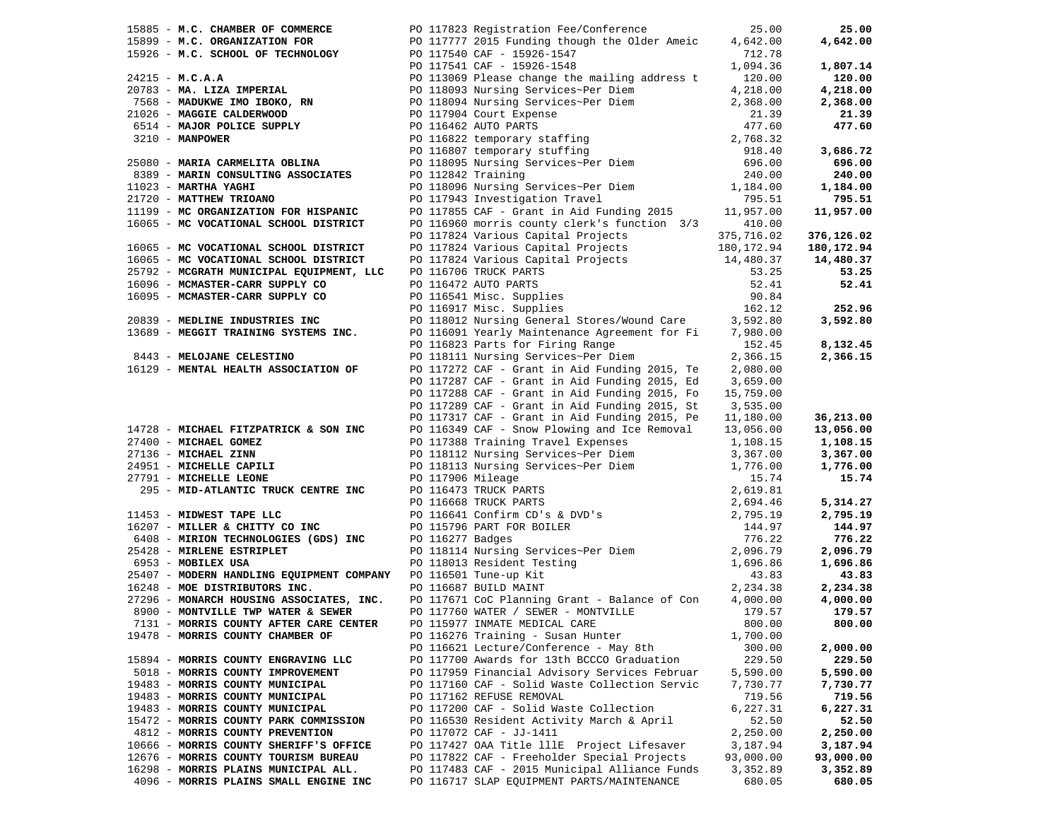| 15885 - M.C. CHAMBER OF COMMERCE                                | PO 117823 Registration Fee/Conference                                                                                                                                                                                                                                                 | 25.00      | 25.00      |
|-----------------------------------------------------------------|---------------------------------------------------------------------------------------------------------------------------------------------------------------------------------------------------------------------------------------------------------------------------------------|------------|------------|
|                                                                 |                                                                                                                                                                                                                                                                                       | 4,642.00   | 4,642.00   |
|                                                                 | 15899 - M.C. ORGANIZATION FOR PO 11777 2015 Funding though the Older Ameic<br>15926 - M.C. SCHOOL OF TECHNOLOGY PO 117540 CAF - 15926-1547                                                                                                                                            | 712.78     |            |
|                                                                 |                                                                                                                                                                                                                                                                                       | 1,094.36   | 1,807.14   |
|                                                                 |                                                                                                                                                                                                                                                                                       |            |            |
| $24215 - M.C.A.A$                                               |                                                                                                                                                                                                                                                                                       | 120.00     | 120.00     |
| 20783 - MA. LIZA IMPERIAL                                       | PO 117540 CAF - 15926-1547<br>PO 117541 CAF - 15926-1548<br>PO 113069 Please change the mailing address to<br>PO 118093 Nursing Services~Per Diem<br>PO 118094 Nursing Services~Per Diem<br>PO 117904 Court Expense<br>PO 116462 AUTO PARTS                                           | 4,218.00   | 4,218.00   |
| 7568 - MADUKWE IMO IBOKO, RN<br>21026 - MAGGIE CALDERWOOD       | PO 118094 Nursing Services~rer Diem<br>PO 117904 Court Expense<br>PO 116462 AUTO PARTS<br>PO 116822 temporary staffing<br>PO 116807 temporary stuffing<br>PO 118095 Nursing Services~Per Diem<br>PO 118095 Nursing Services~Per Diem<br>696.                                          | 2,368.00   | 2,368.00   |
|                                                                 |                                                                                                                                                                                                                                                                                       |            | 21.39      |
|                                                                 |                                                                                                                                                                                                                                                                                       |            | 477.60     |
| 6514 - MAJOR POLICE SUPPLY<br>3210 - MANPOWER                   |                                                                                                                                                                                                                                                                                       |            |            |
|                                                                 |                                                                                                                                                                                                                                                                                       |            | 3,686.72   |
| 25080 - MARIA CARMELITA OBLINA                                  |                                                                                                                                                                                                                                                                                       |            | 696.00     |
|                                                                 |                                                                                                                                                                                                                                                                                       |            |            |
| 8389 - MARIN CONSULTING ASSOCIATES                              |                                                                                                                                                                                                                                                                                       |            | 240.00     |
| $11023$ - MARTHA YAGHI                                          | PO 118096 Nursing Services~Per Diem 1,184.00                                                                                                                                                                                                                                          |            | 1,184.00   |
| 21720 - MATTHEW TRIOANO                                         | PO 117943 Investigation Travel                                                                                                                                                                                                                                                        | 795.51     | 795.51     |
| 11199 - MC ORGANIZATION FOR HISPANIC                            | PO 117855 CAF - Grant in Aid Funding 2015 11,957.00                                                                                                                                                                                                                                   |            | 11,957.00  |
| 16065 - MC VOCATIONAL SCHOOL DISTRICT                           | PO 116960 morris county clerk's function 3/3 410.00                                                                                                                                                                                                                                   |            |            |
|                                                                 | PO 117824 Various Capital Projects                                                                                                                                                                                                                                                    | 375,716.02 | 376,126.02 |
| 16065 - MC VOCATIONAL SCHOOL DISTRICT                           |                                                                                                                                                                                                                                                                                       |            | 180,172.94 |
| 16065 - MC VOCATIONAL SCHOOL DISTRICT                           |                                                                                                                                                                                                                                                                                       |            | 14,480.37  |
|                                                                 |                                                                                                                                                                                                                                                                                       |            |            |
| 25792 - MCGRATH MUNICIPAL EQUIPMENT, LLC                        |                                                                                                                                                                                                                                                                                       |            | 53.25      |
| 16096 - MCMASTER-CARR SUPPLY CO                                 |                                                                                                                                                                                                                                                                                       |            | 52.41      |
| 16095 - MCMASTER-CARR SUPPLY CO                                 |                                                                                                                                                                                                                                                                                       |            |            |
|                                                                 | PO 117824 various capital Projects<br>PO 117824 Various Capital Projects<br>PO 117824 Various Capital Projects<br>PO 116706 TRUCK PARTS<br>PO 116472 AUTO PARTS<br>PO 116541 Misc. Supplies<br>PO 116541 Misc. Supplies<br>PO 116917 Misc. S                                          |            | 252.96     |
| 20839 - MEDLINE INDUSTRIES INC                                  | PO 118012 Nursing General Stores/Wound Care                                                                                                                                                                                                                                           | 3,592.80   | 3,592.80   |
| 13689 - MEGGIT TRAINING SYSTEMS INC.                            | PO 116091 Yearly Maintenance Agreement for Fi                                                                                                                                                                                                                                         | 7,980.00   |            |
|                                                                 | PO 116823 Parts for Firing Range                                                                                                                                                                                                                                                      | 152.45     | 8,132.45   |
| 8443 - MELOJANE CELESTINO                                       | PO 118111 Nursing Services~Per Diem                                                                                                                                                                                                                                                   | 2,366.15   | 2,366.15   |
| 16129 - MENTAL HEALTH ASSOCIATION OF                            |                                                                                                                                                                                                                                                                                       |            |            |
|                                                                 | PO 117272 CAF - Grant in Aid Funding 2015, Te                                                                                                                                                                                                                                         | 2,080.00   |            |
|                                                                 | PO 117287 CAF - Grant in Aid Funding 2015, Ed                                                                                                                                                                                                                                         | 3,659.00   |            |
|                                                                 | PO 117288 CAF - Grant in Aid Funding 2015, Fo                                                                                                                                                                                                                                         | 15,759.00  |            |
|                                                                 | PO 117289 CAF - Grant in Aid Funding 2015, St                                                                                                                                                                                                                                         | 3,535.00   |            |
|                                                                 | PO 117317 CAF - Grant in Aid Funding 2015, Pe                                                                                                                                                                                                                                         | 11,180.00  | 36,213.00  |
| 14728 - MICHAEL FITZPATRICK & SON INC                           | PO 116349 CAF - Snow Plowing and Ice Removal                                                                                                                                                                                                                                          | 13,056.00  | 13,056.00  |
| 27400 - MICHAEL GOMEZ                                           | PO 117388 Training Travel Expenses<br>PO 118112 Nursing Services~Per Diem                                                                                                                                                                                                             | 1,108.15   | 1,108.15   |
| 27136 - MICHAEL ZINN                                            |                                                                                                                                                                                                                                                                                       | 3,367.00   | 3,367.00   |
|                                                                 |                                                                                                                                                                                                                                                                                       | 1,776.00   | 1,776.00   |
| 24951 - MICHELLE CAPILI<br>27791 - MICHELLE LEONE               | PO 118113 Nursing Services~Per Diem<br>PO 118113 Nursing Services~Per Diem<br>PO 117906 Mileage<br>PO 116668 TRUCK PARTS<br>PO 116668 TRUCK PARTS<br>PO 1166641 Confirm CD's & DVD's<br>PO 116641 Confirm CD's & DVD's<br>PO 116641 Confirm CD's & DVD's<br>2, 694.46<br>PO 116671 Ba |            | 15.74      |
| 295 - MID-ATLANTIC TRUCK CENTRE INC                             |                                                                                                                                                                                                                                                                                       |            |            |
|                                                                 |                                                                                                                                                                                                                                                                                       |            |            |
|                                                                 |                                                                                                                                                                                                                                                                                       |            | 5,314.27   |
| 11453 - MIDWEST TAPE LLC                                        |                                                                                                                                                                                                                                                                                       |            | 2,795.19   |
| 16207 - MILLER & CHITTY CO INC                                  |                                                                                                                                                                                                                                                                                       |            | 144.97     |
| 6408 - MIRION TECHNOLOGIES (GDS) INC                            |                                                                                                                                                                                                                                                                                       |            | 776.22     |
| 25428 - MIRLENE ESTRIPLET                                       |                                                                                                                                                                                                                                                                                       |            | 2,096.79   |
| 6953 - MOBILEX USA                                              |                                                                                                                                                                                                                                                                                       |            | 1,696.86   |
| 25407 - MODERN HANDLING EQUIPMENT COMPANY PO 116501 Tune-up Kit |                                                                                                                                                                                                                                                                                       |            | 43.83      |
| 16248 - MOE DISTRIBUTORS INC.                                   |                                                                                                                                                                                                                                                                                       |            | 2,234.38   |
| 27296 - MONARCH HOUSING ASSOCIATES, INC.                        | PO 117671 CoC Planning Grant - Balance of Con                                                                                                                                                                                                                                         |            |            |
|                                                                 |                                                                                                                                                                                                                                                                                       | 4,000.00   | 4,000.00   |
| 8900 - MONTVILLE TWP WATER & SEWER                              | PO 117760 WATER / SEWER - MONTVILLE                                                                                                                                                                                                                                                   | 179.57     | 179.57     |
| 7131 - MORRIS COUNTY AFTER CARE CENTER                          | PO 115977 INMATE MEDICAL CARE                                                                                                                                                                                                                                                         | 800.00     | 800.00     |
| 19478 - MORRIS COUNTY CHAMBER OF                                | PO 116276 Training - Susan Hunter                                                                                                                                                                                                                                                     | 1,700.00   |            |
|                                                                 | PO 116621 Lecture/Conference - May 8th                                                                                                                                                                                                                                                | 300.00     | 2,000.00   |
| 15894 - MORRIS COUNTY ENGRAVING LLC                             | PO 117700 Awards for 13th BCCCO Graduation                                                                                                                                                                                                                                            | 229.50     | 229.50     |
| 5018 - MORRIS COUNTY IMPROVEMENT                                | PO 117959 Financial Advisory Services Februar                                                                                                                                                                                                                                         | 5,590.00   | 5,590.00   |
| 19483 - MORRIS COUNTY MUNICIPAL                                 | PO 117160 CAF - Solid Waste Collection Servic                                                                                                                                                                                                                                         | 7,730.77   | 7,730.77   |
| 19483 - MORRIS COUNTY MUNICIPAL                                 | PO 117162 REFUSE REMOVAL                                                                                                                                                                                                                                                              | 719.56     | 719.56     |
| 19483 - MORRIS COUNTY MUNICIPAL                                 | PO 117200 CAF - Solid Waste Collection                                                                                                                                                                                                                                                | 6,227.31   | 6,227.31   |
| 15472 - MORRIS COUNTY PARK COMMISSION                           | PO 116530 Resident Activity March & April                                                                                                                                                                                                                                             | 52.50      | 52.50      |
|                                                                 |                                                                                                                                                                                                                                                                                       |            |            |
| 4812 - MORRIS COUNTY PREVENTION                                 | PO 117072 CAF - JJ-1411                                                                                                                                                                                                                                                               | 2,250.00   | 2,250.00   |
| 10666 - MORRIS COUNTY SHERIFF'S OFFICE                          | PO 117427 OAA Title lllE Project Lifesaver                                                                                                                                                                                                                                            | 3,187.94   | 3,187.94   |
| 12676 - MORRIS COUNTY TOURISM BUREAU                            | PO 117822 CAF - Freeholder Special Projects                                                                                                                                                                                                                                           | 93,000.00  | 93,000.00  |
| 16298 - MORRIS PLAINS MUNICIPAL ALL.                            | PO 117483 CAF - 2015 Municipal Alliance Funds                                                                                                                                                                                                                                         | 3,352.89   | 3,352.89   |
| 4096 - MORRIS PLAINS SMALL ENGINE INC                           | PO 116717 SLAP EQUIPMENT PARTS/MAINTENANCE                                                                                                                                                                                                                                            | 680.05     | 680.05     |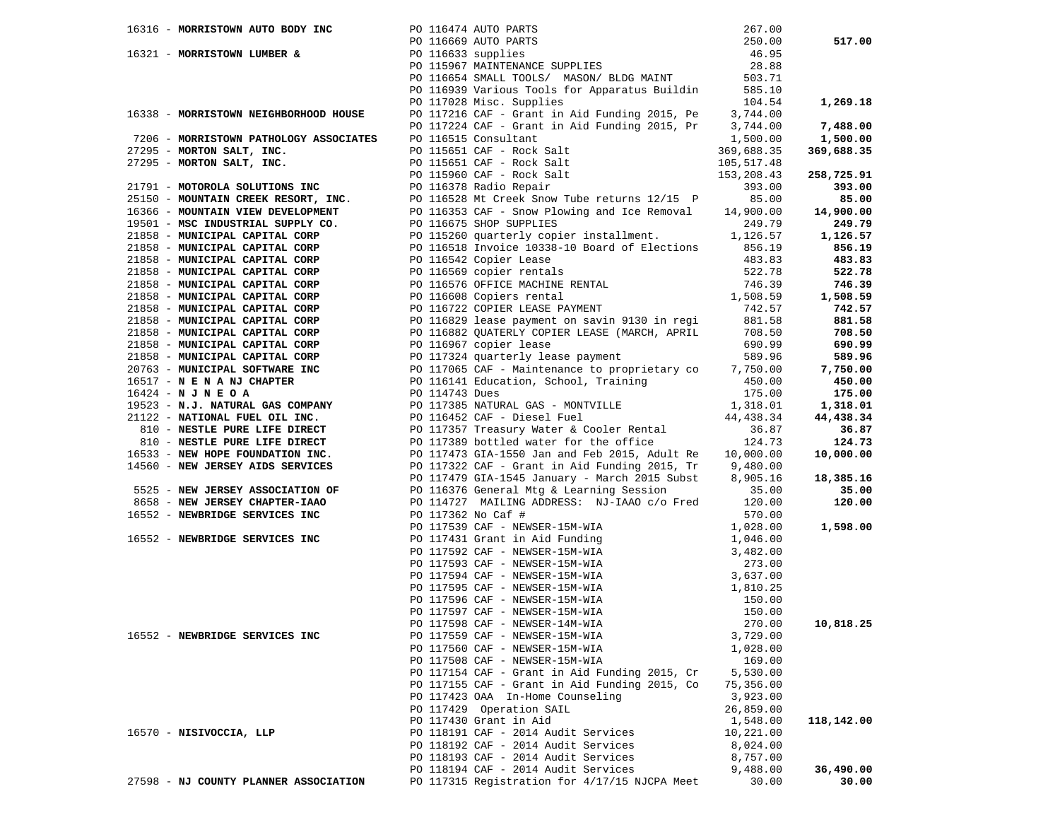| 16316 - MORRISTOWN AUTO BODY INC PO 116474 AUTO PARTS                                          | PO 116474 AUTO PARTS 267.00<br>PO 116669 AUTO PARTS 250.00<br>PO 116633 supplies 46.95<br>PO 115967 MAINTENANCE SUPPLIES 28.88<br>PO 116654 SMALL TOOLS/ MASON/ BLDG MAINT 503.71                                                                                                                             |                   |                    |
|------------------------------------------------------------------------------------------------|---------------------------------------------------------------------------------------------------------------------------------------------------------------------------------------------------------------------------------------------------------------------------------------------------------------|-------------------|--------------------|
|                                                                                                |                                                                                                                                                                                                                                                                                                               |                   | 517.00             |
|                                                                                                |                                                                                                                                                                                                                                                                                                               |                   |                    |
|                                                                                                |                                                                                                                                                                                                                                                                                                               |                   |                    |
|                                                                                                |                                                                                                                                                                                                                                                                                                               |                   |                    |
|                                                                                                | PO 110053 Denius 10022, 11221<br>PO 116939 Various Tools for Apparatus Buildin 585.10                                                                                                                                                                                                                         |                   |                    |
|                                                                                                | PO 117028 Misc. Supplies                                                                                                                                                                                                                                                                                      | 104.54            | 1,269.18           |
| 16338 - MORRISTOWN NEIGHBORHOOD HOUSE                                                          |                                                                                                                                                                                                                                                                                                               |                   |                    |
|                                                                                                | PO 117216 CAF - Grant in Aid Funding 2015, Pe 3,744.00<br>PO 117224 CAF - Grant in Aid Funding 2015, Pr 3,744.00                                                                                                                                                                                              |                   | 7,488.00           |
| 7206 - MORRISTOWN PATHOLOGY ASSOCIATES                                                         | PO 115651 CAF - Rock Salt<br>PO 115651 CAF - Rock Salt                                                                                                                                                                                                                                                        | 1,500.00          | 1,500.00           |
| 27295 - MORTON SALT, INC.                                                                      |                                                                                                                                                                                                                                                                                                               | 369,688.35        | 369,688.35         |
| 27295 - MORTON SALT, INC.                                                                      | PO 115651 CAF - Rock Salt                                                                                                                                                                                                                                                                                     | 105,517.48        |                    |
|                                                                                                | PO 115960 CAF - Rock Salt                                                                                                                                                                                                                                                                                     | 153,208.43        | 258,725.91         |
|                                                                                                | 21791 - MOTOROLA SOLUTIONS INC<br>25150 - MOUNTAIN CREEK RESORT, INC.<br>25150 - MOUNTAIN CREEK RESORT, INC.<br>2616553 CAF - Show Plowing and Ice Removal<br>26366 - MOUNTAIN VIEW DELOPMENT<br>272 - PO 116353 CAF - Show Plowing and                                                                       | 393.00            | 393.00             |
|                                                                                                |                                                                                                                                                                                                                                                                                                               | 85.00             | 85.00              |
|                                                                                                | PO 116353 CAF - Snow Plowing and Ice Removal 14,900.00                                                                                                                                                                                                                                                        |                   | 14,900.00          |
| 19501 - MSC INDUSTRIAL SUPPLY CO.                                                              | PO 116675 SHOP SUPPLIES                                                                                                                                                                                                                                                                                       | 249.79            | 249.79             |
| 21858 - MUNICIPAL CAPITAL CORP                                                                 | PO 115260 quarterly copier installment. 1,126.57                                                                                                                                                                                                                                                              |                   | 1,126.57           |
| 21858 - MUNICIPAL CAPITAL CORP                                                                 | PO 116518 Invoice 10338-10 Board of Elections 856.19                                                                                                                                                                                                                                                          |                   | 856.19             |
| 21858 - MUNICIPAL CAPITAL CORP<br>21858 - MUNICIPAL CAPITAL CORP                               |                                                                                                                                                                                                                                                                                                               |                   | 483.83             |
|                                                                                                |                                                                                                                                                                                                                                                                                                               |                   | 522.78             |
| 21858 - MUNICIPAL CAPITAL CORP<br>21858 - MUNICIPAL CAPITAL CORP                               | PO 116542 Copier Lease<br>PO 116569 copier rentals<br>PO 116576 OFFICE MACHINE RENTAL<br>PO 116608 Copiers rental<br>PO 116722 COPIER LEASE PAYMENT<br>PO 116722 COPIER LEASE PAYMENT<br>742.57                                                                                                               |                   | 746.39             |
|                                                                                                |                                                                                                                                                                                                                                                                                                               |                   | 1,508.59           |
| 21858 - MUNICIPAL CAPITAL CORP<br>21858 - MUNICIPAL CAPITAL CORP                               |                                                                                                                                                                                                                                                                                                               |                   | 742.57             |
| 21858 - MUNICIPAL CAPITAL CORP                                                                 | FO 116722 COFIER LEASE PAYMENT 742.57<br>PO 116829 lease payment on savin 9130 in regi 881.58<br>PO 116882 OUATERLY CORTER IN IT 1                                                                                                                                                                            |                   | 881.58             |
| 21858 - MUNICIPAL CAPITAL CORP<br>21858 - MUNICIPAL CAPITAL CORP                               | PO 116882 QUATERLY COPIER LEASE (MARCH, APRIL 708.50                                                                                                                                                                                                                                                          |                   | 708.50             |
|                                                                                                | PO 116967 copier lease                                                                                                                                                                                                                                                                                        | 690.99            | 690.99             |
|                                                                                                | PO 117324 quarterly lease payment 589.96                                                                                                                                                                                                                                                                      |                   | 589.96             |
| 21858 - MUNICIPAL CAPITAL CORP<br>20763 - MUNICIPAL SOFTWARE INC<br>16517 - N E N A NJ CHAPTER | PO 117065 CAF - Maintenance to proprietary co 7,750.00                                                                                                                                                                                                                                                        |                   | 7,750.00           |
|                                                                                                | PO 116141 Education, School, Training 450.00                                                                                                                                                                                                                                                                  |                   | 450.00             |
| $16424 - N J N E O A$                                                                          | PO 114743 Dues                                                                                                                                                                                                                                                                                                | 175.00            | 175.00             |
|                                                                                                | PO 117385 NATURAL GAS - MONTVILLE 1,318.01<br>20.01 116452 CAF - Diesel Fuel 1,318.01<br>19523 - N.J. NATURAL GAS COMPANY<br>21122 - NATIONAL FUEL OIL INC.<br>810 - NESTLE PURE LIFE DIRECT PO 117357 Treasury Water & Cooler Rental<br>810 - NESTLE PURE LIFE DIRECT PO 117359 bottled water for the office |                   | 1,318.01           |
|                                                                                                |                                                                                                                                                                                                                                                                                                               |                   | 44,438.34          |
|                                                                                                |                                                                                                                                                                                                                                                                                                               | 36.87             | 36.87              |
| 16533 - NEW HOPE FOUNDATION INC.                                                               |                                                                                                                                                                                                                                                                                                               | 124.73            | 124.73             |
|                                                                                                | PO 117473 GIA-1550 Jan and Feb 2015, Adult Re                                                                                                                                                                                                                                                                 | 10,000.00         | 10,000.00          |
| 14560 - NEW JERSEY AIDS SERVICES                                                               | PO 117322 CAF - Grant in Aid Funding 2015, Tr $9,480.00$                                                                                                                                                                                                                                                      |                   |                    |
| 5525 - NEW JERSEY ASSOCIATION OF                                                               | PO 117479 GIA-1545 January - March 2015 Subst<br>PO 116376 General Mtg & Learning Session                                                                                                                                                                                                                     | 8,905.16<br>35.00 | 18,385.16<br>35.00 |
| 8658 - NEW JERSEY CHAPTER-IAAO                                                                 | PO 114727 MAILING ADDRESS: NJ-IAAO c/o Fred 120.00                                                                                                                                                                                                                                                            |                   | 120.00             |
| 16552 - NEWBRIDGE SERVICES INC                                                                 | PO 117362 No Caf #                                                                                                                                                                                                                                                                                            | 570.00            |                    |
|                                                                                                | PO 117539 CAF - NEWSER-15M-WIA                                                                                                                                                                                                                                                                                | 1,028.00          | 1,598.00           |
| 16552 - NEWBRIDGE SERVICES INC                                                                 | PO 117539 CAF - NEWSER-15M-WIA<br>PO 117592 CAF - NEWSER-15M-WIA<br>PO 117592 CAF - NEWSER-15M-WIA<br>PO 117593 CAF - NEWSER-15M-WIA<br>PO 117593 CAF - NEWSER-15M-WIA<br>PO 117593 CAF - NEWSER-15M-WIA<br>PO 117595 CAF - NEWSER-15M-WIA                                                                    |                   |                    |
|                                                                                                |                                                                                                                                                                                                                                                                                                               |                   |                    |
|                                                                                                |                                                                                                                                                                                                                                                                                                               |                   |                    |
|                                                                                                |                                                                                                                                                                                                                                                                                                               |                   |                    |
|                                                                                                |                                                                                                                                                                                                                                                                                                               |                   |                    |
|                                                                                                |                                                                                                                                                                                                                                                                                                               |                   |                    |
|                                                                                                |                                                                                                                                                                                                                                                                                                               |                   |                    |
|                                                                                                | 270.00<br>PO 117598 CAF - NEWSER-14M-WIA                                                                                                                                                                                                                                                                      |                   | 10,818.25          |
| 16552 - NEWBRIDGE SERVICES INC                                                                 | PO 117559 CAF - NEWSER-15M-WIA                                                                                                                                                                                                                                                                                | 3,729.00          |                    |
|                                                                                                | PO 117560 CAF - NEWSER-15M-WIA                                                                                                                                                                                                                                                                                | 1,028.00          |                    |
|                                                                                                | PO 117508 CAF - NEWSER-15M-WIA                                                                                                                                                                                                                                                                                | 169.00            |                    |
|                                                                                                | PO 117154 CAF - Grant in Aid Funding 2015, Cr                                                                                                                                                                                                                                                                 | 5,530.00          |                    |
|                                                                                                | PO 117155 CAF - Grant in Aid Funding 2015, Co                                                                                                                                                                                                                                                                 | 75,356.00         |                    |
|                                                                                                | PO 117423 OAA In-Home Counseling                                                                                                                                                                                                                                                                              | 3,923.00          |                    |
|                                                                                                | PO 117429 Operation SAIL                                                                                                                                                                                                                                                                                      | 26,859.00         |                    |
|                                                                                                | PO 117430 Grant in Aid                                                                                                                                                                                                                                                                                        | 1,548.00          | 118,142.00         |
| 16570 - NISIVOCCIA, LLP                                                                        | PO 118191 CAF - 2014 Audit Services                                                                                                                                                                                                                                                                           | 10,221.00         |                    |
|                                                                                                | PO 118192 CAF - 2014 Audit Services                                                                                                                                                                                                                                                                           | 8,024.00          |                    |
|                                                                                                | PO 118193 CAF - 2014 Audit Services                                                                                                                                                                                                                                                                           | 8,757.00          |                    |
|                                                                                                | PO 118194 CAF - 2014 Audit Services                                                                                                                                                                                                                                                                           | 9,488.00          | 36,490.00          |
| 27598 - NJ COUNTY PLANNER ASSOCIATION                                                          | PO 117315 Registration for 4/17/15 NJCPA Meet                                                                                                                                                                                                                                                                 | 30.00             | 30.00              |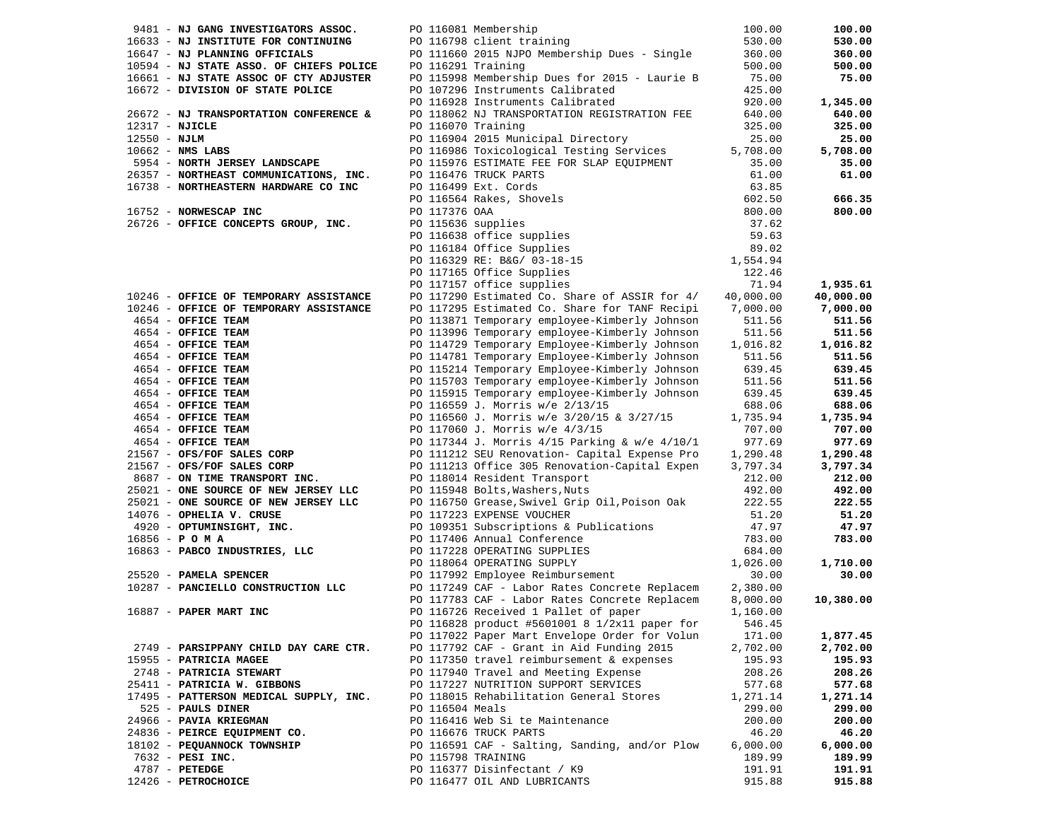|                | 9481 - NJ GANG INVESTIGATORS ASSOC.                                   |                 | PO 116081 Membership                                                                                                                                                                                                                                                | 100.00             | 100.00             |
|----------------|-----------------------------------------------------------------------|-----------------|---------------------------------------------------------------------------------------------------------------------------------------------------------------------------------------------------------------------------------------------------------------------|--------------------|--------------------|
|                | 16633 - NJ INSTITUTE FOR CONTINUING                                   |                 | PO 116798 client training                                                                                                                                                                                                                                           | 530.00             | 530.00             |
|                | 16647 - NJ PLANNING OFFICIALS                                         |                 | PO 111660 2015 NJPO Membership Dues - Single                                                                                                                                                                                                                        | 360.00             | 360.00             |
|                | 10594 - NJ STATE ASSO. OF CHIEFS POLICE                               |                 | PO 116291 Training                                                                                                                                                                                                                                                  | 500.00             | 500.00             |
|                | 16661 - NJ STATE ASSOC OF CTY ADJUSTER                                |                 | PO 115998 Membership Dues for 2015 - Laurie B                                                                                                                                                                                                                       | 75.00              | 75.00              |
|                | 16672 - DIVISION OF STATE POLICE                                      |                 | PO 107296 Instruments Calibrated                                                                                                                                                                                                                                    | 425.00             |                    |
|                |                                                                       |                 | PO 116928 Instruments Calibrated                                                                                                                                                                                                                                    | 920.00             | 1,345.00           |
|                | 26672 - NJ TRANSPORTATION CONFERENCE &                                |                 | PO 118062 NJ TRANSPORTATION REGISTRATION FEE                                                                                                                                                                                                                        | 640.00             | 640.00             |
|                | 12317 - NJICLE                                                        |                 | PO 116070 Training                                                                                                                                                                                                                                                  | 325.00             | 325.00             |
| $12550 - NJLM$ |                                                                       |                 | PO 116904 2015 Municipal Directory                                                                                                                                                                                                                                  | 25.00              | 25.00              |
|                | $10662$ - NMS LABS                                                    |                 | PO 116986 Toxicological Testing Services                                                                                                                                                                                                                            | 5,708.00           | 5,708.00           |
|                | 5954 - NORTH JERSEY LANDSCAPE                                         |                 | PO 115976 ESTIMATE FEE FOR SLAP EQUIPMENT                                                                                                                                                                                                                           | 35.00              | 35.00              |
|                | 26357 - NORTHEAST COMMUNICATIONS, INC.                                |                 | PO 116476 TRUCK PARTS                                                                                                                                                                                                                                               | 61.00              | 61.00              |
|                | 16738 - NORTHEASTERN HARDWARE CO INC                                  |                 |                                                                                                                                                                                                                                                                     | 63.85              |                    |
|                |                                                                       |                 |                                                                                                                                                                                                                                                                     | 602.50             | 666.35             |
|                | 16752 - NORWESCAP INC                                                 |                 |                                                                                                                                                                                                                                                                     | 800.00             | 800.00             |
|                | 26726 - OFFICE CONCEPTS GROUP, INC.                                   |                 |                                                                                                                                                                                                                                                                     | 37.62              |                    |
|                |                                                                       |                 |                                                                                                                                                                                                                                                                     | 59.63              |                    |
|                |                                                                       |                 |                                                                                                                                                                                                                                                                     | 89.02              |                    |
|                |                                                                       |                 |                                                                                                                                                                                                                                                                     | 1,554.94           |                    |
|                |                                                                       |                 | PO 116476 TRUCK PARTS<br>PO 116499 Ext. Cords<br>PO 116564 Rakes, Shovels<br>PO 117376 OAA<br>PO 115636 supplies<br>PO 116638 office Supplies<br>PO 116184 Office Supplies<br>PO 116329 RE: B&G/ 03-18-15<br>PO 117165 office Supplies<br>PO 117165 Office Supplies | 122.46             |                    |
|                |                                                                       |                 | PO 117157 office supplies                                                                                                                                                                                                                                           | 71.94              | 1,935.61           |
|                | 10246 - OFFICE OF TEMPORARY ASSISTANCE                                |                 | PO 117290 Estimated Co. Share of ASSIR for 4/                                                                                                                                                                                                                       | 40,000.00          | 40,000.00          |
|                | 10246 - OFFICE OF TEMPORARY ASSISTANCE                                |                 | PO 117295 Estimated Co. Share for TANF Recipi                                                                                                                                                                                                                       | 7,000.00           | 7,000.00           |
|                | 4654 - OFFICE TEAM                                                    |                 | PO 113871 Temporary employee-Kimberly Johnson                                                                                                                                                                                                                       | 511.56             | 511.56             |
|                | 4654 - OFFICE TEAM                                                    |                 | PO 113996 Temporary employee-Kimberly Johnson                                                                                                                                                                                                                       | 511.56             | 511.56             |
|                | 4654 - OFFICE TEAM                                                    |                 |                                                                                                                                                                                                                                                                     | 1,016.82           | 1,016.82           |
|                | 4654 - OFFICE TEAM                                                    |                 | PO 114729 Temporary Employee-Kimberly Johnson                                                                                                                                                                                                                       | 511.56             | 511.56             |
|                | 4654 - OFFICE TEAM                                                    |                 | PO 114781 Temporary Employee-Kimberly Johnson<br>PO 115214 Temporary Employee-Kimberly Johnson                                                                                                                                                                      | 639.45             | 639.45             |
|                | 4654 - OFFICE TEAM                                                    |                 | PO 115703 Temporary employee-Kimberly Johnson                                                                                                                                                                                                                       | 511.56             | 511.56             |
|                |                                                                       |                 |                                                                                                                                                                                                                                                                     |                    |                    |
|                | 4654 - OFFICE TEAM                                                    |                 | PO 115915 Temporary employee-Kimberly Johnson                                                                                                                                                                                                                       | 639.45             | 639.45             |
|                | 4654 - OFFICE TEAM                                                    |                 | PO 116559 J. Morris w/e 2/13/15                                                                                                                                                                                                                                     | 688.06             | 688.06             |
|                | 4654 - OFFICE TEAM                                                    |                 | PO 116560 J. Morris w/e 3/20/15 & 3/27/15                                                                                                                                                                                                                           | 1,735.94           | 1,735.94           |
|                | 4654 - OFFICE TEAM                                                    |                 | PO 117060 J. Morris w/e 4/3/15                                                                                                                                                                                                                                      | 707.00<br>977.69   | 707.00             |
|                | 4654 - OFFICE TEAM                                                    |                 | PO 117344 J. Morris 4/15 Parking & w/e 4/10/1                                                                                                                                                                                                                       |                    | 977.69             |
|                | 21567 - OFS/FOF SALES CORP                                            |                 | PO 111212 SEU Renovation- Capital Expense Pro                                                                                                                                                                                                                       | 1,290.48           | 1,290.48           |
|                | 21567 - OFS/FOF SALES CORP                                            |                 | PO 111213 Office 305 Renovation-Capital Expen                                                                                                                                                                                                                       | 3,797.34           | 3,797.34           |
|                | 8687 - ON TIME TRANSPORT INC.<br>25021 - ONE SOURCE OF NEW JERSEY LLC |                 | PO 118014 Resident Transport                                                                                                                                                                                                                                        | 212.00             | 212.00             |
|                |                                                                       |                 | PO 115948 Bolts, Washers, Nuts                                                                                                                                                                                                                                      | 492.00             | 492.00             |
|                | 25021 - ONE SOURCE OF NEW JERSEY LLC                                  |                 | PO 116750 Grease, Swivel Grip Oil, Poison Oak                                                                                                                                                                                                                       | 222.55             | 222.55             |
|                | 14076 - OPHELIA V. CRUSE                                              |                 | PO 117223 EXPENSE VOUCHER                                                                                                                                                                                                                                           | 51.20              | 51.20              |
|                | 4920 - OPTUMINSIGHT, INC.                                             |                 | PO 109351 Subscriptions & Publications                                                                                                                                                                                                                              | 47.97              | 47.97              |
|                | $16856 - P$ O M A                                                     |                 | PO 117406 Annual Conference                                                                                                                                                                                                                                         | 783.00             | 783.00             |
|                | 16863 - PABCO INDUSTRIES, LLC                                         |                 | PO 117228 OPERATING SUPPLIES                                                                                                                                                                                                                                        | 684.00<br>1,026.00 | 1,710.00           |
|                | 25520 - PAMELA SPENCER                                                |                 | PO 118064 OPERATING SUPPLY<br>PO 117992 Employee Reimbursement                                                                                                                                                                                                      | 30.00              | 30.00              |
|                | 10287 - PANCIELLO CONSTRUCTION LLC                                    |                 | PO 117249 CAF - Labor Rates Concrete Replacem 2,380.00                                                                                                                                                                                                              |                    |                    |
|                |                                                                       |                 | PO 117783 CAF - Labor Rates Concrete Replacem 8,000.00                                                                                                                                                                                                              |                    | 10,380.00          |
|                | 16887 - PAPER MART INC                                                |                 | PO 116726 Received 1 Pallet of paper                                                                                                                                                                                                                                | 1,160.00           |                    |
|                |                                                                       |                 |                                                                                                                                                                                                                                                                     |                    |                    |
|                |                                                                       |                 | PO 116828 product #5601001 8 1/2x11 paper for 546.45                                                                                                                                                                                                                |                    |                    |
|                | 2749 - PARSIPPANY CHILD DAY CARE CTR.                                 |                 | PO 117022 Paper Mart Envelope Order for Volun<br>PO 117792 CAF - Grant in Aid Funding 2015                                                                                                                                                                          | 171.00<br>2,702.00 | 1,877.45           |
|                |                                                                       |                 | PO 117350 travel reimbursement & expenses                                                                                                                                                                                                                           | 195.93             | 2,702.00<br>195.93 |
|                | 15955 - PATRICIA MAGEE                                                |                 | PO 117940 Travel and Meeting Expense                                                                                                                                                                                                                                | 208.26             |                    |
|                | 2748 - PATRICIA STEWART<br>25411 - PATRICIA W. GIBBONS                |                 | PO 117227 NUTRITION SUPPORT SERVICES                                                                                                                                                                                                                                | 577.68             | 208.26<br>577.68   |
|                | 17495 - PATTERSON MEDICAL SUPPLY, INC.                                |                 |                                                                                                                                                                                                                                                                     |                    |                    |
|                |                                                                       |                 | PO 118015 Rehabilitation General Stores                                                                                                                                                                                                                             | 1,271.14           | 1,271.14           |
|                | 525 - PAULS DINER                                                     | PO 116504 Meals |                                                                                                                                                                                                                                                                     | 299.00             | 299.00             |
|                | 24966 - PAVIA KRIEGMAN                                                |                 | PO 116416 Web Si te Maintenance                                                                                                                                                                                                                                     | 200.00             | 200.00             |
|                | 24836 - PEIRCE EQUIPMENT CO.                                          |                 | PO 116676 TRUCK PARTS<br>PO 116591 CAF - Salting, Sanding, and/or Plow                                                                                                                                                                                              | 46.20              | 46.20              |
|                | 18102 - PEQUANNOCK TOWNSHIP                                           |                 |                                                                                                                                                                                                                                                                     | 6,000.00           | 6,000.00           |
|                | 7632 - PESI INC.                                                      |                 | PO 115798 TRAINING                                                                                                                                                                                                                                                  | 189.99             | 189.99             |
|                | $4787$ - PETEDGE                                                      |                 | PO 116377 Disinfectant / K9                                                                                                                                                                                                                                         | 191.91             | 191.91             |
|                | 12426 - PETROCHOICE                                                   |                 | PO 116477 OIL AND LUBRICANTS                                                                                                                                                                                                                                        | 915.88             | 915.88             |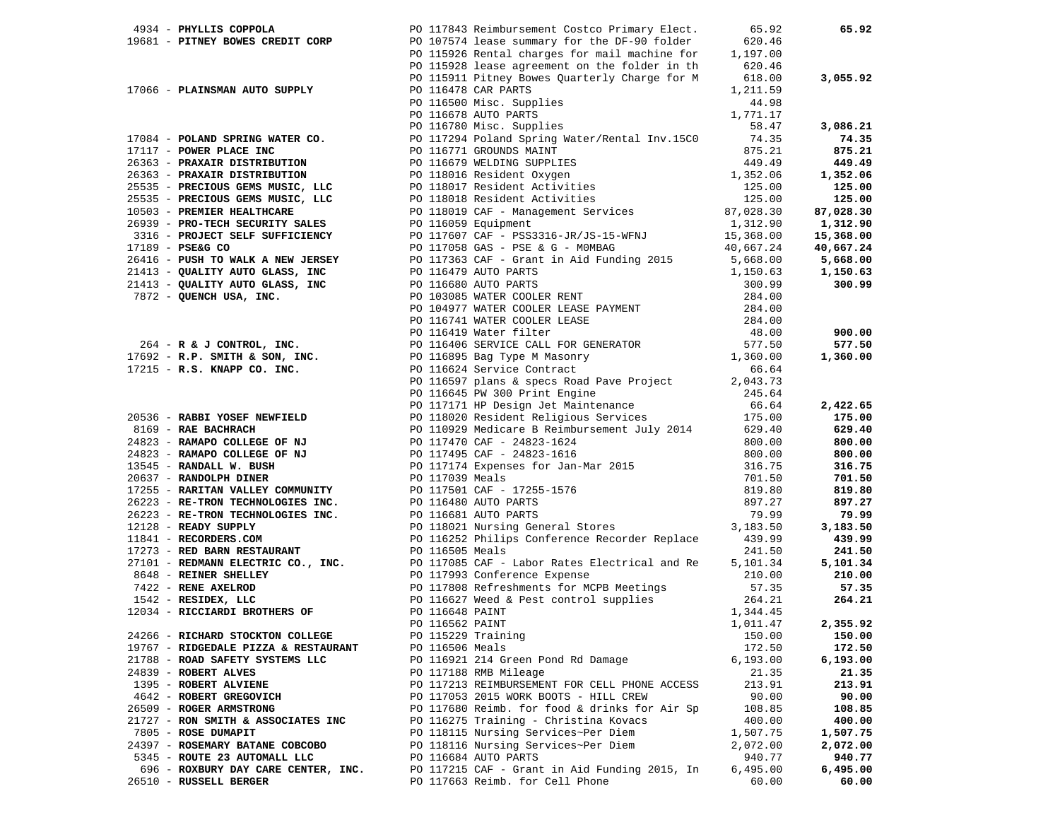| 4934 - PHYLLIS COPPOLA                                                                                                                                                                                                                       | PO 117843 Reimbursement Costco Primary Elect.                                                            | 65.92                                                                                                                                                                                                                                        | 65.92     |
|----------------------------------------------------------------------------------------------------------------------------------------------------------------------------------------------------------------------------------------------|----------------------------------------------------------------------------------------------------------|----------------------------------------------------------------------------------------------------------------------------------------------------------------------------------------------------------------------------------------------|-----------|
| 19681 - PITNEY BOWES CREDIT CORP DO 107574 lease summary for the DF-90 folder<br>PO 115926 Rental charges for mail machine for                                                                                                               |                                                                                                          | 620.46                                                                                                                                                                                                                                       |           |
|                                                                                                                                                                                                                                              |                                                                                                          | 1,197.00                                                                                                                                                                                                                                     |           |
|                                                                                                                                                                                                                                              | PO 115928 lease agreement on the folder in th                                                            | 620.46                                                                                                                                                                                                                                       |           |
|                                                                                                                                                                                                                                              | PO 115911 Pitney Bowes Quarterly Charge for M                                                            | 618.00                                                                                                                                                                                                                                       | 3,055.92  |
| 17066 - PLAINSMAN AUTO SUPPLY                                                                                                                                                                                                                | PO 116478 CAR PARTS                                                                                      | 1,211.59                                                                                                                                                                                                                                     |           |
|                                                                                                                                                                                                                                              | PO 116500 Misc. Supplies<br>PO 116578 AUTO PARTS<br>PO 116780 Misc. Supplies<br>PO 116780 Misc. Supplies | 44.98                                                                                                                                                                                                                                        |           |
|                                                                                                                                                                                                                                              |                                                                                                          | 1,771.17                                                                                                                                                                                                                                     |           |
|                                                                                                                                                                                                                                              |                                                                                                          | 58.47                                                                                                                                                                                                                                        | 3,086.21  |
|                                                                                                                                                                                                                                              |                                                                                                          |                                                                                                                                                                                                                                              |           |
| $17084$ - POLAND SPRING WATER CO.                                                                                                                                                                                                            | PO 117294 Poland Spring Water/Rental Inv.15CO                                                            | 74.35                                                                                                                                                                                                                                        | 74.35     |
| 17117 - POWER PLACE INC                                                                                                                                                                                                                      |                                                                                                          | PO 116771 GROUNDS MAINT<br>PO 116771 GROUNDS MAINT<br>PO 11679 WELDING SUPPLIES<br>PO 118016 Resident Oxygen<br>PO 118017 Resident Activities<br>PO 118017 Resident Activities<br>PO 118018 Resident Activities<br>PO 118019 CAF - Managemen | 875.21    |
| 26363 - PRAXAIR DISTRIBUTION                                                                                                                                                                                                                 |                                                                                                          |                                                                                                                                                                                                                                              | 449.49    |
| 26363 - PRAXAIR DISTRIBUTION                                                                                                                                                                                                                 |                                                                                                          |                                                                                                                                                                                                                                              | 1,352.06  |
| 25535 - PRECIOUS GEMS MUSIC, LLC                                                                                                                                                                                                             |                                                                                                          |                                                                                                                                                                                                                                              | 125.00    |
| 25535 - PRECIOUS GEMS MUSIC, LLC                                                                                                                                                                                                             |                                                                                                          |                                                                                                                                                                                                                                              | 125.00    |
| 10503 - PREMIER HEALTHCARE                                                                                                                                                                                                                   |                                                                                                          |                                                                                                                                                                                                                                              | 87,028.30 |
| 26939 - PRO-TECH SECURITY SALES                                                                                                                                                                                                              |                                                                                                          |                                                                                                                                                                                                                                              | 1,312.90  |
| دعسمد SECURITY المصلحة 3316 - PROJECT SELF SUFFICIENCY                                                                                                                                                                                       |                                                                                                          | PO 117607 CAF - PSS3316-JR/JS-15-WFNJ 15,368.00                                                                                                                                                                                              | 15,368.00 |
| 17189 - PSE&G CO                                                                                                                                                                                                                             | PO 117058 GAS - PSE & G - MOMBAG                                                                         | 40,667.24                                                                                                                                                                                                                                    | 40,667.24 |
|                                                                                                                                                                                                                                              |                                                                                                          |                                                                                                                                                                                                                                              |           |
| 26416 - <b>PUSH TO WALK A NEW JERSEY</b><br>26416 - <b>PUSH TO WALK A NEW JERSEY</b><br>21413 - <b>QUALITY AUTO GLASS, INC</b><br>21413 - <b>QUALITY AUTO GLASS, INC</b><br>2016680 AUTO PARTS<br>2028 - <b>QUENCH USA, INC.</b><br>284.00   |                                                                                                          |                                                                                                                                                                                                                                              | 5,668.00  |
|                                                                                                                                                                                                                                              |                                                                                                          |                                                                                                                                                                                                                                              | 1,150.63  |
|                                                                                                                                                                                                                                              |                                                                                                          |                                                                                                                                                                                                                                              | 300.99    |
|                                                                                                                                                                                                                                              |                                                                                                          |                                                                                                                                                                                                                                              |           |
|                                                                                                                                                                                                                                              |                                                                                                          | PO 104977 WATER COOLER LEASE PAYMENT 284.00                                                                                                                                                                                                  |           |
|                                                                                                                                                                                                                                              |                                                                                                          |                                                                                                                                                                                                                                              |           |
|                                                                                                                                                                                                                                              |                                                                                                          |                                                                                                                                                                                                                                              | 900.00    |
|                                                                                                                                                                                                                                              |                                                                                                          |                                                                                                                                                                                                                                              | 577.50    |
|                                                                                                                                                                                                                                              |                                                                                                          |                                                                                                                                                                                                                                              | 1,360.00  |
| PO 116741 WATER COOLER LEASE<br>PO 116741 WATER COOLER LEASE<br>PO 116419 Water filter<br>PO 116419 Water filter<br>PO 116416 SERVICE CALL FOR GENERATOR<br>PO 116604 SERVICE CALL FOR GENERATOR<br>PO 116895 Bag Type M Masonry<br>PO 11689 |                                                                                                          |                                                                                                                                                                                                                                              |           |
|                                                                                                                                                                                                                                              |                                                                                                          |                                                                                                                                                                                                                                              |           |
|                                                                                                                                                                                                                                              |                                                                                                          |                                                                                                                                                                                                                                              |           |
|                                                                                                                                                                                                                                              |                                                                                                          | PO 116645 PW 300 Print Engine 1988 245.64<br>PO 117171 HP Design Jet Maintenance 66.64<br>PO 118020 Resident Religious Services 175.00                                                                                                       |           |
|                                                                                                                                                                                                                                              |                                                                                                          |                                                                                                                                                                                                                                              | 2,422.65  |
|                                                                                                                                                                                                                                              |                                                                                                          |                                                                                                                                                                                                                                              | 175.00    |
| 20536 - RABBI YOSEF NEWFIELD<br>8169 - RAE BACHRACH<br>24823 - RAMAPO COLLEGE OF NJ<br>24823 - RAMAPO COLLEGE OF NJ<br>13545 - RANDALL W. BUSH<br>20637 - RANDOLPH DINER                                                                     |                                                                                                          | PO 110929 Medicare B Reimbursement July 2014 629.40                                                                                                                                                                                          | 629.40    |
|                                                                                                                                                                                                                                              | PO 117470 CAF - 24823-1624                                                                               | 800.00                                                                                                                                                                                                                                       | 800.00    |
|                                                                                                                                                                                                                                              | PO 117495 CAF - 24823-1616                                                                               | 800.00                                                                                                                                                                                                                                       | 800.00    |
|                                                                                                                                                                                                                                              |                                                                                                          | PO 117174 Expenses for Jan-Mar 2015<br>PO 117174 Expenses for Jan-Mar 2015<br>PO 117501 CAF - 17255-1576<br>PO 116681 AUTO PARTS<br>PO 116681 AUTO PARTS<br>PO 118021 Nursing General Stores<br>PO 118021 Nursing General Stores<br>2,183.50 | 316.75    |
|                                                                                                                                                                                                                                              |                                                                                                          |                                                                                                                                                                                                                                              | 701.50    |
| 17255 - RARITAN VALLEY COMMUNITY                                                                                                                                                                                                             |                                                                                                          |                                                                                                                                                                                                                                              | 819.80    |
| 26223 - RE-TRON TECHNOLOGIES INC.                                                                                                                                                                                                            |                                                                                                          |                                                                                                                                                                                                                                              | 897.27    |
| 26223 - RE-TRON TECHNOLOGIES INC.                                                                                                                                                                                                            |                                                                                                          |                                                                                                                                                                                                                                              | 79.99     |
| 12128 - READY SUPPLY                                                                                                                                                                                                                         |                                                                                                          |                                                                                                                                                                                                                                              | 3,183.50  |
| 11841 - RECORDERS.COM                                                                                                                                                                                                                        | PO 116252 Philips Conference Recorder Replace                                                            | 439.99                                                                                                                                                                                                                                       | 439.99    |
|                                                                                                                                                                                                                                              |                                                                                                          |                                                                                                                                                                                                                                              |           |
| 17273 - RED BARN RESTAURANT                                                                                                                                                                                                                  | PO 116505 Meals                                                                                          | 241.50                                                                                                                                                                                                                                       | 241.50    |
|                                                                                                                                                                                                                                              |                                                                                                          | 5,101.34                                                                                                                                                                                                                                     | 5,101.34  |
| 27101 - REDMANN ELECTRIC CO., INC. PO 117085 CAF - Labor Rates Electrical and Re<br>8648 - REINER SHELLEY PO 117993 Conference Expense<br>7422 - RENE AXELROD PO 117808 Refreshments for MCPB Meetings<br>1542 - RESIDEX, LLC PO 116         |                                                                                                          | 210.00                                                                                                                                                                                                                                       | 210.00    |
|                                                                                                                                                                                                                                              |                                                                                                          | 57.35                                                                                                                                                                                                                                        | 57.35     |
|                                                                                                                                                                                                                                              |                                                                                                          | 264.21                                                                                                                                                                                                                                       | 264.21    |
| 12034 - RICCIARDI BROTHERS OF                                                                                                                                                                                                                | PO 116648 PAINT                                                                                          | 1,344.45                                                                                                                                                                                                                                     |           |
|                                                                                                                                                                                                                                              | PO 116562 PAINT                                                                                          | 1,011.47                                                                                                                                                                                                                                     | 2,355.92  |
| 24266 - RICHARD STOCKTON COLLEGE                                                                                                                                                                                                             | PO 115229 Training                                                                                       | 150.00                                                                                                                                                                                                                                       | 150.00    |
| 19767 - RIDGEDALE PIZZA & RESTAURANT                                                                                                                                                                                                         | PO 116506 Meals                                                                                          | 172.50                                                                                                                                                                                                                                       | 172.50    |
| 21788 - ROAD SAFETY SYSTEMS LLC                                                                                                                                                                                                              | PO 116921 214 Green Pond Rd Damage                                                                       | 6, 193.00                                                                                                                                                                                                                                    | 6,193.00  |
| 24839 - ROBERT ALVES                                                                                                                                                                                                                         | PO 117188 RMB Mileage                                                                                    | 21.35                                                                                                                                                                                                                                        | 21.35     |
| 1395 - ROBERT ALVIENE                                                                                                                                                                                                                        | PO 117213 REIMBURSEMENT FOR CELL PHONE ACCESS                                                            | 213.91                                                                                                                                                                                                                                       | 213.91    |
|                                                                                                                                                                                                                                              |                                                                                                          |                                                                                                                                                                                                                                              |           |
| 4642 - ROBERT GREGOVICH                                                                                                                                                                                                                      | PO 117053 2015 WORK BOOTS - HILL CREW                                                                    | 90.00                                                                                                                                                                                                                                        | 90.00     |
| 26509 - ROGER ARMSTRONG                                                                                                                                                                                                                      | PO 117680 Reimb. for food & drinks for Air Sp                                                            | 108.85                                                                                                                                                                                                                                       | 108.85    |
| 21727 - RON SMITH & ASSOCIATES INC                                                                                                                                                                                                           | PO 116275 Training - Christina Kovacs                                                                    | 400.00                                                                                                                                                                                                                                       | 400.00    |
| 7805 - ROSE DUMAPIT                                                                                                                                                                                                                          | PO 118115 Nursing Services~Per Diem                                                                      | 1,507.75                                                                                                                                                                                                                                     | 1,507.75  |
| 24397 - ROSEMARY BATANE COBCOBO                                                                                                                                                                                                              | PO 118116 Nursing Services~Per Diem                                                                      | 2,072.00                                                                                                                                                                                                                                     | 2,072.00  |
| 5345 - ROUTE 23 AUTOMALL LLC                                                                                                                                                                                                                 | PO 116684 AUTO PARTS                                                                                     | 940.77                                                                                                                                                                                                                                       | 940.77    |
| 696 - ROXBURY DAY CARE CENTER, INC.                                                                                                                                                                                                          | PO 117215 CAF - Grant in Aid Funding 2015, In                                                            | 6,495.00                                                                                                                                                                                                                                     | 6,495.00  |
| 26510 - RUSSELL BERGER                                                                                                                                                                                                                       | PO 117663 Reimb, for Cell Phone                                                                          | 60.00                                                                                                                                                                                                                                        | 60.00     |
|                                                                                                                                                                                                                                              |                                                                                                          |                                                                                                                                                                                                                                              |           |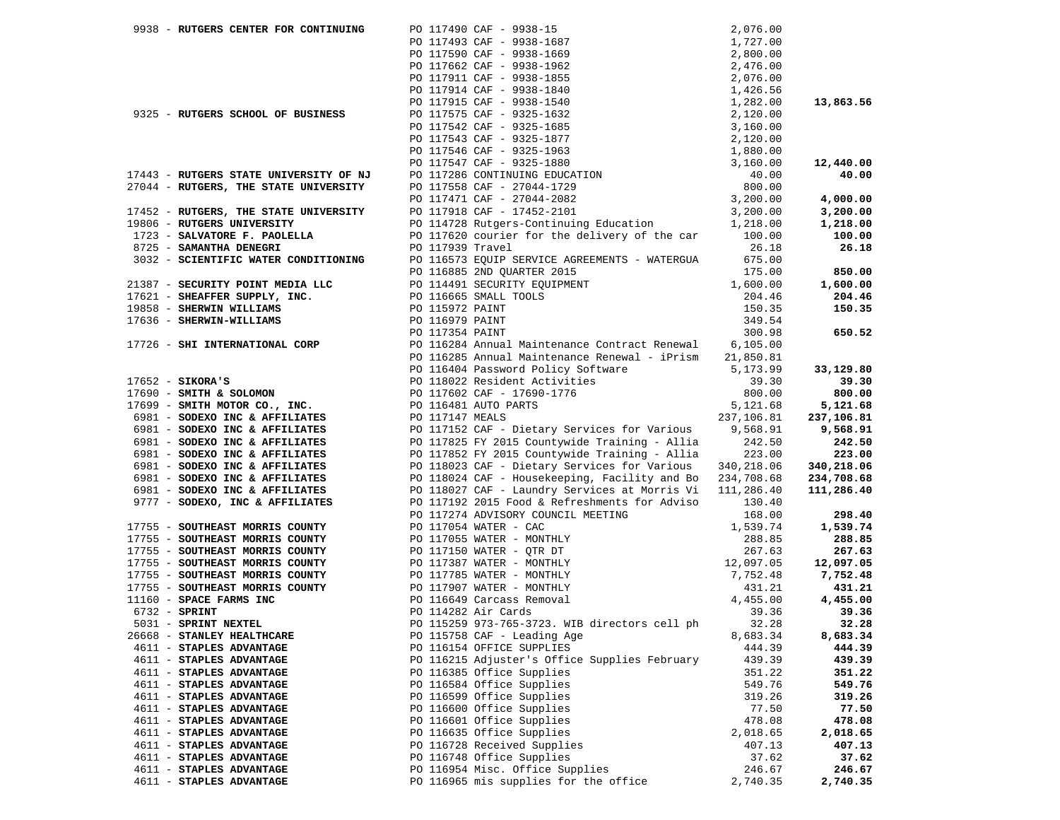| 9938 - RUTGERS CENTER FOR CONTINUING                                                                |                                                                                                                                                                                                                                                |            |            |
|-----------------------------------------------------------------------------------------------------|------------------------------------------------------------------------------------------------------------------------------------------------------------------------------------------------------------------------------------------------|------------|------------|
|                                                                                                     |                                                                                                                                                                                                                                                |            |            |
|                                                                                                     |                                                                                                                                                                                                                                                |            |            |
|                                                                                                     |                                                                                                                                                                                                                                                |            |            |
|                                                                                                     |                                                                                                                                                                                                                                                |            |            |
|                                                                                                     |                                                                                                                                                                                                                                                |            |            |
|                                                                                                     |                                                                                                                                                                                                                                                |            | 13,863.56  |
| 9325 - RUTGERS SCHOOL OF BUSINESS                                                                   |                                                                                                                                                                                                                                                |            |            |
|                                                                                                     |                                                                                                                                                                                                                                                |            |            |
|                                                                                                     |                                                                                                                                                                                                                                                |            |            |
|                                                                                                     |                                                                                                                                                                                                                                                |            |            |
|                                                                                                     |                                                                                                                                                                                                                                                |            | 12,440.00  |
| 17443 - RUTGERS STATE UNIVERSITY OF NJ                                                              |                                                                                                                                                                                                                                                |            | 40.00      |
| 27044 - RUTGERS, THE STATE UNIVERSITY                                                               |                                                                                                                                                                                                                                                |            |            |
|                                                                                                     |                                                                                                                                                                                                                                                |            | 4,000.00   |
| 17452 - RUTGERS, THE STATE UNIVERSITY                                                               |                                                                                                                                                                                                                                                |            | 3,200.00   |
| 19806 - RUTGERS UNIVERSITY                                                                          |                                                                                                                                                                                                                                                |            | 1,218.00   |
| 1723 - SALVATORE F. PAOLELLA                                                                        |                                                                                                                                                                                                                                                |            | 100.00     |
|                                                                                                     | PO 117620 courier for the delivery of the car 100.00                                                                                                                                                                                           |            |            |
| 8725 - SAMANTHA DENEGRI                                                                             | PO 117939 Travel                                                                                                                                                                                                                               | 26.18      | 26.18      |
| 3032 - SCIENTIFIC WATER CONDITIONING                                                                | PO 116573 EQUIP SERVICE AGREEMENTS - WATERGUA                                                                                                                                                                                                  | 675.00     |            |
|                                                                                                     | PO 116885 2ND QUARTER 2015                                                                                                                                                                                                                     | 175.00     | 850.00     |
| 21387 - SECURITY POINT MEDIA LLC                                                                    | PO 114491 SECURITY EQUIPMENT 1,600.00                                                                                                                                                                                                          |            | 1,600.00   |
| 17621 - SHEAFFER SUPPLY, INC.                                                                       | PO 116665 SMALL TOOLS                                                                                                                                                                                                                          | 204.46     | 204.46     |
| 19858 - SHERWIN WILLIAMS                                                                            | PO 115972 PAINT                                                                                                                                                                                                                                | 150.35     | 150.35     |
| 17636 - SHERWIN-WILLIAMS                                                                            | PO 116979 PAINT                                                                                                                                                                                                                                | 349.54     |            |
|                                                                                                     | PO 117354 PAINT                                                                                                                                                                                                                                | 300.98     | 650.52     |
| 17726 - SHI INTERNATIONAL CORP                                                                      | PO 116284 Annual Maintenance Contract Renewal 6,105.00                                                                                                                                                                                         |            |            |
|                                                                                                     | PO 116285 Annual Maintenance Renewal - iPrism 21,850.81                                                                                                                                                                                        |            |            |
|                                                                                                     | PO 116404 Password Policy Software 5,173.99                                                                                                                                                                                                    |            | 33,129.80  |
| $17652 -$ SIKORA'S                                                                                  | PO 118022 Resident Activities                                                                                                                                                                                                                  | 39.30      | 39.30      |
| 17690 - SMITH & SOLOMON                                                                             | PO 117602 CAF - 17690-1776                                                                                                                                                                                                                     | 800.00     | 800.00     |
| 17699 - SMITH MOTOR CO., INC.                                                                       | PO 116481 AUTO PARTS                                                                                                                                                                                                                           | 5,121.68   | 5,121.68   |
| 6981 - SODEXO INC & AFFILIATES                                                                      | PO 117147 MEALS                                                                                                                                                                                                                                | 237,106.81 | 237,106.81 |
| 6981 - SODEXO INC & AFFILIATES                                                                      | PO 117152 CAF - Dietary Services for Various                                                                                                                                                                                                   | 9,568.91   | 9,568.91   |
| 6981 - SODEXO INC & AFFILIATES                                                                      | PO 117825 FY 2015 Countywide Training - Allia                                                                                                                                                                                                  | 242.50     | 242.50     |
| 6981 - SODEXO INC & AFFILIATES                                                                      | PO 117852 FY 2015 Countywide Training - Allia                                                                                                                                                                                                  | 223.00     | 223.00     |
| 6981 - SODEXO INC & AFFILIATES                                                                      | PO 118023 CAF - Dietary Services for Various 340,218.06                                                                                                                                                                                        |            | 340,218.06 |
| 6981 - SODEXO INC & AFFILIATES                                                                      | PO 118024 CAF - Housekeeping, Facility and Bo 234,708.68                                                                                                                                                                                       |            | 234,708.68 |
| 6981 - SODEXO INC & AFFILIATES                                                                      | PO 118027 CAF - Laundry Services at Morris Vi 111,286.40                                                                                                                                                                                       |            | 111,286.40 |
| 9777 - SODEXO, INC & AFFILIATES                                                                     | PO 117192 2015 Food & Refreshments for Adviso                                                                                                                                                                                                  | 130.40     |            |
|                                                                                                     | PO 117274 ADVISORY COUNCIL MEETING                                                                                                                                                                                                             | 168.00     | 298.40     |
| 17755 - SOUTHEAST MORRIS COUNTY                                                                     | PO 117054 WATER - CAC                                                                                                                                                                                                                          | 1,539.74   | 1,539.74   |
| 17755 - SOUTHEAST MORRIS COUNTY                                                                     | PO 117055 WATER - MONTHLY                                                                                                                                                                                                                      | 288.85     | 288.85     |
| 17755 - SOUTHEAST MORRIS COUNTY                                                                     |                                                                                                                                                                                                                                                |            | 267.63     |
| 17755 - SOUTHEAST MORRIS COUNTY                                                                     | PO 117055 WATER - MONTHLY<br>PO 117150 WATER - QTR DT<br>PO 117387 WATER - MONTHLY<br>PO 117387 WATER - MONTHLY<br>PO 117975 WATER - MONTHLY<br>PO 117907 WATER - MONTHLY<br>PO 117907 WATER - MONTHLY<br>PO 114282 Air Cards<br>PO 114282 Air |            | 12,097.05  |
| 17755 - SOUTHEAST MORRIS COUNTY                                                                     |                                                                                                                                                                                                                                                |            | 7,752.48   |
| 17755 - SOUTHEAST MORRIS COUNTY<br>11160 - SPACE FARMS INC<br>6732 - SPRINT<br>5031 - SPRINT NEXTEL |                                                                                                                                                                                                                                                |            | 431.21     |
|                                                                                                     |                                                                                                                                                                                                                                                |            | 4,455.00   |
|                                                                                                     | PO 114282 Air Cards                                                                                                                                                                                                                            | 39.36      | 39.36      |
| 5031 - SPRINT NEXTEL                                                                                | PO 115259 973-765-3723. WIB directors cell ph 32.28                                                                                                                                                                                            |            | 32.28      |
| 26668 - STANLEY HEALTHCARE                                                                          | PO 115758 CAF - Leading Age                                                                                                                                                                                                                    | 8,683.34   | 8,683.34   |
| 4611 - STAPLES ADVANTAGE                                                                            | PO 116154 OFFICE SUPPLIES                                                                                                                                                                                                                      | 444.39     | 444.39     |
| 4611 - STAPLES ADVANTAGE                                                                            | PO 116215 Adjuster's Office Supplies February                                                                                                                                                                                                  | 439.39     | 439.39     |
| 4611 - STAPLES ADVANTAGE                                                                            | PO 116385 Office Supplies                                                                                                                                                                                                                      | 351.22     | 351.22     |
| 4611 - STAPLES ADVANTAGE                                                                            | PO 116584 Office Supplies                                                                                                                                                                                                                      | 549.76     | 549.76     |
| 4611 - STAPLES ADVANTAGE                                                                            | PO 116599 Office Supplies                                                                                                                                                                                                                      | 319.26     | 319.26     |
| 4611 - STAPLES ADVANTAGE                                                                            | PO 116600 Office Supplies                                                                                                                                                                                                                      | 77.50      | 77.50      |
| 4611 - STAPLES ADVANTAGE                                                                            | PO 116601 Office Supplies                                                                                                                                                                                                                      | 478.08     | 478.08     |
| 4611 - STAPLES ADVANTAGE                                                                            | PO 116635 Office Supplies                                                                                                                                                                                                                      | 2,018.65   | 2,018.65   |
| 4611 - STAPLES ADVANTAGE                                                                            | PO 116728 Received Supplies                                                                                                                                                                                                                    | 407.13     | 407.13     |
| 4611 - STAPLES ADVANTAGE                                                                            | PO 116748 Office Supplies                                                                                                                                                                                                                      | 37.62      | 37.62      |
| 4611 - STAPLES ADVANTAGE                                                                            | PO 116954 Misc. Office Supplies                                                                                                                                                                                                                | 246.67     | 246.67     |
| 4611 - STAPLES ADVANTAGE                                                                            | PO 116965 mis supplies for the office                                                                                                                                                                                                          | 2,740.35   | 2,740.35   |
|                                                                                                     |                                                                                                                                                                                                                                                |            |            |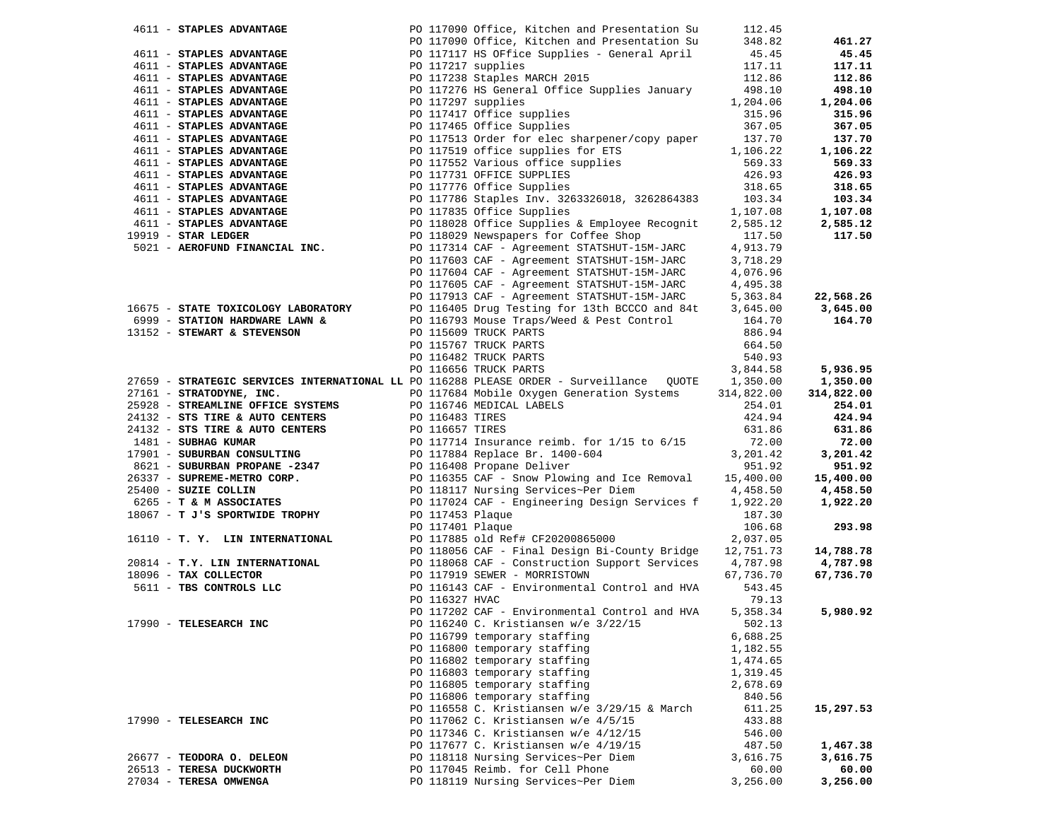| 4611 - STAPLES ADVANTAGE            |                                                            |                | PO 117090 Office, Kitchen and Presentation Su                                                           | 112.45     |                       |
|-------------------------------------|------------------------------------------------------------|----------------|---------------------------------------------------------------------------------------------------------|------------|-----------------------|
|                                     |                                                            |                | PO 117090 Office, Kitchen and Presentation Su                                                           | 348.82     | 461.27                |
|                                     | 4611 - STAPLES ADVANTAGE                                   |                | PO 117117 HS OFfice Supplies - General April                                                            | 45.45      | 45.45                 |
| 4611 - STAPLES ADVANTAGE            |                                                            |                | PO 117217 supplies                                                                                      | 117.11     | 117.11                |
| 4611 - STAPLES ADVANTAGE            |                                                            |                | PO 117238 Staples MARCH 2015                                                                            | 112.86     | 112.86                |
| 4611 - STAPLES ADVANTAGE            |                                                            |                | PO 117276 HS General Office Supplies January                                                            | 498.10     | 498.10                |
| 4611 - STAPLES ADVANTAGE            |                                                            |                | PO 117297 supplies                                                                                      | 1,204.06   | 1,204.06              |
| 4611 - STAPLES ADVANTAGE            |                                                            |                | PO 117417 Office supplies                                                                               | 315.96     | 315.96                |
| 4611 - STAPLES ADVANTAGE            |                                                            |                | PO 117465 Office Supplies                                                                               | 367.05     | 367.05                |
| 4611 - STAPLES ADVANTAGE            |                                                            |                | PO 117513 Order for elec sharpener/copy paper                                                           | 137.70     | 137.70                |
| 4611 - STAPLES ADVANTAGE            |                                                            |                | PO 117519 office supplies for ETS                                                                       | 1,106.22   | 1,106.22              |
| 4611 - STAPLES ADVANTAGE            |                                                            |                | PO 117552 Various office supplies                                                                       | 569.33     | 569.33                |
| 4611 - STAPLES ADVANTAGE            |                                                            |                | PO 117731 OFFICE SUPPLIES                                                                               | 426.93     | 426.93                |
| 4611 - STAPLES ADVANTAGE            |                                                            |                | PO 117776 Office Supplies                                                                               | 318.65     | 318.65                |
| 4611 - STAPLES ADVANTAGE            |                                                            |                | PO 117786 Staples Inv. 3263326018, 3262864383 103.34                                                    |            | 103.34                |
| 4611 - STAPLES ADVANTAGE            |                                                            |                | PO 117835 Office Supplies                                                                               | 1,107.08   |                       |
|                                     |                                                            |                |                                                                                                         |            | 1,107.08              |
| 4611 - STAPLES ADVANTAGE            |                                                            |                | PO 118028 Office Supplies & Employee Recognit                                                           | 2,585.12   | 2,585.12              |
| $19919$ - STAR LEDGER               |                                                            |                | PO 118029 Newspapers for Coffee Shop                                                                    | 117.50     | 117.50                |
| 5021 - AEROFUND FINANCIAL INC.      |                                                            |                | PO 117314 CAF - Agreement STATSHUT-15M-JARC                                                             | 4,913.79   |                       |
|                                     |                                                            |                | PO 117603 CAF - Agreement STATSHUT-15M-JARC                                                             | 3,718.29   |                       |
|                                     |                                                            |                | PO 117604 CAF - Agreement STATSHUT-15M-JARC                                                             | 4,076.96   |                       |
|                                     |                                                            |                | PO 117605 CAF - Agreement STATSHUT-15M-JARC                                                             | 4,495.38   |                       |
|                                     |                                                            |                | PO 117913 CAF - Agreement STATSHUT-15M-JARC                                                             | 5,363.84   | 22,568.26             |
| 16675 - STATE TOXICOLOGY LABORATORY |                                                            |                | PO 116405 Drug Testing for 13th BCCCO and 84t                                                           | 3,645.00   | 3,645.00              |
| 6999 - STATION HARDWARE LAWN &      |                                                            |                | PO 116793 Mouse Traps/Weed & Pest Control                                                               | 164.70     | 164.70                |
| 13152 - STEWART & STEVENSON         |                                                            |                | PO 115609 TRUCK PARTS                                                                                   | 886.94     |                       |
|                                     |                                                            |                | PO 115767 TRUCK PARTS                                                                                   | 664.50     |                       |
|                                     |                                                            |                | PO 116482 TRUCK PARTS                                                                                   | 540.93     |                       |
|                                     |                                                            |                | PO 116656 TRUCK PARTS                                                                                   | 3,844.58   | 5,936.95              |
|                                     |                                                            |                | 27659 - STRATEGIC SERVICES INTERNATIONAL LL PO 116288 PLEASE ORDER - Surveillance QUOTE 1,350.00        |            | 1,350.00              |
| 27161 - STRATODYNE, INC.            |                                                            |                | PO 117684 Mobile Oxygen Generation Systems                                                              | 314,822.00 | 314,822.00            |
|                                     | 25928 - STREAMLINE OFFICE SYSTEMS PO 116746 MEDICAL LABELS |                |                                                                                                         | 254.01     | 254.01                |
| 24132 - STS TIRE & AUTO CENTERS     |                                                            |                | PO 116483 TIRES                                                                                         | 424.94     | 424.94                |
|                                     |                                                            |                | 24132 - STS TIRE & AUTO CENTERS<br>1481 - SUBHAG KUMAR<br>PO 117714 Insurance reimb. for 1/15 to 6/15   | 631.86     | 631.86                |
|                                     |                                                            |                |                                                                                                         | 72.00      | 72.00                 |
| 17901 - SUBURBAN CONSULTING         |                                                            |                | PO 117884 Replace Br. 1400-604<br>PO 116408 Propane Deliver                                             | 3,201.42   | 3,201.42              |
| 8621 - SUBURBAN PROPANE -2347       |                                                            |                |                                                                                                         | 951.92     | 951.92                |
| 26337 - SUPREME-METRO CORP.         |                                                            |                | PO 116355 CAF - Snow Plowing and Ice Removal                                                            | 15,400.00  | 15,400.00             |
| 25400 - SUZIE COLLIN                |                                                            |                | PO 118117 Nursing Services~Per Diem                                                                     | 4,458.50   | 4,458.50              |
| 6265 - T & M ASSOCIATES             |                                                            |                | PO 117024 CAF - Engineering Design Services f                                                           | 1,922.20   | 1,922.20              |
| 18067 - T J'S SPORTWIDE TROPHY      |                                                            |                | PO 117453 Plaque<br>PO 117401 Plaque                                                                    | 187.30     |                       |
|                                     |                                                            |                |                                                                                                         | 106.68     | 293.98                |
| 16110 - T. Y. LIN INTERNATIONAL     |                                                            |                | PO 117885 old Ref# CF20200865000                                                                        | 2,037.05   |                       |
| 20814 - T.Y. LIN INTERNATIONAL      |                                                            |                | PO 118056 CAF - Final Design Bi-County Bridge<br>PO 118068 CAF - Construction Support Services 4,787.98 | 12,751.73  | 14,788.78             |
| 18096 - TAX COLLECTOR               |                                                            |                | PO 117919 SEWER - MORRISTOWN                                                                            | 67,736.70  | 4,787.98<br>67,736.70 |
|                                     |                                                            |                | PO 116143 CAF - Environmental Control and HVA                                                           | 543.45     |                       |
| 5611 - TBS CONTROLS LLC             |                                                            | PO 116327 HVAC |                                                                                                         | 79.13      |                       |
|                                     |                                                            |                | PO 117202 CAF - Environmental Control and HVA                                                           | 5,358.34   | 5,980.92              |
| 17990 - TELESEARCH INC              |                                                            |                | PO 116240 C. Kristiansen w/e 3/22/15                                                                    | 502.13     |                       |
|                                     |                                                            |                | PO 116799 temporary staffing                                                                            | 6,688.25   |                       |
|                                     |                                                            |                | PO 116800 temporary staffing                                                                            | 1,182.55   |                       |
|                                     |                                                            |                | PO 116802 temporary staffing                                                                            | 1,474.65   |                       |
|                                     |                                                            |                | PO 116803 temporary staffing                                                                            | 1,319.45   |                       |
|                                     |                                                            |                | PO 116805 temporary staffing                                                                            | 2,678.69   |                       |
|                                     |                                                            |                | PO 116806 temporary staffing                                                                            | 840.56     |                       |
|                                     |                                                            |                | PO 116558 C. Kristiansen w/e 3/29/15 & March                                                            | 611.25     | 15,297.53             |
| 17990 - TELESEARCH INC              |                                                            |                | PO 117062 C. Kristiansen w/e 4/5/15                                                                     | 433.88     |                       |
|                                     |                                                            |                | PO 117346 C. Kristiansen w/e 4/12/15                                                                    | 546.00     |                       |
|                                     |                                                            |                | PO 117677 C. Kristiansen w/e 4/19/15                                                                    | 487.50     | 1,467.38              |
| 26677 - TEODORA O. DELEON           |                                                            |                | PO 118118 Nursing Services~Per Diem                                                                     | 3,616.75   | 3,616.75              |
| 26513 - TERESA DUCKWORTH            |                                                            |                | PO 117045 Reimb. for Cell Phone                                                                         | 60.00      | 60.00                 |
| 27034 - TERESA OMWENGA              |                                                            |                | PO 118119 Nursing Services~Per Diem                                                                     | 3,256.00   | 3,256.00              |
|                                     |                                                            |                |                                                                                                         |            |                       |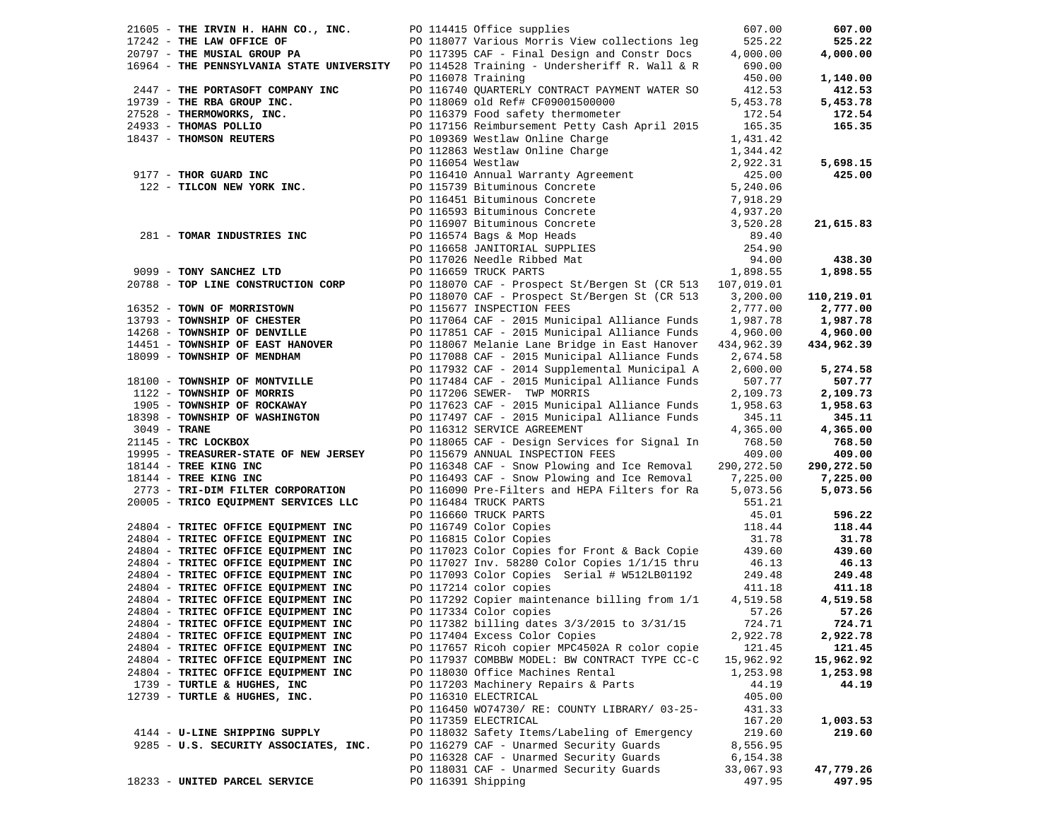| 21605 - THE IRVIN H. HAHN CO., INC.                                                     |                   | PO 114415 Office supplies                                                                                                                                                                                                                                            | 607.00      | 607.00     |
|-----------------------------------------------------------------------------------------|-------------------|----------------------------------------------------------------------------------------------------------------------------------------------------------------------------------------------------------------------------------------------------------------------|-------------|------------|
| 17242 - THE LAW OFFICE OF                                                               |                   | PO 118077 Various Morris View collections leg                                                                                                                                                                                                                        | 525.22      | 525.22     |
| 20797 - THE MUSIAL GROUP PA                                                             |                   | PO 117395 CAF - Final Design and Constr Docs                                                                                                                                                                                                                         | 4,000.00    | 4,000.00   |
| 16964 - THE PENNSYLVANIA STATE UNIVERSITY PO 114528 Training - Undersheriff R. Wall & R |                   |                                                                                                                                                                                                                                                                      | 690.00      |            |
|                                                                                         |                   | PO 116078 Training                                                                                                                                                                                                                                                   | 450.00      | 1,140.00   |
| 2447 - THE PORTASOFT COMPANY INC                                                        |                   | PO 116740 QUARTERLY CONTRACT PAYMENT WATER SO                                                                                                                                                                                                                        | 412.53      | 412.53     |
| 19739 - THE RBA GROUP INC.                                                              |                   | PO 118069 old Ref# CF09001500000                                                                                                                                                                                                                                     | 5,453.78    | 5,453.78   |
| 27528 - THERMOWORKS, INC.                                                               |                   | PO 116379 Food safety thermometer                                                                                                                                                                                                                                    | 172.54      | 172.54     |
| 24933 - THOMAS POLLIO                                                                   |                   | PO 117156 Reimbursement Petty Cash April 2015                                                                                                                                                                                                                        | 165.35      | 165.35     |
|                                                                                         |                   | PO 109369 Westlaw Online Charge                                                                                                                                                                                                                                      | 1,431.42    |            |
| 18437 - THOMSON REUTERS                                                                 |                   | PO 112863 Westlaw Online Charge                                                                                                                                                                                                                                      | 1,344.42    |            |
|                                                                                         | PO 116054 Westlaw |                                                                                                                                                                                                                                                                      | 2,922.31    | 5,698.15   |
| 9177 - THOR GUARD INC                                                                   |                   |                                                                                                                                                                                                                                                                      |             | 425.00     |
| $122 - TILCON NEW YORK INC.$                                                            |                   |                                                                                                                                                                                                                                                                      |             |            |
|                                                                                         |                   |                                                                                                                                                                                                                                                                      |             |            |
|                                                                                         |                   |                                                                                                                                                                                                                                                                      |             |            |
|                                                                                         |                   |                                                                                                                                                                                                                                                                      |             | 21,615.83  |
| 281 - TOMAR INDUSTRIES INC                                                              |                   |                                                                                                                                                                                                                                                                      |             |            |
|                                                                                         |                   |                                                                                                                                                                                                                                                                      |             |            |
|                                                                                         |                   |                                                                                                                                                                                                                                                                      |             | 438.30     |
| 9099 - TONY SANCHEZ LTD                                                                 |                   | 2,922.31<br>PO 116410 Annual Warranty Agreement<br>PO 11543 Bituminous Concrete<br>PO 115451 Bituminous Concrete<br>PO 116593 Bituminous Concrete<br>PO 116593 Bituminous Concrete<br>PO 116597 Bituminous Concrete<br>PO 116574 Bags & Mop<br>PO 116659 TRUCK PARTS | 1,898.55    | 1,898.55   |
| 20788 - TOP LINE CONSTRUCTION CORP                                                      |                   | PO 118070 CAF - Prospect St/Bergen St (CR 513 107,019.01                                                                                                                                                                                                             |             |            |
|                                                                                         |                   | PO 118070 CAF - Prospect St/Bergen St (CR 513                                                                                                                                                                                                                        | 3,200.00    | 110,219.01 |
| 16352 - TOWN OF MORRISTOWN                                                              |                   | PO 115677 INSPECTION FEES                                                                                                                                                                                                                                            | 2,777.00    | 2,777.00   |
| 13793 - TOWNSHIP OF CHESTER                                                             |                   | PO 117064 CAF - 2015 Municipal Alliance Funds                                                                                                                                                                                                                        | 1,987.78    | 1,987.78   |
| 14268 - TOWNSHIP OF DENVILLE                                                            |                   | PO 117851 CAF - 2015 Municipal Alliance Funds                                                                                                                                                                                                                        | 4,960.00    | 4,960.00   |
| 14451 - TOWNSHIP OF EAST HANOVER                                                        |                   | PO 118067 Melanie Lane Bridge in East Hanover                                                                                                                                                                                                                        | 434,962.39  | 434,962.39 |
| 18099 - TOWNSHIP OF MENDHAM                                                             |                   | PO 117088 CAF - 2015 Municipal Alliance Funds                                                                                                                                                                                                                        | 2,674.58    |            |
|                                                                                         |                   | PO 117932 CAF - 2014 Supplemental Municipal A                                                                                                                                                                                                                        | 2,600.00    | 5,274.58   |
| 18100 - TOWNSHIP OF MONTVILLE                                                           |                   | PO 117484 CAF - 2015 Municipal Alliance Funds                                                                                                                                                                                                                        | 507.77      | 507.77     |
| 1122 - TOWNSHIP OF MORRIS                                                               |                   | PO 117206 SEWER- TWP MORRIS                                                                                                                                                                                                                                          | 2,109.73    | 2,109.73   |
| 1905 - TOWNSHIP OF ROCKAWAY                                                             |                   | PO 117623 CAF - 2015 Municipal Alliance Funds                                                                                                                                                                                                                        | 1,958.63    | 1,958.63   |
| 18398 - TOWNSHIP OF WASHINGTON                                                          |                   | PO 117497 CAF - 2015 Municipal Alliance Funds                                                                                                                                                                                                                        | 345.11      | 345.11     |
| 3049 - TRANE                                                                            |                   | PO 116312 SERVICE AGREEMENT                                                                                                                                                                                                                                          | 4,365.00    | 4,365.00   |
| 21145 - TRC LOCKBOX                                                                     |                   | PO 118065 CAF - Design Services for Signal In                                                                                                                                                                                                                        | 768.50      | 768.50     |
| 19995 - TREASURER-STATE OF NEW JERSEY                                                   |                   | PO 115679 ANNUAL INSPECTION FEES                                                                                                                                                                                                                                     | 409.00      | 409.00     |
| 18144 - TREE KING INC                                                                   |                   | PO 116348 CAF - Snow Plowing and Ice Removal                                                                                                                                                                                                                         | 290, 272.50 | 290,272.50 |
| 18144 - TREE KING INC                                                                   |                   | PO 116493 CAF - Snow Plowing and Ice Removal                                                                                                                                                                                                                         | 7,225.00    | 7,225.00   |
| 2773 - TRI-DIM FILTER CORPORATION                                                       |                   | PO 116090 Pre-Filters and HEPA Filters for Ra                                                                                                                                                                                                                        | 5,073.56    | 5,073.56   |
| 20005 - TRICO EQUIPMENT SERVICES LLC                                                    |                   | PO 116484 TRUCK PARTS                                                                                                                                                                                                                                                | 551.21      |            |
|                                                                                         |                   | PO 116660 TRUCK PARTS                                                                                                                                                                                                                                                | 45.01       | 596.22     |
| 24804 - TRITEC OFFICE EQUIPMENT INC                                                     |                   | PO 116749 Color Copies                                                                                                                                                                                                                                               | 118.44      | 118.44     |
| 24804 - TRITEC OFFICE EQUIPMENT INC                                                     |                   | PO 116815 Color Copies                                                                                                                                                                                                                                               | 31.78       | 31.78      |
| 24804 - TRITEC OFFICE EQUIPMENT INC                                                     |                   | PO 117023 Color Copies for Front & Back Copie                                                                                                                                                                                                                        | 439.60      | 439.60     |
| 24804 - TRITEC OFFICE EQUIPMENT INC                                                     |                   | PO 117027 Inv. 58280 Color Copies 1/1/15 thru                                                                                                                                                                                                                        | 46.13       | 46.13      |
| 24804 - TRITEC OFFICE EQUIPMENT INC                                                     |                   | PO 117093 Color Copies Serial # W512LB01192                                                                                                                                                                                                                          | 249.48      | 249.48     |
| 24804 - TRITEC OFFICE EQUIPMENT INC                                                     |                   | PO 117214 color copies                                                                                                                                                                                                                                               | 411.18      | 411.18     |
| 24804 - TRITEC OFFICE EQUIPMENT INC                                                     |                   | PO 117292 Copier maintenance billing from 1/1                                                                                                                                                                                                                        | 4,519.58    | 4,519.58   |
| 24804 - TRITEC OFFICE EQUIPMENT INC                                                     |                   | PO 117334 Color copies                                                                                                                                                                                                                                               | 57.26       | 57.26      |
| 24804 - TRITEC OFFICE EQUIPMENT INC                                                     |                   | PO 117382 billing dates 3/3/2015 to 3/31/15                                                                                                                                                                                                                          | 724.71      | 724.71     |
| 24804 - TRITEC OFFICE EQUIPMENT INC                                                     |                   | PO 117404 Excess Color Copies                                                                                                                                                                                                                                        | 2,922.78    | 2,922.78   |
| 24804 - TRITEC OFFICE EQUIPMENT INC                                                     |                   | PO 117657 Ricoh copier MPC4502A R color copie                                                                                                                                                                                                                        | 121.45      | 121.45     |
| 24804 - TRITEC OFFICE EQUIPMENT INC                                                     |                   | PO 117937 COMBBW MODEL: BW CONTRACT TYPE CC-C                                                                                                                                                                                                                        | 15,962.92   | 15,962.92  |
| 24804 - TRITEC OFFICE EQUIPMENT INC                                                     |                   | PO 118030 Office Machines Rental                                                                                                                                                                                                                                     | 1,253.98    | 1,253.98   |
| 1739 - TURTLE & HUGHES, INC                                                             |                   | PO 117203 Machinery Repairs & Parts                                                                                                                                                                                                                                  | 44.19       | 44.19      |
| 12739 - TURTLE & HUGHES, INC.                                                           |                   | PO 116310 ELECTRICAL                                                                                                                                                                                                                                                 | 405.00      |            |
|                                                                                         |                   | PO 116450 WO74730/ RE: COUNTY LIBRARY/ 03-25-                                                                                                                                                                                                                        | 431.33      |            |
|                                                                                         |                   | PO 117359 ELECTRICAL                                                                                                                                                                                                                                                 | 167.20      | 1,003.53   |
| 4144 - U-LINE SHIPPING SUPPLY                                                           |                   | PO 118032 Safety Items/Labeling of Emergency                                                                                                                                                                                                                         | 219.60      | 219.60     |
| 9285 - U.S. SECURITY ASSOCIATES, INC.                                                   |                   | PO 116279 CAF - Unarmed Security Guards                                                                                                                                                                                                                              | 8,556.95    |            |
|                                                                                         |                   | PO 116328 CAF - Unarmed Security Guards                                                                                                                                                                                                                              | 6,154.38    |            |
|                                                                                         |                   | PO 118031 CAF - Unarmed Security Guards                                                                                                                                                                                                                              | 33,067.93   | 47,779.26  |
| 18233 - UNITED PARCEL SERVICE                                                           |                   | PO 116391 Shipping                                                                                                                                                                                                                                                   | 497.95      | 497.95     |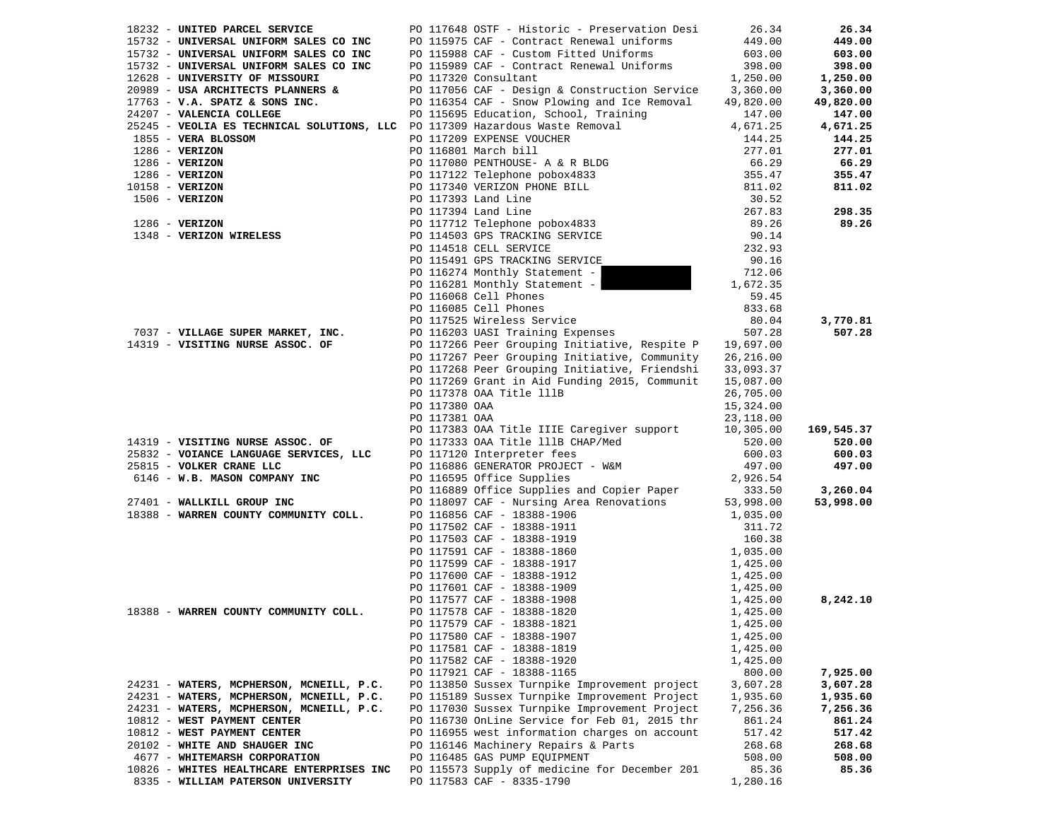| 18232 - UNITED PARCEL SERVICE                                                                                                                                | PO 117648 OSTF - Historic - Preservation Desi                                                                                                                                                                                                         | 26.34                | 26.34              |
|--------------------------------------------------------------------------------------------------------------------------------------------------------------|-------------------------------------------------------------------------------------------------------------------------------------------------------------------------------------------------------------------------------------------------------|----------------------|--------------------|
|                                                                                                                                                              | PO 115975 CAF - Contract Renewal uniforms                                                                                                                                                                                                             | 449.00               | 449.00             |
|                                                                                                                                                              | PO 115988 CAF - Custom Fitted Uniforms                                                                                                                                                                                                                | 603.00               | 603.00             |
|                                                                                                                                                              | PO 115989 CAF - Contract Renewal Uniforms                                                                                                                                                                                                             | 398.00               | 398.00             |
| 18232 - UNITED FARGED DERIVEDE<br>15732 - UNIVERSAL UNIFORM SALES CO INC<br>15732 - UNIVERSAL UNIFORM SALES CO INC<br>17628 - UNIVERSAL UNIFORM SALES CO INC | PO 117320 Consultant                                                                                                                                                                                                                                  | 1,250.00             | 1,250.00           |
| 20989 - USA ARCHITECTS PLANNERS &                                                                                                                            | PO 117056 CAF - Design & Construction Service                                                                                                                                                                                                         | 3,360.00             | 3,360.00           |
| $17763$ - V.A. SPATZ & SONS INC.                                                                                                                             | PO 116354 CAF - Snow Plowing and Ice Removal                                                                                                                                                                                                          | 49,820.00            | 49,820.00          |
| 24207 - VALENCIA COLLEGE                                                                                                                                     | PO 115695 Education, School, Training                                                                                                                                                                                                                 | 147.00               | 147.00             |
|                                                                                                                                                              | 25245 - VEOLIA ES TECHNICAL SOLUTIONS, LLC PO 117309 Hazardous Waste Removal                                                                                                                                                                          | 4,671.25             | 4,671.25           |
| 1855 - VERA BLOSSOM                                                                                                                                          | PO 117209 EXPENSE VOUCHER                                                                                                                                                                                                                             | 144.25               | 144.25             |
| $1286$ - VERIZON                                                                                                                                             | PO 116801 March bill                                                                                                                                                                                                                                  | 277.01               | 277.01             |
| $1286$ - VERIZON                                                                                                                                             |                                                                                                                                                                                                                                                       | 66.29                | 66.29              |
| $1286 - VERIZON$                                                                                                                                             |                                                                                                                                                                                                                                                       | 355.47               | 355.47             |
| $10158 - VERIZON$                                                                                                                                            |                                                                                                                                                                                                                                                       | 811.02               | 811.02             |
| $1506 - VERIZON$                                                                                                                                             |                                                                                                                                                                                                                                                       | 30.52                |                    |
|                                                                                                                                                              |                                                                                                                                                                                                                                                       | 267.83               | 298.35             |
|                                                                                                                                                              |                                                                                                                                                                                                                                                       | 89.26                | 89.26              |
| 1286 - VERIZON<br>1286 - VERIZON<br>1348 - VERIZON WIRELESS                                                                                                  | PO 110801 March D111<br>PO 117080 PENTHOUSE- A & R BLDG<br>PO 117122 Telephone pobox4833<br>PO 117340 VERIZON PHONE BILL<br>PO 117393 Land Line<br>PO 117394 Land Line<br>PO 11712 Telephone pobox4833<br>PO 114503 GPS TRACKING SERVICE<br>CO 114519 | 90.14                |                    |
|                                                                                                                                                              | PO 114518 CELL SERVICE                                                                                                                                                                                                                                | 232.93               |                    |
|                                                                                                                                                              | PO 115491 GPS TRACKING SERVICE                                                                                                                                                                                                                        | 90.16                |                    |
|                                                                                                                                                              | PO 116274 Monthly Statement -                                                                                                                                                                                                                         | 712.06               |                    |
|                                                                                                                                                              | PO 116281 Monthly Statement -                                                                                                                                                                                                                         |                      |                    |
|                                                                                                                                                              |                                                                                                                                                                                                                                                       | 1,672.35             |                    |
|                                                                                                                                                              | PO 116068 Cell Phones                                                                                                                                                                                                                                 | 59.45                |                    |
|                                                                                                                                                              |                                                                                                                                                                                                                                                       | 833.68               |                    |
|                                                                                                                                                              | CONCORDING POLITICAL PRODUCTS SERVICE<br>POLITICAL PRODUCTS POLITICAL POLITICAL POLITICAL PRODUCTS                                                                                                                                                    | 80.04                | 3,770.81           |
| 7037 - VILLAGE SUPER MARKET, INC.                                                                                                                            | PO 116203 UASI Training Expenses                                                                                                                                                                                                                      | 507.28               | 507.28             |
| 14319 - VISITING NURSE ASSOC. OF                                                                                                                             | PO 117266 Peer Grouping Initiative, Respite P 19,697.00                                                                                                                                                                                               |                      |                    |
|                                                                                                                                                              | PO 117267 Peer Grouping Initiative, Community                                                                                                                                                                                                         | 26, 216.00           |                    |
|                                                                                                                                                              | PO 117268 Peer Grouping Initiative, Friendshi 33,093.37                                                                                                                                                                                               |                      |                    |
|                                                                                                                                                              | PO 117269 Grant in Aid Funding 2015, Communit                                                                                                                                                                                                         | 15,087.00            |                    |
|                                                                                                                                                              | PO 117378 OAA Title lllB                                                                                                                                                                                                                              | 26,705.00            |                    |
|                                                                                                                                                              | PO 117380 OAA                                                                                                                                                                                                                                         | 15,324.00            |                    |
|                                                                                                                                                              | PO 117381 OAA                                                                                                                                                                                                                                         | 23,118.00            |                    |
|                                                                                                                                                              | PO 117383 OAA Title IIIE Caregiver support                                                                                                                                                                                                            | 10,305.00            | 169,545.37         |
| 14319 - VISITING NURSE ASSOC. OF                                                                                                                             | PO 117333 OAA Title 111B CHAP/Med                                                                                                                                                                                                                     | 520.00               | 520.00             |
| 25832 - VOIANCE LANGUAGE SERVICES, LLC                                                                                                                       | PO 117120 Interpreter fees                                                                                                                                                                                                                            | 600.03               | 600.03             |
| 25815 - VOLKER CRANE LLC                                                                                                                                     | PO 116886 GENERATOR PROJECT - W&M<br>PO 116595 Office Supplies                                                                                                                                                                                        | 497.00               | 497.00             |
| 6146 - W.B. MASON COMPANY INC                                                                                                                                |                                                                                                                                                                                                                                                       | 2,926.54             |                    |
|                                                                                                                                                              |                                                                                                                                                                                                                                                       | 333.50               | 3,260.04           |
| 27401 - WALLKILL GROUP INC                                                                                                                                   |                                                                                                                                                                                                                                                       | 53,998.00            | 53,998.00          |
| 18388 - WARREN COUNTY COMMUNITY COLL.                                                                                                                        |                                                                                                                                                                                                                                                       | 1,035.00             |                    |
|                                                                                                                                                              |                                                                                                                                                                                                                                                       | 311.72               |                    |
|                                                                                                                                                              |                                                                                                                                                                                                                                                       | 160.38               |                    |
|                                                                                                                                                              | 116880<br>116595 Office .<br>20 116889 Office Supplie.<br>20 118097 CAF - Nursing Area ke<br>PO 116505 CAF - 18388-1911<br>PO 117503 CAF - 18388-1919<br>PO 117591 CAF - 18388-1860<br>PO 117599 CAF - 18388-1917<br>PO 117599 CAF - 18388-1          | 1,035.00             |                    |
|                                                                                                                                                              |                                                                                                                                                                                                                                                       | 1,425.00<br>1,425.00 |                    |
|                                                                                                                                                              |                                                                                                                                                                                                                                                       |                      |                    |
|                                                                                                                                                              |                                                                                                                                                                                                                                                       | 1,425.00             |                    |
| 18388 - WARREN COUNTY COMMUNITY COLL.                                                                                                                        |                                                                                                                                                                                                                                                       | 1,425.00             | 8,242.10           |
|                                                                                                                                                              |                                                                                                                                                                                                                                                       | 1,425.00             |                    |
|                                                                                                                                                              |                                                                                                                                                                                                                                                       | 1,425.00             |                    |
|                                                                                                                                                              |                                                                                                                                                                                                                                                       | 1,425.00             |                    |
|                                                                                                                                                              | PO 117581 CAF - 18388-1819                                                                                                                                                                                                                            | 1,425.00             |                    |
|                                                                                                                                                              | PO 117582 CAF - 18388-1920                                                                                                                                                                                                                            | 1,425.00             |                    |
|                                                                                                                                                              | PO 117921 CAF - 18388-1165                                                                                                                                                                                                                            | 800.00               | 7,925.00           |
| 24231 - WATERS, MCPHERSON, MCNEILL, P.C.                                                                                                                     | PO 113850 Sussex Turnpike Improvement project                                                                                                                                                                                                         | 3,607.28             | 3,607.28           |
| 24231 - WATERS, MCPHERSON, MCNEILL, P.C.                                                                                                                     | PO 115189 Sussex Turnpike Improvement Project                                                                                                                                                                                                         | 1,935.60             | 1,935.60           |
| 24231 - WATERS, MCPHERSON, MCNEILL, P.C.<br>10812 - WEST PAYMENT CENTER                                                                                      | PO 117030 Sussex Turnpike Improvement Project                                                                                                                                                                                                         | 7,256.36             | 7,256.36<br>861.24 |
|                                                                                                                                                              | PO 116730 OnLine Service for Feb 01, 2015 thr                                                                                                                                                                                                         | 861.24               |                    |
| 10812 - WEST PAYMENT CENTER                                                                                                                                  | PO 116955 west information charges on account                                                                                                                                                                                                         | 517.42               | 517.42             |
| 20102 - WHITE AND SHAUGER INC                                                                                                                                | PO 116146 Machinery Repairs & Parts                                                                                                                                                                                                                   | 268.68               | 268.68             |
| 4677 - WHITEMARSH CORPORATION                                                                                                                                | PO 116485 GAS PUMP EQUIPMENT<br>PO 115573 Supply of medicine for December 201                                                                                                                                                                         | 508.00<br>85.36      | 508.00             |
| 10826 - WHITES HEALTHCARE ENTERPRISES INC<br>8335 - WILLIAM PATERSON UNIVERSITY                                                                              | PO 117583 CAF - 8335-1790                                                                                                                                                                                                                             | 1,280.16             | 85.36              |
|                                                                                                                                                              |                                                                                                                                                                                                                                                       |                      |                    |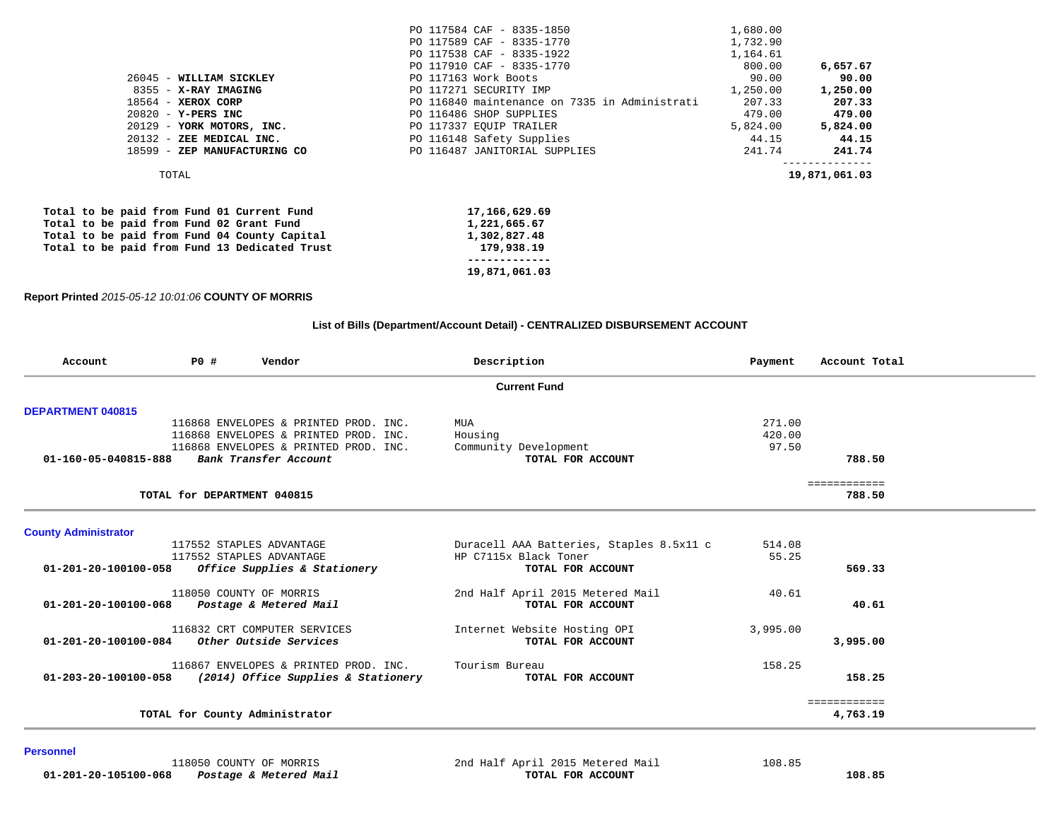| 18599 - ZEP MANUFACTURING CO                            | PO 116487 JANITORIAL SUPPLIES                        | 241.74            | 241.74            |
|---------------------------------------------------------|------------------------------------------------------|-------------------|-------------------|
| 20129 - YORK MOTORS, INC.<br>$20132$ - ZEE MEDICAL INC. | PO 117337 EQUIP TRAILER<br>PO 116148 Safety Supplies | 5,824.00<br>44.15 | 5,824.00<br>44.15 |
| $20820 - Y - PERS$ INC                                  | PO 116486 SHOP SUPPLIES                              | 479.00            | 479.00            |
| $18564$ - XEROX CORP                                    | PO 116840 maintenance on 7335 in Administrati        | 207.33            | 207.33            |
| 8355 - X-RAY IMAGING                                    | PO 117271 SECURITY IMP                               | 1,250.00          | 1,250.00          |
| 26045 - WILLIAM SICKLEY                                 | PO 117163 Work Boots                                 | 90.00             | 90.00             |
|                                                         | PO 117910 CAF - 8335-1770                            | 800.00            | 6,657.67          |
|                                                         | PO 117538 CAF - 8335-1922                            | 1,164.61          |                   |
|                                                         | PO 117589 CAF - 8335-1770                            | 1,732.90          |                   |
|                                                         | PO 117584 CAF - 8335-1850                            | 1,680.00          |                   |

|  |  |  |  | Total to be paid from Fund 01 Current Fund    | 17,166,629.69 |
|--|--|--|--|-----------------------------------------------|---------------|
|  |  |  |  | Total to be paid from Fund 02 Grant Fund      | 1,221,665.67  |
|  |  |  |  | Total to be paid from Fund 04 County Capital  | 1,302,827.48  |
|  |  |  |  | Total to be paid from Fund 13 Dedicated Trust | 179,938.19    |
|  |  |  |  |                                               |               |
|  |  |  |  |                                               | 19,871,061.03 |

#### **Report Printed** *2015-05-12 10:01:06* **COUNTY OF MORRIS**

#### **List of Bills (Department/Account Detail) - CENTRALIZED DISBURSEMENT ACCOUNT**

| Account                        | <b>PO #</b>                 | Vendor                                | Description                              | Payment  | Account Total |
|--------------------------------|-----------------------------|---------------------------------------|------------------------------------------|----------|---------------|
|                                |                             |                                       | <b>Current Fund</b>                      |          |               |
| <b>DEPARTMENT 040815</b>       |                             |                                       |                                          |          |               |
|                                |                             | 116868 ENVELOPES & PRINTED PROD. INC. | MUA                                      | 271.00   |               |
|                                |                             | 116868 ENVELOPES & PRINTED PROD. INC. | Housing                                  | 420.00   |               |
|                                |                             | 116868 ENVELOPES & PRINTED PROD. INC. | Community Development                    | 97.50    |               |
| 01-160-05-040815-888           |                             | Bank Transfer Account                 | TOTAL FOR ACCOUNT                        |          | 788.50        |
|                                |                             |                                       |                                          |          | ============  |
|                                | TOTAL for DEPARTMENT 040815 |                                       |                                          |          | 788.50        |
| <b>County Administrator</b>    |                             |                                       |                                          |          |               |
|                                |                             | 117552 STAPLES ADVANTAGE              | Duracell AAA Batteries, Staples 8.5x11 c | 514.08   |               |
|                                |                             | 117552 STAPLES ADVANTAGE              | HP C7115x Black Toner                    | 55.25    |               |
| 01-201-20-100100-058           |                             | Office Supplies & Stationery          | TOTAL FOR ACCOUNT                        |          | 569.33        |
|                                |                             | 118050 COUNTY OF MORRIS               | 2nd Half April 2015 Metered Mail         | 40.61    |               |
| 01-201-20-100100-068           |                             | Postage & Metered Mail                | TOTAL FOR ACCOUNT                        |          | 40.61         |
|                                |                             | 116832 CRT COMPUTER SERVICES          | Internet Website Hosting OPI             | 3,995.00 |               |
| $01 - 201 - 20 - 100100 - 084$ |                             | Other Outside Services                | TOTAL FOR ACCOUNT                        |          | 3,995.00      |
|                                |                             | 116867 ENVELOPES & PRINTED PROD. INC. | Tourism Bureau                           | 158.25   |               |
| $01 - 203 - 20 - 100100 - 058$ |                             | (2014) Office Supplies & Stationery   | TOTAL FOR ACCOUNT                        |          | 158.25        |
|                                |                             |                                       |                                          |          | ============  |
|                                |                             | TOTAL for County Administrator        |                                          |          | 4,763.19      |

#### **Personnel**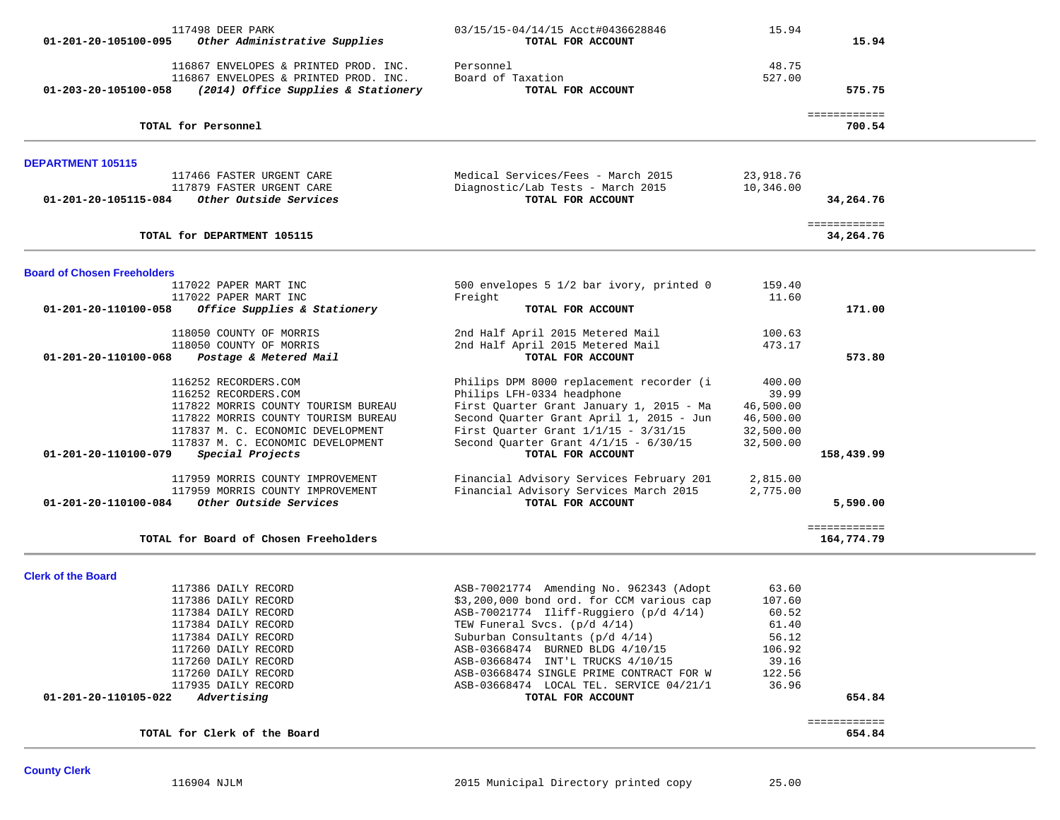| 01-201-20-105100-095               | 117498 DEER PARK<br>Other Administrative Supplies                                                                     | 03/15/15-04/14/15 Acct#0436628846<br>TOTAL FOR ACCOUNT                               | 15.94                  | 15.94                     |  |
|------------------------------------|-----------------------------------------------------------------------------------------------------------------------|--------------------------------------------------------------------------------------|------------------------|---------------------------|--|
| 01-203-20-105100-058               | 116867 ENVELOPES & PRINTED PROD. INC.<br>116867 ENVELOPES & PRINTED PROD. INC.<br>(2014) Office Supplies & Stationery | Personnel<br>Board of Taxation<br>TOTAL FOR ACCOUNT                                  | 48.75<br>527.00        | 575.75                    |  |
|                                    |                                                                                                                       |                                                                                      |                        | ============              |  |
|                                    | TOTAL for Personnel                                                                                                   |                                                                                      |                        | 700.54                    |  |
| DEPARTMENT 105115                  |                                                                                                                       |                                                                                      |                        |                           |  |
|                                    | 117466 FASTER URGENT CARE<br>117879 FASTER URGENT CARE                                                                | Medical Services/Fees - March 2015<br>Diagnostic/Lab Tests - March 2015              | 23,918.76<br>10,346.00 |                           |  |
| 01-201-20-105115-084               | Other Outside Services                                                                                                | TOTAL FOR ACCOUNT                                                                    |                        | 34,264.76                 |  |
|                                    | TOTAL for DEPARTMENT 105115                                                                                           |                                                                                      |                        | ============<br>34,264.76 |  |
| <b>Board of Chosen Freeholders</b> |                                                                                                                       |                                                                                      |                        |                           |  |
|                                    | 117022 PAPER MART INC<br>117022 PAPER MART INC                                                                        | 500 envelopes 5 1/2 bar ivory, printed 0<br>Freight                                  | 159.40<br>11.60        |                           |  |
| 01-201-20-110100-058               | Office Supplies & Stationery                                                                                          | TOTAL FOR ACCOUNT                                                                    |                        | 171.00                    |  |
|                                    | 118050 COUNTY OF MORRIS                                                                                               | 2nd Half April 2015 Metered Mail                                                     | 100.63                 |                           |  |
| 01-201-20-110100-068               | 118050 COUNTY OF MORRIS<br>Postage & Metered Mail                                                                     | 2nd Half April 2015 Metered Mail<br>TOTAL FOR ACCOUNT                                | 473.17                 | 573.80                    |  |
|                                    | 116252 RECORDERS.COM                                                                                                  | Philips DPM 8000 replacement recorder (i                                             | 400.00                 |                           |  |
|                                    | 116252 RECORDERS.COM                                                                                                  | Philips LFH-0334 headphone                                                           | 39.99                  |                           |  |
|                                    | 117822 MORRIS COUNTY TOURISM BUREAU<br>117822 MORRIS COUNTY TOURISM BUREAU                                            | First Quarter Grant January 1, 2015 - Ma<br>Second Quarter Grant April 1, 2015 - Jun | 46,500.00              |                           |  |
|                                    | 117837 M. C. ECONOMIC DEVELOPMENT                                                                                     | First Quarter Grant $1/1/15 - 3/31/15$                                               | 46,500.00<br>32,500.00 |                           |  |
|                                    | 117837 M. C. ECONOMIC DEVELOPMENT                                                                                     | Second Quarter Grant $4/1/15 - 6/30/15$                                              | 32,500.00              |                           |  |
| 01-201-20-110100-079               | Special Projects                                                                                                      | TOTAL FOR ACCOUNT                                                                    |                        | 158,439.99                |  |
|                                    | 117959 MORRIS COUNTY IMPROVEMENT                                                                                      | Financial Advisory Services February 201                                             | 2,815.00               |                           |  |
| 01-201-20-110100-084               | 117959 MORRIS COUNTY IMPROVEMENT<br>Other Outside Services                                                            | Financial Advisory Services March 2015<br>TOTAL FOR ACCOUNT                          | 2,775.00               | 5,590.00                  |  |
|                                    |                                                                                                                       |                                                                                      |                        | ============              |  |
|                                    | TOTAL for Board of Chosen Freeholders                                                                                 |                                                                                      |                        | 164,774.79                |  |
| <b>Clerk of the Board</b>          |                                                                                                                       |                                                                                      |                        |                           |  |
|                                    | 117386 DAILY RECORD                                                                                                   | ASB-70021774 Amending No. 962343 (Adopt                                              | 63.60                  |                           |  |
|                                    | 117386 DAILY RECORD                                                                                                   | \$3,200,000 bond ord. for CCM various cap                                            | 107.60                 |                           |  |
|                                    | 117384 DAILY RECORD<br>117384 DAILY RECORD                                                                            | ASB-70021774 Iliff-Ruggiero (p/d 4/14)<br>TEW Funeral Svcs. (p/d 4/14)               | 60.52<br>61.40         |                           |  |
|                                    | 117384 DAILY RECORD                                                                                                   | Suburban Consultants $(p/d \t 4/14)$                                                 | 56.12                  |                           |  |
|                                    | 117260 DAILY RECORD                                                                                                   | ASB-03668474 BURNED BLDG 4/10/15                                                     | 106.92                 |                           |  |
|                                    | 117260 DAILY RECORD                                                                                                   | ASB-03668474 INT'L TRUCKS 4/10/15                                                    | 39.16                  |                           |  |
|                                    | 117260 DAILY RECORD                                                                                                   | ASB-03668474 SINGLE PRIME CONTRACT FOR W                                             | 122.56                 |                           |  |
| 01-201-20-110105-022               | 117935 DAILY RECORD<br>Advertising                                                                                    | ASB-03668474 LOCAL TEL. SERVICE 04/21/1<br>TOTAL FOR ACCOUNT                         | 36.96                  | 654.84                    |  |
|                                    |                                                                                                                       |                                                                                      |                        | ============              |  |
|                                    | TOTAL for Clerk of the Board                                                                                          |                                                                                      |                        | 654.84                    |  |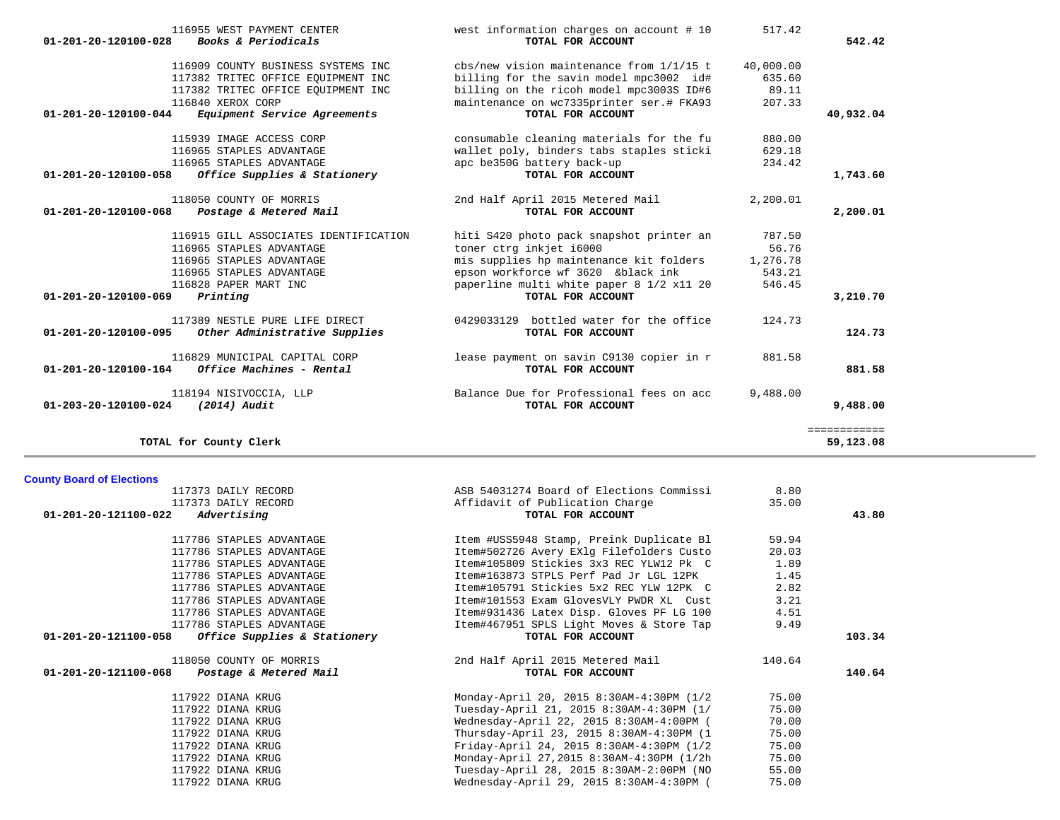|                                | 116955 WEST PAYMENT CENTER            | west information charges on account # 10                          | 517.42    |              |
|--------------------------------|---------------------------------------|-------------------------------------------------------------------|-----------|--------------|
| $01 - 201 - 20 - 120100 - 028$ | Books & Periodicals                   | TOTAL FOR ACCOUNT                                                 |           | 542.42       |
|                                | 116909 COUNTY BUSINESS SYSTEMS INC    | $\frac{1}{15}$ cbs/new vision maintenance from $\frac{1}{1/15}$ t | 40,000.00 |              |
|                                | 117382 TRITEC OFFICE EOUIPMENT INC    | billing for the savin model mpc3002 id#                           | 635.60    |              |
|                                | 117382 TRITEC OFFICE EOUIPMENT INC    | billing on the ricoh model mpc3003S ID#6                          | 89.11     |              |
|                                | 116840 XEROX CORP                     | maintenance on wc7335printer ser.# FKA93                          | 207.33    |              |
| 01-201-20-120100-044           | Equipment Service Agreements          | TOTAL FOR ACCOUNT                                                 |           | 40,932.04    |
|                                | 115939 IMAGE ACCESS CORP              | consumable cleaning materials for the fu                          | 880.00    |              |
|                                | 116965 STAPLES ADVANTAGE              | wallet poly, binders tabs staples sticki                          | 629.18    |              |
|                                | 116965 STAPLES ADVANTAGE              | apc be350G battery back-up                                        | 234.42    |              |
| 01-201-20-120100-058           | Office Supplies & Stationery          | TOTAL FOR ACCOUNT                                                 |           | 1,743.60     |
|                                | 118050 COUNTY OF MORRIS               | 2nd Half April 2015 Metered Mail                                  | 2,200.01  |              |
| $01 - 201 - 20 - 120100 - 068$ | Postage & Metered Mail                | TOTAL FOR ACCOUNT                                                 |           | 2,200.01     |
|                                | 116915 GILL ASSOCIATES IDENTIFICATION | hiti S420 photo pack snapshot printer an                          | 787.50    |              |
|                                | 116965 STAPLES ADVANTAGE              | toner ctrg inkjet i6000                                           | 56.76     |              |
|                                | 116965 STAPLES ADVANTAGE              | mis supplies hp maintenance kit folders                           | 1,276.78  |              |
|                                | 116965 STAPLES ADVANTAGE              | epson workforce wf 3620 &black ink                                | 543.21    |              |
|                                | 116828 PAPER MART INC                 | paperline multi white paper 8 1/2 x11 20                          | 546.45    |              |
| 01-201-20-120100-069           | Printing                              | TOTAL FOR ACCOUNT                                                 |           | 3,210.70     |
|                                | 117389 NESTLE PURE LIFE DIRECT        | 0429033129 bottled water for the office                           | 124.73    |              |
| 01-201-20-120100-095           | Other Administrative Supplies         | TOTAL FOR ACCOUNT                                                 |           | 124.73       |
|                                | 116829 MUNICIPAL CAPITAL CORP         | lease payment on savin C9130 copier in r                          | 881.58    |              |
| 01-201-20-120100-164           | Office Machines - Rental              | TOTAL FOR ACCOUNT                                                 |           | 881.58       |
|                                | 118194 NISIVOCCIA, LLP                | Balance Due for Professional fees on acc                          | 9,488.00  |              |
| $01 - 203 - 20 - 120100 - 024$ | $(2014)$ Audit                        | TOTAL FOR ACCOUNT                                                 |           | 9,488.00     |
|                                |                                       |                                                                   |           | ============ |

**TOTAL for County Clerk 59,123.08**

**County Board of Elections**

### 117373 DAILY RECORD ASB 54031274 Board of Elections Commissi 8.80 117373 DAILY RECORD Affidavit of Publication Charge 35.00  **01-201-20-121100-022** *Advertising* **TOTAL FOR ACCOUNT 43.80** 117786 STAPLES ADVANTAGE Item #USS5948 Stamp, Preink Duplicate Bl 59.94 117786 STAPLES ADVANTAGE Item#502726 Avery EXlg Filefolders Custo 20.03 117786 STAPLES ADVANTAGE Item#105809 Stickies 3x3 REC YLW12 Pk C 1.89 117786 STAPLES ADVANTAGE 1.45 117786 STAPLES ADVANTAGE Item#105791 Stickies 5x2 REC YLW 12PK C 2.82 117786 STAPLES ADVANTAGE Item#101553 Exam GlovesVLY PWDR XL Cust 3.21 117786 STAPLES ADVANTAGE THE STAPLES ADVANTAGE Item#931436 Latex Disp. Gloves PF LG 100 4.51 117786 STAPLES ADVANTAGE 10 11 117786 STAPLES ADVANTAGE 149  **01-201-20-121100-058** *Office Supplies & Stationery* **TOTAL FOR ACCOUNT 103.34** 118050 COUNTY OF MORRIS 2nd Half April 2015 Metered Mail 140.64  **01-201-20-121100-068** *Postage & Metered Mail* **TOTAL FOR ACCOUNT 140.64** 117922 DIANA KRUG Monday-April 20, 2015 8:30AM-4:30PM (1/2 75.00 117922 DIANA KRUG Tuesday-April 21, 2015 8:30AM-4:30PM (1/ 75.00 117922 DIANA KRUG Wednesday-April 22, 2015 8:30AM-4:00PM ( 70.00 117922 DIANA KRUG Thursday-April 23, 2015 8:30AM-4:30PM (1 75.00 117922 DIANA KRUG Friday-April 24, 2015 8:30AM-4:30PM (1/2 75.00 117922 DIANA KRUG Monday-April 27,2015 8:30AM-4:30PM (1/2h 75.00 117922 DIANA KRUG Tuesday-April 28, 2015 8:30AM-2:00PM (NO 55.00

Wednesday-April 29, 2015 8:30AM-4:30PM (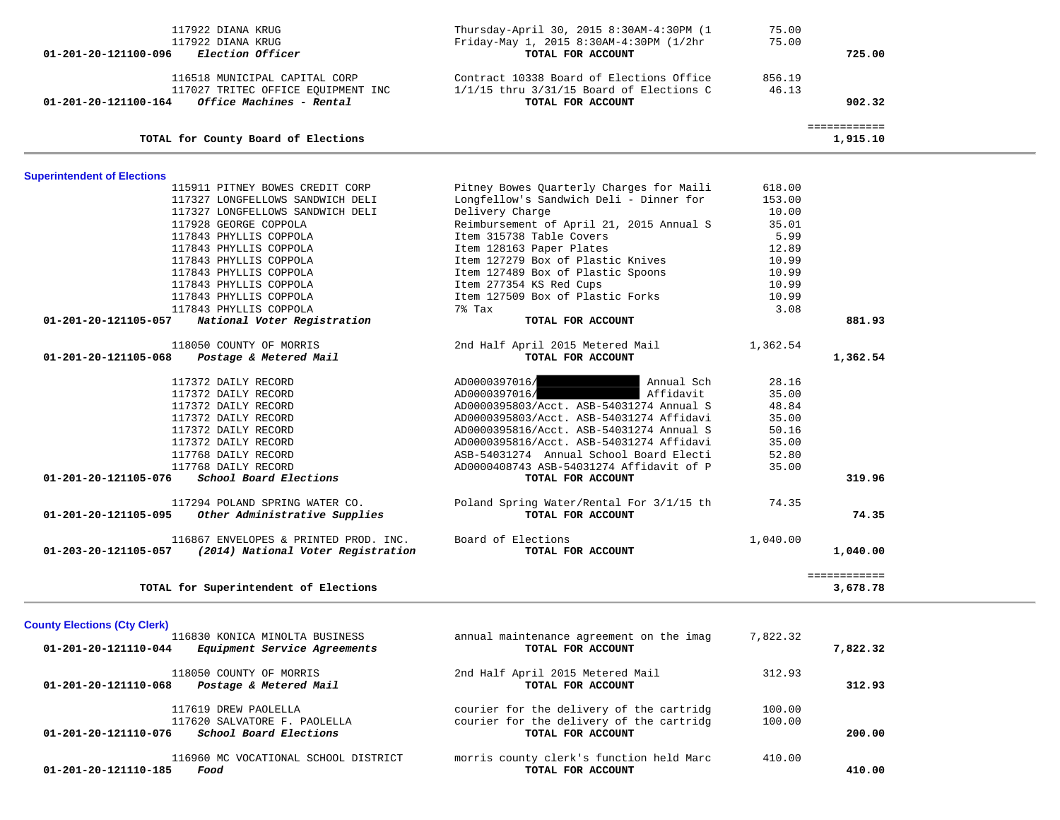| 01-201-20-121110-185                                        | 116960 MC VOCATIONAL SCHOOL DISTRICT<br>Food                                                            | morris county clerk's function held Marc<br>TOTAL FOR ACCOUNT                                             | 410.00                    | 410.00                   |  |
|-------------------------------------------------------------|---------------------------------------------------------------------------------------------------------|-----------------------------------------------------------------------------------------------------------|---------------------------|--------------------------|--|
| 01-201-20-121110-076                                        | 117619 DREW PAOLELLA<br>117620 SALVATORE F. PAOLELLA<br>School Board Elections                          | courier for the delivery of the cartridg<br>courier for the delivery of the cartridg<br>TOTAL FOR ACCOUNT | 100.00<br>100.00          | 200.00                   |  |
| 01-201-20-121110-068                                        | 118050 COUNTY OF MORRIS<br>Postage & Metered Mail                                                       | 2nd Half April 2015 Metered Mail<br>TOTAL FOR ACCOUNT                                                     | 312.93                    | 312.93                   |  |
| <b>County Elections (Cty Clerk)</b><br>01-201-20-121110-044 | 116830 KONICA MINOLTA BUSINESS<br>Equipment Service Agreements                                          | annual maintenance agreement on the imag<br>TOTAL FOR ACCOUNT                                             | 7,822.32                  | 7,822.32                 |  |
|                                                             | TOTAL for Superintendent of Elections                                                                   |                                                                                                           |                           | 3,678.78                 |  |
|                                                             |                                                                                                         |                                                                                                           |                           | ============             |  |
| 01-203-20-121105-057                                        | 116867 ENVELOPES & PRINTED PROD. INC.<br>(2014) National Voter Registration                             | Board of Elections<br>TOTAL FOR ACCOUNT                                                                   | 1,040.00                  | 1,040.00                 |  |
| 01-201-20-121105-095                                        | 117294 POLAND SPRING WATER CO.<br>Other Administrative Supplies                                         | Poland Spring Water/Rental For 3/1/15 th<br>TOTAL FOR ACCOUNT                                             | 74.35                     | 74.35                    |  |
| 01-201-20-121105-076                                        | 117768 DAILY RECORD<br>School Board Elections                                                           | AD0000408743 ASB-54031274 Affidavit of P<br>TOTAL FOR ACCOUNT                                             | 35.00                     | 319.96                   |  |
|                                                             | 117372 DAILY RECORD<br>117768 DAILY RECORD                                                              | AD0000395816/Acct. ASB-54031274 Affidavi<br>ASB-54031274 Annual School Board Electi                       | 35.00<br>52.80            |                          |  |
|                                                             | 117372 DAILY RECORD<br>117372 DAILY RECORD                                                              | AD0000395803/Acct. ASB-54031274 Affidavi<br>AD0000395816/Acct. ASB-54031274 Annual S                      | 35.00<br>50.16            |                          |  |
|                                                             | 117372 DAILY RECORD<br>117372 DAILY RECORD<br>117372 DAILY RECORD                                       | AD0000397016/<br>Annual Sch<br>Affidavit<br>AD0000397016/<br>AD0000395803/Acct. ASB-54031274 Annual S     | 28.16<br>35.00<br>48.84   |                          |  |
| 01-201-20-121105-068                                        | 118050 COUNTY OF MORRIS<br>Postage & Metered Mail                                                       | 2nd Half April 2015 Metered Mail<br>TOTAL FOR ACCOUNT                                                     | 1,362.54                  | 1,362.54                 |  |
| 01-201-20-121105-057                                        | National Voter Registration                                                                             | TOTAL FOR ACCOUNT                                                                                         |                           | 881.93                   |  |
|                                                             | 117843 PHYLLIS COPPOLA<br>117843 PHYLLIS COPPOLA                                                        | Item 127509 Box of Plastic Forks<br>7% Tax                                                                | 10.99<br>3.08             |                          |  |
|                                                             | 117843 PHYLLIS COPPOLA                                                                                  | Item 277354 KS Red Cups                                                                                   | 10.99                     |                          |  |
|                                                             | 117843 PHYLLIS COPPOLA<br>117843 PHYLLIS COPPOLA                                                        | Item 127279 Box of Plastic Knives<br>Item 127489 Box of Plastic Spoons                                    | 10.99<br>10.99            |                          |  |
|                                                             | 117843 PHYLLIS COPPOLA                                                                                  | Item 128163 Paper Plates                                                                                  | 12.89                     |                          |  |
|                                                             | 117928 GEORGE COPPOLA<br>117843 PHYLLIS COPPOLA                                                         | Reimbursement of April 21, 2015 Annual S<br>Item 315738 Table Covers                                      | 35.01<br>5.99             |                          |  |
|                                                             | 115911 PITNEY BOWES CREDIT CORP<br>117327 LONGFELLOWS SANDWICH DELI<br>117327 LONGFELLOWS SANDWICH DELI | Pitney Bowes Quarterly Charges for Maili<br>Longfellow's Sandwich Deli - Dinner for<br>Delivery Charge    | 618.00<br>153.00<br>10.00 |                          |  |
| <b>Superintendent of Elections</b>                          |                                                                                                         |                                                                                                           |                           |                          |  |
|                                                             | TOTAL for County Board of Elections                                                                     |                                                                                                           |                           | ============<br>1,915.10 |  |
| 01-201-20-121100-164                                        | Office Machines - Rental                                                                                | TOTAL FOR ACCOUNT                                                                                         |                           | 902.32                   |  |
|                                                             | 116518 MUNICIPAL CAPITAL CORP<br>117027 TRITEC OFFICE EQUIPMENT INC                                     | Contract 10338 Board of Elections Office<br>$1/1/15$ thru $3/31/15$ Board of Elections C                  | 856.19<br>46.13           |                          |  |
| 01-201-20-121100-096                                        | 117922 DIANA KRUG<br>117922 DIANA KRUG<br>Election Officer                                              | Thursday-April 30, 2015 8:30AM-4:30PM (1<br>Friday-May 1, 2015 8:30AM-4:30PM (1/2hr<br>TOTAL FOR ACCOUNT  | 75.00<br>75.00            | 725.00                   |  |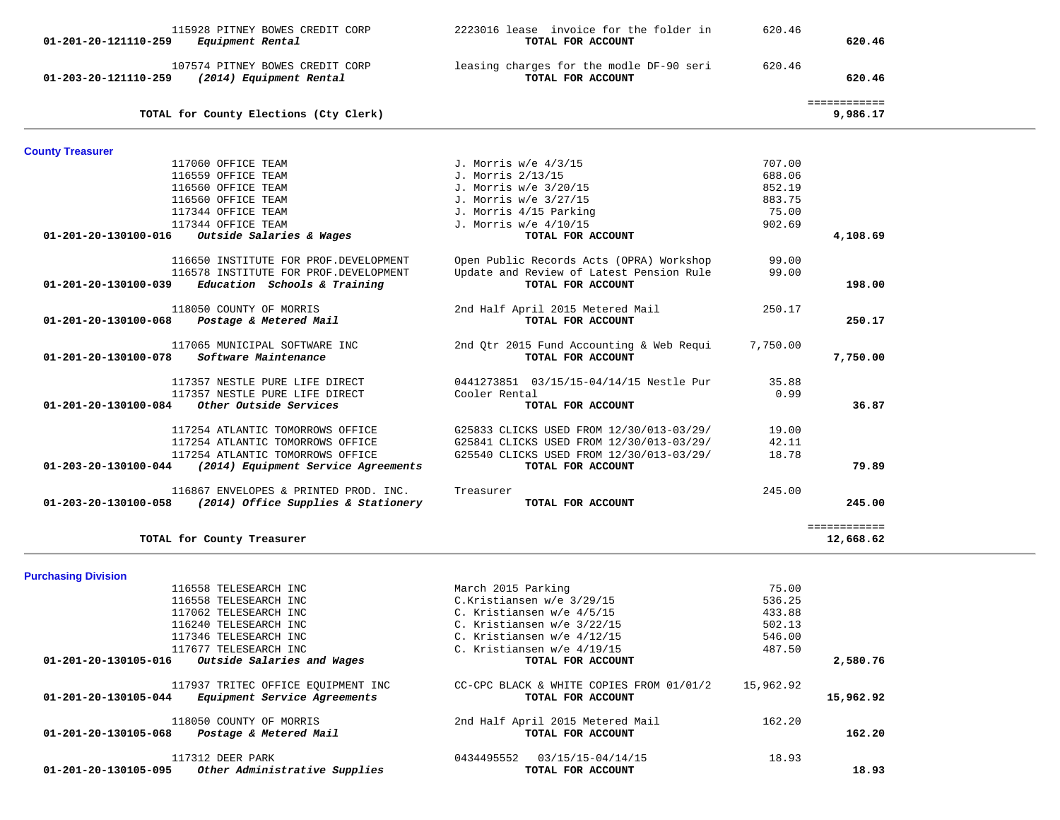| 01-201-20-121110-259                                       | Equipment Rental                                         | TOTAL FOR ACCOUNT                                             |                 | 620.46                   |  |
|------------------------------------------------------------|----------------------------------------------------------|---------------------------------------------------------------|-----------------|--------------------------|--|
|                                                            | 107574 PITNEY BOWES CREDIT CORP                          | leasing charges for the modle DF-90 seri                      | 620.46          |                          |  |
| 01-203-20-121110-259                                       | (2014) Equipment Rental                                  | TOTAL FOR ACCOUNT                                             |                 | 620.46                   |  |
|                                                            | TOTAL for County Elections (Cty Clerk)                   |                                                               |                 | ============<br>9,986.17 |  |
| <b>County Treasurer</b>                                    |                                                          |                                                               |                 |                          |  |
| 117060 OFFICE TEAM                                         |                                                          | J. Morris w/e 4/3/15                                          | 707.00          |                          |  |
| 116559 OFFICE TEAM                                         |                                                          | J. Morris 2/13/15                                             | 688.06          |                          |  |
| 116560 OFFICE TEAM                                         |                                                          | J. Morris w/e 3/20/15                                         | 852.19          |                          |  |
| 116560 OFFICE TEAM                                         |                                                          | J. Morris w/e 3/27/15                                         | 883.75          |                          |  |
| 117344 OFFICE TEAM                                         |                                                          | J. Morris 4/15 Parking                                        | 75.00           |                          |  |
| 117344 OFFICE TEAM                                         |                                                          | J. Morris w/e 4/10/15                                         | 902.69          |                          |  |
| $01-201-20-130100-016$ Outside Salaries & Wages            |                                                          | TOTAL FOR ACCOUNT                                             |                 | 4,108.69                 |  |
|                                                            | 116650 INSTITUTE FOR PROF. DEVELOPMENT                   | Open Public Records Acts (OPRA) Workshop                      | 99.00           |                          |  |
|                                                            | 116578 INSTITUTE FOR PROF. DEVELOPMENT                   | Update and Review of Latest Pension Rule                      | 99.00           |                          |  |
| $01-201-20-130100-039$ Education Schools & Training        |                                                          | TOTAL FOR ACCOUNT                                             |                 | 198.00                   |  |
|                                                            | 118050 COUNTY OF MORRIS                                  | 2nd Half April 2015 Metered Mail                              | 250.17          |                          |  |
| 01-201-20-130100-068                                       | Postage & Metered Mail                                   | TOTAL FOR ACCOUNT                                             |                 | 250.17                   |  |
|                                                            |                                                          |                                                               |                 |                          |  |
| 01-201-20-130100-078                                       | 117065 MUNICIPAL SOFTWARE INC<br>Software Maintenance    | 2nd Qtr 2015 Fund Accounting & Web Requi<br>TOTAL FOR ACCOUNT | 7,750.00        | 7,750.00                 |  |
|                                                            |                                                          |                                                               |                 |                          |  |
|                                                            | 117357 NESTLE PURE LIFE DIRECT                           | 0441273851  03/15/15-04/14/15 Nestle Pur                      | 35.88           |                          |  |
| 01-201-20-130100-084                                       | 117357 NESTLE PURE LIFE DIRECT<br>Other Outside Services | Cooler Rental<br>TOTAL FOR ACCOUNT                            | 0.99            | 36.87                    |  |
|                                                            |                                                          |                                                               |                 |                          |  |
|                                                            | 117254 ATLANTIC TOMORROWS OFFICE                         | G25833 CLICKS USED FROM 12/30/013-03/29/                      | 19.00           |                          |  |
|                                                            | 117254 ATLANTIC TOMORROWS OFFICE                         | G25841 CLICKS USED FROM 12/30/013-03/29/                      | 42.11           |                          |  |
|                                                            | 117254 ATLANTIC TOMORROWS OFFICE                         | G25540 CLICKS USED FROM 12/30/013-03/29/                      | 18.78           |                          |  |
| $01-203-20-130100-044$ (2014) Equipment Service Agreements |                                                          | TOTAL FOR ACCOUNT                                             |                 | 79.89                    |  |
|                                                            | 116867 ENVELOPES & PRINTED PROD. INC.                    | Treasurer                                                     | 245.00          |                          |  |
| 01-203-20-130100-058                                       | (2014) Office Supplies & Stationery                      | TOTAL FOR ACCOUNT                                             |                 | 245.00                   |  |
|                                                            |                                                          |                                                               |                 | ============             |  |
| TOTAL for County Treasurer                                 |                                                          |                                                               |                 | 12,668.62                |  |
|                                                            |                                                          |                                                               |                 |                          |  |
| <b>Purchasing Division</b>                                 |                                                          |                                                               |                 |                          |  |
|                                                            | 116558 TELESEARCH INC<br>116558 TELESEARCH INC           | March 2015 Parking<br>C.Kristiansen w/e 3/29/15               | 75.00<br>536.25 |                          |  |
|                                                            | 117062 TELESEARCH INC                                    | C. Kristiansen w/e 4/5/15                                     | 433.88          |                          |  |
|                                                            | 116240 TELESEARCH INC                                    | C. Kristiansen w/e 3/22/15                                    | 502.13          |                          |  |
|                                                            | 117346 TELESEARCH INC                                    | C. Kristiansen w/e 4/12/15                                    | 546.00          |                          |  |
|                                                            | 117677 TELESEARCH INC                                    | C. Kristiansen w/e 4/19/15                                    | 487.50          |                          |  |
| 01-201-20-130105-016                                       | Outside Salaries and Wages                               | TOTAL FOR ACCOUNT                                             |                 | 2,580.76                 |  |
|                                                            |                                                          |                                                               |                 |                          |  |
|                                                            | 117937 TRITEC OFFICE EQUIPMENT INC                       | CC-CPC BLACK & WHITE COPIES FROM 01/01/2                      | 15,962.92       |                          |  |
| 01-201-20-130105-044                                       | Equipment Service Agreements                             | TOTAL FOR ACCOUNT                                             |                 | 15,962.92                |  |
|                                                            | 118050 COUNTY OF MORRIS                                  | 2nd Half April 2015 Metered Mail                              | 162.20          |                          |  |
| 01-201-20-130105-068                                       | Postage & Metered Mail                                   | TOTAL FOR ACCOUNT                                             |                 | 162.20                   |  |
| 117312 DEER PARK                                           |                                                          | 0434495552  03/15/15-04/14/15                                 | 18.93           |                          |  |
| 01-201-20-130105-095                                       | Other Administrative Supplies                            | TOTAL FOR ACCOUNT                                             |                 | 18.93                    |  |
|                                                            |                                                          |                                                               |                 |                          |  |

115928 PITNEY BOWES CREDIT CORP 2223016 lease invoice for the folder in 620.46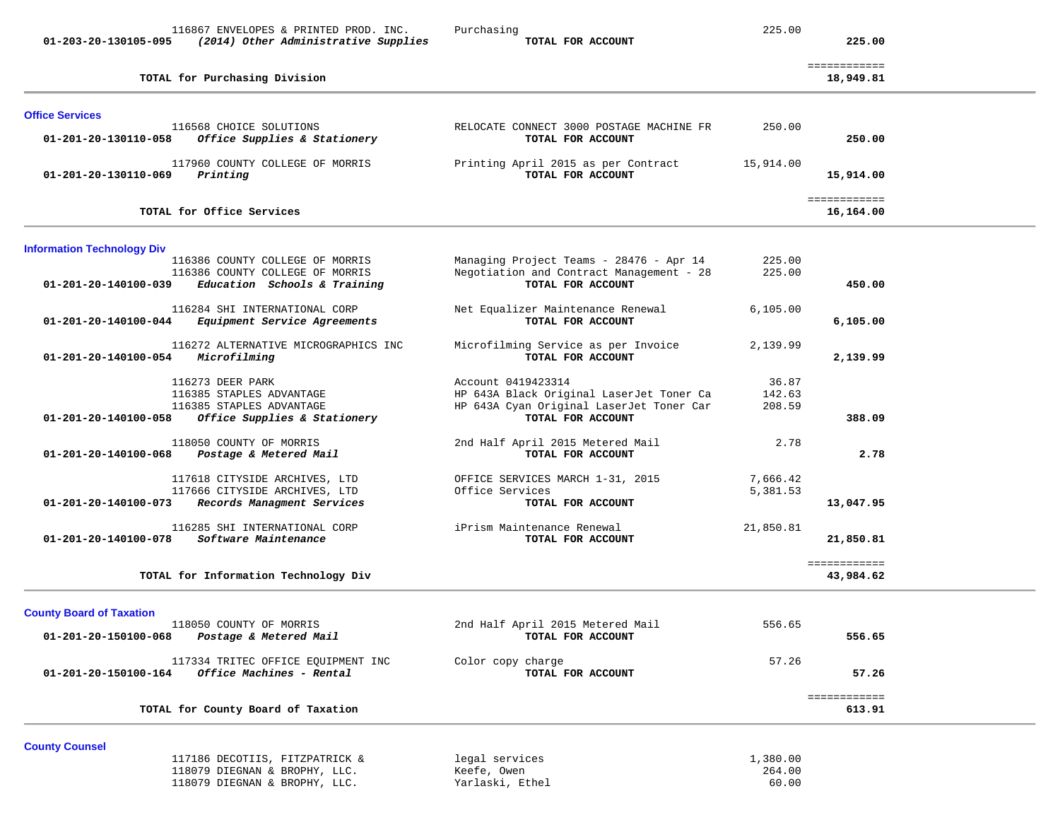|                                   | 116867 ENVELOPES & PRINTED PROD. INC.                                                                    | Purchasing<br>TOTAL FOR ACCOUNT                                                                                                 | 225.00                      |                           |  |
|-----------------------------------|----------------------------------------------------------------------------------------------------------|---------------------------------------------------------------------------------------------------------------------------------|-----------------------------|---------------------------|--|
| 01-203-20-130105-095              | (2014) Other Administrative Supplies                                                                     |                                                                                                                                 |                             | 225.00                    |  |
|                                   | TOTAL for Purchasing Division                                                                            |                                                                                                                                 |                             | ============<br>18,949.81 |  |
| <b>Office Services</b>            |                                                                                                          |                                                                                                                                 |                             |                           |  |
| 01-201-20-130110-058              | 116568 CHOICE SOLUTIONS<br>Office Supplies & Stationery                                                  | RELOCATE CONNECT 3000 POSTAGE MACHINE FR<br>TOTAL FOR ACCOUNT                                                                   | 250.00                      | 250.00                    |  |
| 01-201-20-130110-069              | 117960 COUNTY COLLEGE OF MORRIS<br>Printing                                                              | Printing April 2015 as per Contract<br>TOTAL FOR ACCOUNT                                                                        | 15,914.00                   | 15,914.00                 |  |
|                                   | TOTAL for Office Services                                                                                |                                                                                                                                 |                             | ============<br>16,164.00 |  |
| <b>Information Technology Div</b> |                                                                                                          |                                                                                                                                 |                             |                           |  |
| 01-201-20-140100-039              | 116386 COUNTY COLLEGE OF MORRIS<br>116386 COUNTY COLLEGE OF MORRIS<br>Education Schools & Training       | Managing Project Teams - 28476 - Apr 14<br>Negotiation and Contract Management - 28<br>TOTAL FOR ACCOUNT                        | 225.00<br>225.00            | 450.00                    |  |
| 01-201-20-140100-044              | 116284 SHI INTERNATIONAL CORP<br>Equipment Service Agreements                                            | Net Equalizer Maintenance Renewal<br>TOTAL FOR ACCOUNT                                                                          | 6, 105.00                   | 6,105.00                  |  |
| 01-201-20-140100-054              | 116272 ALTERNATIVE MICROGRAPHICS INC<br>Microfilming                                                     | Microfilming Service as per Invoice<br>TOTAL FOR ACCOUNT                                                                        | 2,139.99                    | 2,139.99                  |  |
| 01-201-20-140100-058              | 116273 DEER PARK<br>116385 STAPLES ADVANTAGE<br>116385 STAPLES ADVANTAGE<br>Office Supplies & Stationery | Account 0419423314<br>HP 643A Black Original LaserJet Toner Ca<br>HP 643A Cyan Original LaserJet Toner Car<br>TOTAL FOR ACCOUNT | 36.87<br>142.63<br>208.59   | 388.09                    |  |
| 01-201-20-140100-068              | 118050 COUNTY OF MORRIS<br>Postage & Metered Mail                                                        | 2nd Half April 2015 Metered Mail<br>TOTAL FOR ACCOUNT                                                                           | 2.78                        | 2.78                      |  |
| 01-201-20-140100-073              | 117618 CITYSIDE ARCHIVES, LTD<br>117666 CITYSIDE ARCHIVES, LTD<br>Records Managment Services             | OFFICE SERVICES MARCH 1-31, 2015<br>Office Services<br>TOTAL FOR ACCOUNT                                                        | 7,666.42<br>5,381.53        | 13,047.95                 |  |
| 01-201-20-140100-078              | 116285 SHI INTERNATIONAL CORP<br>Software Maintenance                                                    | iPrism Maintenance Renewal<br>TOTAL FOR ACCOUNT                                                                                 | 21,850.81                   | 21,850.81                 |  |
|                                   | TOTAL for Information Technology Div                                                                     |                                                                                                                                 |                             | ============<br>43,984.62 |  |
| <b>County Board of Taxation</b>   |                                                                                                          |                                                                                                                                 |                             |                           |  |
| 01-201-20-150100-068              | 118050 COUNTY OF MORRIS<br>Postage & Metered Mail                                                        | 2nd Half April 2015 Metered Mail<br>TOTAL FOR ACCOUNT                                                                           | 556.65                      | 556.65                    |  |
| 01-201-20-150100-164              | 117334 TRITEC OFFICE EQUIPMENT INC<br>Office Machines - Rental                                           | Color copy charge<br>TOTAL FOR ACCOUNT                                                                                          | 57.26                       | 57.26                     |  |
|                                   | TOTAL for County Board of Taxation                                                                       |                                                                                                                                 |                             | ============<br>613.91    |  |
| <b>County Counsel</b>             |                                                                                                          |                                                                                                                                 |                             |                           |  |
|                                   | 117186 DECOTIIS, FITZPATRICK &<br>118079 DIEGNAN & BROPHY, LLC.<br>118079 DIEGNAN & BROPHY, LLC.         | legal services<br>Keefe, Owen<br>Yarlaski, Ethel                                                                                | 1,380.00<br>264.00<br>60.00 |                           |  |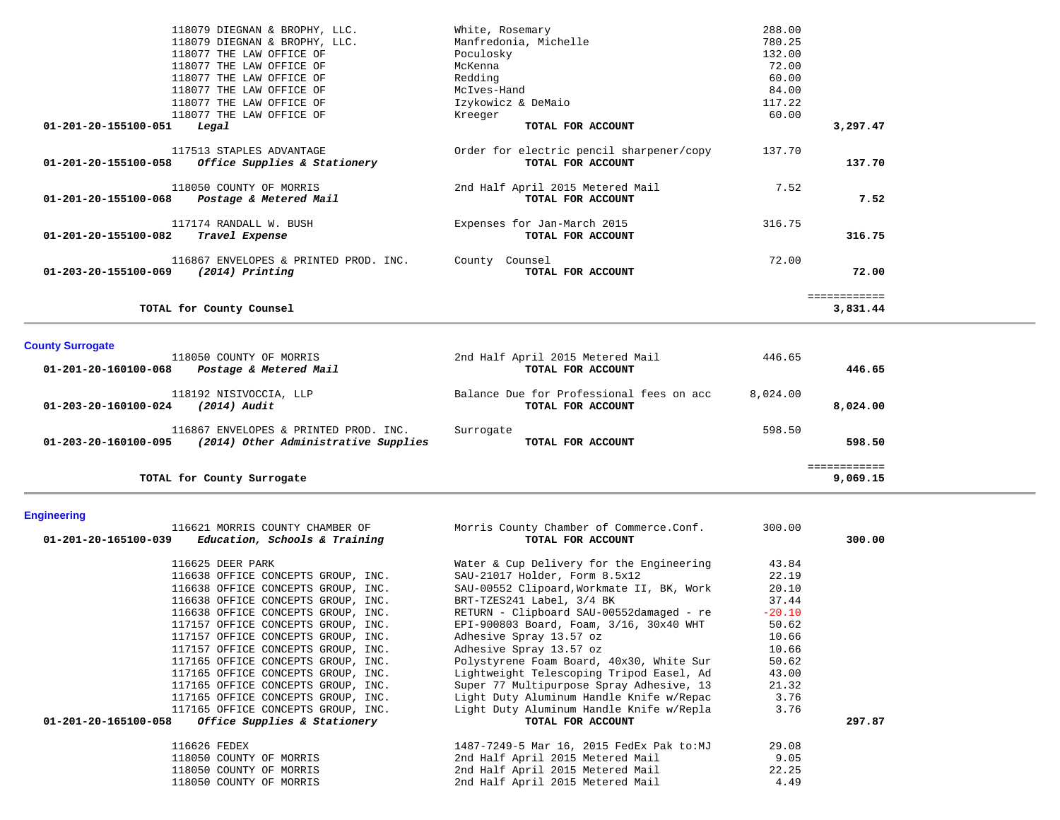|                      | TOTAL for County Counsel                                   |                                                               |                  | ------------<br>3,831.44 |
|----------------------|------------------------------------------------------------|---------------------------------------------------------------|------------------|--------------------------|
| 01-203-20-155100-069 | 116867 ENVELOPES & PRINTED PROD. INC.<br>$(2014)$ Printing | County Counsel<br>TOTAL FOR ACCOUNT                           | 72.00            | 72.00                    |
| 01-201-20-155100-082 | 117174 RANDALL W. BUSH<br>Travel Expense                   | Expenses for Jan-March 2015<br>TOTAL FOR ACCOUNT              | 316.75           | 316.75                   |
| 01-201-20-155100-068 | 118050 COUNTY OF MORRIS<br>Postage & Metered Mail          | 2nd Half April 2015 Metered Mail<br>TOTAL FOR ACCOUNT         | 7.52             | 7.52                     |
| 01-201-20-155100-058 | 117513 STAPLES ADVANTAGE<br>Office Supplies & Stationery   | Order for electric pencil sharpener/copy<br>TOTAL FOR ACCOUNT | 137.70           | 137.70                   |
| 01-201-20-155100-051 | Legal                                                      | TOTAL FOR ACCOUNT                                             |                  | 3,297.47                 |
|                      | 118077 THE LAW OFFICE OF                                   | Kreeger                                                       | 60.00            |                          |
|                      | 118077 THE LAW OFFICE OF                                   | Izykowicz & DeMaio                                            | 117.22           |                          |
|                      | 118077 THE LAW OFFICE OF                                   | McIves-Hand                                                   | 84.00            |                          |
|                      | 118077 THE LAW OFFICE OF                                   | Redding                                                       | 60.00            |                          |
|                      | 118077 THE LAW OFFICE OF                                   | Poculosky<br>McKenna                                          | 72.00            |                          |
|                      | 118079 DIEGNAN & BROPHY, LLC.<br>118077 THE LAW OFFICE OF  | Manfredonia, Michelle                                         | 780.25<br>132.00 |                          |
|                      | 118079 DIEGNAN & BROPHY, LLC.                              | White, Rosemary                                               | 288.00           |                          |

## **County Surrogate**

| 118050 COUNTY OF MORRIS                                                                               | 2nd Half April 2015 Metered Mail                              | 446.65   |                         |
|-------------------------------------------------------------------------------------------------------|---------------------------------------------------------------|----------|-------------------------|
| Postage & Metered Mail<br>01-201-20-160100-068                                                        | TOTAL FOR ACCOUNT                                             |          | 446.65                  |
| 118192 NISIVOCCIA, LLP<br>(2014) Audit<br>01-203-20-160100-024                                        | Balance Due for Professional fees on acc<br>TOTAL FOR ACCOUNT | 8,024.00 | 8,024.00                |
| 116867 ENVELOPES & PRINTED PROD. INC.<br>(2014) Other Administrative Supplies<br>01-203-20-160100-095 | Surrogate<br>TOTAL FOR ACCOUNT                                | 598.50   | 598.50                  |
| TOTAL for County Surrogate                                                                            |                                                               |          | ===========<br>9,069.15 |

# **Engineering**

| $01-201-20-165100-039$ Education, Schools & Training | 116621 MORRIS COUNTY CHAMBER OF    | Morris County Chamber of Commerce.Conf.<br>TOTAL FOR ACCOUNT | 300.00   | 300.00 |
|------------------------------------------------------|------------------------------------|--------------------------------------------------------------|----------|--------|
| 116625 DEER PARK                                     |                                    | Water & Cup Delivery for the Engineering                     | 43.84    |        |
|                                                      |                                    |                                                              | 22.19    |        |
|                                                      | 116638 OFFICE CONCEPTS GROUP, INC. | SAU-21017 Holder, Form 8.5x12                                |          |        |
|                                                      | 116638 OFFICE CONCEPTS GROUP, INC. | SAU-00552 Clipoard, Workmate II, BK, Work                    | 20.10    |        |
|                                                      | 116638 OFFICE CONCEPTS GROUP, INC. | BRT-TZES241 Label, 3/4 BK                                    | 37.44    |        |
|                                                      | 116638 OFFICE CONCEPTS GROUP, INC. | RETURN - Clipboard SAU-00552damaged - re                     | $-20.10$ |        |
|                                                      | 117157 OFFICE CONCEPTS GROUP, INC. | EPI-900803 Board, Foam, 3/16, 30x40 WHT                      | 50.62    |        |
|                                                      | 117157 OFFICE CONCEPTS GROUP, INC. | Adhesive Spray 13.57 oz                                      | 10.66    |        |
|                                                      | 117157 OFFICE CONCEPTS GROUP, INC. | Adhesive Spray 13.57 oz                                      | 10.66    |        |
|                                                      | 117165 OFFICE CONCEPTS GROUP, INC. | Polystyrene Foam Board, 40x30, White Sur                     | 50.62    |        |
|                                                      | 117165 OFFICE CONCEPTS GROUP, INC. | Lightweight Telescoping Tripod Easel, Ad                     | 43.00    |        |
|                                                      | 117165 OFFICE CONCEPTS GROUP, INC. | Super 77 Multipurpose Spray Adhesive, 13                     | 21.32    |        |
|                                                      | 117165 OFFICE CONCEPTS GROUP, INC. | Light Duty Aluminum Handle Knife w/Repac                     | 3.76     |        |
|                                                      | 117165 OFFICE CONCEPTS GROUP, INC. | Light Duty Aluminum Handle Knife w/Repla                     | 3.76     |        |
| $01-201-20-165100-058$ Office Supplies & Stationery  |                                    | TOTAL FOR ACCOUNT                                            |          | 297.87 |
| 116626 FEDEX                                         |                                    | 1487-7249-5 Mar 16, 2015 FedEx Pak to:MJ                     | 29.08    |        |
| 118050 COUNTY OF MORRIS                              |                                    | 2nd Half April 2015 Metered Mail                             | 9.05     |        |
| 118050 COUNTY OF MORRIS                              |                                    | 2nd Half April 2015 Metered Mail                             | 22.25    |        |
| 118050 COUNTY OF MORRIS                              |                                    | 2nd Half April 2015 Metered Mail                             | 4.49     |        |
|                                                      |                                    |                                                              |          |        |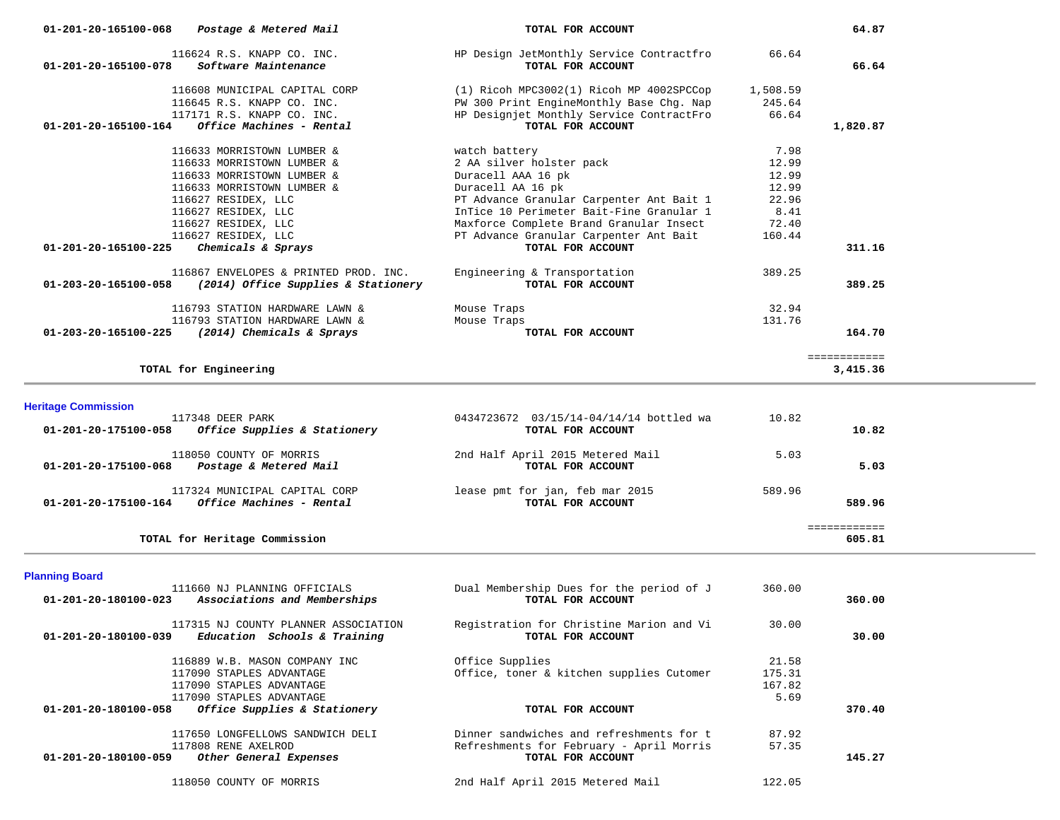| Postage & Metered Mail<br>01-201-20-165100-068                             | TOTAL FOR ACCOUNT                                             |          | 64.87        |
|----------------------------------------------------------------------------|---------------------------------------------------------------|----------|--------------|
| 116624 R.S. KNAPP CO. INC.<br>01-201-20-165100-078<br>Software Maintenance | HP Design JetMonthly Service Contractfro<br>TOTAL FOR ACCOUNT | 66.64    | 66.64        |
| 116608 MUNICIPAL CAPITAL CORP                                              | $(1)$ Ricoh MPC3002 $(1)$ Ricoh MP 4002SPCCop                 | 1,508.59 |              |
| 116645 R.S. KNAPP CO. INC.                                                 | PW 300 Print EngineMonthly Base Chq. Nap                      | 245.64   |              |
| 117171 R.S. KNAPP CO. INC.                                                 | HP Designjet Monthly Service ContractFro                      | 66.64    |              |
| Office Machines - Rental<br>01-201-20-165100-164                           | TOTAL FOR ACCOUNT                                             |          | 1,820.87     |
| 116633 MORRISTOWN LUMBER &                                                 | watch battery                                                 | 7.98     |              |
| 116633 MORRISTOWN LUMBER &                                                 | 2 AA silver holster pack                                      | 12.99    |              |
| 116633 MORRISTOWN LUMBER &                                                 | Duracell AAA 16 pk                                            | 12.99    |              |
| 116633 MORRISTOWN LUMBER &                                                 | Duracell AA 16 pk                                             | 12.99    |              |
| 116627 RESIDEX, LLC                                                        | PT Advance Granular Carpenter Ant Bait 1                      | 22.96    |              |
| 116627 RESIDEX, LLC                                                        | InTice 10 Perimeter Bait-Fine Granular 1                      | 8.41     |              |
| 116627 RESIDEX, LLC                                                        | Maxforce Complete Brand Granular Insect                       | 72.40    |              |
| 116627 RESIDEX, LLC                                                        | PT Advance Granular Carpenter Ant Bait                        | 160.44   |              |
| Chemicals & Sprays<br>$01 - 201 - 20 - 165100 - 225$                       | TOTAL FOR ACCOUNT                                             |          | 311.16       |
| 116867 ENVELOPES & PRINTED PROD. INC.                                      | Engineering & Transportation                                  | 389.25   |              |
| 01-203-20-165100-058<br>(2014) Office Supplies & Stationery                | TOTAL FOR ACCOUNT                                             |          | 389.25       |
| 116793 STATION HARDWARE LAWN &                                             | Mouse Traps                                                   | 32.94    |              |
| 116793 STATION HARDWARE LAWN &                                             | Mouse Traps                                                   | 131.76   |              |
| 01-203-20-165100-225<br>(2014) Chemicals & Sprays                          | TOTAL FOR ACCOUNT                                             |          | 164.70       |
|                                                                            |                                                               |          | ============ |
| TOTAL for Engineering                                                      |                                                               |          | 3,415.36     |

**Heritage Commission** 

| TOTAL for Heritage Commission                                                     |                                                              |        | 605.81 |
|-----------------------------------------------------------------------------------|--------------------------------------------------------------|--------|--------|
| 117324 MUNICIPAL CAPITAL CORP<br>Office Machines - Rental<br>01-201-20-175100-164 | lease pmt for jan, feb mar 2015<br>TOTAL FOR ACCOUNT         | 589.96 | 589.96 |
| 118050 COUNTY OF MORRIS<br>Postage & Metered Mail<br>01-201-20-175100-068         | 2nd Half April 2015 Metered Mail<br>TOTAL FOR ACCOUNT        | 5.03   | 5.03   |
| 117348 DEER PARK<br>Office Supplies & Stationery<br>01-201-20-175100-058          | 0434723672 03/15/14-04/14/14 bottled wa<br>TOTAL FOR ACCOUNT | 10.82  | 10.82  |

**Planning Board** 

| 111660 NJ PLANNING OFFICIALS | Dual Membership Dues for the period of J<br>TOTAL FOR ACCOUNT                                                                                                                                                                                                                                                                                                             | 360.00 | 360.00 |
|------------------------------|---------------------------------------------------------------------------------------------------------------------------------------------------------------------------------------------------------------------------------------------------------------------------------------------------------------------------------------------------------------------------|--------|--------|
|                              | Registration for Christine Marion and Vi<br>TOTAL FOR ACCOUNT                                                                                                                                                                                                                                                                                                             | 30.00  | 30.00  |
|                              | Office Supplies                                                                                                                                                                                                                                                                                                                                                           | 21.58  |        |
|                              | Office, toner & kitchen supplies Cutomer                                                                                                                                                                                                                                                                                                                                  | 175.31 |        |
|                              |                                                                                                                                                                                                                                                                                                                                                                           | 167.82 |        |
|                              |                                                                                                                                                                                                                                                                                                                                                                           | 5.69   |        |
|                              | TOTAL FOR ACCOUNT                                                                                                                                                                                                                                                                                                                                                         |        | 370.40 |
|                              | Dinner sandwiches and refreshments for t                                                                                                                                                                                                                                                                                                                                  | 87.92  |        |
|                              | Refreshments for February - April Morris                                                                                                                                                                                                                                                                                                                                  | 57.35  |        |
|                              | TOTAL FOR ACCOUNT                                                                                                                                                                                                                                                                                                                                                         |        | 145.27 |
|                              | 2nd Half April 2015 Metered Mail                                                                                                                                                                                                                                                                                                                                          | 122.05 |        |
|                              | Associations and Memberships<br>117315 NJ COUNTY PLANNER ASSOCIATION<br>Education Schools & Training<br>116889 W.B. MASON COMPANY INC<br>117090 STAPLES ADVANTAGE<br>117090 STAPLES ADVANTAGE<br>117090 STAPLES ADVANTAGE<br>Office Supplies & Stationery<br>117650 LONGFELLOWS SANDWICH DELI<br>117808 RENE AXELROD<br>Other General Expenses<br>118050 COUNTY OF MORRIS |        |        |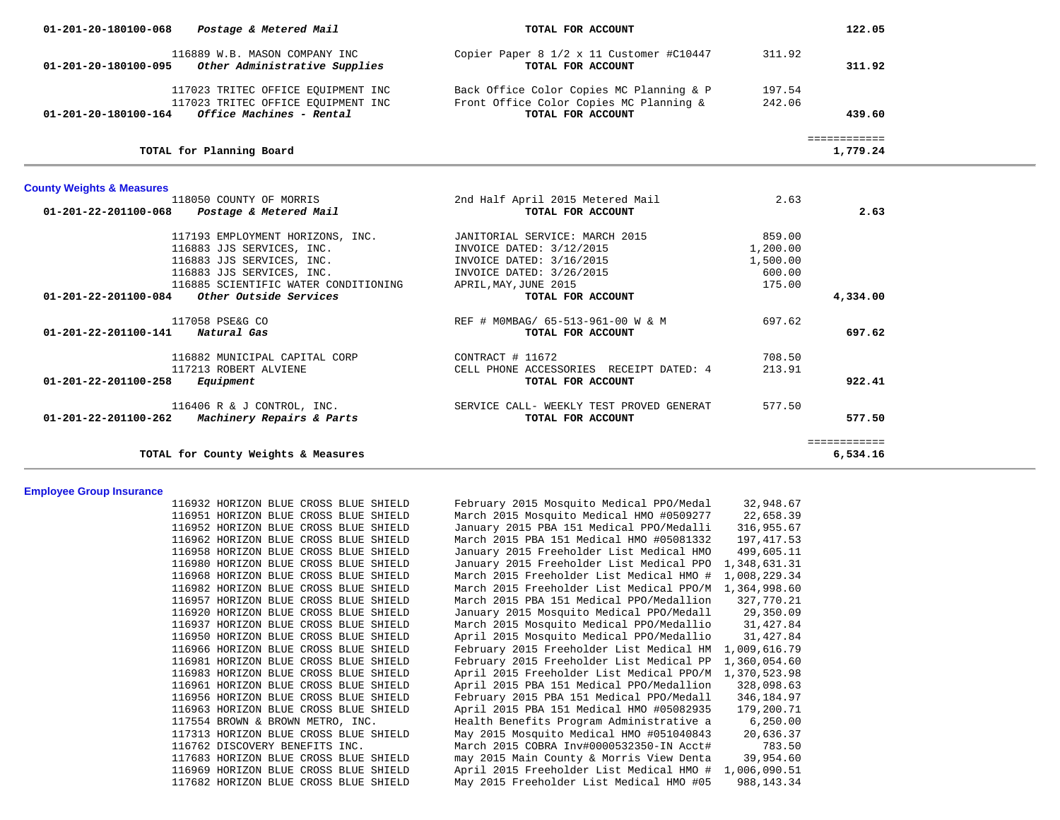| $01 - 201 - 20 - 180100 - 068$ Postage & Metered Mail   |                                                                                                                                                                 | TOTAL FOR ACCOUNT                                                                                                                           |                                                    | 122.05                   |
|---------------------------------------------------------|-----------------------------------------------------------------------------------------------------------------------------------------------------------------|---------------------------------------------------------------------------------------------------------------------------------------------|----------------------------------------------------|--------------------------|
|                                                         | 116889 W.B. MASON COMPANY INC<br>01-201-20-180100-095 Other Administrative Supplies                                                                             | Copier Paper 8 1/2 x 11 Customer #C10447<br>TOTAL FOR ACCOUNT                                                                               | 311.92                                             | 311.92                   |
| $01 - 201 - 20 - 180100 - 164$ Office Machines - Rental | 117023 TRITEC OFFICE EQUIPMENT INC<br>117023 TRITEC OFFICE EQUIPMENT INC                                                                                        | Back Office Color Copies MC Planning & P<br>Front Office Color Copies MC Planning &<br>TOTAL FOR ACCOUNT                                    | 197.54<br>242.06                                   | 439.60                   |
|                                                         | TOTAL for Planning Board                                                                                                                                        |                                                                                                                                             |                                                    | ============<br>1,779.24 |
| <b>County Weights &amp; Measures</b>                    |                                                                                                                                                                 |                                                                                                                                             |                                                    |                          |
| 01-201-22-201100-068 Postage & Metered Mail             | 118050 COUNTY OF MORRIS                                                                                                                                         | 2nd Half April 2015 Metered Mail<br>TOTAL FOR ACCOUNT                                                                                       | 2.63                                               | 2.63                     |
|                                                         | 117193 EMPLOYMENT HORIZONS, INC.<br>116883 JJS SERVICES, INC.<br>116883 JJS SERVICES, INC.<br>116883 JJS SERVICES, INC.<br>116885 SCIENTIFIC WATER CONDITIONING | JANITORIAL SERVICE: MARCH 2015<br>INVOICE DATED: 3/12/2015<br>INVOICE DATED: 3/16/2015<br>INVOICE DATED: 3/26/2015<br>APRIL, MAY, JUNE 2015 | 859.00<br>1,200.00<br>1,500.00<br>600.00<br>175.00 |                          |
| $01-201-22-201100-084$ Other Outside Services           |                                                                                                                                                                 | TOTAL FOR ACCOUNT                                                                                                                           |                                                    | 4,334.00                 |
| 01-201-22-201100-141 Natural Gas                        | 117058 PSE&G CO                                                                                                                                                 | REF # MOMBAG/ 65-513-961-00 W & M<br>TOTAL FOR ACCOUNT                                                                                      | 697.62                                             | 697.62                   |
| 01-201-22-201100-258                                    | 116882 MUNICIPAL CAPITAL CORP<br>117213 ROBERT ALVIENE<br>Equipment                                                                                             | CONTRACT # 11672<br>CELL PHONE ACCESSORIES RECEIPT DATED: 4<br>TOTAL FOR ACCOUNT                                                            | 708.50<br>213.91                                   | 922.41                   |
| $01-201-22-201100-262$ Machinery Repairs & Parts        | $116406$ R & J CONTROL, INC.                                                                                                                                    | SERVICE CALL- WEEKLY TEST PROVED GENERAT<br>TOTAL FOR ACCOUNT                                                                               | 577.50                                             | 577.50                   |
|                                                         | TOTAL for County Weights & Measures                                                                                                                             |                                                                                                                                             |                                                    | ============<br>6,534.16 |

#### **Employee Group Insurance**

 116932 HORIZON BLUE CROSS BLUE SHIELD February 2015 Mosquito Medical PPO/Medal 32,948.67 116951 HORIZON BLUE CROSS BLUE SHIELD March 2015 Mosquito Medical HMO #0509277 22,658.39 116952 HORIZON BLUE CROSS BLUE SHIELD January 2015 PBA 151 Medical PPO/Medalli 316,955.67 116962 HORIZON BLUE CROSS BLUE SHIELD March 2015 PBA 151 Medical HMO #05081332 197,417.53 116958 HORIZON BLUE CROSS BLUE SHIELD January 2015 Freeholder List Medical HMO 499,605.11 116980 HORIZON BLUE CROSS BLUE SHIELD January 2015 Freeholder List Medical PPO 1,348,631.31 116968 HORIZON BLUE CROSS BLUE SHIELD March 2015 Freeholder List Medical HMO # 1,008,229.34 116982 HORIZON BLUE CROSS BLUE SHIELD March 2015 Freeholder List Medical PPO/M 1,364,998.60 116957 HORIZON BLUE CROSS BLUE SHIELD March 2015 PBA 151 Medical PPO/Medallion 327,770.21 116920 HORIZON BLUE CROSS BLUE SHIELD January 2015 Mosquito Medical PPO/Medall 29,350.09 116937 HORIZON BLUE CROSS BLUE SHIELD March 2015 Mosquito Medical PPO/Medallio 31,427.84 116950 HORIZON BLUE CROSS BLUE SHIELD April 2015 Mosquito Medical PPO/Medallio 31,427.84 116966 HORIZON BLUE CROSS BLUE SHIELD February 2015 Freeholder List Medical HM 1,009,616.79 116981 HORIZON BLUE CROSS BLUE SHIELD February 2015 Freeholder List Medical PP 1,360,054.60 116983 HORIZON BLUE CROSS BLUE SHIELD April 2015 Freeholder List Medical PPO/M 1,370,523.98 116961 HORIZON BLUE CROSS BLUE SHIELD April 2015 PBA 151 Medical PPO/Medallion 328,098.63 116956 HORIZON BLUE CROSS BLUE SHIELD February 2015 PBA 151 Medical PPO/Medall 346,184.97 116963 HORIZON BLUE CROSS BLUE SHIELD April 2015 PBA 151 Medical HMO #05082935 179,200.71 117554 BROWN & BROWN METRO, INC. Health Benefits Program Administrative a 6,250.00 117313 HORIZON BLUE CROSS BLUE SHIELD May 2015 Mosquito Medical HMO #051040843 20,636.37 116762 DISCOVERY BENEFITS INC. March 2015 COBRA Inv#0000532350-IN Acct# 783.50 117683 HORIZON BLUE CROSS BLUE SHIELD may 2015 Main County & Morris View Denta 39,954.60 116969 HORIZON BLUE CROSS BLUE SHIELD April 2015 Freeholder List Medical HMO # 1,006,090.51 117682 HORIZON BLUE CROSS BLUE SHIELD May 2015 Freeholder List Medical HMO #05 988,143.34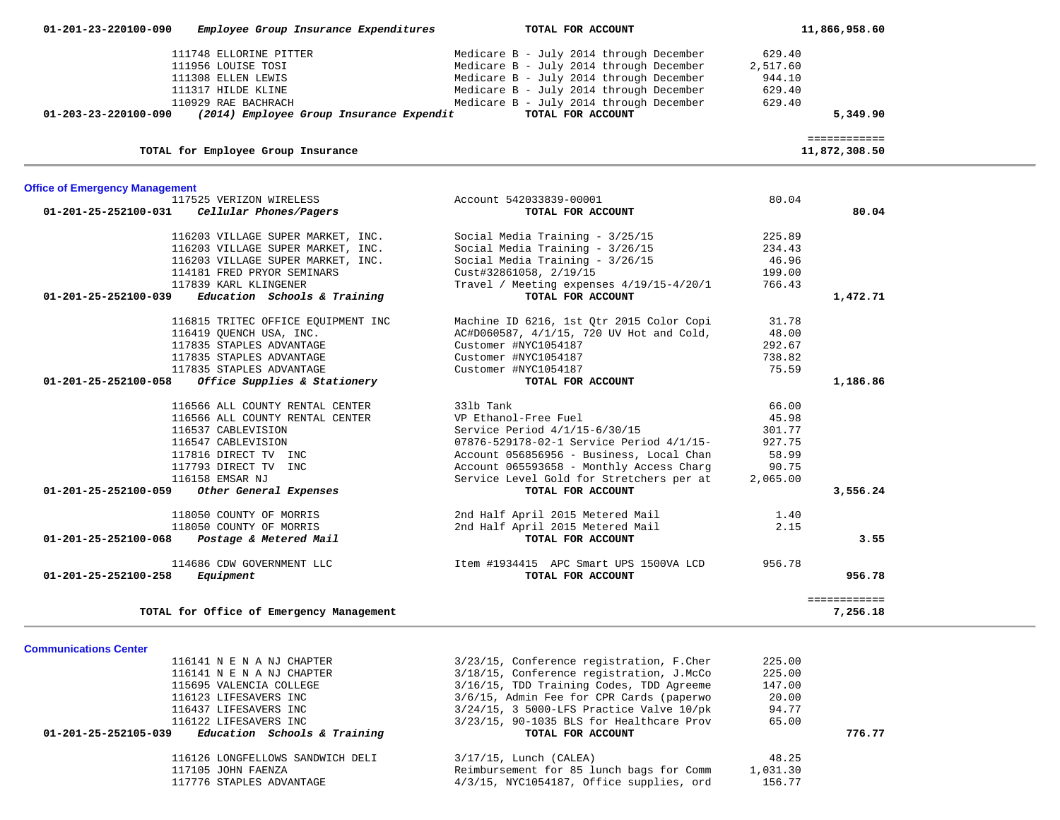| 01-201-23-220100-090                  | Employee Group Insurance Expenditures    | TOTAL FOR ACCOUNT                        |          | 11,866,958.60 |
|---------------------------------------|------------------------------------------|------------------------------------------|----------|---------------|
|                                       | 111748 ELLORINE PITTER                   | Medicare B - July 2014 through December  | 629.40   |               |
|                                       | 111956 LOUISE TOSI                       | Medicare B - July 2014 through December  | 2,517.60 |               |
|                                       | 111308 ELLEN LEWIS                       | Medicare B - July 2014 through December  | 944.10   |               |
|                                       | 111317 HILDE KLINE                       | Medicare B - July 2014 through December  | 629.40   |               |
|                                       | 110929 RAE BACHRACH                      | Medicare B - July 2014 through December  | 629.40   |               |
| 01-203-23-220100-090                  | (2014) Employee Group Insurance Expendit | TOTAL FOR ACCOUNT                        |          | 5,349.90      |
|                                       |                                          |                                          |          |               |
|                                       |                                          |                                          |          | ============  |
|                                       | TOTAL for Employee Group Insurance       |                                          |          | 11,872,308.50 |
| <b>Office of Emergency Management</b> |                                          |                                          |          |               |
|                                       | 117525 VERIZON WIRELESS                  | Account 542033839-00001                  | 80.04    |               |
| 01-201-25-252100-031                  | Cellular Phones/Pagers                   | TOTAL FOR ACCOUNT                        |          | 80.04         |
|                                       |                                          |                                          |          |               |
|                                       | 116203 VILLAGE SUPER MARKET, INC.        | Social Media Training - 3/25/15          | 225.89   |               |
|                                       | 116203 VILLAGE SUPER MARKET, INC.        | Social Media Training - 3/26/15          | 234.43   |               |
|                                       | 116203 VILLAGE SUPER MARKET, INC.        | Social Media Training - 3/26/15          | 46.96    |               |
|                                       | 114181 FRED PRYOR SEMINARS               | Cust#32861058, 2/19/15                   | 199.00   |               |
|                                       | 117839 KARL KLINGENER                    | Travel / Meeting expenses 4/19/15-4/20/1 | 766.43   |               |
| 01-201-25-252100-039                  | Education Schools & Training             | TOTAL FOR ACCOUNT                        |          | 1,472.71      |
|                                       | 116815 TRITEC OFFICE EQUIPMENT INC       | Machine ID 6216, 1st Qtr 2015 Color Copi | 31.78    |               |
|                                       | 116419 QUENCH USA, INC.                  | AC#D060587, 4/1/15, 720 UV Hot and Cold, | 48.00    |               |
|                                       | 117835 STAPLES ADVANTAGE                 | Customer #NYC1054187                     | 292.67   |               |
|                                       | 117835 STAPLES ADVANTAGE                 | Customer #NYC1054187                     | 738.82   |               |
|                                       | 117835 STAPLES ADVANTAGE                 | Customer #NYC1054187                     | 75.59    |               |
| 01-201-25-252100-058                  | Office Supplies & Stationery             | TOTAL FOR ACCOUNT                        |          | 1,186.86      |
|                                       |                                          |                                          |          |               |
|                                       | 116566 ALL COUNTY RENTAL CENTER          | 331b Tank                                | 66.00    |               |
|                                       | 116566 ALL COUNTY RENTAL CENTER          | VP Ethanol-Free Fuel                     | 45.98    |               |
|                                       | 116537 CABLEVISION                       | Service Period 4/1/15-6/30/15            | 301.77   |               |
|                                       | 116547 CABLEVISION                       | 07876-529178-02-1 Service Period 4/1/15- | 927.75   |               |
|                                       | 117816 DIRECT TV INC                     | Account 056856956 - Business, Local Chan | 58.99    |               |
|                                       | 117793 DIRECT TV INC                     | Account 065593658 - Monthly Access Charg | 90.75    |               |
|                                       | 116158 EMSAR NJ                          | Service Level Gold for Stretchers per at | 2,065.00 |               |
| 01-201-25-252100-059                  | Other General Expenses                   | TOTAL FOR ACCOUNT                        |          | 3,556.24      |
|                                       | 118050 COUNTY OF MORRIS                  | 2nd Half April 2015 Metered Mail         | 1.40     |               |
|                                       | 118050 COUNTY OF MORRIS                  | 2nd Half April 2015 Metered Mail         | 2.15     |               |
| 01-201-25-252100-068                  | Postage & Metered Mail                   | TOTAL FOR ACCOUNT                        |          | 3.55          |
|                                       | 114686 CDW GOVERNMENT LLC                | Item #1934415 APC Smart UPS 1500VA LCD   | 956.78   |               |
| 01-201-25-252100-258                  | Equipment                                | TOTAL FOR ACCOUNT                        |          | 956.78        |
|                                       |                                          |                                          |          | ============  |
|                                       | TOTAL for Office of Emergency Management |                                          |          | 7,256.18      |

| <b>Communications Center</b> |  |
|------------------------------|--|

| 116141 N E N A NJ CHAPTER                            | 3/23/15, Conference registration, F.Cher    | 225.00   |        |
|------------------------------------------------------|---------------------------------------------|----------|--------|
| 116141 N E N A NJ CHAPTER                            | 3/18/15, Conference registration, J.McCo    | 225.00   |        |
| 115695 VALENCIA COLLEGE                              | 3/16/15, TDD Training Codes, TDD Agreeme    | 147.00   |        |
| 116123 LIFESAVERS INC                                | 3/6/15, Admin Fee for CPR Cards (paperwo    | 20.00    |        |
| 116437 LIFESAVERS INC                                | $3/24/15$ , 3 5000-LFS Practice Valve 10/pk | 94.77    |        |
| 116122 LIFESAVERS INC                                | 3/23/15, 90-1035 BLS for Healthcare Prov    | 65.00    |        |
|                                                      |                                             |          |        |
| Education Schools & Training<br>01-201-25-252105-039 | TOTAL FOR ACCOUNT                           |          | 776.77 |
| 116126 LONGFELLOWS SANDWICH DELI                     | $3/17/15$ , Lunch (CALEA)                   | 48.25    |        |
| 117105 JOHN FAENZA                                   | Reimbursement for 85 lunch bags for Comm    | 1,031.30 |        |
| 117776 STAPLES ADVANTAGE                             | $4/3/15$ , NYC1054187, Office supplies, ord | 156.77   |        |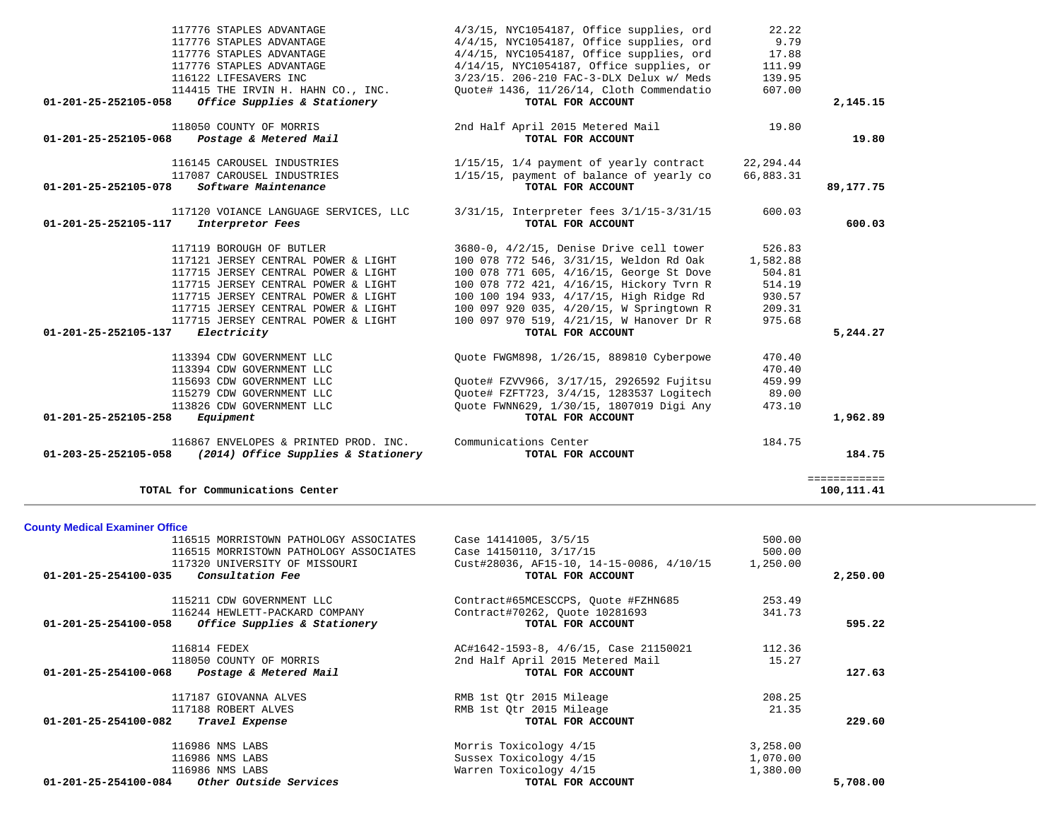| TOTAL for Communications Center                          |                                          |          | ------------<br>100,111.41 |
|----------------------------------------------------------|------------------------------------------|----------|----------------------------|
| <b>County Medical Examiner Office</b>                    |                                          |          |                            |
| 116515 MORRISTOWN PATHOLOGY ASSOCIATES                   | Case 14141005, 3/5/15                    | 500.00   |                            |
| 116515 MORRISTOWN PATHOLOGY ASSOCIATES                   | Case 14150110, 3/17/15                   | 500.00   |                            |
| 117320 UNIVERSITY OF MISSOURI                            | Cust#28036, AF15-10, 14-15-0086, 4/10/15 | 1,250.00 |                            |
| Consultation Fee<br>01-201-25-254100-035                 | TOTAL FOR ACCOUNT                        |          | 2,250.00                   |
| 115211 CDW GOVERNMENT LLC                                | Contract#65MCESCCPS, Quote #FZHN685      | 253.49   |                            |
| 116244 HEWLETT-PACKARD COMPANY                           | Contract#70262, Quote 10281693           | 341.73   |                            |
| 01-201-25-254100-058<br>Office Supplies & Stationery     | TOTAL FOR ACCOUNT                        |          | 595.22                     |
| 116814 FEDEX                                             | AC#1642-1593-8, 4/6/15, Case 21150021    | 112.36   |                            |
| 118050 COUNTY OF MORRIS                                  | 2nd Half April 2015 Metered Mail         | 15.27    |                            |
| 01-201-25-254100-068<br>Postage & Metered Mail           | TOTAL FOR ACCOUNT                        |          | 127.63                     |
| 117187 GIOVANNA ALVES                                    | RMB 1st Qtr 2015 Mileage                 | 208.25   |                            |
| 117188 ROBERT ALVES                                      | RMB 1st Qtr 2015 Mileage                 | 21.35    |                            |
| $01 - 201 - 25 - 254100 - 082$<br>Travel Expense         | TOTAL FOR ACCOUNT                        |          | 229.60                     |
| 116986 NMS LABS                                          | Morris Toxicology 4/15                   | 3,258.00 |                            |
| 116986 NMS LABS                                          | Sussex Toxicology 4/15                   | 1,070.00 |                            |
| 116986 NMS LABS                                          | Warren Toxicology 4/15                   | 1,380.00 |                            |
| $01 - 201 - 25 - 254100 - 084$<br>Other Outside Services | TOTAL FOR ACCOUNT                        |          | 5,708.00                   |

| 117776 STAPLES ADVANTAGE                                                   | 4/3/15, NYC1054187, Office supplies, ord                      | 22.22     |           |
|----------------------------------------------------------------------------|---------------------------------------------------------------|-----------|-----------|
| 117776 STAPLES ADVANTAGE                                                   | $4/4/15$ , NYC1054187, Office supplies, ord                   | 9.79      |           |
| 117776 STAPLES ADVANTAGE                                                   | $4/4/15$ , NYC1054187, Office supplies, ord                   | 17.88     |           |
| 117776 STAPLES ADVANTAGE                                                   | $4/14/15$ , NYC1054187, Office supplies, or                   | 111.99    |           |
| 116122 LIFESAVERS INC                                                      | 3/23/15. 206-210 FAC-3-DLX Delux w/ Meds                      | 139.95    |           |
| 114415 THE IRVIN H. HAHN CO., INC.                                         | Ouote# 1436, 11/26/14, Cloth Commendatio                      | 607.00    |           |
| Office Supplies & Stationery<br>01-201-25-252105-058                       | TOTAL FOR ACCOUNT                                             |           | 2,145.15  |
| 118050 COUNTY OF MORRIS                                                    | 2nd Half April 2015 Metered Mail                              | 19.80     |           |
| 01-201-25-252105-068<br>Postage & Metered Mail                             | TOTAL FOR ACCOUNT                                             |           | 19.80     |
| 116145 CAROUSEL INDUSTRIES                                                 | 1/15/15, 1/4 payment of yearly contract                       | 22,294.44 |           |
| 117087 CAROUSEL INDUSTRIES<br>Software Maintenance<br>01-201-25-252105-078 | 1/15/15, payment of balance of yearly co<br>TOTAL FOR ACCOUNT | 66,883.31 | 89,177.75 |
|                                                                            |                                                               |           |           |
| 117120 VOIANCE LANGUAGE SERVICES, LLC                                      | 3/31/15, Interpreter fees 3/1/15-3/31/15                      | 600.03    |           |
| 01-201-25-252105-117<br>Interpretor Fees                                   | TOTAL FOR ACCOUNT                                             |           | 600.03    |
| 117119 BOROUGH OF BUTLER                                                   | 3680-0, 4/2/15, Denise Drive cell tower                       | 526.83    |           |
| 117121 JERSEY CENTRAL POWER & LIGHT                                        | 100 078 772 546, 3/31/15, Weldon Rd Oak                       | 1,582.88  |           |
| 117715 JERSEY CENTRAL POWER & LIGHT                                        | 100 078 771 605, 4/16/15, George St Dove                      | 504.81    |           |
| 117715 JERSEY CENTRAL POWER & LIGHT                                        | 100 078 772 421, 4/16/15, Hickory Tvrn R                      | 514.19    |           |
| 117715 JERSEY CENTRAL POWER & LIGHT                                        | 100 100 194 933, 4/17/15, High Ridge Rd                       | 930.57    |           |
| 117715 JERSEY CENTRAL POWER & LIGHT                                        | 100 097 920 035, 4/20/15, W Springtown R                      | 209.31    |           |
| 117715 JERSEY CENTRAL POWER & LIGHT                                        | 100 097 970 519, 4/21/15, W Hanover Dr R                      | 975.68    |           |
| 01-201-25-252105-137 Electricity                                           | TOTAL FOR ACCOUNT                                             |           | 5,244.27  |
| 113394 CDW GOVERNMENT LLC                                                  | Quote FWGM898, 1/26/15, 889810 Cyberpowe                      | 470.40    |           |
| 113394 CDW GOVERNMENT LLC                                                  |                                                               | 470.40    |           |
| 115693 CDW GOVERNMENT LLC                                                  | Quote# FZVV966, 3/17/15, 2926592 Fujitsu                      | 459.99    |           |
| 115279 CDW GOVERNMENT LLC                                                  | Ouote# FZFT723, 3/4/15, 1283537 Logitech                      | 89.00     |           |
| 113826 CDW GOVERNMENT LLC                                                  | Ouote FWNN629, 1/30/15, 1807019 Digi Any                      | 473.10    |           |
| Equipment<br>01-201-25-252105-258                                          | TOTAL FOR ACCOUNT                                             |           | 1,962.89  |
| 116867 ENVELOPES & PRINTED PROD. INC.                                      | Communications Center                                         | 184.75    |           |
| 01-203-25-252105-058<br>(2014) Office Supplies & Stationery                | TOTAL FOR ACCOUNT                                             |           | 184.75    |
|                                                                            |                                                               |           |           |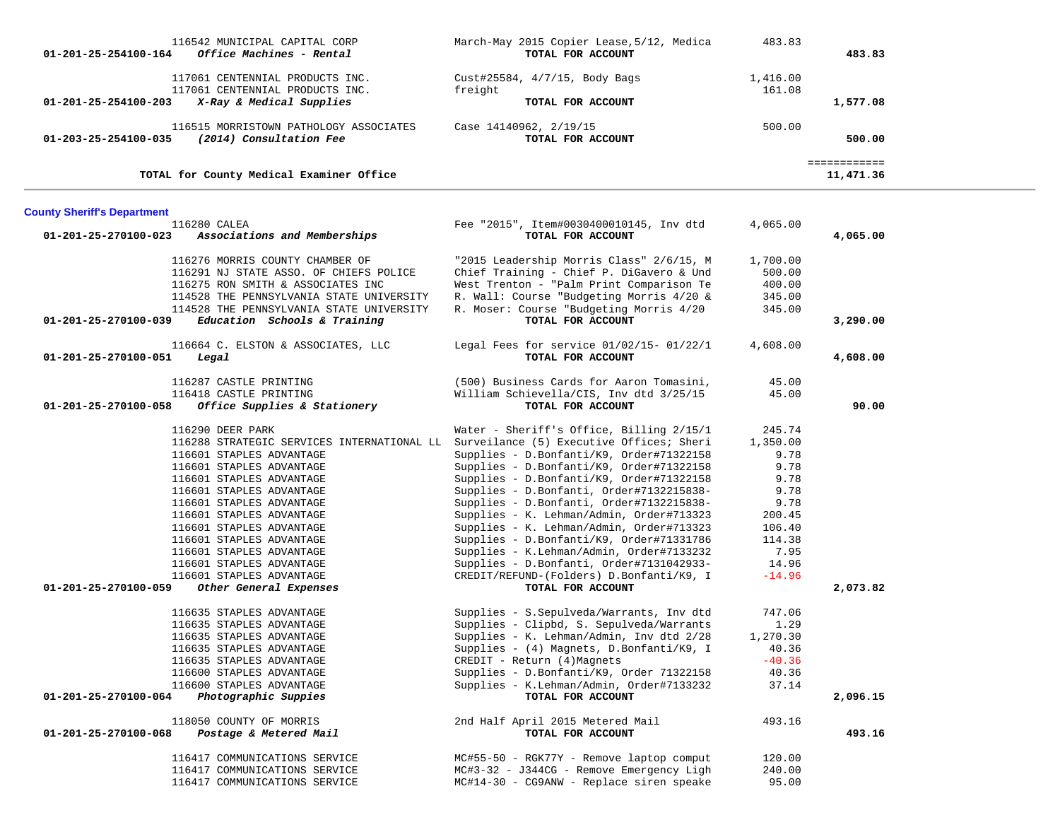| 116542 MUNICIPAL CAPITAL CORP<br>01-201-25-254100-164<br>Office Machines - Rental                | March-May 2015 Copier Lease, 5/12, Medica<br>TOTAL FOR ACCOUNT                      | 483.83   | 483.83                    |  |
|--------------------------------------------------------------------------------------------------|-------------------------------------------------------------------------------------|----------|---------------------------|--|
| 117061 CENTENNIAL PRODUCTS INC.                                                                  | Cust#25584, 4/7/15, Body Bags                                                       | 1,416.00 |                           |  |
| 117061 CENTENNIAL PRODUCTS INC.                                                                  | freight                                                                             | 161.08   |                           |  |
| X-Ray & Medical Supplies<br>01-201-25-254100-203                                                 | TOTAL FOR ACCOUNT                                                                   |          | 1,577.08                  |  |
| 116515 MORRISTOWN PATHOLOGY ASSOCIATES<br>(2014) Consultation Fee<br>01-203-25-254100-035        | Case 14140962, 2/19/15<br>TOTAL FOR ACCOUNT                                         | 500.00   | 500.00                    |  |
| TOTAL for County Medical Examiner Office                                                         |                                                                                     |          | ============<br>11,471.36 |  |
| <b>County Sheriff's Department</b>                                                               |                                                                                     |          |                           |  |
| 116280 CALEA                                                                                     | Fee "2015", Item#0030400010145, Inv dtd                                             | 4,065.00 |                           |  |
| 01-201-25-270100-023<br>Associations and Memberships                                             | TOTAL FOR ACCOUNT                                                                   |          | 4,065.00                  |  |
|                                                                                                  |                                                                                     |          |                           |  |
| 116276 MORRIS COUNTY CHAMBER OF                                                                  | "2015 Leadership Morris Class" 2/6/15, M                                            | 1,700.00 |                           |  |
| 116291 NJ STATE ASSO. OF CHIEFS POLICE                                                           | Chief Training - Chief P. DiGavero & Und                                            | 500.00   |                           |  |
| 116275 RON SMITH & ASSOCIATES INC                                                                | West Trenton - "Palm Print Comparison Te                                            | 400.00   |                           |  |
| 114528 THE PENNSYLVANIA STATE UNIVERSITY                                                         | R. Wall: Course "Budgeting Morris 4/20 &<br>R. Moser: Course "Budgeting Morris 4/20 | 345.00   |                           |  |
| 114528 THE PENNSYLVANIA STATE UNIVERSITY<br>01-201-25-270100-039<br>Education Schools & Training | TOTAL FOR ACCOUNT                                                                   | 345.00   | 3,290.00                  |  |
|                                                                                                  |                                                                                     |          |                           |  |
| 116664 C. ELSTON & ASSOCIATES, LLC<br>01-201-25-270100-051<br>Legal                              | Legal Fees for service $01/02/15$ - $01/22/1$<br>TOTAL FOR ACCOUNT                  | 4,608.00 | 4,608.00                  |  |
|                                                                                                  |                                                                                     |          |                           |  |
| 116287 CASTLE PRINTING                                                                           | (500) Business Cards for Aaron Tomasini,                                            | 45.00    |                           |  |
| 116418 CASTLE PRINTING                                                                           | William Schievella/CIS, Inv dtd 3/25/15                                             | 45.00    |                           |  |
| 01-201-25-270100-058<br>Office Supplies & Stationery                                             | TOTAL FOR ACCOUNT                                                                   |          | 90.00                     |  |
| 116290 DEER PARK                                                                                 | Water - Sheriff's Office, Billing 2/15/1                                            | 245.74   |                           |  |
| 116288 STRATEGIC SERVICES INTERNATIONAL LL Surveilance (5) Executive Offices; Sheri              |                                                                                     | 1,350.00 |                           |  |
| 116601 STAPLES ADVANTAGE                                                                         | Supplies - D.Bonfanti/K9, Order#71322158                                            | 9.78     |                           |  |
| 116601 STAPLES ADVANTAGE                                                                         | Supplies - D.Bonfanti/K9, Order#71322158                                            | 9.78     |                           |  |
| 116601 STAPLES ADVANTAGE                                                                         | Supplies - D.Bonfanti/K9, Order#71322158                                            | 9.78     |                           |  |
| 116601 STAPLES ADVANTAGE                                                                         | Supplies - D.Bonfanti, Order#7132215838-                                            | 9.78     |                           |  |
| 116601 STAPLES ADVANTAGE                                                                         | Supplies - D.Bonfanti, Order#7132215838-                                            | 9.78     |                           |  |
| 116601 STAPLES ADVANTAGE                                                                         | Supplies - K. Lehman/Admin, Order#713323                                            | 200.45   |                           |  |
| 116601 STAPLES ADVANTAGE                                                                         | Supplies - K. Lehman/Admin, Order#713323                                            | 106.40   |                           |  |
| 116601 STAPLES ADVANTAGE                                                                         | Supplies - D.Bonfanti/K9, Order#71331786                                            | 114.38   |                           |  |
| 116601 STAPLES ADVANTAGE                                                                         | Supplies - K.Lehman/Admin, Order#7133232                                            | 7.95     |                           |  |
| 116601 STAPLES ADVANTAGE                                                                         | Supplies - D.Bonfanti, Order#7131042933-                                            | 14.96    |                           |  |
| 116601 STAPLES ADVANTAGE<br>01-201-25-270100-059<br>Other General Expenses                       | CREDIT/REFUND-(Folders) D.Bonfanti/K9, I<br>TOTAL FOR ACCOUNT                       | $-14.96$ | 2,073.82                  |  |
|                                                                                                  |                                                                                     |          |                           |  |
| 116635 STAPLES ADVANTAGE                                                                         | Supplies - S. Sepulveda/Warrants, Inv dtd                                           | 747.06   |                           |  |
| 116635 STAPLES ADVANTAGE                                                                         | Supplies - Clipbd, S. Sepulveda/Warrants                                            | 1.29     |                           |  |
| 116635 STAPLES ADVANTAGE                                                                         | Supplies - K. Lehman/Admin, Inv dtd 2/28                                            | 1,270.30 |                           |  |
| 116635 STAPLES ADVANTAGE                                                                         | Supplies - (4) Magnets, D.Bonfanti/K9, I                                            | 40.36    |                           |  |
| 116635 STAPLES ADVANTAGE                                                                         | CREDIT - Return (4) Magnets                                                         | $-40.36$ |                           |  |
| 116600 STAPLES ADVANTAGE                                                                         | Supplies - D.Bonfanti/K9, Order 71322158                                            | 40.36    |                           |  |
| 116600 STAPLES ADVANTAGE<br>Photographic Suppies<br>01-201-25-270100-064                         | Supplies - K.Lehman/Admin, Order#7133232<br>TOTAL FOR ACCOUNT                       | 37.14    | 2,096.15                  |  |
|                                                                                                  |                                                                                     |          |                           |  |
| 118050 COUNTY OF MORRIS                                                                          | 2nd Half April 2015 Metered Mail                                                    | 493.16   |                           |  |
| 01-201-25-270100-068<br>Postage & Metered Mail                                                   | TOTAL FOR ACCOUNT                                                                   |          | 493.16                    |  |
| 116417 COMMUNICATIONS SERVICE                                                                    | MC#55-50 - RGK77Y - Remove laptop comput                                            | 120.00   |                           |  |
| 116417 COMMUNICATIONS SERVICE                                                                    | MC#3-32 - J344CG - Remove Emergency Ligh                                            | 240.00   |                           |  |
| 116417 COMMUNICATIONS SERVICE                                                                    | MC#14-30 - CG9ANW - Replace siren speake                                            | 95.00    |                           |  |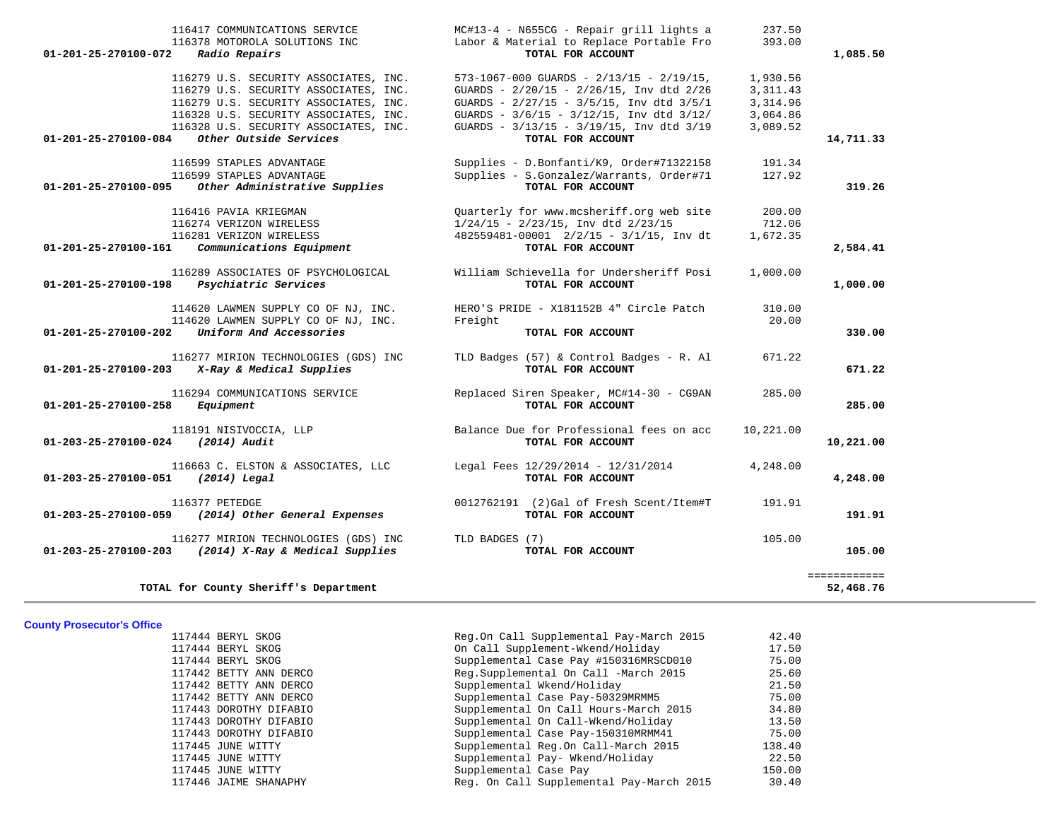| 116417 COMMUNICATIONS SERVICE<br>116378 MOTOROLA SOLUTIONS INC<br>01-201-25-270100-072<br>Radio Repairs                                                                                                   | MC#13-4 - N655CG - Repair grill lights a<br>Labor & Material to Replace Portable Fro<br>TOTAL FOR ACCOUNT                                                                                                                                     | 237.50<br>393.00                                          | 1,085.50                  |
|-----------------------------------------------------------------------------------------------------------------------------------------------------------------------------------------------------------|-----------------------------------------------------------------------------------------------------------------------------------------------------------------------------------------------------------------------------------------------|-----------------------------------------------------------|---------------------------|
| 116279 U.S. SECURITY ASSOCIATES, INC.<br>116279 U.S. SECURITY ASSOCIATES, INC.<br>116279 U.S. SECURITY ASSOCIATES, INC.<br>116328 U.S. SECURITY ASSOCIATES, INC.<br>116328 U.S. SECURITY ASSOCIATES, INC. | $573-1067-000$ GUARDS - $2/13/15$ - $2/19/15$ ,<br>GUARDS - 2/20/15 - 2/26/15, Inv dtd 2/26<br>GUARDS - $2/27/15$ - $3/5/15$ , Inv dtd $3/5/1$<br>GUARDS - $3/6/15$ - $3/12/15$ , Inv dtd $3/12/$<br>GUARDS - 3/13/15 - 3/19/15, Inv dtd 3/19 | 1,930.56<br>3, 311.43<br>3,314.96<br>3,064.86<br>3,089.52 |                           |
| Other Outside Services<br>01-201-25-270100-084                                                                                                                                                            | TOTAL FOR ACCOUNT                                                                                                                                                                                                                             |                                                           | 14,711.33                 |
| 116599 STAPLES ADVANTAGE<br>116599 STAPLES ADVANTAGE<br>01-201-25-270100-095<br>Other Administrative Supplies                                                                                             | Supplies - D.Bonfanti/K9, Order#71322158<br>Supplies - S.Gonzalez/Warrants, Order#71<br>TOTAL FOR ACCOUNT                                                                                                                                     | 191.34<br>127.92                                          | 319.26                    |
| 116416 PAVIA KRIEGMAN<br>116274 VERIZON WIRELESS<br>116281 VERIZON WIRELESS                                                                                                                               | Quarterly for www.mcsheriff.org web site<br>$1/24/15$ - $2/23/15$ , Inv dtd $2/23/15$<br>482559481-00001 2/2/15 - 3/1/15, Inv dt                                                                                                              | 200.00<br>712.06<br>1,672.35                              |                           |
| Communications Equipment<br>01-201-25-270100-161                                                                                                                                                          | TOTAL FOR ACCOUNT                                                                                                                                                                                                                             |                                                           | 2,584.41                  |
| 116289 ASSOCIATES OF PSYCHOLOGICAL<br>01-201-25-270100-198<br>Psychiatric Services                                                                                                                        | William Schievella for Undersheriff Posi<br>TOTAL FOR ACCOUNT                                                                                                                                                                                 | 1,000.00                                                  | 1,000.00                  |
| 114620 LAWMEN SUPPLY CO OF NJ, INC.<br>114620 LAWMEN SUPPLY CO OF NJ, INC.<br>Uniform And Accessories<br>01-201-25-270100-202                                                                             | HERO'S PRIDE - X181152B 4" Circle Patch<br>Freight<br>TOTAL FOR ACCOUNT                                                                                                                                                                       | 310.00<br>20.00                                           | 330.00                    |
| 116277 MIRION TECHNOLOGIES (GDS) INC<br>01-201-25-270100-203 X-Ray & Medical Supplies                                                                                                                     | TLD Badges (57) & Control Badges - R. Al<br>TOTAL FOR ACCOUNT                                                                                                                                                                                 | 671.22                                                    | 671.22                    |
| 116294 COMMUNICATIONS SERVICE<br>01-201-25-270100-258<br>Equipment                                                                                                                                        | Replaced Siren Speaker, MC#14-30 - CG9AN<br>TOTAL FOR ACCOUNT                                                                                                                                                                                 | 285.00                                                    | 285.00                    |
| 118191 NISIVOCCIA, LLP<br>$(2014)$ Audit<br>01-203-25-270100-024                                                                                                                                          | Balance Due for Professional fees on acc<br>TOTAL FOR ACCOUNT                                                                                                                                                                                 | 10,221.00                                                 | 10,221.00                 |
| 116663 C. ELSTON & ASSOCIATES, LLC<br>01-203-25-270100-051<br>$(2014)$ Legal                                                                                                                              | Legal Fees 12/29/2014 - 12/31/2014<br>TOTAL FOR ACCOUNT                                                                                                                                                                                       | 4,248.00                                                  | 4,248.00                  |
| 116377 PETEDGE<br>01-203-25-270100-059 (2014) Other General Expenses                                                                                                                                      | 0012762191 (2)Gal of Fresh Scent/Item#T<br>TOTAL FOR ACCOUNT                                                                                                                                                                                  | 191.91                                                    | 191.91                    |
| 116277 MIRION TECHNOLOGIES (GDS) INC<br>01-203-25-270100-203 (2014) X-Ray & Medical Supplies                                                                                                              | TLD BADGES (7)<br>TOTAL FOR ACCOUNT                                                                                                                                                                                                           | 105.00                                                    | 105.00                    |
| TOTAL for County Sheriff's Department                                                                                                                                                                     |                                                                                                                                                                                                                                               |                                                           | ============<br>52,468.76 |

**County Prosecutor's Office**

117445 JUNE WITTY Supplemental Case Pay

 117444 BERYL SKOG Reg.On Call Supplemental Pay-March 2015 42.40 117444 BERYL SKOG On Call Supplement-Wkend/Holiday 17.50 117444 BERYL SKOG Supplemental Case Pay #150316MRSCD010 75.00 117442 BETTY ANN DERCO Reg.Supplemental On Call -March 2015 25.60 117442 BETTY ANN DERCO Supplemental Wkend/Holiday 21.50 117442 BETTY ANN DERCO Supplemental Case Pay-50329MRMM5 75.00 117443 DOROTHY DIFABIO Supplemental On Call Hours-March 2015 34.80 117443 DOROTHY DIFABIO Supplemental On Call-Wkend/Holiday 13.50 117443 DOROTHY DIFABIO Supplemental Case Pay-150310MRMM41 75.00 117445 JUNE WITTY Supplemental Reg.On Call-March 2015 138.40 117445 JUNE WITTY Supplemental Pay- Wkend/Holiday 22.50 117446 JAIME SHANAPHY Reg. On Call Supplemental Pay-March 2015 30.40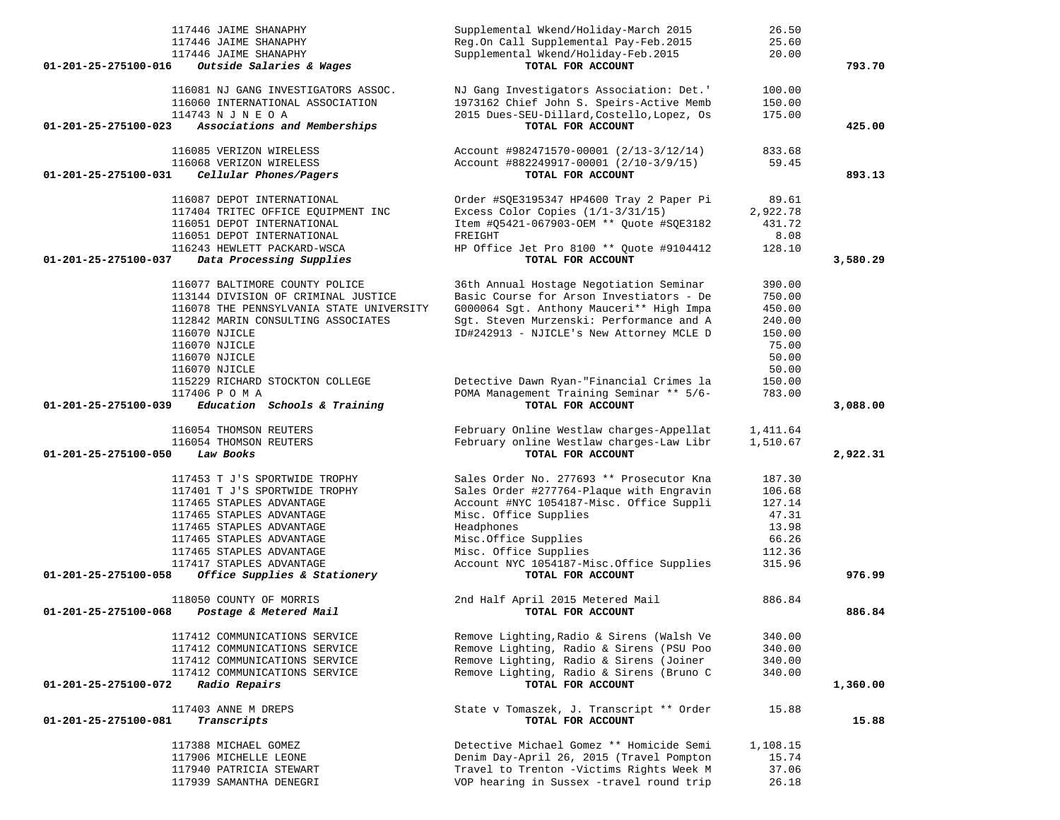| 117446 JAIME SHANAPHY                                | Supplemental Wkend/Holiday-March 2015<br>26.50       |          |
|------------------------------------------------------|------------------------------------------------------|----------|
| 117446 JAIME SHANAPHY                                | Reg.On Call Supplemental Pay-Feb.2015<br>25.60       |          |
| 117446 JAIME SHANAPHY                                | Supplemental Wkend/Holiday-Feb.2015<br>20.00         |          |
| 01-201-25-275100-016<br>Outside Salaries & Wages     | TOTAL FOR ACCOUNT                                    | 793.70   |
|                                                      |                                                      |          |
| 116081 NJ GANG INVESTIGATORS ASSOC.                  | NJ Gang Investigators Association: Det.'<br>100.00   |          |
| 116060 INTERNATIONAL ASSOCIATION                     | 1973162 Chief John S. Speirs-Active Memb<br>150.00   |          |
| 114743 N J N E O A                                   | 2015 Dues-SEU-Dillard, Costello, Lopez, Os<br>175.00 |          |
| Associations and Memberships<br>01-201-25-275100-023 | TOTAL FOR ACCOUNT                                    | 425.00   |
| 116085 VERIZON WIRELESS                              | Account #982471570-00001 (2/13-3/12/14)<br>833.68    |          |
| 116068 VERIZON WIRELESS                              | 59.45<br>Account #882249917-00001 (2/10-3/9/15)      |          |
| Cellular Phones/Pagers<br>01-201-25-275100-031       | TOTAL FOR ACCOUNT                                    | 893.13   |
|                                                      |                                                      |          |
| 116087 DEPOT INTERNATIONAL                           | Order #SQE3195347 HP4600 Tray 2 Paper Pi<br>89.61    |          |
| 117404 TRITEC OFFICE EQUIPMENT INC                   | Excess Color Copies $(1/1-3/31/15)$<br>2,922.78      |          |
| 116051 DEPOT INTERNATIONAL                           | Item #05421-067903-OEM ** Quote #SQE3182<br>431.72   |          |
| 116051 DEPOT INTERNATIONAL                           | FREIGHT<br>8.08                                      |          |
| 116243 HEWLETT PACKARD-WSCA                          | HP Office Jet Pro 8100 ** Quote #9104412<br>128.10   |          |
| 01-201-25-275100-037<br>Data Processing Supplies     | TOTAL FOR ACCOUNT                                    | 3,580.29 |
|                                                      |                                                      |          |
| 116077 BALTIMORE COUNTY POLICE                       | 36th Annual Hostage Negotiation Seminar<br>390.00    |          |
| 113144 DIVISION OF CRIMINAL JUSTICE                  | Basic Course for Arson Investiators - De<br>750.00   |          |
| 116078 THE PENNSYLVANIA STATE UNIVERSITY             | G000064 Sgt. Anthony Mauceri** High Impa<br>450.00   |          |
| 112842 MARIN CONSULTING ASSOCIATES                   | Sgt. Steven Murzenski: Performance and A<br>240.00   |          |
| 116070 NJICLE                                        | ID#242913 - NJICLE's New Attorney MCLE D<br>150.00   |          |
| 116070 NJICLE                                        | 75.00                                                |          |
| 116070 NJICLE                                        | 50.00                                                |          |
| 116070 NJICLE                                        | 50.00                                                |          |
| 115229 RICHARD STOCKTON COLLEGE                      | Detective Dawn Ryan-"Financial Crimes la<br>150.00   |          |
| 117406 P O M A                                       | POMA Management Training Seminar ** 5/6-<br>783.00   |          |
| Education Schools & Training<br>01-201-25-275100-039 | TOTAL FOR ACCOUNT                                    | 3,088.00 |
|                                                      |                                                      |          |
| 116054 THOMSON REUTERS                               | February Online Westlaw charges-Appellat<br>1,411.64 |          |
| 116054 THOMSON REUTERS                               | February online Westlaw charges-Law Libr<br>1,510.67 |          |
| 01-201-25-275100-050<br>Law Books                    | TOTAL FOR ACCOUNT                                    | 2,922.31 |
| 117453 T J'S SPORTWIDE TROPHY                        | Sales Order No. 277693 ** Prosecutor Kna<br>187.30   |          |
| 117401 T J'S SPORTWIDE TROPHY                        | Sales Order #277764-Plaque with Engravin<br>106.68   |          |
| 117465 STAPLES ADVANTAGE                             | Account #NYC 1054187-Misc. Office Suppli<br>127.14   |          |
| 117465 STAPLES ADVANTAGE                             | Misc. Office Supplies<br>47.31                       |          |
| 117465 STAPLES ADVANTAGE                             | Headphones<br>13.98                                  |          |
| 117465 STAPLES ADVANTAGE                             | Misc.Office Supplies<br>66.26                        |          |
| 117465 STAPLES ADVANTAGE                             | Misc. Office Supplies<br>112.36                      |          |
| 117417 STAPLES ADVANTAGE                             | Account NYC 1054187-Misc. Office Supplies<br>315.96  |          |
| Office Supplies & Stationery<br>01-201-25-275100-058 | TOTAL FOR ACCOUNT                                    | 976.99   |
|                                                      |                                                      |          |
| 118050 COUNTY OF MORRIS                              | 886.84<br>2nd Half April 2015 Metered Mail           |          |
| 01-201-25-275100-068<br>Postage & Metered Mail       | TOTAL FOR ACCOUNT                                    | 886.84   |
|                                                      |                                                      |          |
| 117412 COMMUNICATIONS SERVICE                        | Remove Lighting, Radio & Sirens (Walsh Ve<br>340.00  |          |
| 117412 COMMUNICATIONS SERVICE                        | Remove Lighting, Radio & Sirens (PSU Poo<br>340.00   |          |
| 117412 COMMUNICATIONS SERVICE                        | Remove Lighting, Radio & Sirens (Joiner<br>340.00    |          |
| 117412 COMMUNICATIONS SERVICE                        | Remove Lighting, Radio & Sirens (Bruno C<br>340.00   |          |
| 01-201-25-275100-072<br><i>Radio Repairs</i>         | TOTAL FOR ACCOUNT                                    | 1,360.00 |
| 117403 ANNE M DREPS                                  | State v Tomaszek, J. Transcript ** Order             |          |
| Transcripts<br>01-201-25-275100-081                  | 15.88<br>TOTAL FOR ACCOUNT                           | 15.88    |
|                                                      |                                                      |          |
| 117388 MICHAEL GOMEZ                                 | Detective Michael Gomez ** Homicide Semi<br>1,108.15 |          |
| 117906 MICHELLE LEONE                                | Denim Day-April 26, 2015 (Travel Pompton<br>15.74    |          |
| 117940 PATRICIA STEWART                              | Travel to Trenton -Victims Rights Week M<br>37.06    |          |
| 117939 SAMANTHA DENEGRI                              | VOP hearing in Sussex -travel round trip<br>26.18    |          |
|                                                      |                                                      |          |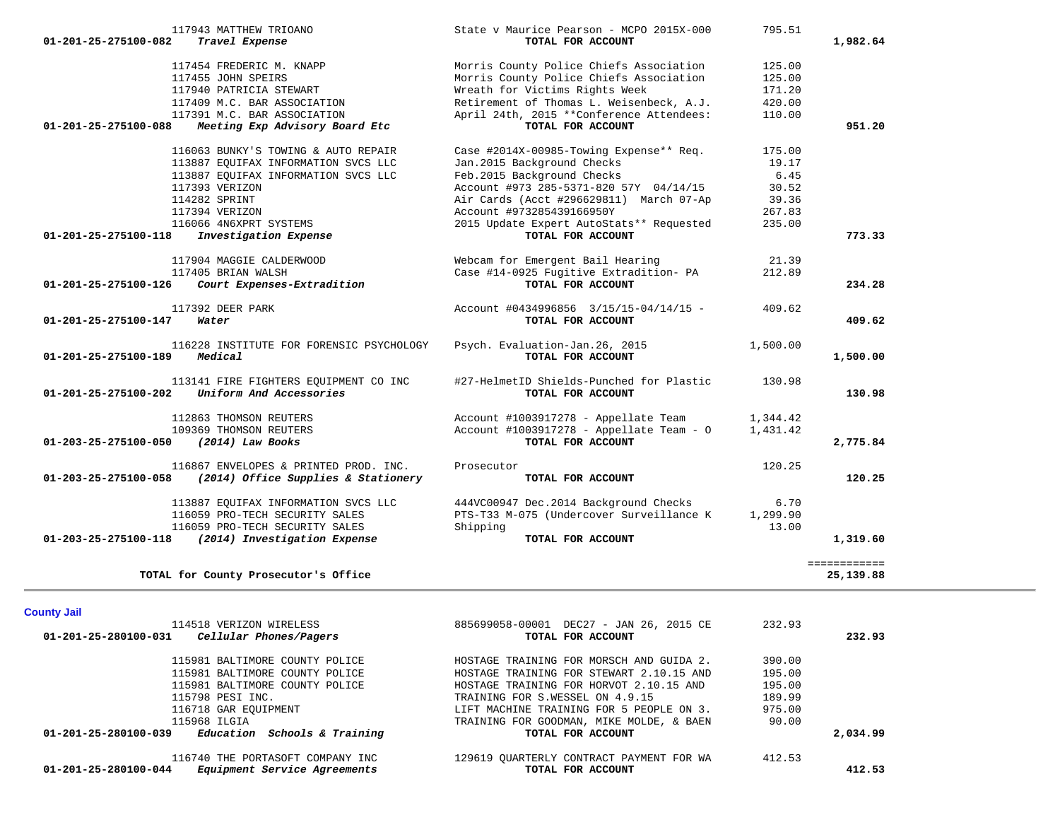| <b>County Jail</b>                                             |                                          |        |          |
|----------------------------------------------------------------|------------------------------------------|--------|----------|
| 114518 VERIZON WIRELESS                                        | 885699058-00001 DEC27 - JAN 26, 2015 CE  | 232.93 |          |
| 01-201-25-280100-031<br>Cellular Phones/Pagers                 | TOTAL FOR ACCOUNT                        |        | 232.93   |
| 115981 BALTIMORE COUNTY POLICE                                 | HOSTAGE TRAINING FOR MORSCH AND GUIDA 2. | 390.00 |          |
| 115981 BALTIMORE COUNTY POLICE                                 | HOSTAGE TRAINING FOR STEWART 2.10.15 AND | 195.00 |          |
| 115981 BALTIMORE COUNTY POLICE                                 | HOSTAGE TRAINING FOR HORVOT 2.10.15 AND  | 195.00 |          |
| 115798 PESI INC.                                               | TRAINING FOR S.WESSEL ON 4.9.15          | 189.99 |          |
| 116718 GAR EOUIPMENT                                           | LIFT MACHINE TRAINING FOR 5 PEOPLE ON 3. | 975.00 |          |
| 115968 ILGIA                                                   | TRAINING FOR GOODMAN, MIKE MOLDE, & BAEN | 90.00  |          |
| $01 - 201 - 25 - 280100 - 039$<br>Education Schools & Training | TOTAL FOR ACCOUNT                        |        | 2,034.99 |
| 116740 THE PORTASOFT COMPANY INC                               | 129619 OUARTERLY CONTRACT PAYMENT FOR WA | 412.53 |          |
| Equipment Service Agreements<br>01-201-25-280100-044           | TOTAL FOR ACCOUNT                        |        | 412.53   |

| 117391 M.C. BAR ASSOCIATION                                | April 24th, 2015 **Conference Attendees: | 110.00   |              |
|------------------------------------------------------------|------------------------------------------|----------|--------------|
| 01-201-25-275100-088<br>Meeting Exp Advisory Board Etc     | TOTAL FOR ACCOUNT                        |          | 951.20       |
| 116063 BUNKY'S TOWING & AUTO REPAIR                        | Case #2014X-00985-Towing Expense** Req.  | 175.00   |              |
| 113887 EQUIFAX INFORMATION SVCS LLC                        | Jan. 2015 Background Checks              | 19.17    |              |
| 113887 EQUIFAX INFORMATION SVCS LLC                        | Feb. 2015 Background Checks              | 6.45     |              |
| 117393 VERIZON                                             | Account #973 285-5371-820 57Y 04/14/15   | 30.52    |              |
| 114282 SPRINT                                              | Air Cards (Acct #296629811) March 07-Ap  | 39.36    |              |
| 117394 VERIZON                                             | Account #973285439166950Y                | 267.83   |              |
| 116066 4N6XPRT SYSTEMS                                     | 2015 Update Expert AutoStats** Requested | 235.00   |              |
| 01-201-25-275100-118<br>Investigation Expense              | TOTAL FOR ACCOUNT                        |          | 773.33       |
| 117904 MAGGIE CALDERWOOD                                   | Webcam for Emergent Bail Hearing         | 21.39    |              |
| 117405 BRIAN WALSH                                         | Case #14-0925 Fugitive Extradition- PA   | 212.89   |              |
| Court Expenses-Extradition<br>01-201-25-275100-126         | TOTAL FOR ACCOUNT                        |          | 234.28       |
| 117392 DEER PARK                                           | Account #0434996856 3/15/15-04/14/15 -   | 409.62   |              |
| 01-201-25-275100-147<br>Water                              | TOTAL FOR ACCOUNT                        |          | 409.62       |
| 116228 INSTITUTE FOR FORENSIC PSYCHOLOGY                   | Psych. Evaluation-Jan.26, 2015           | 1,500.00 |              |
| Medical<br>01-201-25-275100-189                            | TOTAL FOR ACCOUNT                        |          | 1,500.00     |
| 113141 FIRE FIGHTERS EQUIPMENT CO INC                      | #27-HelmetID Shields-Punched for Plastic | 130.98   |              |
| Uniform And Accessories<br>01-201-25-275100-202            | TOTAL FOR ACCOUNT                        |          | 130.98       |
| 112863 THOMSON REUTERS                                     | Account #1003917278 - Appellate Team     | 1,344.42 |              |
| 109369 THOMSON REUTERS                                     | Account #1003917278 - Appellate Team - O | 1,431.42 |              |
| 01-203-25-275100-050<br>(2014) Law Books                   | TOTAL FOR ACCOUNT                        |          | 2,775.84     |
| 116867 ENVELOPES & PRINTED PROD. INC.                      | Prosecutor                               | 120.25   |              |
| $01-203-25-275100-058$ (2014) Office Supplies & Stationery | TOTAL FOR ACCOUNT                        |          | 120.25       |
| 113887 EQUIFAX INFORMATION SVCS LLC                        | 444VC00947 Dec.2014 Background Checks    | 6.70     |              |
| 116059 PRO-TECH SECURITY SALES                             | PTS-T33 M-075 (Undercover Surveillance K | 1,299.90 |              |
| 116059 PRO-TECH SECURITY SALES                             | Shipping                                 | 13.00    |              |
| 01-203-25-275100-118<br>(2014) Investigation Expense       | TOTAL FOR ACCOUNT                        |          | 1,319.60     |
|                                                            |                                          |          | ============ |
| TOTAL for County Prosecutor's Office                       |                                          |          | 25,139.88    |

 117943 MATTHEW TRIOANO State v Maurice Pearson - MCPO 2015X-000 795.51  **01-201-25-275100-082** *Travel Expense* **TOTAL FOR ACCOUNT 1,982.64**

117454 FREDERIC M. KNAPP 125.00<br>117455 JOHN SPEIRS 125.00<br>Morris County Police Chiefs Association 125.00

117940 PATRICIA STEWART Wreath for Victims Rights Week 171.20

Morris County Police Chiefs Association 125.00

Retirement of Thomas L. Weisenbeck, A.J.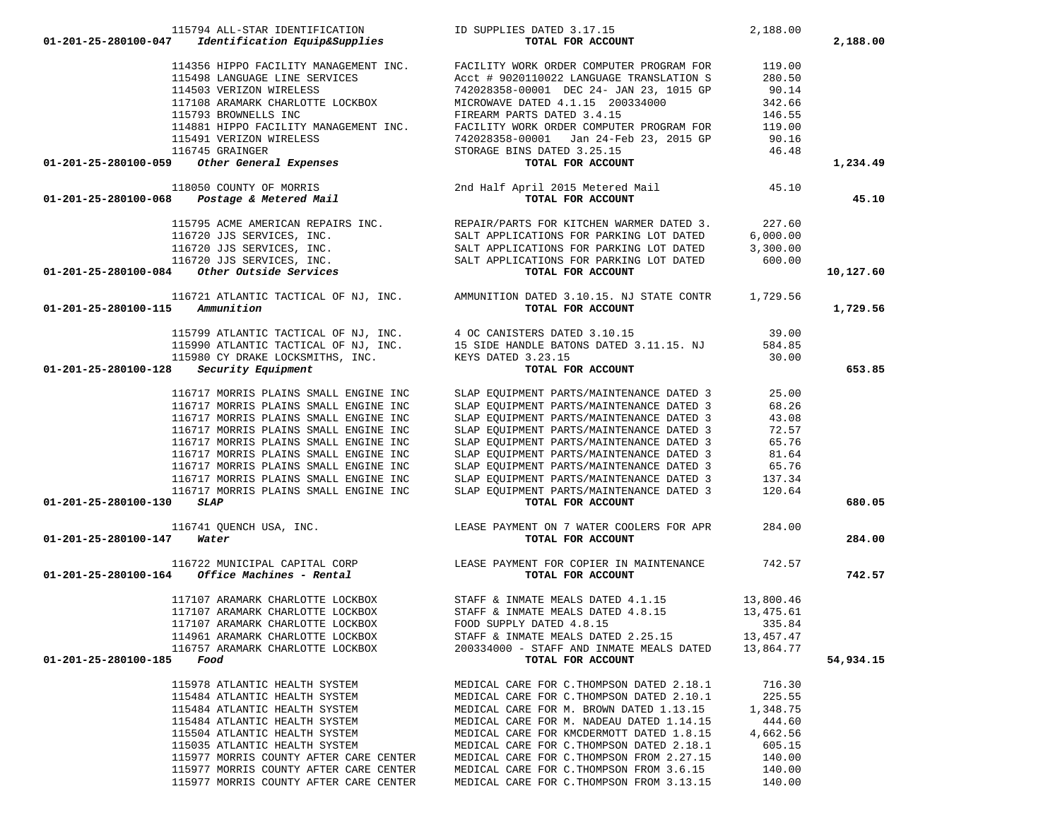| 01-201-25-280100-047                                                                                                                                                                                                                                                                                                                                                                                                                                   |                                                                                                                                                                                                                                                                                                                                                                                                                                    | 2,188.00           | 2,188.00  |
|--------------------------------------------------------------------------------------------------------------------------------------------------------------------------------------------------------------------------------------------------------------------------------------------------------------------------------------------------------------------------------------------------------------------------------------------------------|------------------------------------------------------------------------------------------------------------------------------------------------------------------------------------------------------------------------------------------------------------------------------------------------------------------------------------------------------------------------------------------------------------------------------------|--------------------|-----------|
|                                                                                                                                                                                                                                                                                                                                                                                                                                                        |                                                                                                                                                                                                                                                                                                                                                                                                                                    |                    |           |
|                                                                                                                                                                                                                                                                                                                                                                                                                                                        |                                                                                                                                                                                                                                                                                                                                                                                                                                    |                    |           |
|                                                                                                                                                                                                                                                                                                                                                                                                                                                        |                                                                                                                                                                                                                                                                                                                                                                                                                                    |                    |           |
|                                                                                                                                                                                                                                                                                                                                                                                                                                                        |                                                                                                                                                                                                                                                                                                                                                                                                                                    |                    |           |
|                                                                                                                                                                                                                                                                                                                                                                                                                                                        |                                                                                                                                                                                                                                                                                                                                                                                                                                    |                    |           |
|                                                                                                                                                                                                                                                                                                                                                                                                                                                        |                                                                                                                                                                                                                                                                                                                                                                                                                                    |                    |           |
|                                                                                                                                                                                                                                                                                                                                                                                                                                                        |                                                                                                                                                                                                                                                                                                                                                                                                                                    |                    |           |
|                                                                                                                                                                                                                                                                                                                                                                                                                                                        |                                                                                                                                                                                                                                                                                                                                                                                                                                    |                    |           |
|                                                                                                                                                                                                                                                                                                                                                                                                                                                        |                                                                                                                                                                                                                                                                                                                                                                                                                                    |                    |           |
|                                                                                                                                                                                                                                                                                                                                                                                                                                                        |                                                                                                                                                                                                                                                                                                                                                                                                                                    |                    |           |
| 01-201-25-280100-059<br>118050 COUNTY OF MORRIS<br>118050 COUNTY OF MORRIS<br>2nd Half April 2015 Metered Mail 45.10<br><b>2nd Half April 2015 Metered Mail</b> 45.10                                                                                                                                                                                                                                                                                  | $\begin{tabular}{lllllllllllllllllllllll} \textbf{114356 HIPPO FACILITY MANAGEMENT INC.} & \textbf{FACILITY WORK ORDER COMPUTER PROGRAM FOR} & \textbf{119.00} \\ \textbf{115498 LANGUAGE LINE SERVICES} & \textbf{Acct & 9020110022 LANGUAGE TRANSLATION S & 280.50 \\ \textbf{114503 VERIZON WIRELESS} & \textbf{742028358-00001 DEC 24- JAN 23, 1015 GP} & \textbf{90.14} \\ \textbf{117108 ARAMARK CHARLOTTE LOCKBOX} & \text$ |                    | 1,234.49  |
|                                                                                                                                                                                                                                                                                                                                                                                                                                                        |                                                                                                                                                                                                                                                                                                                                                                                                                                    |                    |           |
|                                                                                                                                                                                                                                                                                                                                                                                                                                                        |                                                                                                                                                                                                                                                                                                                                                                                                                                    |                    | 45.10     |
| $115795 \,\text{ACME AMERICAN REPAIRS INC.} \,\begin{array}{l} 115795 \,\text{ACME AMERICAN REPAIRS INC.} \,\end{array} \,\, \begin{array}{l} 115795 \,\text{ACME AMERICAN REPAIRS INC.} \,\end{array} \,\, \begin{array}{l} 116720 \,\text{JJS SERVICES, INC.} \,\end{array} \,\, \begin{array}{l} 116720 \,\text{JJS SERVICES, INC.} \,\end{array} \,\, \begin{array}{l} 116720 \,\text{JJS SERVICES, INC.} \,\end{array} \,\, \begin{array}{l} 116$ |                                                                                                                                                                                                                                                                                                                                                                                                                                    |                    |           |
|                                                                                                                                                                                                                                                                                                                                                                                                                                                        |                                                                                                                                                                                                                                                                                                                                                                                                                                    |                    |           |
|                                                                                                                                                                                                                                                                                                                                                                                                                                                        |                                                                                                                                                                                                                                                                                                                                                                                                                                    |                    |           |
|                                                                                                                                                                                                                                                                                                                                                                                                                                                        |                                                                                                                                                                                                                                                                                                                                                                                                                                    |                    |           |
|                                                                                                                                                                                                                                                                                                                                                                                                                                                        |                                                                                                                                                                                                                                                                                                                                                                                                                                    |                    | 10,127.60 |
|                                                                                                                                                                                                                                                                                                                                                                                                                                                        |                                                                                                                                                                                                                                                                                                                                                                                                                                    |                    |           |
|                                                                                                                                                                                                                                                                                                                                                                                                                                                        | 116721 ATLANTIC TACTICAL OF NJ, INC. AMMUNITION DATED 3.10.15. NJ STATE CONTR 1,729.56                                                                                                                                                                                                                                                                                                                                             |                    |           |
| $01 - 201 - 25 - 280100 - 115$ Ammunition                                                                                                                                                                                                                                                                                                                                                                                                              | TOTAL FOR ACCOUNT                                                                                                                                                                                                                                                                                                                                                                                                                  |                    | 1,729.56  |
|                                                                                                                                                                                                                                                                                                                                                                                                                                                        | 115799 ATLANTIC TACTICAL OF NJ, INC.<br>115990 ATLANTIC TACTICAL OF NJ, INC. 15 SIDE HANDLE BATONS DATED 3.11.15. NJ 584.85<br>115980 CY DRAKE LOCKSMITHS, INC. KEYS DATED 3.23.15 30.00                                                                                                                                                                                                                                           |                    |           |
|                                                                                                                                                                                                                                                                                                                                                                                                                                                        |                                                                                                                                                                                                                                                                                                                                                                                                                                    |                    |           |
|                                                                                                                                                                                                                                                                                                                                                                                                                                                        |                                                                                                                                                                                                                                                                                                                                                                                                                                    |                    |           |
| 01-201-25-280100-128<br>Security Equipment                                                                                                                                                                                                                                                                                                                                                                                                             | TOTAL FOR ACCOUNT                                                                                                                                                                                                                                                                                                                                                                                                                  |                    | 653.85    |
| 116717 MORRIS PLAINS SMALL ENGINE INC                                                                                                                                                                                                                                                                                                                                                                                                                  |                                                                                                                                                                                                                                                                                                                                                                                                                                    | 25.00              |           |
| 116717 MORRIS PLAINS SMALL ENGINE INC                                                                                                                                                                                                                                                                                                                                                                                                                  | SLAP EQUIPMENT PARTS/MAINTENANCE DATED 3<br>SLAP EQUIPMENT PARTS/MAINTENANCE DATED 3                                                                                                                                                                                                                                                                                                                                               |                    |           |
|                                                                                                                                                                                                                                                                                                                                                                                                                                                        |                                                                                                                                                                                                                                                                                                                                                                                                                                    | 68.26              |           |
| 116717 MORRIS PLAINS SMALL ENGINE INC                                                                                                                                                                                                                                                                                                                                                                                                                  | SLAP EQUIPMENT PARTS/MAINTENANCE DATED 3                                                                                                                                                                                                                                                                                                                                                                                           | 43.08              |           |
| 116717 MORRIS PLAINS SMALL ENGINE INC                                                                                                                                                                                                                                                                                                                                                                                                                  | SLAP EQUIPMENT PARTS/MAINTENANCE DATED 3                                                                                                                                                                                                                                                                                                                                                                                           | 72.57              |           |
| 116717 MORRIS PLAINS SMALL ENGINE INC                                                                                                                                                                                                                                                                                                                                                                                                                  | SLAP EQUIPMENT PARTS/MAINTENANCE DATED 3                                                                                                                                                                                                                                                                                                                                                                                           | $65.76$<br>$81.64$ |           |
| 116717 MORRIS PLAINS SMALL ENGINE INC                                                                                                                                                                                                                                                                                                                                                                                                                  | SLAP EQUIPMENT PARTS/MAINTENANCE DATED 3                                                                                                                                                                                                                                                                                                                                                                                           |                    |           |
| 116717 MORRIS PLAINS SMALL ENGINE INC                                                                                                                                                                                                                                                                                                                                                                                                                  | SLAP EQUIPMENT PARTS/MAINTENANCE DATED 3 65.76<br>SLAP EQUIPMENT PARTS/MAINTENANCE DATED 3 137.34                                                                                                                                                                                                                                                                                                                                  |                    |           |
| 116717 MORRIS PLAINS SMALL ENGINE INC                                                                                                                                                                                                                                                                                                                                                                                                                  |                                                                                                                                                                                                                                                                                                                                                                                                                                    |                    |           |
| 116717 MORRIS PLAINS SMALL ENGINE INC                                                                                                                                                                                                                                                                                                                                                                                                                  | SLAP EQUIPMENT PARTS/MAINTENANCE DATED 3 120.64                                                                                                                                                                                                                                                                                                                                                                                    |                    |           |
| 01-201-25-280100-130<br><i><b>SLAP</b></i>                                                                                                                                                                                                                                                                                                                                                                                                             | TOTAL FOR ACCOUNT                                                                                                                                                                                                                                                                                                                                                                                                                  |                    | 680.05    |
|                                                                                                                                                                                                                                                                                                                                                                                                                                                        | 116741 QUENCH USA, INC.<br>LEASE PAYMENT ON 7 WATER COOLERS FOR APR 284.00                                                                                                                                                                                                                                                                                                                                                         |                    |           |
| 01-201-25-280100-147<br>Water                                                                                                                                                                                                                                                                                                                                                                                                                          | TOTAL FOR ACCOUNT                                                                                                                                                                                                                                                                                                                                                                                                                  |                    | 284.00    |
|                                                                                                                                                                                                                                                                                                                                                                                                                                                        | 116722 MUNICIPAL CAPITAL CORP<br>1. Office Machinos - Pontal (1994)                                                                                                                                                                                                                                                                                                                                                                |                    |           |
| $01-201-25-280100-164$ Office Machines - Rental                                                                                                                                                                                                                                                                                                                                                                                                        | TOTAL FOR ACCOUNT                                                                                                                                                                                                                                                                                                                                                                                                                  |                    | 742.57    |
|                                                                                                                                                                                                                                                                                                                                                                                                                                                        | 117107 ARAMARK CHARLOTTE LOCKBOX STAFF & INMATE MEALS DATED 4.1.15                                                                                                                                                                                                                                                                                                                                                                 | 13,800.46          |           |
| 117107 ARAMARK CHARLOTTE LOCKBOX                                                                                                                                                                                                                                                                                                                                                                                                                       | STAFF & INMATE MEALS DATED 4.8.15 13,475.61                                                                                                                                                                                                                                                                                                                                                                                        |                    |           |
| 117107 ARAMARK CHARLOTTE LOCKBOX                                                                                                                                                                                                                                                                                                                                                                                                                       | FOOD SUPPLY DATED 4.8.15                                                                                                                                                                                                                                                                                                                                                                                                           | 335.84             |           |
| 114961 ARAMARK CHARLOTTE LOCKBOX                                                                                                                                                                                                                                                                                                                                                                                                                       | STAFF & INMATE MEALS DATED 2.25.15                                                                                                                                                                                                                                                                                                                                                                                                 | 13,457.47          |           |
| 116757 ARAMARK CHARLOTTE LOCKBOX                                                                                                                                                                                                                                                                                                                                                                                                                       |                                                                                                                                                                                                                                                                                                                                                                                                                                    |                    |           |
|                                                                                                                                                                                                                                                                                                                                                                                                                                                        | 200334000 - STAFF AND INMATE MEALS DATED 13,864.77                                                                                                                                                                                                                                                                                                                                                                                 |                    |           |
| 01-201-25-280100-185 Food                                                                                                                                                                                                                                                                                                                                                                                                                              | TOTAL FOR ACCOUNT                                                                                                                                                                                                                                                                                                                                                                                                                  |                    | 54,934.15 |
| 115978 ATLANTIC HEALTH SYSTEM                                                                                                                                                                                                                                                                                                                                                                                                                          | MEDICAL CARE FOR C. THOMPSON DATED 2.18.1                                                                                                                                                                                                                                                                                                                                                                                          | 716.30             |           |
| 115484 ATLANTIC HEALTH SYSTEM                                                                                                                                                                                                                                                                                                                                                                                                                          | MEDICAL CARE FOR C. THOMPSON DATED 2.10.1                                                                                                                                                                                                                                                                                                                                                                                          | 225.55             |           |
| 115484 ATLANTIC HEALTH SYSTEM                                                                                                                                                                                                                                                                                                                                                                                                                          | MEDICAL CARE FOR M. BROWN DATED 1.13.15                                                                                                                                                                                                                                                                                                                                                                                            | 1,348.75           |           |
| 115484 ATLANTIC HEALTH SYSTEM                                                                                                                                                                                                                                                                                                                                                                                                                          | MEDICAL CARE FOR M. NADEAU DATED 1.14.15                                                                                                                                                                                                                                                                                                                                                                                           | 444.60             |           |
| 115504 ATLANTIC HEALTH SYSTEM                                                                                                                                                                                                                                                                                                                                                                                                                          | MEDICAL CARE FOR KMCDERMOTT DATED 1.8.15                                                                                                                                                                                                                                                                                                                                                                                           | 4,662.56           |           |
| 115035 ATLANTIC HEALTH SYSTEM                                                                                                                                                                                                                                                                                                                                                                                                                          | MEDICAL CARE FOR C. THOMPSON DATED 2.18.1                                                                                                                                                                                                                                                                                                                                                                                          | 605.15             |           |
| 115977 MORRIS COUNTY AFTER CARE CENTER                                                                                                                                                                                                                                                                                                                                                                                                                 | MEDICAL CARE FOR C. THOMPSON FROM 2.27.15                                                                                                                                                                                                                                                                                                                                                                                          | 140.00             |           |
| 115977 MORRIS COUNTY AFTER CARE CENTER                                                                                                                                                                                                                                                                                                                                                                                                                 | MEDICAL CARE FOR C. THOMPSON FROM 3.6.15                                                                                                                                                                                                                                                                                                                                                                                           | 140.00             |           |
| 115977 MORRIS COUNTY AFTER CARE CENTER                                                                                                                                                                                                                                                                                                                                                                                                                 | MEDICAL CARE FOR C. THOMPSON FROM 3.13.15                                                                                                                                                                                                                                                                                                                                                                                          | 140.00             |           |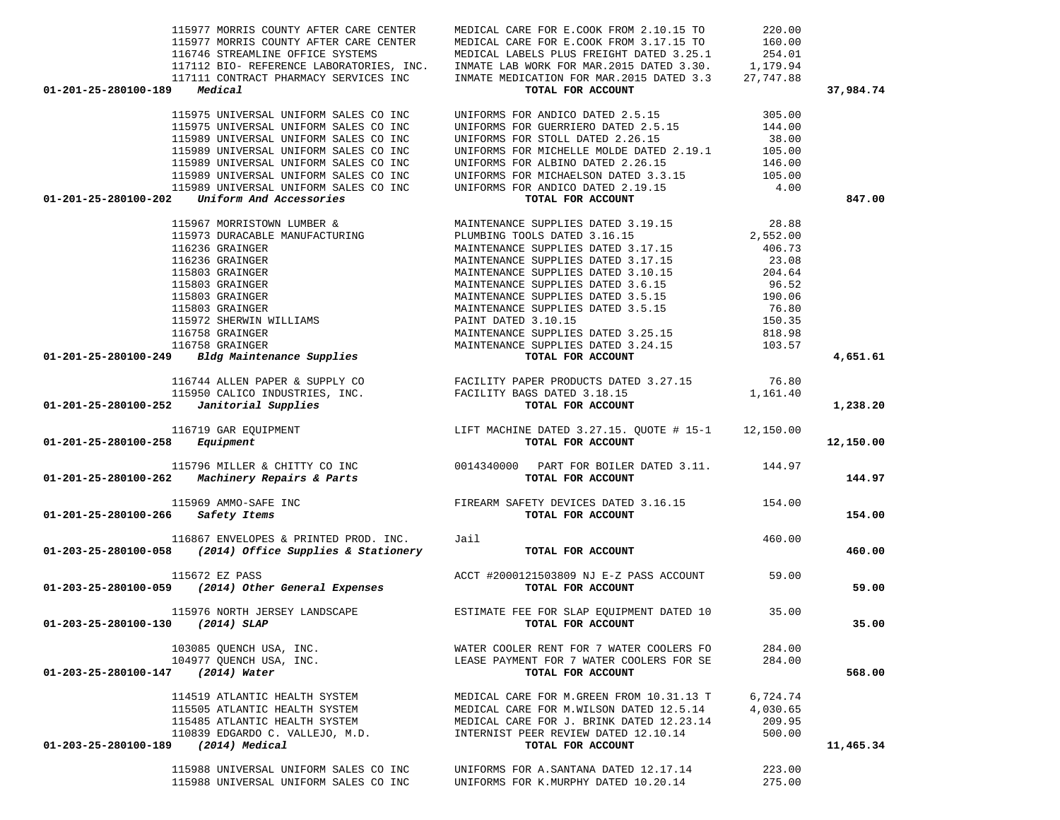|                                          | 115977 MORRIS COUNTY AFTER CARE CENTER<br>115977 MORRIS COUNTY AFTER CARE CENTER                                                                                                                                                                   | MEDICAL CARE FOR E.COOK FROM 2.10.15 TO<br>MEDICAL CARE FOR E.COOK FROM 3.17.15 TO<br>116746 STREAMLINE OFFICE SYSTEMS MEDICAL LABELS PLUS FREIGHT DATED 3.25.1 254.01<br>117112 BIO- REFERENCE LABORATORIES, INC. INMATE LAB WORK FOR MAR.2015 DATED 3.30. 1,179.94<br>117111 CONTRACT PHARMACY SERVICES INC INMATE MEDICATION FOR MAR.2015 DATED 3.3 27,747.88                                         | 220.00<br>160.00                         |           |
|------------------------------------------|----------------------------------------------------------------------------------------------------------------------------------------------------------------------------------------------------------------------------------------------------|----------------------------------------------------------------------------------------------------------------------------------------------------------------------------------------------------------------------------------------------------------------------------------------------------------------------------------------------------------------------------------------------------------|------------------------------------------|-----------|
| 01-201-25-280100-189                     | Medical                                                                                                                                                                                                                                            | TOTAL FOR ACCOUNT                                                                                                                                                                                                                                                                                                                                                                                        |                                          | 37,984.74 |
|                                          | 115975 UNIVERSAL UNIFORM SALES CO INC<br>115975 UNIVERSAL UNIFORM SALES CO INC<br>115989 UNIVERSAL UNIFORM SALES CO INC<br>115989 UNIVERSAL UNIFORM SALES CO INC<br>115989 UNIVERSAL UNIFORM SALES CO INC<br>115989 UNIVERSAL UNIFORM SALES CO INC | UNIFORMS FOR ANDICO DATED 2.5.15 305.00<br>UNIFORMS FOR GUERRIERO DATED 2.5.15<br>UNIFORMS FOR STOLL DATED 2.26.15<br>UNIFORMS FOR MICHELLE MOLDE DATED 2.19.1 105.00<br>UNIFORMS FOR ALBINO DATED 2.26.15<br>UNIFORMS FOR MICHAELSON DATED 3.3.15 105.00                                                                                                                                                | 144.00<br>38.00<br>146.00                |           |
|                                          | 115989 UNIVERSAL UNIFORM SALES CO INC<br>$01-201-25-280100-202$ Uniform And Accessories                                                                                                                                                            | UNIFORMS FOR ANDICO DATED 2.19.15<br>TOTAL FOR ACCOUNT                                                                                                                                                                                                                                                                                                                                                   | 4.00                                     | 847.00    |
|                                          |                                                                                                                                                                                                                                                    | $\begin{tabular}{c c c c} \hline 115967 & MORTSTOMN LUMBER & MANTENAMCE SUPPLIES DATED 3.19.15 & 28.88 \\ \hline 115973 & DURACABLE MANTPCATUTURING & PLUMBING TOOLS DATED 3.16.15 & 2,552.00 \\ \hline 116236 GRANIGER & MANTINENANCE SUPPLIES DATED 3.17.15 & 406.73 \\ \hline 116236 GRANIGER & MANTINENANCE SUPPLIES DATED 3.17.15 & 23.08 \\ \hline 115803 GRANIGER & MANTININANCE SUPPLIES DATED $ |                                          | 4,651.61  |
|                                          |                                                                                                                                                                                                                                                    |                                                                                                                                                                                                                                                                                                                                                                                                          |                                          |           |
|                                          | $01-201-25-280100-252$ <i>Janitorial Supplies</i>                                                                                                                                                                                                  | $\begin{array}{l} \texttt{116744 ALLEN PAPER & \& SUPPLY CO}\\ \texttt{115950 CALICO INDUSTRIES, INC.} \end{array} \begin{array}{l} \texttt{FACILITY PAPER PRODUCTS DATED 3.27.15}\\ \texttt{FACILITY BAGS DATED 3.18.15} \end{array} \begin{array}{l} \texttt{1,161.40} \\ \texttt{1,161.40} \end{array}$<br>TOTAL FOR ACCOUNT                                                                          |                                          | 1,238.20  |
| $01 - 201 - 25 - 280100 - 258$ Equipment | 116719 GAR EQUIPMENT                                                                                                                                                                                                                               | LIFT MACHINE DATED 3.27.15. QUOTE # 15-1 12,150.00<br>TOTAL FOR ACCOUNT                                                                                                                                                                                                                                                                                                                                  |                                          | 12,150.00 |
|                                          |                                                                                                                                                                                                                                                    | 115796 MILLER & CHITTY CO INC 6014340000 PART FOR BOILER DATED 3.11. 144.97<br>001-201-25-280100-262 Machinery Repairs & Parts 600000 POTAL FOR ACCOUNT                                                                                                                                                                                                                                                  |                                          | 144.97    |
| 01-201-25-280100-266 Safety Items        | 115969 AMMO-SAFE INC                                                                                                                                                                                                                               | FIREARM SAFETY DEVICES DATED 3.16.15 154.00<br>TOTAL FOR ACCOUNT                                                                                                                                                                                                                                                                                                                                         |                                          | 154.00    |
|                                          | 116867 ENVELOPES & PRINTED PROD. INC. Jail<br>$01-203-25-280100-058$ (2014) Office Supplies & Stationery                                                                                                                                           | TOTAL FOR ACCOUNT                                                                                                                                                                                                                                                                                                                                                                                        | 460.00                                   | 460.00    |
|                                          | 115672 EZ PASS<br>01-203-25-280100-059 (2014) Other General Expenses                                                                                                                                                                               | ACCT #2000121503809 NJ E-Z PASS ACCOUNT 59.00<br>TOTAL FOR ACCOUNT                                                                                                                                                                                                                                                                                                                                       |                                          | 59.00     |
|                                          | 01-203-25-280100-130 (2014) SLAP                                                                                                                                                                                                                   | 115976 NORTH JERSEY LANDSCAPE <b>ESTIMATE FEE FOR SLAP EQUIPMENT DATED</b> 10 35.00<br>TOTAL FOR ACCOUNT                                                                                                                                                                                                                                                                                                 |                                          | 35.00     |
| 01-203-25-280100-147                     | 103085 OUENCH USA, INC.<br>104977 QUENCH USA, INC.<br>(2014) Water                                                                                                                                                                                 | WATER COOLER RENT FOR 7 WATER COOLERS FO<br>LEASE PAYMENT FOR 7 WATER COOLERS FOR SE<br>TOTAL FOR ACCOUNT                                                                                                                                                                                                                                                                                                | 284.00<br>284.00                         | 568.00    |
| 01-203-25-280100-189                     | 114519 ATLANTIC HEALTH SYSTEM<br>115505 ATLANTIC HEALTH SYSTEM<br>115485 ATLANTIC HEALTH SYSTEM<br>110839 EDGARDO C. VALLEJO, M.D.<br>(2014) Medical                                                                                               | MEDICAL CARE FOR M.GREEN FROM 10.31.13 T<br>MEDICAL CARE FOR M.WILSON DATED 12.5.14<br>MEDICAL CARE FOR J. BRINK DATED 12.23.14<br>INTERNIST PEER REVIEW DATED 12.10.14<br>TOTAL FOR ACCOUNT                                                                                                                                                                                                             | 6,724.74<br>4,030.65<br>209.95<br>500.00 | 11,465.34 |
|                                          | 115988 UNIVERSAL UNIFORM SALES CO INC<br>115988 UNIVERSAL UNIFORM SALES CO INC                                                                                                                                                                     | UNIFORMS FOR A. SANTANA DATED 12.17.14<br>UNIFORMS FOR K.MURPHY DATED 10.20.14                                                                                                                                                                                                                                                                                                                           | 223.00<br>275.00                         |           |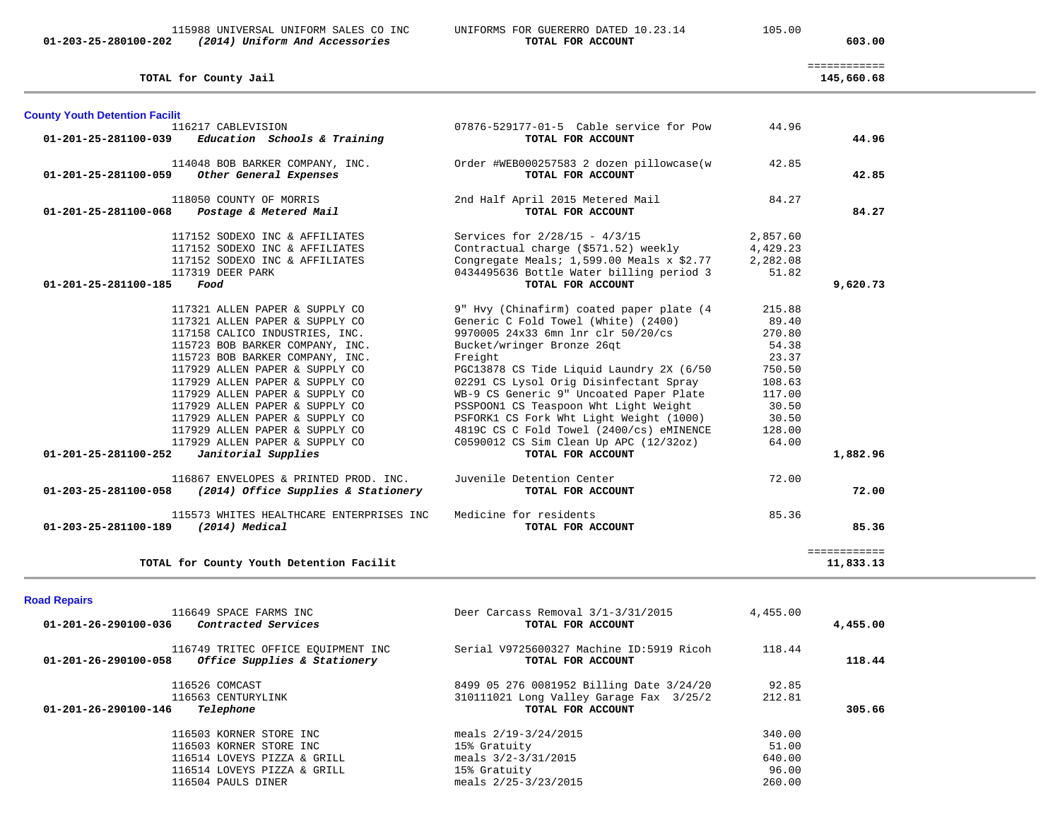**TOTAL for County Jail 145,660.68**

============

145,660.68

| <b>County Youth Detention Facilit</b>                                                                                                                                                                                                                                                                                                                                                                                                                                 |                                                                                                                                                                                                                                                                                                                                                                                                                                                                                                |                                                                                                                |                           |
|-----------------------------------------------------------------------------------------------------------------------------------------------------------------------------------------------------------------------------------------------------------------------------------------------------------------------------------------------------------------------------------------------------------------------------------------------------------------------|------------------------------------------------------------------------------------------------------------------------------------------------------------------------------------------------------------------------------------------------------------------------------------------------------------------------------------------------------------------------------------------------------------------------------------------------------------------------------------------------|----------------------------------------------------------------------------------------------------------------|---------------------------|
| 116217 CABLEVISION<br>Education Schools & Training<br>01-201-25-281100-039                                                                                                                                                                                                                                                                                                                                                                                            | 07876-529177-01-5 Cable service for Pow<br>TOTAL FOR ACCOUNT                                                                                                                                                                                                                                                                                                                                                                                                                                   | 44.96                                                                                                          | 44.96                     |
| 114048 BOB BARKER COMPANY, INC.<br>Other General Expenses<br>01-201-25-281100-059                                                                                                                                                                                                                                                                                                                                                                                     | Order #WEB000257583 2 dozen pillowcase(w<br>TOTAL FOR ACCOUNT                                                                                                                                                                                                                                                                                                                                                                                                                                  | 42.85                                                                                                          | 42.85                     |
| 118050 COUNTY OF MORRIS<br>Postage & Metered Mail<br>01-201-25-281100-068                                                                                                                                                                                                                                                                                                                                                                                             | 2nd Half April 2015 Metered Mail<br>TOTAL FOR ACCOUNT                                                                                                                                                                                                                                                                                                                                                                                                                                          | 84.27                                                                                                          | 84.27                     |
| 117152 SODEXO INC & AFFILIATES<br>117152 SODEXO INC & AFFILIATES<br>117152 SODEXO INC & AFFILIATES<br>117319 DEER PARK<br>01-201-25-281100-185<br>Food                                                                                                                                                                                                                                                                                                                | Services for $2/28/15 - 4/3/15$<br>Contractual charge (\$571.52) weekly<br>Congregate Meals; $1,599.00$ Meals x \$2.77<br>0434495636 Bottle Water billing period 3<br>TOTAL FOR ACCOUNT                                                                                                                                                                                                                                                                                                        | 2,857.60<br>4,429.23<br>2,282.08<br>51.82                                                                      | 9,620.73                  |
| 117321 ALLEN PAPER & SUPPLY CO<br>117321 ALLEN PAPER & SUPPLY CO<br>117158 CALICO INDUSTRIES, INC.<br>115723 BOB BARKER COMPANY, INC.<br>115723 BOB BARKER COMPANY, INC.<br>117929 ALLEN PAPER & SUPPLY CO<br>117929 ALLEN PAPER & SUPPLY CO<br>117929 ALLEN PAPER & SUPPLY CO<br>117929 ALLEN PAPER & SUPPLY CO<br>117929 ALLEN PAPER & SUPPLY CO<br>117929 ALLEN PAPER & SUPPLY CO<br>117929 ALLEN PAPER & SUPPLY CO<br>01-201-25-281100-252<br>Janitorial Supplies | 9" Hvy (Chinafirm) coated paper plate (4<br>Generic C Fold Towel (White) (2400)<br>9970005 24x33 6mn lnr clr 50/20/cs<br>Bucket/wringer Bronze 26qt<br>Freight<br>PGC13878 CS Tide Liquid Laundry 2X (6/50<br>02291 CS Lysol Orig Disinfectant Spray<br>WB-9 CS Generic 9" Uncoated Paper Plate<br>PSSPOON1 CS Teaspoon Wht Light Weight<br>PSFORK1 CS Fork Wht Light Weight (1000)<br>4819C CS C Fold Towel (2400/cs) eMINENCE<br>C0590012 CS Sim Clean Up APC (12/32oz)<br>TOTAL FOR ACCOUNT | 215.88<br>89.40<br>270.80<br>54.38<br>23.37<br>750.50<br>108.63<br>117.00<br>30.50<br>30.50<br>128.00<br>64.00 | 1,882.96                  |
| 116867 ENVELOPES & PRINTED PROD. INC.<br>01-203-25-281100-058 (2014) Office Supplies & Stationery                                                                                                                                                                                                                                                                                                                                                                     | Juvenile Detention Center<br>TOTAL FOR ACCOUNT                                                                                                                                                                                                                                                                                                                                                                                                                                                 | 72.00                                                                                                          | 72.00                     |
| 115573 WHITES HEALTHCARE ENTERPRISES INC<br>01-203-25-281100-189<br>(2014) Medical                                                                                                                                                                                                                                                                                                                                                                                    | Medicine for residents<br>TOTAL FOR ACCOUNT                                                                                                                                                                                                                                                                                                                                                                                                                                                    | 85.36                                                                                                          | 85.36                     |
| TOTAL for County Youth Detention Facilit                                                                                                                                                                                                                                                                                                                                                                                                                              |                                                                                                                                                                                                                                                                                                                                                                                                                                                                                                |                                                                                                                | ============<br>11,833.13 |

|  | <b>Road Repairs</b> |  |
|--|---------------------|--|
|  |                     |  |

| 01-201-26-290100-036 | 116649 SPACE FARMS INC<br>Contracted Services                      | Deer Carcass Removal 3/1-3/31/2015<br>TOTAL FOR ACCOUNT       | 4,455.00 | 4,455.00 |
|----------------------|--------------------------------------------------------------------|---------------------------------------------------------------|----------|----------|
| 01-201-26-290100-058 | 116749 TRITEC OFFICE EQUIPMENT INC<br>Office Supplies & Stationery | Serial V9725600327 Machine ID:5919 Ricoh<br>TOTAL FOR ACCOUNT | 118.44   | 118.44   |
|                      | 116526 COMCAST                                                     | 8499 05 276 0081952 Billing Date 3/24/20                      | 92.85    |          |
|                      | 116563 CENTURYLINK                                                 | 310111021 Long Valley Garage Fax 3/25/2                       | 212.81   |          |
| 01-201-26-290100-146 | Telephone                                                          | TOTAL FOR ACCOUNT                                             |          | 305.66   |
|                      | 116503 KORNER STORE INC                                            | meals 2/19-3/24/2015                                          | 340.00   |          |
|                      | 116503 KORNER STORE INC                                            | 15% Gratuity                                                  | 51.00    |          |
|                      | 116514 LOVEYS PIZZA & GRILL                                        | meals $3/2 - 3/31/2015$                                       | 640.00   |          |
|                      | 116514 LOVEYS PIZZA & GRILL                                        | 15% Gratuity                                                  | 96.00    |          |
|                      | 116504 PAULS DINER                                                 | meals 2/25-3/23/2015                                          | 260.00   |          |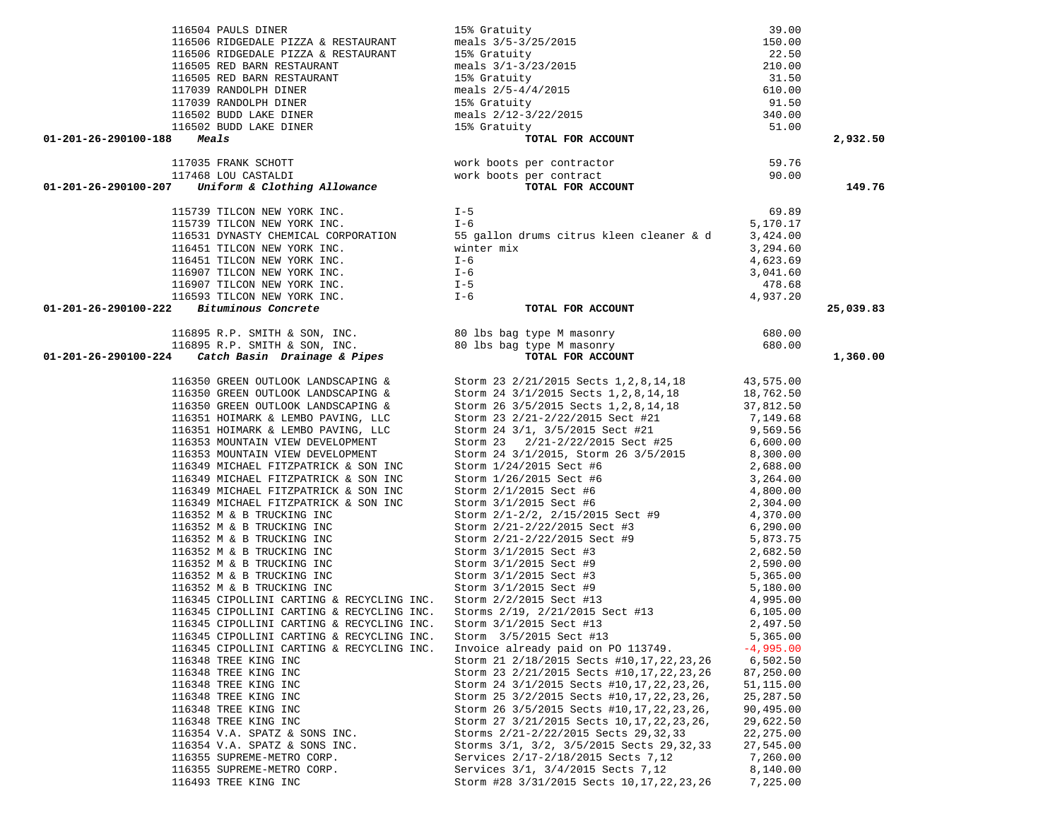| 116504 PAULS DINER                                                                                                                                                                                                             | 15% Gratuity<br>meals 3/5-3/25/2015<br>15% Gratuity<br>meals 3/1-3/23/2015<br>15% Gratuity<br>meals 2/5-4/4/2015<br>15% Gratuity<br>meals 2/12-3/22/2015<br>15% Gratuity                                                                    | 39.00                  |           |
|--------------------------------------------------------------------------------------------------------------------------------------------------------------------------------------------------------------------------------|---------------------------------------------------------------------------------------------------------------------------------------------------------------------------------------------------------------------------------------------|------------------------|-----------|
| 116506 RIDGEDALE PIZZA & RESTAURANT                                                                                                                                                                                            |                                                                                                                                                                                                                                             | 150.00                 |           |
| 116506 RIDGEDALE PIZZA & RESTAURANT                                                                                                                                                                                            |                                                                                                                                                                                                                                             | 22.50                  |           |
| 116505 RED BARN RESTAURANT                                                                                                                                                                                                     |                                                                                                                                                                                                                                             | 210.00                 |           |
| 116505 RED BARN RESTAURANT                                                                                                                                                                                                     |                                                                                                                                                                                                                                             | 31.50                  |           |
| 117039 RANDOLPH DINER                                                                                                                                                                                                          |                                                                                                                                                                                                                                             | 610.00                 |           |
| 117039 RANDOLPH DINER                                                                                                                                                                                                          |                                                                                                                                                                                                                                             | 91.50                  |           |
| 116502 BUDD LAKE DINER                                                                                                                                                                                                         |                                                                                                                                                                                                                                             | 340.00                 |           |
| 116502 BUDD LAKE DINER                                                                                                                                                                                                         |                                                                                                                                                                                                                                             | 51.00                  |           |
| 01-201-26-290100-188<br>Meals                                                                                                                                                                                                  | TOTAL FOR ACCOUNT                                                                                                                                                                                                                           |                        | 2,932.50  |
|                                                                                                                                                                                                                                |                                                                                                                                                                                                                                             | 59.76                  |           |
|                                                                                                                                                                                                                                |                                                                                                                                                                                                                                             | 90.00                  |           |
| 117035 FRANK SCHOTT work boots per contractor<br>117468 LOU CASTALDI work boots per contract<br>01-201-26-290100-207 Uniform & Clothing Allowance TOTAL FOR ACCOUNT                                                            |                                                                                                                                                                                                                                             |                        | 149.76    |
|                                                                                                                                                                                                                                |                                                                                                                                                                                                                                             |                        |           |
| 115739 TILCON NEW YORK INC.                                                                                                                                                                                                    | $I - 5$                                                                                                                                                                                                                                     | 69.89                  |           |
| 115739 TILCON NEW YORK INC.                                                                                                                                                                                                    | $I-6$                                                                                                                                                                                                                                       | 5,170.17               |           |
|                                                                                                                                                                                                                                | 116531 DYNASTY CHEMICAL CORPORATION 55 gallon drums citrus kleen cleaner & d 3,424.00                                                                                                                                                       |                        |           |
|                                                                                                                                                                                                                                | winter mix                                                                                                                                                                                                                                  | 3,294.60               |           |
|                                                                                                                                                                                                                                |                                                                                                                                                                                                                                             | 4,623.69               |           |
| 116907 TILCON NEW YORK INC.<br>116907 TILCON NEW YORK INC.                                                                                                                                                                     | $I-6$<br>$I-5$                                                                                                                                                                                                                              | 3,041.60               |           |
| 116907 TILCON NEW YORK INC.                                                                                                                                                                                                    |                                                                                                                                                                                                                                             | 478.68                 |           |
| 116593 TILCON NEW YORK INC. $I-6$                                                                                                                                                                                              |                                                                                                                                                                                                                                             | 4,937.20               |           |
| $01-201-26-290100-222$ Bituminous Concrete                                                                                                                                                                                     | TOTAL FOR ACCOUNT                                                                                                                                                                                                                           |                        | 25,039.83 |
| 116895 R.P. SMITH & SON, INC. 80 lbs bag type M masonry 116895 R.P. SMITH & SON, INC. 80 lbs bag type M masonry 116895 R.P. SMITH & SON, INC. 80 lbs bag type M masonry 680.00 1-201-26-290100-224 Catch Basin Drainage & Pipe |                                                                                                                                                                                                                                             |                        |           |
|                                                                                                                                                                                                                                |                                                                                                                                                                                                                                             |                        |           |
|                                                                                                                                                                                                                                |                                                                                                                                                                                                                                             |                        | 1,360.00  |
|                                                                                                                                                                                                                                |                                                                                                                                                                                                                                             |                        |           |
|                                                                                                                                                                                                                                | 116350 GREEN OUTLOOK LANDSCAPING & Storm 23 2/21/2015 Sects 1, 2, 8, 14, 18 43, 575.00                                                                                                                                                      |                        |           |
|                                                                                                                                                                                                                                |                                                                                                                                                                                                                                             |                        |           |
|                                                                                                                                                                                                                                | 116350 GREEN OUTLOOK LANDSCAPING & Storm 24 3/1/2015 Sects 1,2,8,14,18 18,762.50<br>116350 GREEN OUTLOOK LANDSCAPING & Storm 26 3/5/2015 Sects 1,2,8,14,18 37,812.50                                                                        |                        |           |
| 116351 HOIMARK & LEMBO PAVING, LLC                                                                                                                                                                                             |                                                                                                                                                                                                                                             |                        |           |
| 116351 HOIMARK & LEMBO PAVING, LLC                                                                                                                                                                                             |                                                                                                                                                                                                                                             |                        |           |
| 116353 MOUNTAIN VIEW DEVELOPMENT                                                                                                                                                                                               |                                                                                                                                                                                                                                             |                        |           |
| 116353 MOUNTAIN VIEW DEVELOPMENT                                                                                                                                                                                               |                                                                                                                                                                                                                                             |                        |           |
| 116349 MICHAEL FITZPATRICK & SON INC<br>116349 MICHAEL FITZPATRICK & SON INC                                                                                                                                                   |                                                                                                                                                                                                                                             |                        |           |
| 116349 MICHAEL FITZPATRICK & SON INC                                                                                                                                                                                           | Storm 1/26/2015 Sect #6                                                                                                                                                                                                                     | 3,264.00               |           |
| 116349 MICHAEL FITZPATRICK & SON INC                                                                                                                                                                                           | Storm 2/1/2015 Sect #6 4,800.00<br>Storm 3/1/2015 Sect #6 2,304.00<br>Storm 2/1-2/2, 2/15/2015 Sect #9 4,370.00<br>4,370.00                                                                                                                 |                        |           |
| 116349 MICHAEL FITZPATRICK & SON INC                                                                                                                                                                                           |                                                                                                                                                                                                                                             |                        |           |
| 116352 M & B TRUCKING INC                                                                                                                                                                                                      |                                                                                                                                                                                                                                             |                        |           |
| 116352 M & B TRUCKING INC                                                                                                                                                                                                      | Storm 2/21-2/22/2015 Sect #3                                                                                                                                                                                                                | 6,290.00               |           |
| 116352 M & B TRUCKING INC                                                                                                                                                                                                      | Storm 2/21-2/22/2015 Sect #9 5,873.75                                                                                                                                                                                                       |                        |           |
| 116352 M & B TRUCKING INC                                                                                                                                                                                                      | Storm 3/1/2015 Sect #3                                                                                                                                                                                                                      | 2,682.50               |           |
|                                                                                                                                                                                                                                |                                                                                                                                                                                                                                             |                        |           |
|                                                                                                                                                                                                                                | 116352 M & B TRUCKING INC<br>116352 M & B TRUCKING INC<br>116352 M & B TRUCKING INC<br>116352 M & B TRUCKING INC<br>116352 M & B TRUCKING INC<br>116352 M & B TRUCKING INC<br>116345 CIPOLLINI CARTING & RECYCLING INC.<br>116345 CIPOLLINI |                        |           |
|                                                                                                                                                                                                                                |                                                                                                                                                                                                                                             |                        |           |
|                                                                                                                                                                                                                                |                                                                                                                                                                                                                                             |                        |           |
|                                                                                                                                                                                                                                |                                                                                                                                                                                                                                             |                        |           |
| 116345 CIPOLLINI CARTING & RECYCLING INC. Storm 3/1/2015 Sect #13                                                                                                                                                              |                                                                                                                                                                                                                                             | 2,497.50               |           |
| 116345 CIPOLLINI CARTING & RECYCLING INC.                                                                                                                                                                                      | Storm 3/5/2015 Sect #13                                                                                                                                                                                                                     | 5,365.00               |           |
| 116345 CIPOLLINI CARTING & RECYCLING INC.                                                                                                                                                                                      | Invoice already paid on PO 113749.                                                                                                                                                                                                          | $-4,995.00$            |           |
| 116348 TREE KING INC<br>116348 TREE KING INC                                                                                                                                                                                   | Storm 21 2/18/2015 Sects #10, 17, 22, 23, 26                                                                                                                                                                                                | 6,502.50               |           |
| 116348 TREE KING INC                                                                                                                                                                                                           | Storm 23 2/21/2015 Sects #10, 17, 22, 23, 26<br>Storm 24 3/1/2015 Sects #10, 17, 22, 23, 26,                                                                                                                                                | 87,250.00<br>51,115.00 |           |
| 116348 TREE KING INC                                                                                                                                                                                                           | Storm 25 3/2/2015 Sects #10, 17, 22, 23, 26,                                                                                                                                                                                                | 25,287.50              |           |
| 116348 TREE KING INC                                                                                                                                                                                                           | Storm 26 3/5/2015 Sects #10,17,22,23,26,                                                                                                                                                                                                    | 90,495.00              |           |
| 116348 TREE KING INC                                                                                                                                                                                                           | Storm 27 3/21/2015 Sects 10, 17, 22, 23, 26,                                                                                                                                                                                                | 29,622.50              |           |
| 116354 V.A. SPATZ & SONS INC.                                                                                                                                                                                                  | Storms 2/21-2/22/2015 Sects 29, 32, 33                                                                                                                                                                                                      | 22, 275.00             |           |
| 116354 V.A. SPATZ & SONS INC.                                                                                                                                                                                                  | Storms 3/1, 3/2, 3/5/2015 Sects 29, 32, 33                                                                                                                                                                                                  | 27,545.00              |           |
| 116355 SUPREME-METRO CORP.                                                                                                                                                                                                     | Services 2/17-2/18/2015 Sects 7,12                                                                                                                                                                                                          | 7,260.00               |           |
| 116355 SUPREME-METRO CORP.                                                                                                                                                                                                     | Services 3/1, 3/4/2015 Sects 7,12                                                                                                                                                                                                           | 8,140.00               |           |
| 116493 TREE KING INC                                                                                                                                                                                                           | Storm #28 3/31/2015 Sects 10, 17, 22, 23, 26                                                                                                                                                                                                | 7,225.00               |           |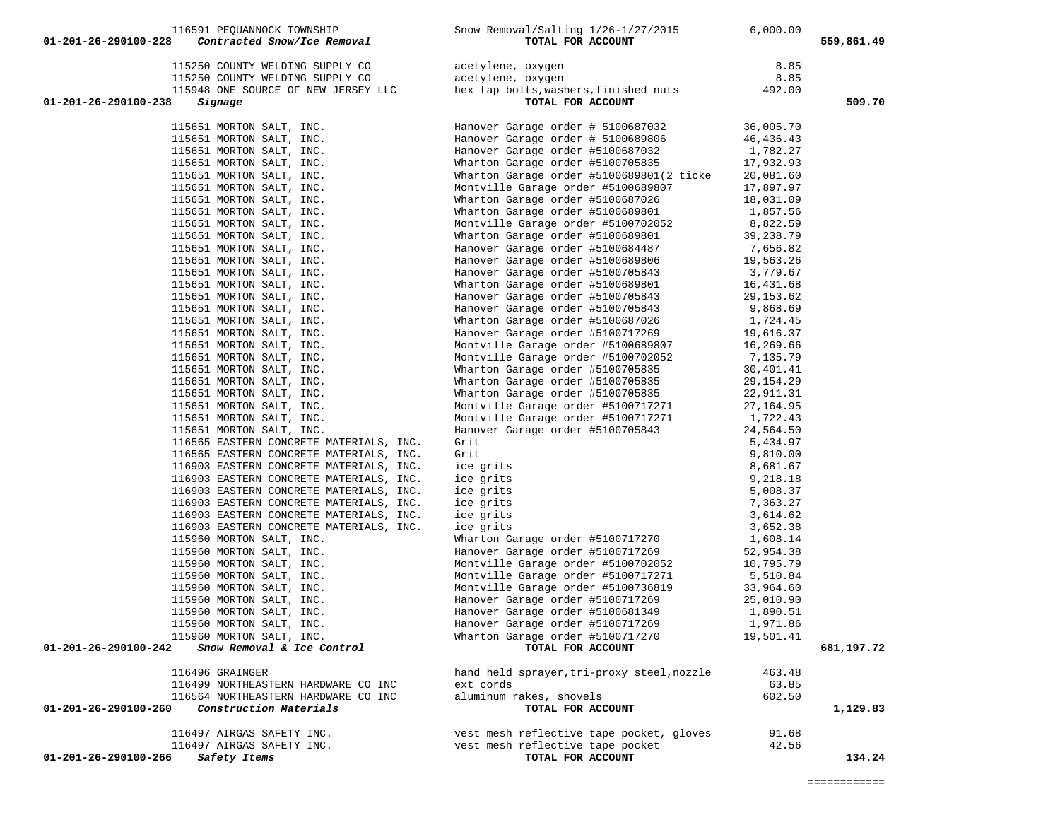|                                                                                                                                                                                                                                                        | 115250 COUNTY WELDING SUPPLY CO<br>115250 COUNTY WELDING SUPPLY CO<br>115948 ONE SOURCE OF NEW JERSEY LLC hex tap bolts, washers, finished nuts 492.00                                                                                           |        |            |
|--------------------------------------------------------------------------------------------------------------------------------------------------------------------------------------------------------------------------------------------------------|--------------------------------------------------------------------------------------------------------------------------------------------------------------------------------------------------------------------------------------------------|--------|------------|
|                                                                                                                                                                                                                                                        |                                                                                                                                                                                                                                                  |        |            |
|                                                                                                                                                                                                                                                        |                                                                                                                                                                                                                                                  |        |            |
| 01-201-26-290100-238<br>Signage                                                                                                                                                                                                                        | TOTAL FOR ACCOUNT                                                                                                                                                                                                                                |        | 509.70     |
| 115651 MORTON SALT, INC.<br>115651 MORTON SALT, INC.<br>115651 MORTON SALT, INC.<br>115651 MORTON SALT, INC.<br>115651 MORTON SALT, INC.<br>115651 MORTON SALT, INC.<br>115651 MORTON SALT, INC.<br>115651 MORTON SALT, INC.<br>115651 MORTON SALT, IN |                                                                                                                                                                                                                                                  |        |            |
|                                                                                                                                                                                                                                                        | Hanover Garage order # 5100687032 36,005.70<br>Hanover Garage order # 5100689806 46,436.43                                                                                                                                                       |        |            |
|                                                                                                                                                                                                                                                        | Hanover Garage order #5100687032 1,782.27<br>Wharton Garage order #5100687032 17,932.93<br>Wharton Garage order #5100689801(2 ticke 20,081.60                                                                                                    |        |            |
|                                                                                                                                                                                                                                                        |                                                                                                                                                                                                                                                  |        |            |
|                                                                                                                                                                                                                                                        |                                                                                                                                                                                                                                                  |        |            |
|                                                                                                                                                                                                                                                        |                                                                                                                                                                                                                                                  |        |            |
|                                                                                                                                                                                                                                                        |                                                                                                                                                                                                                                                  |        |            |
|                                                                                                                                                                                                                                                        |                                                                                                                                                                                                                                                  |        |            |
|                                                                                                                                                                                                                                                        |                                                                                                                                                                                                                                                  |        |            |
|                                                                                                                                                                                                                                                        |                                                                                                                                                                                                                                                  |        |            |
|                                                                                                                                                                                                                                                        |                                                                                                                                                                                                                                                  |        |            |
|                                                                                                                                                                                                                                                        |                                                                                                                                                                                                                                                  |        |            |
|                                                                                                                                                                                                                                                        |                                                                                                                                                                                                                                                  |        |            |
|                                                                                                                                                                                                                                                        | Wharton Garage order #5100689801(2 ticke 20,081.60<br>Montville Garage order #5100689807 17,897.97<br>Wharton Garage order #5100689801 1,857.56<br>Montville Garage order #5100689801 1,857.56<br>Montville Garage order #5100702052 8           |        |            |
|                                                                                                                                                                                                                                                        |                                                                                                                                                                                                                                                  |        |            |
|                                                                                                                                                                                                                                                        |                                                                                                                                                                                                                                                  |        |            |
|                                                                                                                                                                                                                                                        |                                                                                                                                                                                                                                                  |        |            |
|                                                                                                                                                                                                                                                        |                                                                                                                                                                                                                                                  |        |            |
|                                                                                                                                                                                                                                                        |                                                                                                                                                                                                                                                  |        |            |
|                                                                                                                                                                                                                                                        | Montville Garage order #5100717269<br>Montville Garage order #5100689807<br>Montville Garage order #5100702052<br>Marton Garage order #5100705835<br>Marton Garage order #5100705835<br>Marton Garage order #5100705835<br>Montville Garag       |        |            |
|                                                                                                                                                                                                                                                        |                                                                                                                                                                                                                                                  |        |            |
|                                                                                                                                                                                                                                                        |                                                                                                                                                                                                                                                  |        |            |
| 115651 MORTON SALT, INC.                                                                                                                                                                                                                               |                                                                                                                                                                                                                                                  |        |            |
| 115651 MORTON SALT, INC.                                                                                                                                                                                                                               |                                                                                                                                                                                                                                                  |        |            |
| 115651 MORTON SALT, INC.                                                                                                                                                                                                                               |                                                                                                                                                                                                                                                  |        |            |
| 115651 MORTON SALT, INC.                                                                                                                                                                                                                               |                                                                                                                                                                                                                                                  |        |            |
| 116565 EASTERN CONCRETE MATERIALS, INC.                                                                                                                                                                                                                |                                                                                                                                                                                                                                                  |        |            |
| 116565 EASTERN CONCRETE MATERIALS, INC.                                                                                                                                                                                                                |                                                                                                                                                                                                                                                  |        |            |
| 116903 EASTERN CONCRETE MATERIALS, INC.                                                                                                                                                                                                                |                                                                                                                                                                                                                                                  |        |            |
| 116903 EASTERN CONCRETE MATERIALS, INC.                                                                                                                                                                                                                |                                                                                                                                                                                                                                                  |        |            |
| 116903 EASTERN CONCRETE MATERIALS, INC.                                                                                                                                                                                                                |                                                                                                                                                                                                                                                  |        |            |
| 116903 EASTERN CONCRETE MATERIALS, INC.                                                                                                                                                                                                                |                                                                                                                                                                                                                                                  |        |            |
| 116903 EASTERN CONCRETE MATERIALS, INC.                                                                                                                                                                                                                |                                                                                                                                                                                                                                                  |        |            |
| 116903 EASTERN CONCRETE MATERIALS, INC.                                                                                                                                                                                                                |                                                                                                                                                                                                                                                  |        |            |
| 115960 MORTON SALT, INC.                                                                                                                                                                                                                               |                                                                                                                                                                                                                                                  |        |            |
| 115960 MORTON SALT, INC.                                                                                                                                                                                                                               | Finite Prince Care (September 2014)<br>Series and the series of the series of the series of the series of the series of the series of the series of the series of the series of the series of the series of the series of the se                 |        |            |
| 115960 MORTON SALT, INC.                                                                                                                                                                                                                               | What the barry<br>Hanover Garage order #5100717269<br>Montville Garage order #5100702052<br>Montville Garage order #5100717271 5,510.84<br>Montville Garage order #5100717271 5,510.84<br>Montville Garage order #5100717269 25,010.90<br>       |        |            |
|                                                                                                                                                                                                                                                        | 115960 MORTON SALT, INC.<br>115960 MORTON SALT, INC.<br>115960 MORTON SALT, INC.<br>115960 MORTON SALT, INC.<br>115960 MORTON SALT, INC.<br>115960 MORTON SALT, INC.<br>25,010.90<br>115960 MORTON SALT, INC.<br>25,010.90<br>115960 MORTON SALT |        |            |
|                                                                                                                                                                                                                                                        |                                                                                                                                                                                                                                                  |        |            |
|                                                                                                                                                                                                                                                        |                                                                                                                                                                                                                                                  |        |            |
|                                                                                                                                                                                                                                                        |                                                                                                                                                                                                                                                  |        |            |
|                                                                                                                                                                                                                                                        |                                                                                                                                                                                                                                                  |        |            |
| $01-201-26-290100-242$ Snow Removal & Ice Control                                                                                                                                                                                                      | TOTAL FOR ACCOUNT                                                                                                                                                                                                                                |        | 681,197.72 |
|                                                                                                                                                                                                                                                        |                                                                                                                                                                                                                                                  |        |            |
| 116496 GRAINGER                                                                                                                                                                                                                                        | hand held sprayer, tri-proxy steel, nozzle                                                                                                                                                                                                       | 463.48 |            |
| 116499 NORTHEASTERN HARDWARE CO INC                                                                                                                                                                                                                    | ext cords                                                                                                                                                                                                                                        | 63.85  |            |
| 116564 NORTHEASTERN HARDWARE CO INC                                                                                                                                                                                                                    | aluminum rakes, shovels                                                                                                                                                                                                                          | 602.50 |            |
| Construction Materials<br>01-201-26-290100-260                                                                                                                                                                                                         | TOTAL FOR ACCOUNT                                                                                                                                                                                                                                |        | 1,129.83   |
| 116497 AIRGAS SAFETY INC.                                                                                                                                                                                                                              | vest mesh reflective tape pocket, gloves                                                                                                                                                                                                         | 91.68  |            |
| 116497 AIRGAS SAFETY INC.                                                                                                                                                                                                                              | vest mesh reflective tape pocket                                                                                                                                                                                                                 | 42.56  |            |
| Safety Items<br>01-201-26-290100-266                                                                                                                                                                                                                   | TOTAL FOR ACCOUNT                                                                                                                                                                                                                                |        | 134.24     |

116591 PEQUANNOCK TOWNSHIP Snow Removal/Salting 1/26-1/27/2015 6,000.00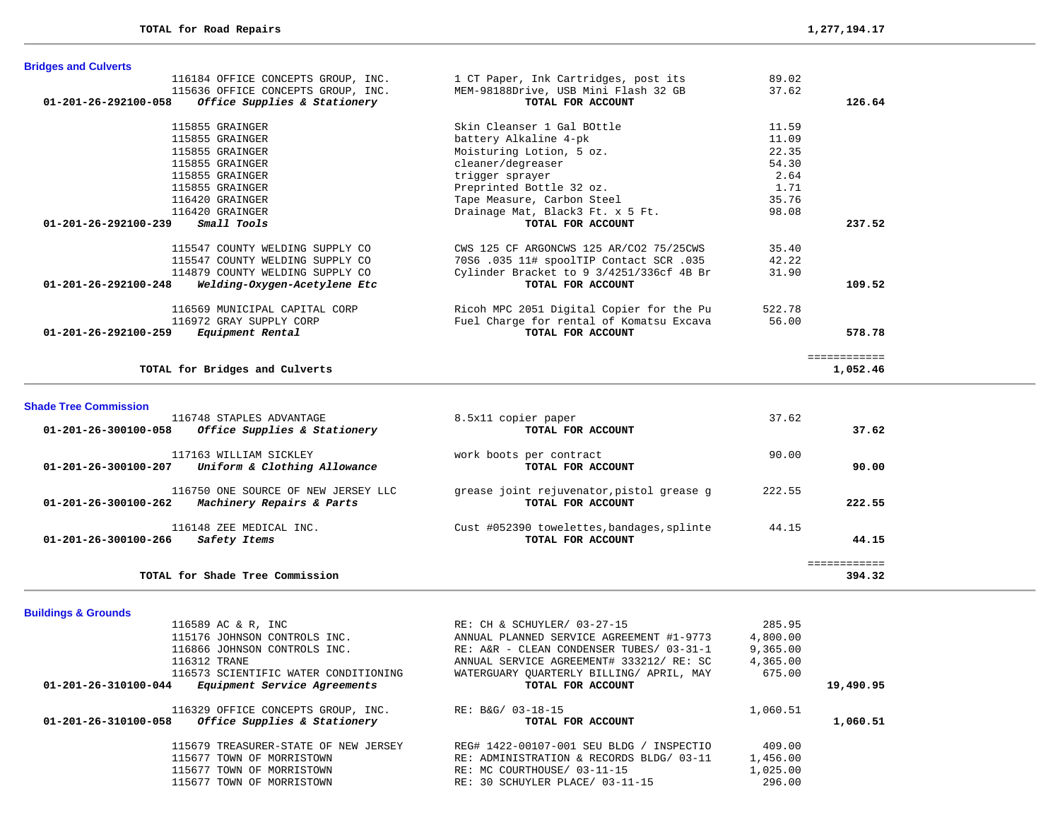| <b>Bridges and Culverts</b>                                    |                                          |        |              |
|----------------------------------------------------------------|------------------------------------------|--------|--------------|
| 116184 OFFICE CONCEPTS GROUP, INC.                             | 1 CT Paper, Ink Cartridges, post its     | 89.02  |              |
| 115636 OFFICE CONCEPTS GROUP, INC.                             | MEM-98188Drive, USB Mini Flash 32 GB     | 37.62  |              |
| 01-201-26-292100-058<br>Office Supplies & Stationery           | TOTAL FOR ACCOUNT                        |        | 126.64       |
| 115855 GRAINGER                                                | Skin Cleanser 1 Gal BOttle               | 11.59  |              |
| 115855 GRAINGER                                                | battery Alkaline 4-pk                    | 11.09  |              |
| 115855 GRAINGER                                                | Moisturing Lotion, 5 oz.                 | 22.35  |              |
| 115855 GRAINGER                                                | cleaner/degreaser                        | 54.30  |              |
| 115855 GRAINGER                                                | trigger sprayer                          | 2.64   |              |
| 115855 GRAINGER                                                | Preprinted Bottle 32 oz.                 | 1.71   |              |
| 116420 GRAINGER                                                | Tape Measure, Carbon Steel               | 35.76  |              |
| 116420 GRAINGER                                                | Drainage Mat, Black3 Ft. x 5 Ft.         | 98.08  |              |
| $01 - 201 - 26 - 292100 - 239$<br><i>Small Tools</i>           | TOTAL FOR ACCOUNT                        |        | 237.52       |
| 115547 COUNTY WELDING SUPPLY CO                                | CWS 125 CF ARGONCWS 125 AR/CO2 75/25CWS  | 35.40  |              |
| 115547 COUNTY WELDING SUPPLY CO                                | 70S6.035 11# spoolTIP Contact SCR.035    | 42.22  |              |
| 114879 COUNTY WELDING SUPPLY CO                                | Cylinder Bracket to 9 3/4251/336cf 4B Br | 31.90  |              |
| $01 - 201 - 26 - 292100 - 248$<br>Welding-Oxygen-Acetylene Etc | TOTAL FOR ACCOUNT                        |        | 109.52       |
| 116569 MUNICIPAL CAPITAL CORP                                  | Ricoh MPC 2051 Digital Copier for the Pu | 522.78 |              |
| 116972 GRAY SUPPLY CORP                                        | Fuel Charge for rental of Komatsu Excava | 56.00  |              |
| 01-201-26-292100-259<br>Equipment Rental                       | TOTAL FOR ACCOUNT                        |        | 578.78       |
|                                                                |                                          |        | ============ |
| TOTAL for Bridges and Culverts                                 |                                          |        | 1,052.46     |

**Shade Tree Commission** 

| 116748 STAPLES ADVANTAGE<br>$01 - 201 - 26 - 300100 - 058$<br>Office Supplies & Stationery         | 8.5x11 copier paper<br>TOTAL FOR ACCOUNT                        | 37.62  | 37.62  |
|----------------------------------------------------------------------------------------------------|-----------------------------------------------------------------|--------|--------|
| 117163 WILLIAM SICKLEY<br>Uniform & Clothing Allowance<br>$01 - 201 - 26 - 300100 - 207$           | work boots per contract<br>TOTAL FOR ACCOUNT                    | 90.00  | 90.00  |
| 116750 ONE SOURCE OF NEW JERSEY LLC<br>$01 - 201 - 26 - 300100 - 262$<br>Machinery Repairs & Parts | grease joint rejuvenator, pistol grease g<br>TOTAL FOR ACCOUNT  | 222.55 | 222.55 |
| 116148 ZEE MEDICAL INC.<br>$01 - 201 - 26 - 300100 - 266$<br>Safety Items                          | Cust #052390 towelettes, bandages, splinte<br>TOTAL FOR ACCOUNT | 44.15  | 44.15  |
| TOTAL for Shade Tree Commission                                                                    |                                                                 |        | 394.32 |

# **Buildings & Grounds**

| 116589 AC & R, INC                                   | RE: CH & SCHUYLER/ 03-27-15              | 285.95   |           |
|------------------------------------------------------|------------------------------------------|----------|-----------|
| 115176 JOHNSON CONTROLS INC.                         | ANNUAL PLANNED SERVICE AGREEMENT #1-9773 | 4,800.00 |           |
| 116866 JOHNSON CONTROLS INC.                         | RE: A&R - CLEAN CONDENSER TUBES/ 03-31-1 | 9,365.00 |           |
| 116312 TRANE                                         | ANNUAL SERVICE AGREEMENT# 333212/ RE: SC | 4,365.00 |           |
| 116573 SCIENTIFIC WATER CONDITIONING                 | WATERGUARY OUARTERLY BILLING/ APRIL, MAY | 675.00   |           |
| Equipment Service Agreements<br>01-201-26-310100-044 | TOTAL FOR ACCOUNT                        |          | 19,490.95 |
| 116329 OFFICE CONCEPTS GROUP, INC.                   | RE: B&G/ 03-18-15                        | 1,060.51 |           |
| Office Supplies & Stationery<br>01-201-26-310100-058 | TOTAL FOR ACCOUNT                        |          | 1,060.51  |
| 115679 TREASURER-STATE OF NEW JERSEY                 | REG# 1422-00107-001 SEU BLDG / INSPECTIO | 409.00   |           |
| 115677 TOWN OF MORRISTOWN                            | RE: ADMINISTRATION & RECORDS BLDG/ 03-11 | 1,456.00 |           |
| 115677 TOWN OF MORRISTOWN                            | RE: MC COURTHOUSE/ 03-11-15              | 1,025.00 |           |
| 115677 TOWN OF MORRISTOWN                            | RE: 30 SCHUYLER PLACE/ 03-11-15          | 296.00   |           |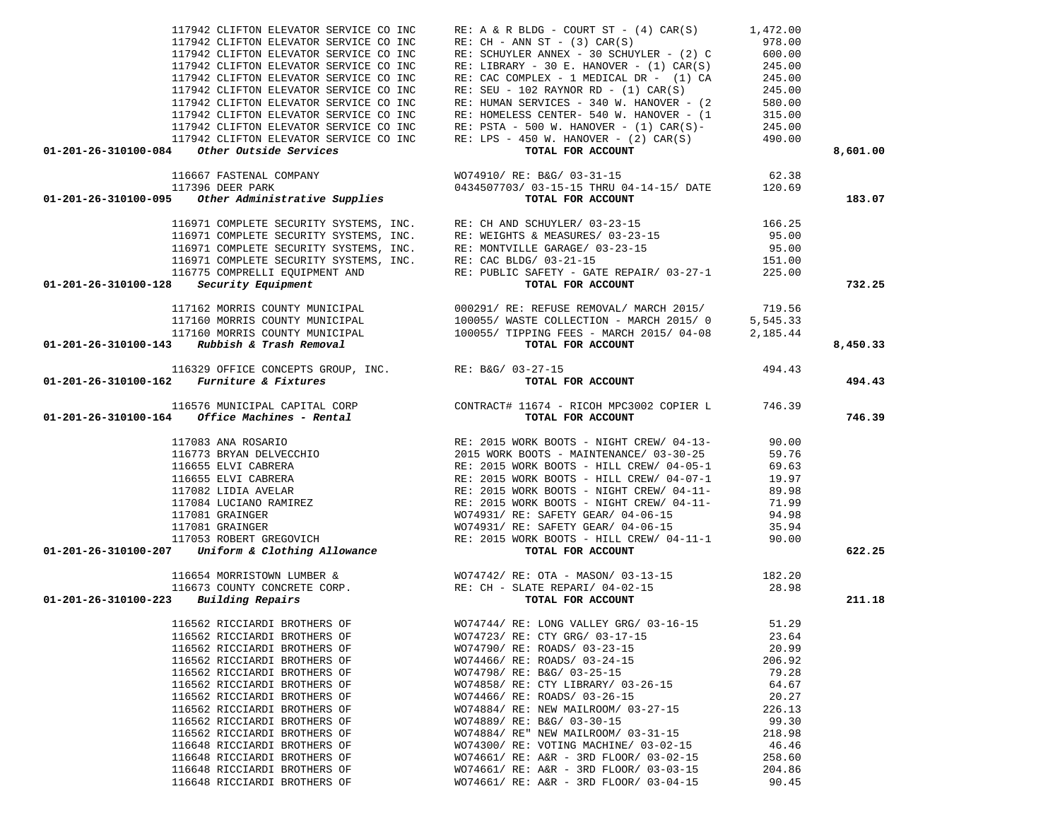| 117942 CLIFTON ELEVATOR SERVICE CO INC                                                                                                                                                                                                                                                                                                                                                          | $RE: A \& R \text{ BLDG} - \text{COURT ST} - (4) CAR(S)$                                                                                                                                                                                                                                                                                                                                                                                           | 1,472.00         |          |
|-------------------------------------------------------------------------------------------------------------------------------------------------------------------------------------------------------------------------------------------------------------------------------------------------------------------------------------------------------------------------------------------------|----------------------------------------------------------------------------------------------------------------------------------------------------------------------------------------------------------------------------------------------------------------------------------------------------------------------------------------------------------------------------------------------------------------------------------------------------|------------------|----------|
| 117942 CLIFTON ELEVATOR SERVICE CO INC                                                                                                                                                                                                                                                                                                                                                          | $RE: CH - ANN ST - (3) CAR(S)$                                                                                                                                                                                                                                                                                                                                                                                                                     | 978.00           |          |
| 117942 CLIFTON ELEVATOR SERVICE CO INC                                                                                                                                                                                                                                                                                                                                                          | RE: SCHUYLER ANNEX - 30 SCHUYLER - (2) C                                                                                                                                                                                                                                                                                                                                                                                                           | 600.00           |          |
| 117942 CLIFTON ELEVATOR SERVICE CO INC                                                                                                                                                                                                                                                                                                                                                          |                                                                                                                                                                                                                                                                                                                                                                                                                                                    | 245.00           |          |
| 117942 CLIFTON ELEVATOR SERVICE CO INC                                                                                                                                                                                                                                                                                                                                                          | RE: LIBRARY - 30 E. HANOVER - $(1)$ CAR $(S)$<br>RE: CAC COMPLEX - 1 MEDICAL DR - $(1)$ CA                                                                                                                                                                                                                                                                                                                                                         | 245.00           |          |
| 117942 CLIFTON ELEVATOR SERVICE CO INC                                                                                                                                                                                                                                                                                                                                                          | $RE: SEU - 102 RAYNOR RD - (1) CAR(S)$                                                                                                                                                                                                                                                                                                                                                                                                             |                  |          |
| 117942 CLIFTON ELEVATOR SERVICE CO INC                                                                                                                                                                                                                                                                                                                                                          | RE: HUMAN SERVICES - 340 W. HANOVER - (2                                                                                                                                                                                                                                                                                                                                                                                                           | 245.00<br>580.00 |          |
| 117942 CLIFTON ELEVATOR SERVICE CO INC                                                                                                                                                                                                                                                                                                                                                          |                                                                                                                                                                                                                                                                                                                                                                                                                                                    |                  |          |
| 117942 CLIFTON ELEVATOR SERVICE CO INC                                                                                                                                                                                                                                                                                                                                                          |                                                                                                                                                                                                                                                                                                                                                                                                                                                    |                  |          |
| 117942 CLIFTON ELEVATOR SERVICE CO INC                                                                                                                                                                                                                                                                                                                                                          | RE: HOMELESS CENTER- 540 W. HANOVER - (1 315.00<br>RE: PSTA - 500 W. HANOVER - (1) CAR(S)-<br>RE: LPS - 450 W. HANOVER - (2) CAR(S) 490.00                                                                                                                                                                                                                                                                                                         |                  |          |
| Other Outside Services<br>01-201-26-310100-084                                                                                                                                                                                                                                                                                                                                                  | TOTAL FOR ACCOUNT                                                                                                                                                                                                                                                                                                                                                                                                                                  |                  | 8,601.00 |
|                                                                                                                                                                                                                                                                                                                                                                                                 |                                                                                                                                                                                                                                                                                                                                                                                                                                                    |                  |          |
|                                                                                                                                                                                                                                                                                                                                                                                                 |                                                                                                                                                                                                                                                                                                                                                                                                                                                    |                  |          |
|                                                                                                                                                                                                                                                                                                                                                                                                 |                                                                                                                                                                                                                                                                                                                                                                                                                                                    |                  |          |
| 116667 FASTENAL COMPANY WO74910/ RE: B&G/ 03-31-15<br>117396 DEER PARK 04-14-15/ DATE 120.69<br>120.69 TOTAL FOR ACCOUNT TORE Administrative Supplies                                                                                                                                                                                                                                           |                                                                                                                                                                                                                                                                                                                                                                                                                                                    |                  | 183.07   |
|                                                                                                                                                                                                                                                                                                                                                                                                 |                                                                                                                                                                                                                                                                                                                                                                                                                                                    |                  |          |
|                                                                                                                                                                                                                                                                                                                                                                                                 |                                                                                                                                                                                                                                                                                                                                                                                                                                                    |                  |          |
|                                                                                                                                                                                                                                                                                                                                                                                                 |                                                                                                                                                                                                                                                                                                                                                                                                                                                    |                  |          |
|                                                                                                                                                                                                                                                                                                                                                                                                 |                                                                                                                                                                                                                                                                                                                                                                                                                                                    |                  |          |
|                                                                                                                                                                                                                                                                                                                                                                                                 |                                                                                                                                                                                                                                                                                                                                                                                                                                                    |                  |          |
|                                                                                                                                                                                                                                                                                                                                                                                                 |                                                                                                                                                                                                                                                                                                                                                                                                                                                    |                  |          |
| $01-201-26-310100-128$ Security Equipment                                                                                                                                                                                                                                                                                                                                                       | $\begin{tabular}{lllllllllllllllllllll} \textbf{116971 COMPLETE SECURITY SYSTEMS, INC.} & \textbf{RE: CH AND SCHUVLER/ 03-23-15} & \textbf{166.25} \\ \textbf{116971 COMPLETE SECURITY SYSTEMS, INC.} & \textbf{RE: WEIGHTS & MEASURES/ 03-23-15} & \textbf{95.00} \\ \textbf{116971 COMPLETE SECURITY SYSTEMS, INC.} & \textbf{RE: MONTVILLE GRAPHS (03-23-15) } & \textbf{95.00} \\ \textbf{116971 COMPLEE SECURITY SYSTEMS, INC.} & \textbf{RE$ |                  | 732.25   |
|                                                                                                                                                                                                                                                                                                                                                                                                 |                                                                                                                                                                                                                                                                                                                                                                                                                                                    |                  |          |
|                                                                                                                                                                                                                                                                                                                                                                                                 |                                                                                                                                                                                                                                                                                                                                                                                                                                                    |                  |          |
|                                                                                                                                                                                                                                                                                                                                                                                                 |                                                                                                                                                                                                                                                                                                                                                                                                                                                    |                  |          |
|                                                                                                                                                                                                                                                                                                                                                                                                 | 117162 MORRIS COUNTY MUNICIPAL (000291/RE: REFUSE REMOVAL/MARCH 2015/<br>117160 MORRIS COUNTY MUNICIPAL (100055/WASTE COLLECTION - MARCH 2015/0 5,545.33<br>117160 MORRIS COUNTY MUNICIPAL (100055/TIPPING FEES - MARCH 2015/04-08 2                                                                                                                                                                                                               |                  |          |
| $01-201-26-310100-143$ Rubbish & Trash Removal                                                                                                                                                                                                                                                                                                                                                  |                                                                                                                                                                                                                                                                                                                                                                                                                                                    |                  | 8,450.33 |
|                                                                                                                                                                                                                                                                                                                                                                                                 | Rubbish & Trash Removal<br>116329 OFFICE CONCEPTS GROUP, INC.<br>2 Furniture & Fixtures<br>TOTAL FOR ACCOUNT                                                                                                                                                                                                                                                                                                                                       | 494.43           |          |
| $01-201-26-310100-162$ Furniture & Fixtures                                                                                                                                                                                                                                                                                                                                                     |                                                                                                                                                                                                                                                                                                                                                                                                                                                    |                  | 494.43   |
|                                                                                                                                                                                                                                                                                                                                                                                                 |                                                                                                                                                                                                                                                                                                                                                                                                                                                    |                  |          |
| 116576 MUNICIPAL CAPITAL CORP CONTRACT# 11674 - RICOH MPC3002 COPIER L 746.39<br><b>01-201-26-310100-164 Office Machines - Rental CONTRACT# TOTAL FOR ACCOUNT</b>                                                                                                                                                                                                                               |                                                                                                                                                                                                                                                                                                                                                                                                                                                    |                  |          |
|                                                                                                                                                                                                                                                                                                                                                                                                 |                                                                                                                                                                                                                                                                                                                                                                                                                                                    |                  | 746.39   |
|                                                                                                                                                                                                                                                                                                                                                                                                 |                                                                                                                                                                                                                                                                                                                                                                                                                                                    |                  |          |
|                                                                                                                                                                                                                                                                                                                                                                                                 |                                                                                                                                                                                                                                                                                                                                                                                                                                                    |                  |          |
|                                                                                                                                                                                                                                                                                                                                                                                                 |                                                                                                                                                                                                                                                                                                                                                                                                                                                    |                  |          |
|                                                                                                                                                                                                                                                                                                                                                                                                 |                                                                                                                                                                                                                                                                                                                                                                                                                                                    |                  |          |
|                                                                                                                                                                                                                                                                                                                                                                                                 |                                                                                                                                                                                                                                                                                                                                                                                                                                                    |                  |          |
|                                                                                                                                                                                                                                                                                                                                                                                                 |                                                                                                                                                                                                                                                                                                                                                                                                                                                    |                  |          |
|                                                                                                                                                                                                                                                                                                                                                                                                 |                                                                                                                                                                                                                                                                                                                                                                                                                                                    |                  |          |
| $\begin{tabular}{c c c c c} \hline 117083 ANA ROSARIO & \multicolumn{3}{c}{RE: 2015 WORK BOOTS - NGHT CREN/ 04-13-} & 90.00 \\ \hline 116773 BRYAN DELVECCHIO & 2015 WORK BOOTS - MATTERANCE/ 03-30-25 & 59.76 \\ \hline 116655 ELVI CABRERA & \multicolumn{3}{c}{RE: 2015 WORK BOOTS - MILL CREN/ 04-05-1} & 69.63 \\ \hline 117082 LIDIA AVELAR & \multicolumn{3}{c}{RE: 2015 WORK BOOTS - H$ |                                                                                                                                                                                                                                                                                                                                                                                                                                                    |                  |          |
|                                                                                                                                                                                                                                                                                                                                                                                                 |                                                                                                                                                                                                                                                                                                                                                                                                                                                    |                  |          |
|                                                                                                                                                                                                                                                                                                                                                                                                 |                                                                                                                                                                                                                                                                                                                                                                                                                                                    |                  |          |
|                                                                                                                                                                                                                                                                                                                                                                                                 |                                                                                                                                                                                                                                                                                                                                                                                                                                                    |                  | 622.25   |
|                                                                                                                                                                                                                                                                                                                                                                                                 |                                                                                                                                                                                                                                                                                                                                                                                                                                                    |                  |          |
|                                                                                                                                                                                                                                                                                                                                                                                                 | 116654 MORRISTOWN LUMBER & WO74742/RE: OTA - MASON/03-13-15 182.20<br>116673 COUNTY CONCRETE CORP. RE: CH - SLATE REPARI/04-02-15 28.98<br>3 Building Repairs for account of the control of the control of the control of the contro                                                                                                                                                                                                               |                  |          |
|                                                                                                                                                                                                                                                                                                                                                                                                 |                                                                                                                                                                                                                                                                                                                                                                                                                                                    |                  |          |
| $01 - 201 - 26 - 310100 - 223$ Building Repairs                                                                                                                                                                                                                                                                                                                                                 |                                                                                                                                                                                                                                                                                                                                                                                                                                                    |                  | 211.18   |
|                                                                                                                                                                                                                                                                                                                                                                                                 |                                                                                                                                                                                                                                                                                                                                                                                                                                                    |                  |          |
| 116562 RICCIARDI BROTHERS OF                                                                                                                                                                                                                                                                                                                                                                    | WO74744/RE: LONG VALLEY GRG/ 03-16-15 51.29                                                                                                                                                                                                                                                                                                                                                                                                        |                  |          |
| 116562 RICCIARDI BROTHERS OF                                                                                                                                                                                                                                                                                                                                                                    | WO74723/ RE: CTY GRG/ 03-17-15                                                                                                                                                                                                                                                                                                                                                                                                                     | 23.64            |          |
| 116562 RICCIARDI BROTHERS OF                                                                                                                                                                                                                                                                                                                                                                    | WO74790/ RE: ROADS/ 03-23-15                                                                                                                                                                                                                                                                                                                                                                                                                       | 20.99            |          |
| 116562 RICCIARDI BROTHERS OF                                                                                                                                                                                                                                                                                                                                                                    | WO74466/ RE: ROADS/ 03-24-15                                                                                                                                                                                                                                                                                                                                                                                                                       | 206.92           |          |
| 116562 RICCIARDI BROTHERS OF                                                                                                                                                                                                                                                                                                                                                                    | WO74798/ RE: B&G/ 03-25-15                                                                                                                                                                                                                                                                                                                                                                                                                         | 79.28            |          |
| 116562 RICCIARDI BROTHERS OF                                                                                                                                                                                                                                                                                                                                                                    | WO74858/ RE: CTY LIBRARY/ 03-26-15                                                                                                                                                                                                                                                                                                                                                                                                                 | 64.67            |          |
| 116562 RICCIARDI BROTHERS OF                                                                                                                                                                                                                                                                                                                                                                    |                                                                                                                                                                                                                                                                                                                                                                                                                                                    |                  |          |
|                                                                                                                                                                                                                                                                                                                                                                                                 | WO74466/ RE: ROADS/ 03-26-15                                                                                                                                                                                                                                                                                                                                                                                                                       | 20.27            |          |
| 116562 RICCIARDI BROTHERS OF                                                                                                                                                                                                                                                                                                                                                                    | WO74884/ RE: NEW MAILROOM/ 03-27-15                                                                                                                                                                                                                                                                                                                                                                                                                | 226.13           |          |
| 116562 RICCIARDI BROTHERS OF                                                                                                                                                                                                                                                                                                                                                                    | WO74889/ RE: B&G/ 03-30-15                                                                                                                                                                                                                                                                                                                                                                                                                         | 99.30            |          |
| 116562 RICCIARDI BROTHERS OF                                                                                                                                                                                                                                                                                                                                                                    | WO74884/ RE" NEW MAILROOM/ 03-31-15                                                                                                                                                                                                                                                                                                                                                                                                                | 218.98           |          |
| 116648 RICCIARDI BROTHERS OF                                                                                                                                                                                                                                                                                                                                                                    | WO74300/ RE: VOTING MACHINE/ 03-02-15                                                                                                                                                                                                                                                                                                                                                                                                              | 46.46            |          |
| 116648 RICCIARDI BROTHERS OF                                                                                                                                                                                                                                                                                                                                                                    | WO74661/ RE: A&R - 3RD FLOOR/ 03-02-15                                                                                                                                                                                                                                                                                                                                                                                                             | 258.60           |          |
| 116648 RICCIARDI BROTHERS OF<br>116648 RICCIARDI BROTHERS OF                                                                                                                                                                                                                                                                                                                                    | WO74661/ RE: A&R - 3RD FLOOR/ 03-03-15<br>WO74661/ RE: A&R - 3RD FLOOR/ 03-04-15                                                                                                                                                                                                                                                                                                                                                                   | 204.86<br>90.45  |          |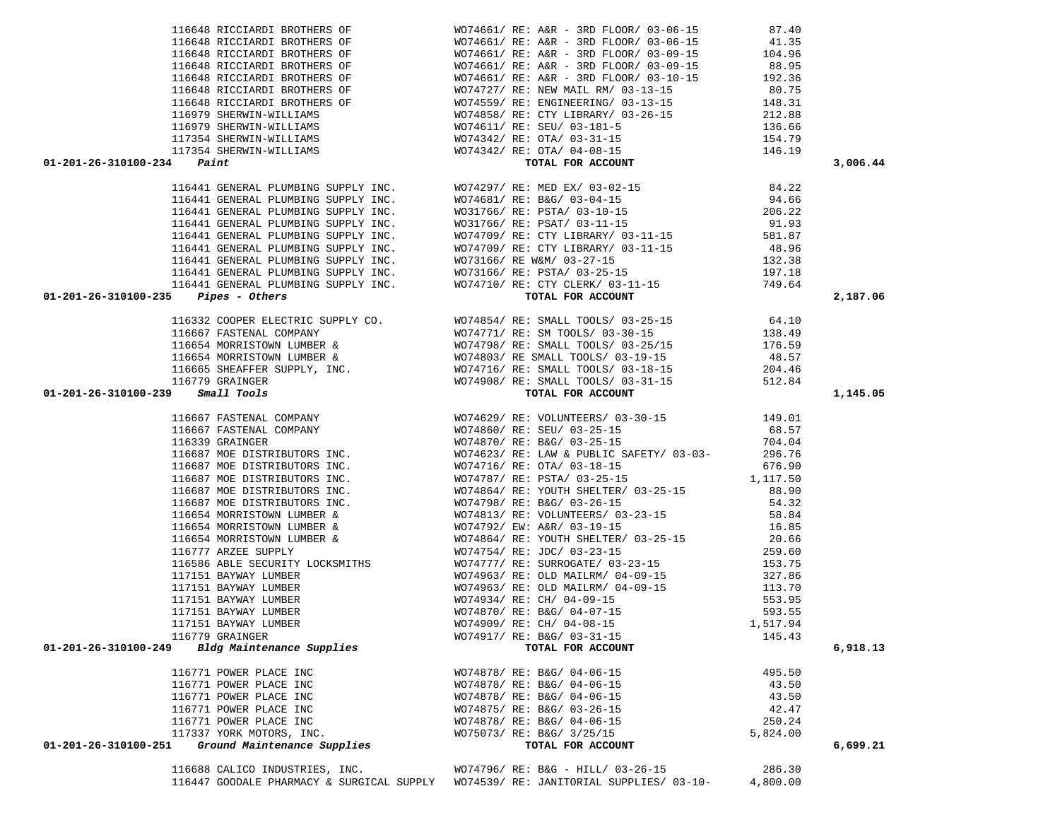| $01 - 201 - 26 - 310100 - 234$ Paint                                                                                                                                                                                            |                                                                                                                                                                                                                                                         |          | 3,006.44 |
|---------------------------------------------------------------------------------------------------------------------------------------------------------------------------------------------------------------------------------|---------------------------------------------------------------------------------------------------------------------------------------------------------------------------------------------------------------------------------------------------------|----------|----------|
|                                                                                                                                                                                                                                 | 116648 RICCIARDI BROTHERS OF $W074661/RE: A\&R = 3RD FLOOR/ 03-06-15$<br>116648 RICCIARDI BROTHERS OF $W074661/RE: A\&R = 3RD FLOOR/ 03-09-15$<br>116648 RICCIARDI BROTHERS OF $W074661/RE: A\&R = 3RD FLOOR/ 03-09-15$<br>116648 RICCIARDI BROTHERS OF |          |          |
|                                                                                                                                                                                                                                 |                                                                                                                                                                                                                                                         |          |          |
|                                                                                                                                                                                                                                 |                                                                                                                                                                                                                                                         |          |          |
|                                                                                                                                                                                                                                 |                                                                                                                                                                                                                                                         |          |          |
|                                                                                                                                                                                                                                 |                                                                                                                                                                                                                                                         |          |          |
|                                                                                                                                                                                                                                 |                                                                                                                                                                                                                                                         |          |          |
|                                                                                                                                                                                                                                 |                                                                                                                                                                                                                                                         |          |          |
|                                                                                                                                                                                                                                 |                                                                                                                                                                                                                                                         |          |          |
|                                                                                                                                                                                                                                 |                                                                                                                                                                                                                                                         |          |          |
|                                                                                                                                                                                                                                 |                                                                                                                                                                                                                                                         |          |          |
|                                                                                                                                                                                                                                 |                                                                                                                                                                                                                                                         |          |          |
|                                                                                                                                                                                                                                 |                                                                                                                                                                                                                                                         |          | 2,187.06 |
|                                                                                                                                                                                                                                 |                                                                                                                                                                                                                                                         |          |          |
|                                                                                                                                                                                                                                 |                                                                                                                                                                                                                                                         |          |          |
|                                                                                                                                                                                                                                 |                                                                                                                                                                                                                                                         |          |          |
|                                                                                                                                                                                                                                 |                                                                                                                                                                                                                                                         |          |          |
|                                                                                                                                                                                                                                 |                                                                                                                                                                                                                                                         |          |          |
|                                                                                                                                                                                                                                 |                                                                                                                                                                                                                                                         |          |          |
|                                                                                                                                                                                                                                 |                                                                                                                                                                                                                                                         |          |          |
|                                                                                                                                                                                                                                 |                                                                                                                                                                                                                                                         |          | 1,145.05 |
|                                                                                                                                                                                                                                 |                                                                                                                                                                                                                                                         |          |          |
|                                                                                                                                                                                                                                 |                                                                                                                                                                                                                                                         |          |          |
|                                                                                                                                                                                                                                 |                                                                                                                                                                                                                                                         |          |          |
|                                                                                                                                                                                                                                 |                                                                                                                                                                                                                                                         |          |          |
|                                                                                                                                                                                                                                 |                                                                                                                                                                                                                                                         |          |          |
|                                                                                                                                                                                                                                 |                                                                                                                                                                                                                                                         |          |          |
|                                                                                                                                                                                                                                 |                                                                                                                                                                                                                                                         |          |          |
|                                                                                                                                                                                                                                 |                                                                                                                                                                                                                                                         |          |          |
|                                                                                                                                                                                                                                 |                                                                                                                                                                                                                                                         |          |          |
|                                                                                                                                                                                                                                 |                                                                                                                                                                                                                                                         |          |          |
|                                                                                                                                                                                                                                 |                                                                                                                                                                                                                                                         |          |          |
|                                                                                                                                                                                                                                 |                                                                                                                                                                                                                                                         |          |          |
|                                                                                                                                                                                                                                 |                                                                                                                                                                                                                                                         |          |          |
|                                                                                                                                                                                                                                 |                                                                                                                                                                                                                                                         |          |          |
| 01-201-26-118100-231<br>1172-4 (angle Marie Worth 1991) (angle Marie Worth 1991) (angle Marie Communication 1991) (angle Marie Communication 1991) (angle Marie Marie Marie Marie Marie Marie Marie Marie Marie Marie Marie Mar |                                                                                                                                                                                                                                                         |          |          |
|                                                                                                                                                                                                                                 |                                                                                                                                                                                                                                                         |          |          |
|                                                                                                                                                                                                                                 |                                                                                                                                                                                                                                                         |          |          |
|                                                                                                                                                                                                                                 |                                                                                                                                                                                                                                                         |          |          |
|                                                                                                                                                                                                                                 |                                                                                                                                                                                                                                                         |          |          |
|                                                                                                                                                                                                                                 |                                                                                                                                                                                                                                                         |          |          |
| 116779 GRAINGER                                                                                                                                                                                                                 | WO74917/ RE: B&G/ 03-31-15                                                                                                                                                                                                                              | 145.43   |          |
| Bldg Maintenance Supplies<br>01-201-26-310100-249                                                                                                                                                                               | TOTAL FOR ACCOUNT                                                                                                                                                                                                                                       |          | 6,918.13 |
|                                                                                                                                                                                                                                 |                                                                                                                                                                                                                                                         |          |          |
| 116771 POWER PLACE INC                                                                                                                                                                                                          | WO74878/ RE: B&G/ 04-06-15                                                                                                                                                                                                                              | 495.50   |          |
| 116771 POWER PLACE INC                                                                                                                                                                                                          | WO74878/ RE: B&G/ 04-06-15                                                                                                                                                                                                                              | 43.50    |          |
| 116771 POWER PLACE INC                                                                                                                                                                                                          | WO74878/ RE: B&G/ 04-06-15                                                                                                                                                                                                                              | 43.50    |          |
| 116771 POWER PLACE INC                                                                                                                                                                                                          | WO74875/ RE: B&G/ 03-26-15                                                                                                                                                                                                                              | 42.47    |          |
| 116771 POWER PLACE INC                                                                                                                                                                                                          | WO74878/ RE: B&G/ 04-06-15                                                                                                                                                                                                                              | 250.24   |          |
| 117337 YORK MOTORS, INC.                                                                                                                                                                                                        | WO75073/ RE: B&G/ 3/25/15                                                                                                                                                                                                                               | 5,824.00 |          |
| Ground Maintenance Supplies<br>01-201-26-310100-251                                                                                                                                                                             | TOTAL FOR ACCOUNT                                                                                                                                                                                                                                       |          | 6,699.21 |
|                                                                                                                                                                                                                                 |                                                                                                                                                                                                                                                         |          |          |
| 116688 CALICO INDUSTRIES, INC.                                                                                                                                                                                                  | WO74796/ RE: B&G - HILL/ 03-26-15                                                                                                                                                                                                                       | 286.30   |          |

116447 GOODALE PHARMACY & SURGICAL SUPPLY WO74539/ RE: JANITORIAL SUPPLIES/ 03-10- 4,800.00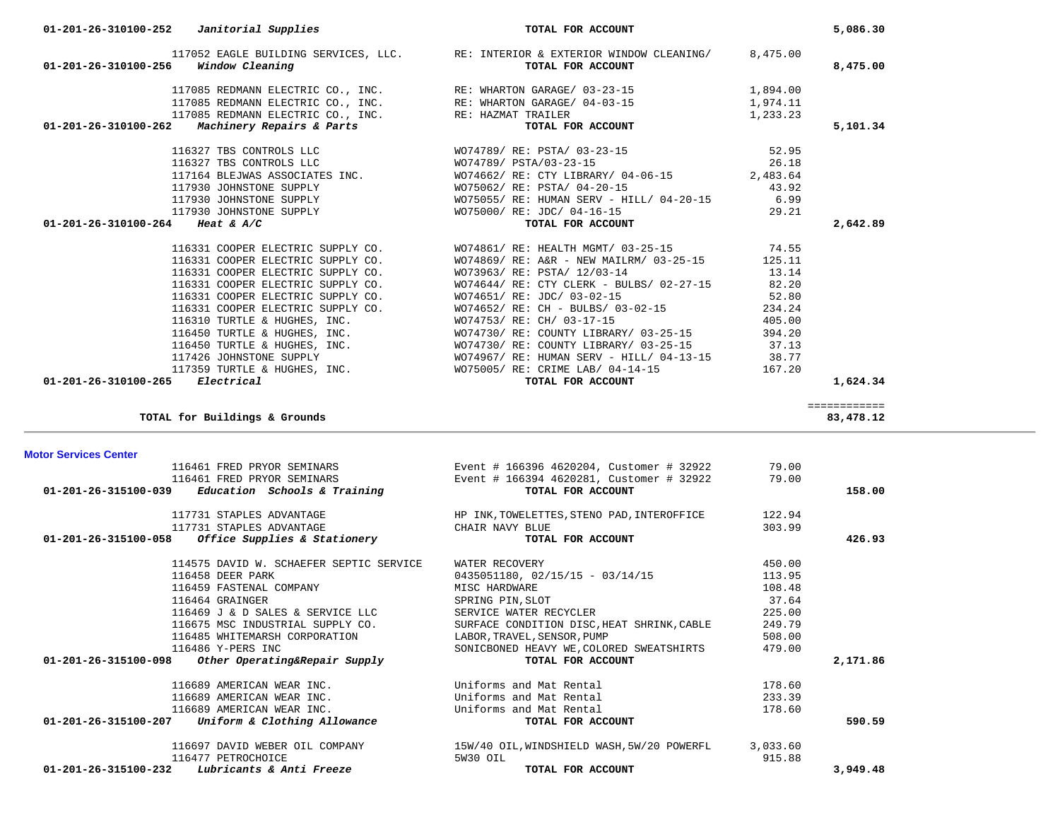| <b>Motor Services Center</b>                                    |                                                      |        |          |
|-----------------------------------------------------------------|------------------------------------------------------|--------|----------|
| 116461 FRED PRYOR SEMINARS                                      | Event # 166396 4620204, Customer # 32922             | 79.00  |          |
| 116461 FRED PRYOR SEMINARS                                      | Event # 166394 4620281, Customer # 32922             | 79.00  |          |
| $01-201-26-315100-039$ Education Schools & Training             | TOTAL FOR ACCOUNT                                    |        | 158.00   |
| 117731 STAPLES ADVANTAGE                                        | HP INK, TOWELETTES, STENO PAD, INTEROFFICE           | 122.94 |          |
| 117731 STAPLES ADVANTAGE                                        | CHAIR NAVY BLUE                                      | 303.99 |          |
| 01-201-26-315100-058<br><i>Office Supplies &amp; Stationery</i> | TOTAL FOR ACCOUNT                                    |        | 426.93   |
| 114575 DAVID W. SCHAEFER SEPTIC SERVICE                         | WATER RECOVERY                                       | 450.00 |          |
| 116458 DEER PARK                                                | $0435051180, 02/15/15 - 03/14/15$                    | 113.95 |          |
| 116459 FASTENAL COMPANY                                         | MISC HARDWARE                                        | 108.48 |          |
| 116464 GRAINGER                                                 | SPRING PIN, SLOT                                     | 37.64  |          |
| 116469 J & D SALES & SERVICE LLC                                | SERVICE WATER RECYCLER                               | 225.00 |          |
| 116675 MSC INDUSTRIAL SUPPLY CO.                                | SURFACE CONDITION DISC, HEAT SHRINK, CABLE           | 249.79 |          |
| 116485 WHITEMARSH CORPORATION                                   | LABOR, TRAVEL, SENSOR, PUMP                          | 508.00 |          |
| 116486 Y-PERS INC                                               | SONICBONED HEAVY WE, COLORED SWEATSHIRTS             | 479.00 |          |
| $01-201-26-315100-098$ Other Operating&Repair Supply            | TOTAL FOR ACCOUNT                                    |        | 2,171.86 |
| 116689 AMERICAN WEAR INC.                                       | Uniforms and Mat Rental                              | 178.60 |          |
| 116689 AMERICAN WEAR INC.                                       | Uniforms and Mat Rental                              | 233.39 |          |
| 116689 AMERICAN WEAR INC.                                       | Uniforms and Mat Rental                              | 178.60 |          |
| 01-201-26-315100-207<br>Uniform & Clothing Allowance            | TOTAL FOR ACCOUNT                                    |        | 590.59   |
| 116697 DAVID WEBER OIL COMPANY                                  | 15W/40 OIL, WINDSHIELD WASH, 5W/20 POWERFL 3, 033.60 |        |          |
| 116477 PETROCHOICE                                              | 5W30 OIL                                             | 915.88 |          |
| $01-201-26-315100-232$ Lubricants & Anti Freeze                 | TOTAL FOR ACCOUNT                                    |        | 3,949.48 |

| r Services Center |  |                            |    |
|-------------------|--|----------------------------|----|
|                   |  | 116461 FRED PRYOR SEMINARS | Εv |

|                                           | $01-201-26-310100-252$ Janitorial Supplies     | TOTAL FOR ACCOUNT                                                                                                                                                                                                                                                                                                                                                |          | 5,086.30 |
|-------------------------------------------|------------------------------------------------|------------------------------------------------------------------------------------------------------------------------------------------------------------------------------------------------------------------------------------------------------------------------------------------------------------------------------------------------------------------|----------|----------|
| 01-201-26-310100-256 Window Cleaning      |                                                | 117052 EAGLE BUILDING SERVICES, LLC. RE: INTERIOR & EXTERIOR WINDOW CLEANING/ 8,475.00<br>TOTAL FOR ACCOUNT                                                                                                                                                                                                                                                      |          | 8,475.00 |
|                                           |                                                | 117085 REDMANN ELECTRIC CO., INC. RE: WHARTON GARAGE/ 03-23-15<br>117085 REDMANN ELECTRIC CO., INC. RE: WHARTON GARAGE/ 04-03-15<br>117085 REDMANN ELECTRIC CO., INC. RE: HAZMAT TRAILER                                                                                                                                                                         | 1,894.00 |          |
|                                           |                                                |                                                                                                                                                                                                                                                                                                                                                                  | 1,974.11 |          |
|                                           |                                                |                                                                                                                                                                                                                                                                                                                                                                  | 1,233.23 |          |
|                                           | 01-201-26-310100-262 Machinery Repairs & Parts | TRAILER<br>TOTAL FOR ACCOUNT                                                                                                                                                                                                                                                                                                                                     |          | 5,101.34 |
|                                           |                                                |                                                                                                                                                                                                                                                                                                                                                                  |          |          |
|                                           |                                                |                                                                                                                                                                                                                                                                                                                                                                  |          |          |
|                                           |                                                |                                                                                                                                                                                                                                                                                                                                                                  |          |          |
|                                           | 117930 JOHNSTONE SUPPLY                        | WO75062/ RE: PSTA/ 04-20-15<br>43.92                                                                                                                                                                                                                                                                                                                             |          |          |
|                                           |                                                | 117930 JOHNSTONE SUPPLY $\texttt{WO75055/ RE: HUMAN SERV - HILL/ 04-20-15}$ 6.99<br>117930 JOHNSTONE SUPPLY $\texttt{WO75000/ RE: JDC/ 04-16-15}$ 29.21                                                                                                                                                                                                          |          |          |
|                                           |                                                | $\begin{tabular}{lllllll} \texttt{WO75000/ RE: JDC/ 04-16-15} & \multicolumn{2}{c}{\texttt{29.21}} \\ \texttt{TOTAL FOR ACCOUNT} & \multicolumn{2}{c}{\texttt{OCTAL FOR ACCOUNT}} \end{tabular}$                                                                                                                                                                 |          |          |
| 01-201-26-310100-264 Heat & A/C           |                                                |                                                                                                                                                                                                                                                                                                                                                                  |          | 2,642.89 |
|                                           |                                                | 116331 COOPER ELECTRIC SUPPLY CO. WO74861/RE: HEALTH MGMT/ 03-25-15 74.55                                                                                                                                                                                                                                                                                        |          |          |
|                                           | 116331 COOPER ELECTRIC SUPPLY CO.              | WO74869/ RE: A&R - NEW MAILRM/ 03-25-15 125.11                                                                                                                                                                                                                                                                                                                   |          |          |
|                                           | 116331 COOPER ELECTRIC SUPPLY CO.              | WO73963/ RE: PSTA/ 12/03-14                                                                                                                                                                                                                                                                                                                                      | 13.14    |          |
|                                           | 116331 COOPER ELECTRIC SUPPLY CO.              | WO74644/ RE: CTY CLERK - BULBS/ 02-27-15 82.20                                                                                                                                                                                                                                                                                                                   |          |          |
|                                           | 116331 COOPER ELECTRIC SUPPLY CO.              | 52.80<br>WO74651/ RE: JDC/ 03-02-15                                                                                                                                                                                                                                                                                                                              |          |          |
|                                           |                                                |                                                                                                                                                                                                                                                                                                                                                                  |          |          |
|                                           | 116331 COOPER ELECTRIC SUPPLY CO.              | WO74652/ RE: CH - BULBS/ 03-02-15 234.24                                                                                                                                                                                                                                                                                                                         |          |          |
|                                           |                                                |                                                                                                                                                                                                                                                                                                                                                                  |          |          |
|                                           |                                                |                                                                                                                                                                                                                                                                                                                                                                  |          |          |
|                                           |                                                |                                                                                                                                                                                                                                                                                                                                                                  |          |          |
|                                           |                                                |                                                                                                                                                                                                                                                                                                                                                                  |          |          |
| $01 - 201 - 26 - 310100 - 265$ Electrical |                                                | 116310 TURTLE & HUGHES, INC.<br>116450 TURTLE & HUGHES, INC.<br>116450 TURTLE & HUGHES, INC.<br>116450 TURTLE & HUGHES, INC.<br>116450 TURTLE & HUGHES, INC.<br>116450 TURTLE & HUGHES, INC.<br>116450 TURTLE & HUGHES, INC.<br>116450 TURTL<br>117359 TURTLE & HUGHES, INC.<br>117359 TURTLE & HUGHES, INC.<br>5 Electrical <b>Electrical</b> TOTAL FOR ACCOUNT |          |          |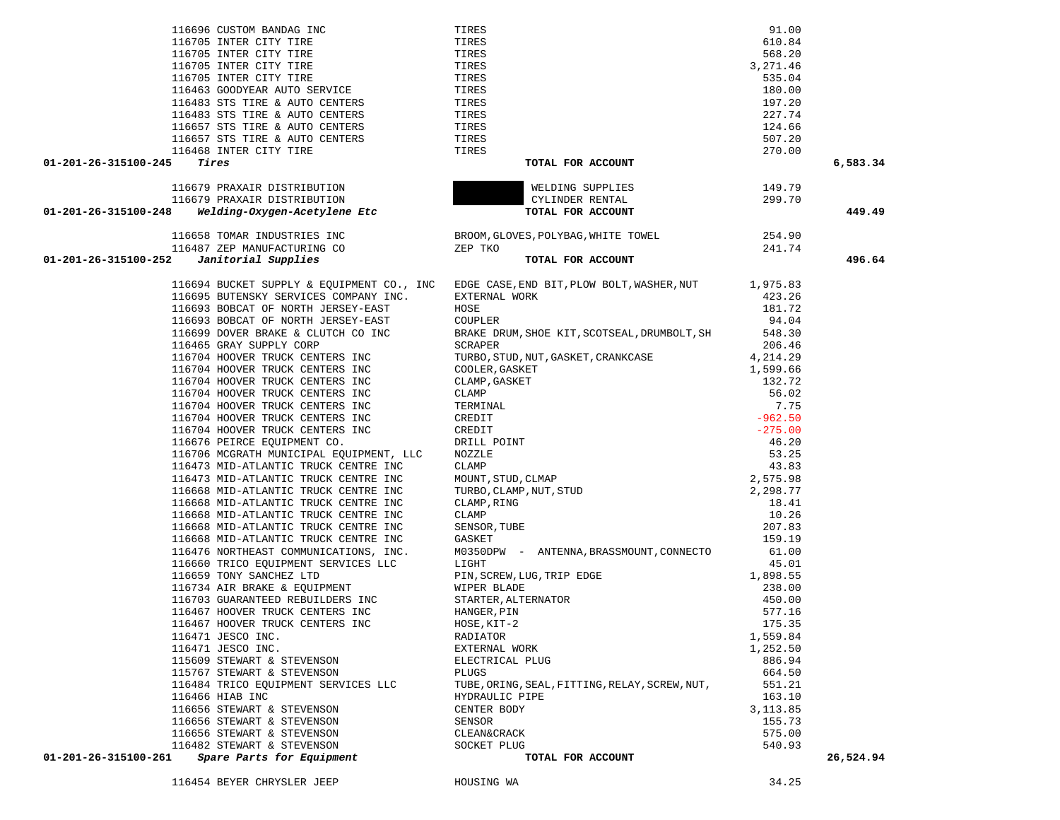|                                                   | 116476 NORTHEAST COMMUNICATIONS, INC.        | M0350DPW - ANTENNA, BRASSMOUNT, CONNECTO       | 61.00     |
|---------------------------------------------------|----------------------------------------------|------------------------------------------------|-----------|
|                                                   | 116660 TRICO EQUIPMENT SERVICES LLC<br>LIGHT |                                                | 45.01     |
| 116659 TONY SANCHEZ LTD                           |                                              | PIN, SCREW, LUG, TRIP EDGE                     | 1,898.55  |
|                                                   | 116734 AIR BRAKE & EOUIPMENT<br>WIPER BLADE  |                                                | 238.00    |
| 116703 GUARANTEED REBUILDERS INC                  | STARTER, ALTERNATOR                          |                                                | 450.00    |
| 116467 HOOVER TRUCK CENTERS INC                   | HANGER, PIN                                  |                                                | 577.16    |
| 116467 HOOVER TRUCK CENTERS INC                   | HOSE, KIT-2                                  |                                                | 175.35    |
| 116471 JESCO INC.                                 | RADIATOR                                     |                                                | 1,559.84  |
| 116471 JESCO INC.                                 | EXTERNAL WORK                                |                                                | 1,252.50  |
| 115609 STEWART & STEVENSON                        | ELECTRICAL PLUG                              |                                                | 886.94    |
| 115767 STEWART & STEVENSON                        | PLUGS                                        |                                                | 664.50    |
|                                                   | 116484 TRICO EQUIPMENT SERVICES LLC          | TUBE, ORING, SEAL, FITTING, RELAY, SCREW, NUT, | 551.21    |
| 116466 HIAB INC                                   | HYDRAULIC PIPE                               |                                                | 163.10    |
| 116656 STEWART & STEVENSON                        | CENTER BODY                                  |                                                | 3, 113.85 |
| 116656 STEWART & STEVENSON                        | SENSOR                                       |                                                | 155.73    |
| 116656 STEWART & STEVENSON                        | CLEAN&CRACK                                  |                                                | 575.00    |
| 116482 STEWART & STEVENSON                        | SOCKET PLUG                                  |                                                | 540.93    |
| 01-201-26-315100-261<br>Spare Parts for Equipment |                                              | TOTAL FOR ACCOUNT                              |           |
| 116454 BEYER CHRYSLER JEEP                        | HOUSING WA                                   |                                                | 34.25     |

116705 INTER CITY TIRE 610.844 TIRES

116705 INTER CITY TIRE 568.2007 TIRES

| 116657 STS TIRE & AUTO CENTERS                                        | TIRES                                                                                                                                                                                                                                                        | 507.20    |           |
|-----------------------------------------------------------------------|--------------------------------------------------------------------------------------------------------------------------------------------------------------------------------------------------------------------------------------------------------------|-----------|-----------|
| 116468 INTER CITY TIRE                                                | TIRES                                                                                                                                                                                                                                                        | 270.00    |           |
| 01-201-26-315100-245<br>Tires                                         | TOTAL FOR ACCOUNT                                                                                                                                                                                                                                            |           | 6,583.34  |
| 116679 PRAXAIR DISTRIBUTION<br>מסודות היה היה היה היה היה היה ה       | WELDING SUPPLIES                                                                                                                                                                                                                                             | 149.79    |           |
|                                                                       | CYLINDER RENTAL                                                                                                                                                                                                                                              | 299.70    |           |
| Welding-Oxygen-Acetylene Etc<br>01-201-26-315100-248                  | TOTAL FOR ACCOUNT                                                                                                                                                                                                                                            |           | 449.49    |
| 116658 TOMAR INDUSTRIES INC                                           | BROOM, GLOVES, POLYBAG, WHITE TOWEL                                                                                                                                                                                                                          | 254.90    |           |
| 116487 ZEP MANUFACTURING CO                                           | ZEP TKO                                                                                                                                                                                                                                                      | 241.74    |           |
| 01-201-26-315100-252<br>Janitorial Supplies                           | TOTAL FOR ACCOUNT                                                                                                                                                                                                                                            |           | 496.64    |
|                                                                       | 116694 BUCKET SUPPLY & EQUIPMENT CO., INC EDGE CASE, END BIT, PLOW BOLT, WASHER, NUT 1,975.83                                                                                                                                                                |           |           |
| 116695 BUTENSKY SERVICES COMPANY INC.                                 | EXTERNAL WORK                                                                                                                                                                                                                                                | 423.26    |           |
| 116693 BOBCAT OF NORTH JERSEY-EAST                                    | HOSE                                                                                                                                                                                                                                                         | 181.72    |           |
| 116693 BOBCAT OF NORTH JERSEY-EAST                                    | COUPLER                                                                                                                                                                                                                                                      | 94.04     |           |
| 116699 DOVER BRAKE & CLUTCH CO INC                                    | BRAKE DRUM, SHOE KIT, SCOTSEAL, DRUMBOLT, SH                                                                                                                                                                                                                 | 548.30    |           |
| 116465 GRAY SUPPLY CORP                                               | SCRAPER                                                                                                                                                                                                                                                      | 206.46    |           |
| 116704 HOOVER TRUCK CENTERS INC                                       | TURBO, STUD, NUT, GASKET, CRANKCASE                                                                                                                                                                                                                          | 4,214.29  |           |
| 116704 HOOVER TRUCK CENTERS INC                                       | TURBO, STUD, NUT, GASKET, CRANKCASE<br>COLLER, GASKET<br>CLAMP, GASKET<br>CLAMP<br>TERMINAL<br>CREDIT<br>CREDIT<br>DRILL POINT<br>NOZZLE<br>CLAMP<br>MOUNT, STUD, CLMAP<br>TURBO, CLAMP, NUT, STUD<br>CLAMP<br>CLAMP, NURBO, CLAMP, NUT, STUD<br>CLAMP, RING | 1,599.66  |           |
| 116704 HOOVER TRUCK CENTERS INC                                       |                                                                                                                                                                                                                                                              | 132.72    |           |
| 116704 HOOVER TRUCK CENTERS INC                                       |                                                                                                                                                                                                                                                              | 56.02     |           |
| 116704 HOOVER TRUCK CENTERS INC                                       |                                                                                                                                                                                                                                                              | 7.75      |           |
| 116704 HOOVER TRUCK CENTERS INC                                       |                                                                                                                                                                                                                                                              | $-962.50$ |           |
| 116704 HOOVER TRUCK CENTERS INC                                       |                                                                                                                                                                                                                                                              | $-275.00$ |           |
| 116676 PEIRCE EOUIPMENT CO.                                           |                                                                                                                                                                                                                                                              | 46.20     |           |
| 116706 MCGRATH MUNICIPAL EQUIPMENT, LLC                               |                                                                                                                                                                                                                                                              | 53.25     |           |
| 116473 MID-ATLANTIC TRUCK CENTRE INC                                  |                                                                                                                                                                                                                                                              | 43.83     |           |
| 116473 MID-ATLANTIC TRUCK CENTRE INC                                  |                                                                                                                                                                                                                                                              | 2,575.98  |           |
| 116668 MID-ATLANTIC TRUCK CENTRE INC                                  |                                                                                                                                                                                                                                                              | 2,298.77  |           |
| 116668 MID-ATLANTIC TRUCK CENTRE INC                                  | CLAMP, RING                                                                                                                                                                                                                                                  | 18.41     |           |
| 116668 MID-ATLANTIC TRUCK CENTRE INC                                  | CLAMP                                                                                                                                                                                                                                                        | 10.26     |           |
| 116668 MID-ATLANTIC TRUCK CENTRE INC                                  | SENSOR, TUBE                                                                                                                                                                                                                                                 | 207.83    |           |
| 116668 MID-ATLANTIC TRUCK CENTRE INC                                  | GASKET                                                                                                                                                                                                                                                       | 159.19    |           |
| 116476 NORTHEAST COMMUNICATIONS, INC.                                 | M0350DPW - ANTENNA, BRASSMOUNT, CONNECTO                                                                                                                                                                                                                     | 61.00     |           |
| 116660 TRICO EQUIPMENT SERVICES LLC                                   | LIGHT                                                                                                                                                                                                                                                        | 45.01     |           |
| 116659 TONY SANCHEZ LTD                                               | PIN, SCREW, LUG, TRIP EDGE                                                                                                                                                                                                                                   | 1,898.55  |           |
| 116734 AIR BRAKE & EQUIPMENT                                          | WIPER BLADE                                                                                                                                                                                                                                                  | 238.00    |           |
| 116703 GUARANTEED REBUILDERS INC                                      |                                                                                                                                                                                                                                                              | 450.00    |           |
| 116467 HOOVER TRUCK CENTERS INC                                       |                                                                                                                                                                                                                                                              | 577.16    |           |
| 116467 HOOVER TRUCK CENTERS INC                                       |                                                                                                                                                                                                                                                              | 175.35    |           |
| 116471 JESCO INC.                                                     |                                                                                                                                                                                                                                                              | 1,559.84  |           |
| 116471 JESCO INC.                                                     |                                                                                                                                                                                                                                                              | 1,252.50  |           |
| 115609 STEWART & STEVENSON                                            | WIPER BLADE<br>STARTER, ALTERNATOR<br>HANGER, PIN<br>HOSE, KIT-2<br>RADIATOR<br>EXTERNAL WORK<br>ELECTRICAL PLUG<br>PLUGS                                                                                                                                    | 886.94    |           |
| 115767 STEWART & STEVENSON                                            | PLUGS                                                                                                                                                                                                                                                        | 664.50    |           |
| 116484 TRICO EQUIPMENT SERVICES LLC                                   | TUBE, ORING, SEAL, FITTING, RELAY, SCREW, NUT,                                                                                                                                                                                                               | 551.21    |           |
| 116466 HIAB INC                                                       | HYDRAULIC PIPE                                                                                                                                                                                                                                               | 163.10    |           |
| 116656 STEWART & STEVENSON<br>116656 STEWART & STEVENSON              | CENTER BODY                                                                                                                                                                                                                                                  | 3, 113.85 |           |
|                                                                       | SENSOR                                                                                                                                                                                                                                                       | 155.73    |           |
| 110000 L.<br>116656 STEWART & STEVENSON<br>116482 STEWART & STEVENSON | CLEAN&CRACK                                                                                                                                                                                                                                                  | 575.00    |           |
|                                                                       | SOCKET PLUG                                                                                                                                                                                                                                                  | 540.93    |           |
| 01-201-26-315100-261                                                  | TOTAL FOR ACCOUNT                                                                                                                                                                                                                                            |           | 26,524.94 |

116696 CUSTOM BANDAG INC TIRES 91.00

116705 INTER CITY TIRE **116705** INTER 3,271.46 116705 INTER CITY TIRE **120 INTER 120 INTER** 535.04 116463 GOODYEAR AUTO SERVICE TIRES TIRES THE SALE OF THE SALE OF THE SALE OF THE SALE OF THE SALE OF THE SALE OF THE SALE OF THE SALE OF THE SALE OF THE SALE OF THE SALE OF THE SALE OF THE SALE OF THE SALE OF THE SALE OF T 116483 STS TIRE & AUTO CENTERS TIRES TIRES THE STATE OF THE STATE OF THE STATE OF THE STATE OF THE STATE OF THE STATE OF THE STATE OF THE STATE OF THE STATE OF THE STATE OF THE STATE OF THE STATE OF THE STATE OF THE STATE 116483 STS TIRE & AUTO CENTERS TIRES TIRES 227.74 116657 STS TIRE & AUTO CENTERS TIRES TIRES TO A 224.66

610 84

568.20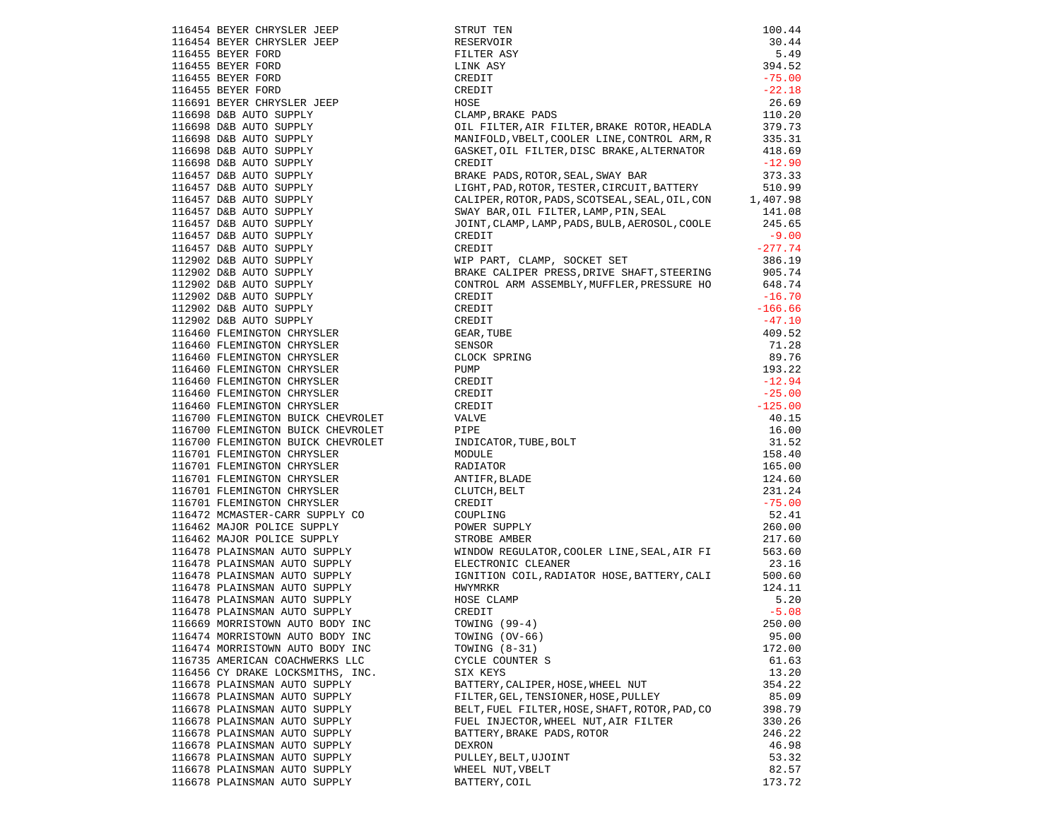|                                                                                                                                                                                                                                                              | STRUT TEN                                                                                                                                                                                                                                                                                           | 100.44    |
|--------------------------------------------------------------------------------------------------------------------------------------------------------------------------------------------------------------------------------------------------------------|-----------------------------------------------------------------------------------------------------------------------------------------------------------------------------------------------------------------------------------------------------------------------------------------------------|-----------|
| 116454 BEYER CHRYSLER JEEP<br>116454 BEYER CHRYSLER JEEP<br>116455 BEYER FORD<br>116455 BEYER FORD<br>116455 BEYER FORD<br>116455 BEYER FORD<br>116455 BEYER FORD<br>116691 BEYER FORD<br>116691 BEYER CHRYSLER JEEP<br>116698 DAB AUTO SUPPLY<br>116698 DAB | RESERVOIR                                                                                                                                                                                                                                                                                           | 30.44     |
|                                                                                                                                                                                                                                                              | FILTER ASY                                                                                                                                                                                                                                                                                          | 5.49      |
|                                                                                                                                                                                                                                                              | LINK ASY                                                                                                                                                                                                                                                                                            | 394.52    |
|                                                                                                                                                                                                                                                              | CREDIT                                                                                                                                                                                                                                                                                              | $-75.00$  |
|                                                                                                                                                                                                                                                              | CREDIT                                                                                                                                                                                                                                                                                              | $-22.18$  |
|                                                                                                                                                                                                                                                              | HOSE                                                                                                                                                                                                                                                                                                | 26.69     |
|                                                                                                                                                                                                                                                              | CLAMP, BRAKE PADS                                                                                                                                                                                                                                                                                   | 110.20    |
|                                                                                                                                                                                                                                                              | OIL FILTER, AIR FILTER, BRAKE ROTOR, HEADLA                                                                                                                                                                                                                                                         | 379.73    |
|                                                                                                                                                                                                                                                              | MANIFOLD, VBELT, COOLER LINE, CONTROL ARM, R 335.31<br>GASKET, OIL FILTER, DISC BRAKE, ALTERNATOR 418.69                                                                                                                                                                                            |           |
|                                                                                                                                                                                                                                                              |                                                                                                                                                                                                                                                                                                     |           |
|                                                                                                                                                                                                                                                              | CREDIT                                                                                                                                                                                                                                                                                              | $-12.90$  |
|                                                                                                                                                                                                                                                              | BRAKE PADS, ROTOR, SEAL, SWAY BAR                                                                                                                                                                                                                                                                   | 373.33    |
|                                                                                                                                                                                                                                                              | LIGHT, PAD, ROTOR, TESTER, CIRCUIT, BATTERY 510.99<br>CALIPER, ROTOR, PADS, SCOTSEAL, SEAL, OIL, CON 1, 407.98                                                                                                                                                                                      |           |
|                                                                                                                                                                                                                                                              |                                                                                                                                                                                                                                                                                                     |           |
|                                                                                                                                                                                                                                                              | SWAY BAR, OIL FILTER, LAMP, PIN, SEAL<br>JOINT, CLAMP, LAMP, PADS, BULB, AEROSOL, COOLE                                                                                                                                                                                                             | 141.08    |
|                                                                                                                                                                                                                                                              |                                                                                                                                                                                                                                                                                                     | 245.65    |
|                                                                                                                                                                                                                                                              | CREDIT                                                                                                                                                                                                                                                                                              | $-9.00$   |
|                                                                                                                                                                                                                                                              | CREDIT                                                                                                                                                                                                                                                                                              | $-277.74$ |
|                                                                                                                                                                                                                                                              | WIP PART, CLAMP, SOCKET SET                                                                                                                                                                                                                                                                         | 386.19    |
|                                                                                                                                                                                                                                                              | BRAKE CALIPER PRESS, DRIVE SHAFT, STEERING                                                                                                                                                                                                                                                          | 905.74    |
|                                                                                                                                                                                                                                                              | CONTROL ARM ASSEMBLY, MUFFLER, PRESSURE HO 648.74                                                                                                                                                                                                                                                   |           |
|                                                                                                                                                                                                                                                              | CREDIT                                                                                                                                                                                                                                                                                              | $-16.70$  |
|                                                                                                                                                                                                                                                              | CREDIT                                                                                                                                                                                                                                                                                              | $-166.66$ |
|                                                                                                                                                                                                                                                              |                                                                                                                                                                                                                                                                                                     | $-47.10$  |
|                                                                                                                                                                                                                                                              |                                                                                                                                                                                                                                                                                                     | 409.52    |
| 116460 FLEMINGTON CHRYSLER                                                                                                                                                                                                                                   |                                                                                                                                                                                                                                                                                                     | 71.28     |
| 116460 FLEMINGTON CHRYSLER                                                                                                                                                                                                                                   |                                                                                                                                                                                                                                                                                                     | 89.76     |
| 116460 FLEMINGTON CHRYSLER                                                                                                                                                                                                                                   |                                                                                                                                                                                                                                                                                                     | 193.22    |
| 116460 FLEMINGTON CHRYSLER                                                                                                                                                                                                                                   |                                                                                                                                                                                                                                                                                                     | $-12.94$  |
| 116460 FLEMINGTON CHRYSLER                                                                                                                                                                                                                                   |                                                                                                                                                                                                                                                                                                     | $-25.00$  |
| 116460 FLEMINGTON CHRYSLER                                                                                                                                                                                                                                   |                                                                                                                                                                                                                                                                                                     | $-125.00$ |
| 116700 FLEMINGTON BUICK CHEVROLET                                                                                                                                                                                                                            | CREDIT<br>CREDIT<br>CREDIT<br>GEAR, TUBE<br>SENSOR<br>CLOCK SPRING<br>PUMP<br>CREDIT<br>CREDIT<br>CREDIT<br>VALVE<br>PIPE<br>INDICATOR, TUBE, BOLT<br>MODLE<br>RADITOR<br>ANTIFR, BLADE<br>CLUTCH, BELT<br>CLUTCH, BELT<br>CREDIT<br>COUPLING<br>PONET CREDIT<br>COUPLING<br>PONER SUPPLY<br>COUPLI | 40.15     |
| 116700 FLEMINGTON BUICK CHEVROLET PIPE                                                                                                                                                                                                                       |                                                                                                                                                                                                                                                                                                     | 16.00     |
|                                                                                                                                                                                                                                                              |                                                                                                                                                                                                                                                                                                     | 31.52     |
| 116700 FLEMINGTON BUICK CHEVROLET<br>116701 FLEMINGTON CHRYSLER<br>116701 FLEMINGTON CHRYSLER                                                                                                                                                                |                                                                                                                                                                                                                                                                                                     | 158.40    |
| 116701 FLEMINGTON CHRYSLER                                                                                                                                                                                                                                   |                                                                                                                                                                                                                                                                                                     | 165.00    |
| 116701 FLEMINGTON CHRYSLER                                                                                                                                                                                                                                   |                                                                                                                                                                                                                                                                                                     | 124.60    |
|                                                                                                                                                                                                                                                              |                                                                                                                                                                                                                                                                                                     | 231.24    |
| 116701 FLEMINGTON CHRYSLER<br>116701 FLEMINGTON CHRYSLER                                                                                                                                                                                                     |                                                                                                                                                                                                                                                                                                     | $-75.00$  |
|                                                                                                                                                                                                                                                              |                                                                                                                                                                                                                                                                                                     | 52.41     |
| 116472 MCMASTER-CARR SUPPLY CO<br>116462 MAJOR POLICE SUPPLY                                                                                                                                                                                                 |                                                                                                                                                                                                                                                                                                     | 260.00    |
|                                                                                                                                                                                                                                                              |                                                                                                                                                                                                                                                                                                     | 217.60    |
|                                                                                                                                                                                                                                                              | STROBE AMBER<br>WINDOW REGULATOR, COOLER LINE, SEAL, AIR FI                                                                                                                                                                                                                                         | 563.60    |
| 116462 MAJOR POLICE SUPPLY<br>116478 PLAINSMAN AUTO SUPPLY<br>116478 PLAINSMAN AUTO SUPPLY                                                                                                                                                                   |                                                                                                                                                                                                                                                                                                     | 23.16     |
| 116478 PLAINSMAN AUTO SUPPLY<br>116478 PLAINSMAN AUTO SUPPLY                                                                                                                                                                                                 | ELECTRONIC CLEANER                                                                                                                                                                                                                                                                                  |           |
|                                                                                                                                                                                                                                                              | IGNITION COIL, RADIATOR HOSE, BATTERY, CALI                                                                                                                                                                                                                                                         | 500.60    |
|                                                                                                                                                                                                                                                              |                                                                                                                                                                                                                                                                                                     | 124.11    |
|                                                                                                                                                                                                                                                              |                                                                                                                                                                                                                                                                                                     | 5.20      |
| 116478 PLAINSMAN AUTO SUPPLY                                                                                                                                                                                                                                 | CREDIT                                                                                                                                                                                                                                                                                              | $-5.08$   |
| 116669 MORRISTOWN AUTO BODY INC                                                                                                                                                                                                                              | TOWING (99-4)                                                                                                                                                                                                                                                                                       | 250.00    |
| 116474 MORRISTOWN AUTO BODY INC                                                                                                                                                                                                                              | TOWING (OV-66)                                                                                                                                                                                                                                                                                      | 95.00     |
| 116474 MORRISTOWN AUTO BODY INC                                                                                                                                                                                                                              | TOWING $(8-31)$                                                                                                                                                                                                                                                                                     | 172.00    |
| 116735 AMERICAN COACHWERKS LLC                                                                                                                                                                                                                               | CYCLE COUNTER S                                                                                                                                                                                                                                                                                     | 61.63     |
| 116456 CY DRAKE LOCKSMITHS, INC.                                                                                                                                                                                                                             | SIX KEYS                                                                                                                                                                                                                                                                                            | 13.20     |
| 116678 PLAINSMAN AUTO SUPPLY                                                                                                                                                                                                                                 | BATTERY, CALIPER, HOSE, WHEEL NUT                                                                                                                                                                                                                                                                   | 354.22    |
| 116678 PLAINSMAN AUTO SUPPLY                                                                                                                                                                                                                                 | FILTER, GEL, TENSIONER, HOSE, PULLEY                                                                                                                                                                                                                                                                | 85.09     |
| 116678 PLAINSMAN AUTO SUPPLY                                                                                                                                                                                                                                 | BELT, FUEL FILTER, HOSE, SHAFT, ROTOR, PAD, CO                                                                                                                                                                                                                                                      | 398.79    |
| 116678 PLAINSMAN AUTO SUPPLY                                                                                                                                                                                                                                 | FUEL INJECTOR, WHEEL NUT, AIR FILTER                                                                                                                                                                                                                                                                | 330.26    |
| 116678 PLAINSMAN AUTO SUPPLY                                                                                                                                                                                                                                 | BATTERY, BRAKE PADS, ROTOR                                                                                                                                                                                                                                                                          | 246.22    |
| 116678 PLAINSMAN AUTO SUPPLY                                                                                                                                                                                                                                 | <b>DEXRON</b>                                                                                                                                                                                                                                                                                       | 46.98     |
| 116678 PLAINSMAN AUTO SUPPLY                                                                                                                                                                                                                                 | PULLEY, BELT, UJOINT                                                                                                                                                                                                                                                                                | 53.32     |
| 116678 PLAINSMAN AUTO SUPPLY                                                                                                                                                                                                                                 | WHEEL NUT, VBELT                                                                                                                                                                                                                                                                                    | 82.57     |
| 116678 PLAINSMAN AUTO SUPPLY                                                                                                                                                                                                                                 | BATTERY, COIL                                                                                                                                                                                                                                                                                       | 173.72    |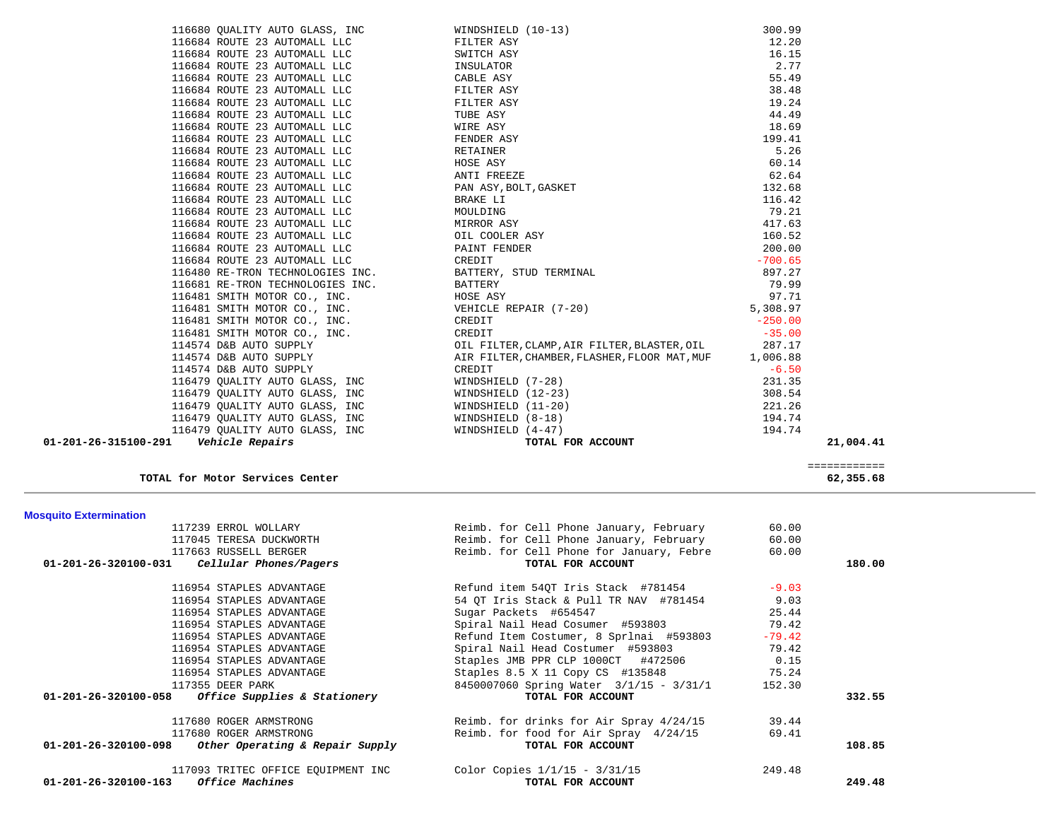| 117239 ERROL WOLLARY                                   | Reimb. for Cell Phone January, February  | 60.00    |        |
|--------------------------------------------------------|------------------------------------------|----------|--------|
| 117045 TERESA DUCKWORTH                                | Reimb. for Cell Phone January, February  | 60.00    |        |
| 117663 RUSSELL BERGER                                  | Reimb. for Cell Phone for January, Febre | 60.00    |        |
| $01-201-26-320100-031$ Cellular Phones/Pagers          | TOTAL FOR ACCOUNT                        |          | 180.00 |
| 116954 STAPLES ADVANTAGE                               | Refund item 54QT Iris Stack #781454      | $-9.03$  |        |
| 116954 STAPLES ADVANTAGE                               | 54 OT Iris Stack & Pull TR NAV #781454   | 9.03     |        |
| 116954 STAPLES ADVANTAGE                               | Sugar Packets #654547                    | 25.44    |        |
| 116954 STAPLES ADVANTAGE                               | Spiral Nail Head Cosumer #593803         | 79.42    |        |
| 116954 STAPLES ADVANTAGE                               | Refund Item Costumer, 8 Sprlnai #593803  | $-79.42$ |        |
| 116954 STAPLES ADVANTAGE                               | Spiral Nail Head Costumer #593803        | 79.42    |        |
| 116954 STAPLES ADVANTAGE                               | Staples JMB PPR CLP 1000CT #472506       | 0.15     |        |
| 116954 STAPLES ADVANTAGE                               | Staples 8.5 X 11 Copy CS #135848 75.24   |          |        |
| 117355 DEER PARK                                       | 8450007060 Spring Water 3/1/15 - 3/31/1  | 152.30   |        |
| $01-201-26-320100-058$ Office Supplies & Stationery    | TOTAL FOR ACCOUNT                        |          | 332.55 |
| 117680 ROGER ARMSTRONG                                 | Reimb. for drinks for Air Spray 4/24/15  | 39.44    |        |
| 117680 ROGER ARMSTRONG                                 | Reimb. for food for Air Spray 4/24/15    | 69.41    |        |
| $01-201-26-320100-098$ Other Operating & Repair Supply | TOTAL FOR ACCOUNT                        |          | 108.85 |
| 117093 TRITEC OFFICE EOUIPMENT INC                     | Color Copies $1/1/15 - 3/31/15$          | 249.48   |        |
| <i>Office Machines</i><br>01-201-26-320100-163         | TOTAL FOR ACCOUNT                        |          | 249.48 |
|                                                        |                                          |          |        |

 116680 QUALITY AUTO GLASS, INC WINDSHIELD (10-13) 300.99 116684 ROUTE 23 AUTOMALL LLC FILTER ASY 12.20

 ============ **TOTAL for Motor Services Center 62,355.68**

**Mosquito Extermination** 

 $16, 15$ 

| 116684 ROUTE 23 AUTOMALL LLC                                 | SWITCH ASY                                         | 16.15     |           |
|--------------------------------------------------------------|----------------------------------------------------|-----------|-----------|
| 116684 ROUTE 23 AUTOMALL LLC                                 | INSULATOR                                          | 2.77      |           |
| 116684 ROUTE 23 AUTOMALL LLC                                 | CABLE ASY                                          | 55.49     |           |
| 116684 ROUTE 23 AUTOMALL LLC                                 | FILTER ASY                                         | 38.48     |           |
| 116684 ROUTE 23 AUTOMALL LLC                                 | FILTER ASY                                         | 19.24     |           |
| 116684 ROUTE 23 AUTOMALL LLC                                 | TUBE ASY                                           | 44.49     |           |
| 116684 ROUTE 23 AUTOMALL LLC                                 | WIRE ASY                                           | 18.69     |           |
| 116684 ROUTE 23 AUTOMALL LLC                                 | FENDER ASY                                         | 199.41    |           |
| 116684 ROUTE 23 AUTOMALL LLC                                 | RETAINER                                           | 5.26      |           |
| 116684 ROUTE 23 AUTOMALL LLC                                 | HOSE ASY                                           | 60.14     |           |
| 116684 ROUTE 23 AUTOMALL LLC                                 | ANTI FREEZE                                        | 62.64     |           |
| 116684 ROUTE 23 AUTOMALL LLC                                 | PAN ASY, BOLT, GASKET                              | 132.68    |           |
| 116684 ROUTE 23 AUTOMALL LLC                                 | BRAKE LI                                           | 116.42    |           |
| 116684 ROUTE 23 AUTOMALL LLC                                 | MOULDING                                           | 79.21     |           |
| 116684 ROUTE 23 AUTOMALL LLC                                 | MIRROR ASY                                         | 417.63    |           |
| 116684 ROUTE 23 AUTOMALL LLC OIL COOLER ASY                  |                                                    | 160.52    |           |
| 116684 ROUTE 23 AUTOMALL LLC                                 | PAINT FENDER                                       | 200.00    |           |
| 116684 ROUTE 23 AUTOMALL LLC                                 | CREDIT                                             | $-700.65$ |           |
|                                                              |                                                    | 897.27    |           |
|                                                              |                                                    | 79.99     |           |
| 116481 SMITH MOTOR CO., INC. THE HOSE ASY                    |                                                    | 97.71     |           |
|                                                              | 116481 SMITH MOTOR CO., INC. WEHICLE REPAIR (7-20) | 5,308.97  |           |
| 116481 SMITH MOTOR CO., INC.<br>116481 SMITH MOTOR CO., INC. | CREDIT                                             | $-250.00$ |           |
|                                                              | CREDIT                                             | $-35.00$  |           |
| 114574 D&B AUTO SUPPLY                                       | OIL FILTER, CLAMP, AIR FILTER, BLASTER, OIL 287.17 |           |           |
| 114574 D&B AUTO SUPPLY                                       | AIR FILTER, CHAMBER, FLASHER, FLOOR MAT, MUF       | 1,006.88  |           |
| 114574 D&B AUTO SUPPLY                                       | CREDIT                                             | $-6.50$   |           |
| 116479 QUALITY AUTO GLASS, INC                               | WINDSHIELD (7-28)                                  | 231.35    |           |
| 116479 QUALITY AUTO GLASS, INC                               | WINDSHIELD (12-23)                                 | 308.54    |           |
| 116479 QUALITY AUTO GLASS, INC                               | WINDSHIELD (11-20)                                 | 221.26    |           |
| 116479 QUALITY AUTO GLASS, INC                               | WINDSHIELD (8-18)                                  | 194.74    |           |
| 116479 OUALITY AUTO GLASS, INC WINDSHIELD (4-47)             |                                                    | 194.74    |           |
| 01-201-26-315100-291    Vehicle Repairs                      | TOTAL FOR ACCOUNT                                  |           | 21,004.41 |
|                                                              |                                                    |           |           |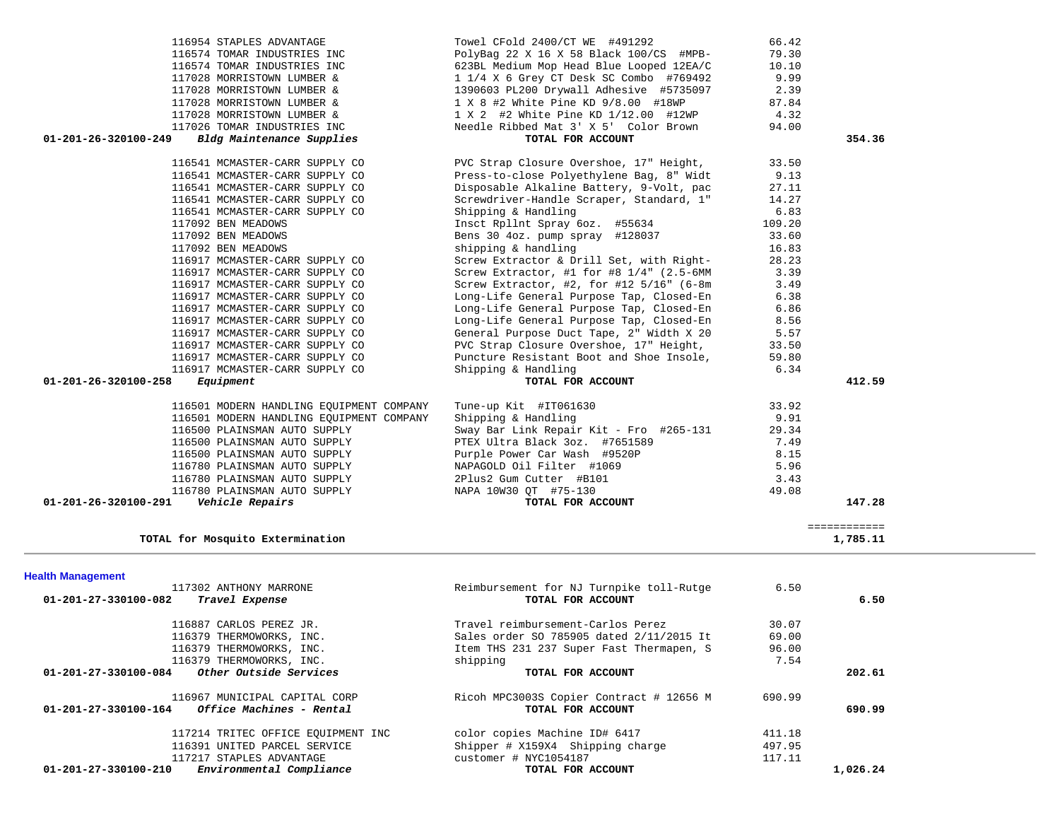| <b>Health Management</b>                                                          |                                                               |        |          |
|-----------------------------------------------------------------------------------|---------------------------------------------------------------|--------|----------|
| 117302 ANTHONY MARRONE                                                            | Reimbursement for NJ Turnpike toll-Rutge                      | 6.50   |          |
| 01-201-27-330100-082<br>Travel Expense                                            | TOTAL FOR ACCOUNT                                             |        | 6.50     |
| 116887 CARLOS PEREZ JR.                                                           | Travel reimbursement-Carlos Perez                             | 30.07  |          |
| 116379 THERMOWORKS, INC.                                                          | Sales order SO 785905 dated 2/11/2015 It                      | 69.00  |          |
| 116379 THERMOWORKS, INC.                                                          | Item THS 231 237 Super Fast Thermapen, S                      | 96.00  |          |
| 116379 THERMOWORKS, INC.                                                          | shipping                                                      | 7.54   |          |
| Other Outside Services<br>$01 - 201 - 27 - 330100 - 084$                          | TOTAL FOR ACCOUNT                                             |        | 202.61   |
| 116967 MUNICIPAL CAPITAL CORP<br>Office Machines - Rental<br>01-201-27-330100-164 | Ricoh MPC3003S Copier Contract # 12656 M<br>TOTAL FOR ACCOUNT | 690.99 | 690.99   |
|                                                                                   |                                                               |        |          |
| 117214 TRITEC OFFICE EOUIPMENT INC                                                | color copies Machine ID# 6417                                 | 411.18 |          |
| 116391 UNITED PARCEL SERVICE                                                      | Shipper # X159X4 Shipping charge                              | 497.95 |          |
| 117217 STAPLES ADVANTAGE                                                          | customer # NYC1054187                                         | 117.11 |          |
| $01 - 201 - 27 - 330100 - 210$<br>Environmental Compliance                        | TOTAL FOR ACCOUNT                                             |        | 1,026.24 |

| 116954 STAPLES ADVANTAGE                          | Towel CFold 2400/CT WE #491292           | 66.42  |              |
|---------------------------------------------------|------------------------------------------|--------|--------------|
| 116574 TOMAR INDUSTRIES INC                       | PolyBag 22 X 16 X 58 Black 100/CS #MPB-  | 79.30  |              |
| 116574 TOMAR INDUSTRIES INC                       | 623BL Medium Mop Head Blue Looped 12EA/C | 10.10  |              |
| 117028 MORRISTOWN LUMBER &                        | 1 1/4 X 6 Grey CT Desk SC Combo #769492  | 9.99   |              |
| 117028 MORRISTOWN LUMBER &                        | 1390603 PL200 Drywall Adhesive #5735097  | 2.39   |              |
| 117028 MORRISTOWN LUMBER &                        | 1 X 8 #2 White Pine KD 9/8.00 #18WP      | 87.84  |              |
| 117028 MORRISTOWN LUMBER &                        | 1 X 2 #2 White Pine KD 1/12.00 #12WP     | 4.32   |              |
| 117026 TOMAR INDUSTRIES INC                       | Needle Ribbed Mat 3' X 5' Color Brown    | 94.00  |              |
| Bldg Maintenance Supplies<br>01-201-26-320100-249 | TOTAL FOR ACCOUNT                        |        | 354.36       |
| 116541 MCMASTER-CARR SUPPLY CO                    | PVC Strap Closure Overshoe, 17" Height,  | 33.50  |              |
| 116541 MCMASTER-CARR SUPPLY CO                    | Press-to-close Polyethylene Bag, 8" Widt | 9.13   |              |
| 116541 MCMASTER-CARR SUPPLY CO                    | Disposable Alkaline Battery, 9-Volt, pac | 27.11  |              |
| 116541 MCMASTER-CARR SUPPLY CO                    | Screwdriver-Handle Scraper, Standard, 1" | 14.27  |              |
| 116541 MCMASTER-CARR SUPPLY CO                    | Shipping & Handling                      | 6.83   |              |
| 117092 BEN MEADOWS                                | Insct Rpllnt Spray 6oz. #55634           | 109.20 |              |
| 117092 BEN MEADOWS                                | Bens 30 4oz. pump spray #128037          | 33.60  |              |
| 117092 BEN MEADOWS                                | shipping & handling                      | 16.83  |              |
| 116917 MCMASTER-CARR SUPPLY CO                    | Screw Extractor & Drill Set, with Right- | 28.23  |              |
| 116917 MCMASTER-CARR SUPPLY CO                    | Screw Extractor, #1 for #8 1/4" (2.5-6MM | 3.39   |              |
| 116917 MCMASTER-CARR SUPPLY CO                    | Screw Extractor, #2, for #12 5/16" (6-8m | 3.49   |              |
| 116917 MCMASTER-CARR SUPPLY CO                    | Long-Life General Purpose Tap, Closed-En | 6.38   |              |
| 116917 MCMASTER-CARR SUPPLY CO                    | Long-Life General Purpose Tap, Closed-En | 6.86   |              |
| 116917 MCMASTER-CARR SUPPLY CO                    | Long-Life General Purpose Tap, Closed-En | 8.56   |              |
| 116917 MCMASTER-CARR SUPPLY CO                    | General Purpose Duct Tape, 2" Width X 20 | 5.57   |              |
| 116917 MCMASTER-CARR SUPPLY CO                    | PVC Strap Closure Overshoe, 17" Height,  | 33.50  |              |
| 116917 MCMASTER-CARR SUPPLY CO                    | Puncture Resistant Boot and Shoe Insole, | 59.80  |              |
| 116917 MCMASTER-CARR SUPPLY CO                    | Shipping & Handling                      | 6.34   |              |
| $01 - 201 - 26 - 320100 - 258$<br>Equipment       | TOTAL FOR ACCOUNT                        |        | 412.59       |
| 116501 MODERN HANDLING EQUIPMENT COMPANY          | Tune-up Kit #IT061630                    | 33.92  |              |
| 116501 MODERN HANDLING EOUIPMENT COMPANY          | Shipping & Handling                      | 9.91   |              |
| 116500 PLAINSMAN AUTO SUPPLY                      | Sway Bar Link Repair Kit - Fro #265-131  | 29.34  |              |
| 116500 PLAINSMAN AUTO SUPPLY                      | PTEX Ultra Black 3oz. #7651589           | 7.49   |              |
| 116500 PLAINSMAN AUTO SUPPLY                      | Purple Power Car Wash #9520P             | 8.15   |              |
| 116780 PLAINSMAN AUTO SUPPLY                      | NAPAGOLD Oil Filter #1069                | 5.96   |              |
| 116780 PLAINSMAN AUTO SUPPLY                      | 2Plus2 Gum Cutter #B101                  | 3.43   |              |
| 116780 PLAINSMAN AUTO SUPPLY                      | NAPA 10W30 QT #75-130                    | 49.08  |              |
| 01-201-26-320100-291<br>Vehicle Repairs           | TOTAL FOR ACCOUNT                        |        | 147.28       |
|                                                   |                                          |        | ============ |
| TOTAL for Mosquito Extermination                  |                                          |        | 1,785.11     |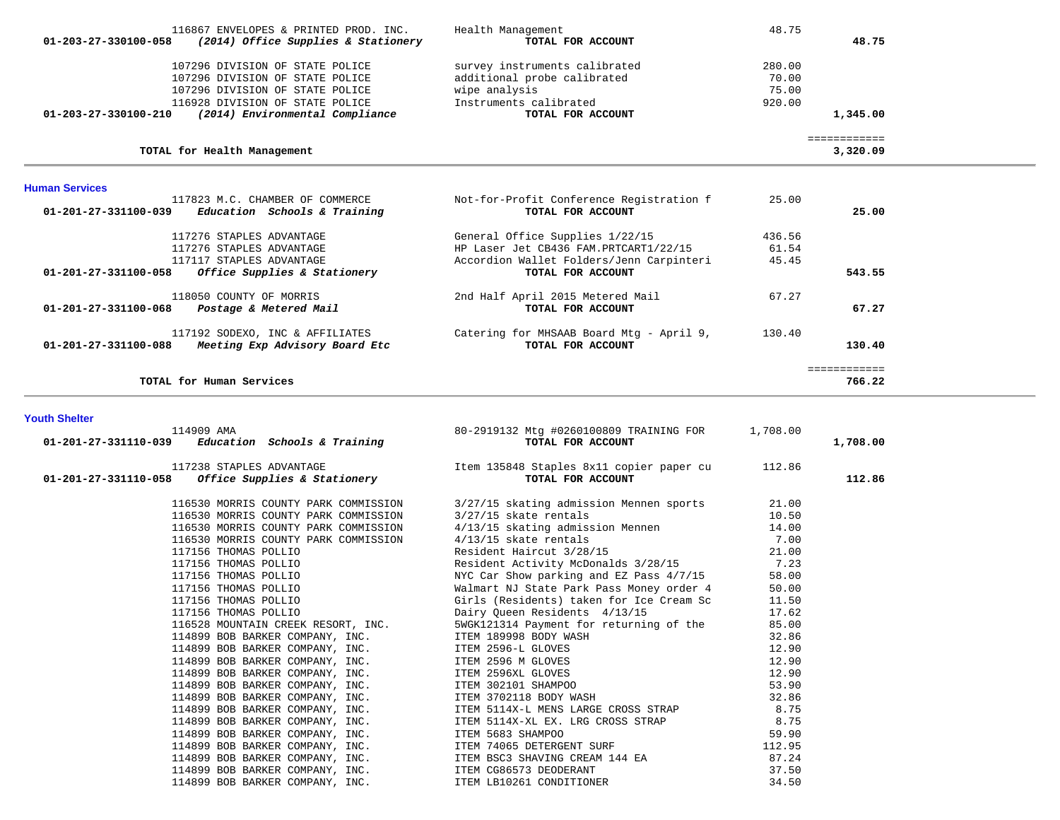| 116867 ENVELOPES & PRINTED PROD. INC.<br>(2014) Office Supplies & Stationery<br>01-203-27-330100-058 | Health Management<br>TOTAL FOR ACCOUNT   | 48.75  | 48.75        |
|------------------------------------------------------------------------------------------------------|------------------------------------------|--------|--------------|
|                                                                                                      |                                          |        |              |
| 107296 DIVISION OF STATE POLICE                                                                      | survey instruments calibrated            | 280.00 |              |
| 107296 DIVISION OF STATE POLICE                                                                      | additional probe calibrated              | 70.00  |              |
| 107296 DIVISION OF STATE POLICE                                                                      | wipe analysis                            | 75.00  |              |
| 116928 DIVISION OF STATE POLICE                                                                      | Instruments calibrated                   | 920.00 |              |
| $01 - 203 - 27 - 330100 - 210$<br>(2014) Environmental Compliance                                    | TOTAL FOR ACCOUNT                        |        | 1,345.00     |
|                                                                                                      |                                          |        | ============ |
| TOTAL for Health Management                                                                          |                                          |        | 3,320.09     |
|                                                                                                      |                                          |        |              |
| <b>Human Services</b>                                                                                |                                          |        |              |
| 117823 M.C. CHAMBER OF COMMERCE                                                                      | Not-for-Profit Conference Registration f | 25.00  |              |
| Education Schools & Training<br>01-201-27-331100-039                                                 | TOTAL FOR ACCOUNT                        |        | 25.00        |
| 117276 STAPLES ADVANTAGE                                                                             | General Office Supplies 1/22/15          | 436.56 |              |
| 117276 STAPLES ADVANTAGE                                                                             | HP Laser Jet CB436 FAM.PRTCART1/22/15    | 61.54  |              |
| 117117 STAPLES ADVANTAGE                                                                             | Accordion Wallet Folders/Jenn Carpinteri | 45.45  |              |
| 01-201-27-331100-058<br>Office Supplies & Stationery                                                 | TOTAL FOR ACCOUNT                        |        | 543.55       |
| 118050 COUNTY OF MORRIS                                                                              | 2nd Half April 2015 Metered Mail         | 67.27  |              |
| 01-201-27-331100-068<br>Postage & Metered Mail                                                       | TOTAL FOR ACCOUNT                        |        | 67.27        |
| 117192 SODEXO, INC & AFFILIATES                                                                      | Catering for MHSAAB Board Mtg - April 9, | 130.40 |              |
| 01-201-27-331100-088<br>Meeting Exp Advisory Board Etc                                               | TOTAL FOR ACCOUNT                        |        | 130.40       |
|                                                                                                      |                                          |        | ============ |
| TOTAL for Human Services                                                                             |                                          |        | 766.22       |

#### **Youth Shelter**

| 114909 AMA<br>$01-201-27-331110-039$ Education Schools & Training                                                                                     | 80-2919132 Mtg #0260100809 TRAINING FOR 1,708.00<br>TOTAL FOR ACCOUNT                                                                                                                                                                      | 1,708.00 |
|-------------------------------------------------------------------------------------------------------------------------------------------------------|--------------------------------------------------------------------------------------------------------------------------------------------------------------------------------------------------------------------------------------------|----------|
| 117238 STAPLES ADVANTAGE<br>112.86 11 Copier paper cu 112.86 11-201-27-331110-058 <i>Office Supplies &amp; Stationery</i><br>112.86 TOTAL FOR ACCOUNT |                                                                                                                                                                                                                                            | 112.86   |
|                                                                                                                                                       | 116530 MORRIS COUNTY PARK COMMISSION 3/27/15 skating admission Mennen sports 21.00                                                                                                                                                         |          |
|                                                                                                                                                       |                                                                                                                                                                                                                                            |          |
|                                                                                                                                                       |                                                                                                                                                                                                                                            |          |
|                                                                                                                                                       |                                                                                                                                                                                                                                            |          |
|                                                                                                                                                       |                                                                                                                                                                                                                                            |          |
|                                                                                                                                                       |                                                                                                                                                                                                                                            |          |
|                                                                                                                                                       |                                                                                                                                                                                                                                            |          |
|                                                                                                                                                       |                                                                                                                                                                                                                                            |          |
|                                                                                                                                                       |                                                                                                                                                                                                                                            |          |
|                                                                                                                                                       | 116530 MORRIS COUNTY PARK COMMISSION<br>116530 MORRIS COUNTY PARK COMMISSION<br>116530 MORRIS COUNTY PARK COMMISSION<br>116530 MORRIS COUNTY PARK COMMISSION<br>116530 MORRIS COUNTY PARK COMMISSION<br>4/13/15 skate rentals<br>117156 TH |          |
|                                                                                                                                                       | 116528 MOUNTAIN CREEK RESORT, INC. 5WGK121314 Payment for returning of the 85.00                                                                                                                                                           |          |
|                                                                                                                                                       |                                                                                                                                                                                                                                            |          |
|                                                                                                                                                       | 114899 BOB BARKER COMPANY, INC.<br>114899 BOB BARKER COMPANY, INC.<br>114899 BOB BARKER COMPANY, INC.<br>114899 BOB BARKER COMPANY, INC.<br>114899 BOB BARKER COMPANY, INC.<br>114899 BOB BARKER COMPANY, INC.<br>114899 BOB BARKER COMPAN |          |
|                                                                                                                                                       |                                                                                                                                                                                                                                            |          |
|                                                                                                                                                       |                                                                                                                                                                                                                                            |          |
|                                                                                                                                                       |                                                                                                                                                                                                                                            |          |
|                                                                                                                                                       |                                                                                                                                                                                                                                            |          |
|                                                                                                                                                       |                                                                                                                                                                                                                                            |          |
|                                                                                                                                                       |                                                                                                                                                                                                                                            |          |
|                                                                                                                                                       |                                                                                                                                                                                                                                            |          |
|                                                                                                                                                       |                                                                                                                                                                                                                                            |          |
|                                                                                                                                                       |                                                                                                                                                                                                                                            |          |
|                                                                                                                                                       |                                                                                                                                                                                                                                            |          |
|                                                                                                                                                       | 114899 BOB BARKER COMPANY, INC.<br>114899 BOB BARKER COMPANY, INC.<br>114899 BOB BARKER COMPANY, INC.<br>114899 BOB BARKER COMPANY, INC.<br>114899 BOB BARKER COMPANY, INC.<br>114899 BOB BARKER COMPANY, INC.<br>114899 BOB BARKER COMPAN |          |
|                                                                                                                                                       |                                                                                                                                                                                                                                            |          |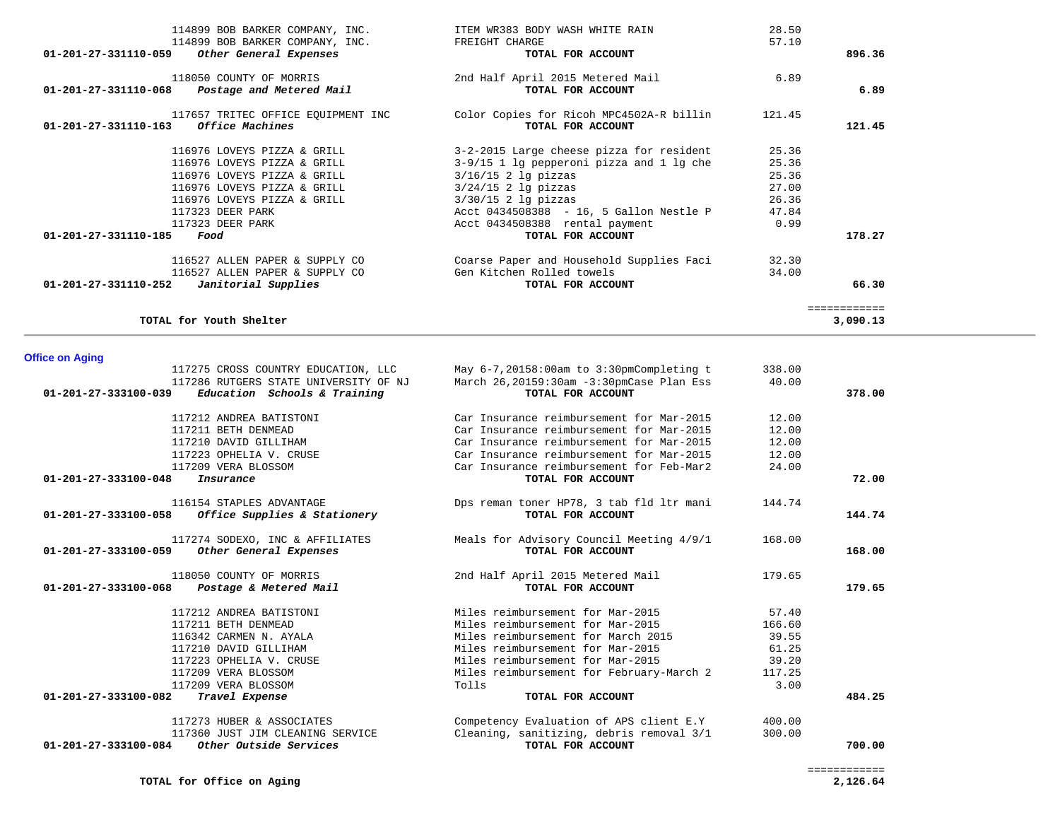| 114899 BOB BARKER COMPANY, INC.                  | ITEM WR383 BODY WASH WHITE RAIN            | 28.50  |              |
|--------------------------------------------------|--------------------------------------------|--------|--------------|
| 114899 BOB BARKER COMPANY, INC.                  | FREIGHT CHARGE                             | 57.10  |              |
| 01-201-27-331110-059<br>Other General Expenses   | TOTAL FOR ACCOUNT                          |        | 896.36       |
| 118050 COUNTY OF MORRIS                          | 2nd Half April 2015 Metered Mail           | 6.89   |              |
| 01-201-27-331110-068<br>Postage and Metered Mail | TOTAL FOR ACCOUNT                          |        | 6.89         |
| 117657 TRITEC OFFICE EQUIPMENT INC               | Color Copies for Ricoh MPC4502A-R billin   | 121.45 |              |
| 01-201-27-331110-163<br><i>Office Machines</i>   | TOTAL FOR ACCOUNT                          |        | 121.45       |
| 116976 LOVEYS PIZZA & GRILL                      | 3-2-2015 Large cheese pizza for resident   | 25.36  |              |
| 116976 LOVEYS PIZZA & GRILL                      | $3-9/15$ 1 lg pepperoni pizza and 1 lg che | 25.36  |              |
| 116976 LOVEYS PIZZA & GRILL                      | $3/16/15$ 2 lg pizzas                      | 25.36  |              |
| 116976 LOVEYS PIZZA & GRILL                      | $3/24/15$ 2 lg pizzas                      | 27.00  |              |
| 116976 LOVEYS PIZZA & GRILL                      | $3/30/15$ 2 lg pizzas                      | 26.36  |              |
| 117323 DEER PARK                                 | Acct 0434508388 - 16, 5 Gallon Nestle P    | 47.84  |              |
| 117323 DEER PARK                                 | Acct 0434508388 rental payment             | 0.99   |              |
| 01-201-27-331110-185<br>Food                     | TOTAL FOR ACCOUNT                          |        | 178.27       |
| 116527 ALLEN PAPER & SUPPLY CO                   | Coarse Paper and Household Supplies Faci   | 32.30  |              |
| 116527 ALLEN PAPER & SUPPLY CO                   | Gen Kitchen Rolled towels                  | 34.00  |              |
| 01-201-27-331110-252<br>Janitorial Supplies      | TOTAL FOR ACCOUNT                          |        | 66.30        |
|                                                  |                                            |        | ============ |
| TOTAL for Youth Shelter                          |                                            |        | 3,090.13     |

# **Office on Aging**

| 117275 CROSS COUNTRY EDUCATION, LLC                      |                                                 | 338.00 |        |
|----------------------------------------------------------|-------------------------------------------------|--------|--------|
|                                                          | May $6-7, 20158:00$ am to $3:30$ pmCompleting t |        |        |
| 117286 RUTGERS STATE UNIVERSITY OF NJ                    | March 26,20159:30am -3:30pmCase Plan Ess        | 40.00  |        |
| 01-201-27-333100-039<br>Education Schools & Training     | TOTAL FOR ACCOUNT                               |        | 378.00 |
| 117212 ANDREA BATISTONI                                  | Car Insurance reimbursement for Mar-2015        | 12.00  |        |
| 117211 BETH DENMEAD                                      | Car Insurance reimbursement for Mar-2015        | 12.00  |        |
| 117210 DAVID GILLIHAM                                    | Car Insurance reimbursement for Mar-2015        | 12.00  |        |
| 117223 OPHELIA V. CRUSE                                  | Car Insurance reimbursement for Mar-2015        | 12.00  |        |
| 117209 VERA BLOSSOM                                      | Car Insurance reimbursement for Feb-Mar2        | 24.00  |        |
| $01 - 201 - 27 - 333100 - 048$<br>Insurance              | TOTAL FOR ACCOUNT                               |        | 72.00  |
| 116154 STAPLES ADVANTAGE                                 | Dps reman toner HP78, 3 tab fld ltr mani        | 144.74 |        |
| Office Supplies & Stationery<br>01-201-27-333100-058     | TOTAL FOR ACCOUNT                               |        | 144.74 |
| 117274 SODEXO, INC & AFFILIATES                          | Meals for Advisory Council Meeting 4/9/1        | 168.00 |        |
| 01-201-27-333100-059<br>Other General Expenses           | TOTAL FOR ACCOUNT                               |        | 168.00 |
| 118050 COUNTY OF MORRIS                                  | 2nd Half April 2015 Metered Mail                | 179.65 |        |
| 01-201-27-333100-068<br>Postage & Metered Mail           | TOTAL FOR ACCOUNT                               |        | 179.65 |
| 117212 ANDREA BATISTONI                                  | Miles reimbursement for Mar-2015                | 57.40  |        |
| 117211 BETH DENMEAD                                      | Miles reimbursement for Mar-2015                | 166.60 |        |
| 116342 CARMEN N. AYALA                                   | Miles reimbursement for March 2015              | 39.55  |        |
| 117210 DAVID GILLIHAM                                    | Miles reimbursement for Mar-2015                | 61.25  |        |
| 117223 OPHELIA V. CRUSE                                  | Miles reimbursement for Mar-2015                | 39.20  |        |
| 117209 VERA BLOSSOM                                      | Miles reimbursement for February-March 2        | 117.25 |        |
| 117209 VERA BLOSSOM                                      | Tolls                                           | 3.00   |        |
| 01-201-27-333100-082<br>Travel Expense                   | TOTAL FOR ACCOUNT                               |        | 484.25 |
| 117273 HUBER & ASSOCIATES                                | Competency Evaluation of APS client E.Y         | 400.00 |        |
| 117360 JUST JIM CLEANING SERVICE                         | Cleaning, sanitizing, debris removal 3/1        | 300.00 |        |
| $01 - 201 - 27 - 333100 - 084$<br>Other Outside Services | TOTAL FOR ACCOUNT                               |        | 700.00 |
|                                                          |                                                 |        |        |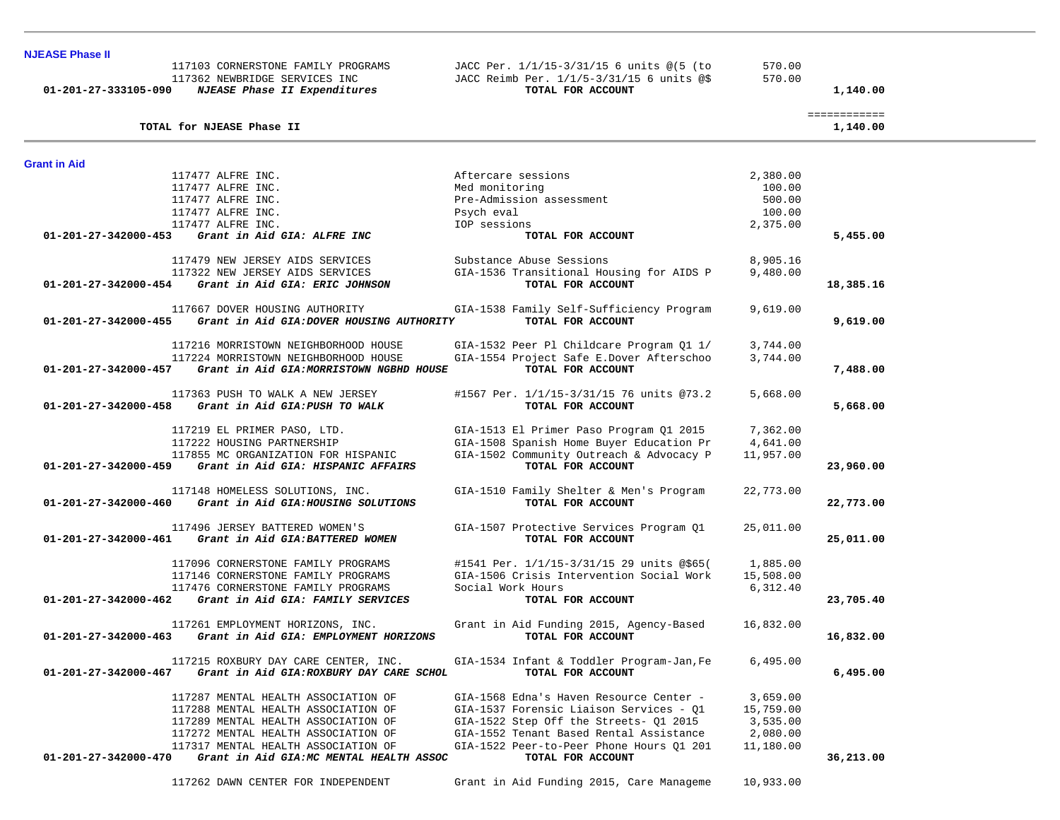| 01-201-27-333105-090 | 117103 CORNERSTONE FAMILY PROGRAMS<br>117362 NEWBRIDGE SERVICES INC<br>NJEASE Phase II Expenditures | JACC Per. 1/1/15-3/31/15 6 units @(5 (to<br>JACC Reimb Per. 1/1/5-3/31/15 6 units @\$<br>TOTAL FOR ACCOUNT | 570.00<br>570.00   | 1,140.00                 |  |
|----------------------|-----------------------------------------------------------------------------------------------------|------------------------------------------------------------------------------------------------------------|--------------------|--------------------------|--|
|                      | TOTAL for NJEASE Phase II                                                                           |                                                                                                            |                    | ============<br>1,140.00 |  |
| <b>Grant in Aid</b>  |                                                                                                     |                                                                                                            |                    |                          |  |
|                      | 117477 ALFRE INC.                                                                                   | Aftercare sessions                                                                                         | 2,380.00           |                          |  |
|                      | 117477 ALFRE INC.                                                                                   | Med monitoring                                                                                             | 100.00             |                          |  |
|                      | 117477 ALFRE INC.                                                                                   | Pre-Admission assessment                                                                                   | 500.00             |                          |  |
|                      | 117477 ALFRE INC.<br>117477 ALFRE INC.                                                              | Psych eval<br>IOP sessions                                                                                 | 100.00<br>2,375.00 |                          |  |
| 01-201-27-342000-453 | Grant in Aid GIA: ALFRE INC                                                                         | TOTAL FOR ACCOUNT                                                                                          |                    | 5,455.00                 |  |
|                      | 117479 NEW JERSEY AIDS SERVICES                                                                     | Substance Abuse Sessions                                                                                   | 8,905.16           |                          |  |
|                      | 117322 NEW JERSEY AIDS SERVICES                                                                     | GIA-1536 Transitional Housing for AIDS P                                                                   | 9,480.00           |                          |  |
| 01-201-27-342000-454 | Grant in Aid GIA: ERIC JOHNSON                                                                      | TOTAL FOR ACCOUNT                                                                                          |                    | 18,385.16                |  |
|                      | 117667 DOVER HOUSING AUTHORITY                                                                      | GIA-1538 Family Self-Sufficiency Program                                                                   | 9,619.00           |                          |  |
| 01-201-27-342000-455 | Grant in Aid GIA: DOVER HOUSING AUTHORITY                                                           | TOTAL FOR ACCOUNT                                                                                          |                    | 9,619.00                 |  |
|                      | 117216 MORRISTOWN NEIGHBORHOOD HOUSE                                                                | GIA-1532 Peer Pl Childcare Program Q1 1/                                                                   | 3,744.00           |                          |  |
|                      | 117224 MORRISTOWN NEIGHBORHOOD HOUSE                                                                | GIA-1554 Project Safe E.Dover Afterschoo                                                                   | 3,744.00           |                          |  |
| 01-201-27-342000-457 | Grant in Aid GIA: MORRISTOWN NGBHD HOUSE                                                            | TOTAL FOR ACCOUNT                                                                                          |                    | 7,488.00                 |  |
|                      | 117363 PUSH TO WALK A NEW JERSEY                                                                    | #1567 Per. 1/1/15-3/31/15 76 units @73.2                                                                   | 5,668.00           |                          |  |
| 01-201-27-342000-458 | Grant in Aid GIA: PUSH TO WALK                                                                      | TOTAL FOR ACCOUNT                                                                                          |                    | 5,668.00                 |  |
|                      | 117219 EL PRIMER PASO, LTD.                                                                         | GIA-1513 El Primer Paso Program Q1 2015                                                                    | 7,362.00           |                          |  |
|                      | 117222 HOUSING PARTNERSHIP                                                                          | GIA-1508 Spanish Home Buyer Education Pr                                                                   | 4,641.00           |                          |  |
| 01-201-27-342000-459 | 117855 MC ORGANIZATION FOR HISPANIC<br>Grant in Aid GIA: HISPANIC AFFAIRS                           | GIA-1502 Community Outreach & Advocacy P<br>TOTAL FOR ACCOUNT                                              | 11,957.00          | 23,960.00                |  |
|                      |                                                                                                     |                                                                                                            |                    |                          |  |
|                      | 117148 HOMELESS SOLUTIONS, INC.                                                                     | GIA-1510 Family Shelter & Men's Program                                                                    | 22,773.00          |                          |  |
| 01-201-27-342000-460 | Grant in Aid GIA: HOUSING SOLUTIONS                                                                 | TOTAL FOR ACCOUNT                                                                                          |                    | 22,773.00                |  |
|                      | 117496 JERSEY BATTERED WOMEN'S                                                                      | GIA-1507 Protective Services Program Q1                                                                    | 25,011.00          |                          |  |
| 01-201-27-342000-461 | Grant in Aid GIA: BATTERED WOMEN                                                                    | TOTAL FOR ACCOUNT                                                                                          |                    | 25,011.00                |  |
|                      | 117096 CORNERSTONE FAMILY PROGRAMS                                                                  | #1541 Per. 1/1/15-3/31/15 29 units @\$65(                                                                  | 1,885.00           |                          |  |
|                      | 117146 CORNERSTONE FAMILY PROGRAMS                                                                  | GIA-1506 Crisis Intervention Social Work                                                                   | 15,508.00          |                          |  |
|                      | 117476 CORNERSTONE FAMILY PROGRAMS                                                                  | Social Work Hours                                                                                          | 6,312.40           |                          |  |
| 01-201-27-342000-462 | Grant in Aid GIA: FAMILY SERVICES                                                                   | TOTAL FOR ACCOUNT                                                                                          |                    | 23,705.40                |  |
|                      | 117261 EMPLOYMENT HORIZONS, INC.                                                                    | Grant in Aid Funding 2015, Agency-Based                                                                    | 16,832.00          |                          |  |
| 01-201-27-342000-463 | Grant in Aid GIA: EMPLOYMENT HORIZONS                                                               | TOTAL FOR ACCOUNT                                                                                          |                    | 16,832.00                |  |
|                      | 117215 ROXBURY DAY CARE CENTER, INC.                                                                | GIA-1534 Infant & Toddler Program-Jan, Fe                                                                  | 6,495.00           |                          |  |
| 01-201-27-342000-467 | Grant in Aid GIA: ROXBURY DAY CARE SCHOL                                                            | TOTAL FOR ACCOUNT                                                                                          |                    | 6,495.00                 |  |
|                      | 117287 MENTAL HEALTH ASSOCIATION OF                                                                 | GIA-1568 Edna's Haven Resource Center -                                                                    | 3,659.00           |                          |  |
|                      | 117288 MENTAL HEALTH ASSOCIATION OF                                                                 | GIA-1537 Forensic Liaison Services - Q1                                                                    | 15,759.00          |                          |  |
|                      | 117289 MENTAL HEALTH ASSOCIATION OF                                                                 | GIA-1522 Step Off the Streets- Q1 2015                                                                     | 3,535.00           |                          |  |
|                      | 117272 MENTAL HEALTH ASSOCIATION OF                                                                 | GIA-1552 Tenant Based Rental Assistance                                                                    | 2,080.00           |                          |  |
| 01-201-27-342000-470 | 117317 MENTAL HEALTH ASSOCIATION OF<br>Grant in Aid GIA: MC MENTAL HEALTH ASSOC                     | GIA-1522 Peer-to-Peer Phone Hours 01 201<br>TOTAL FOR ACCOUNT                                              | 11,180.00          | 36,213.00                |  |
|                      |                                                                                                     |                                                                                                            |                    |                          |  |
|                      | 117262 DAWN CENTER FOR INDEPENDENT                                                                  | Grant in Aid Funding 2015, Care Manageme                                                                   | 10,933.00          |                          |  |

**NJEASE Phase II**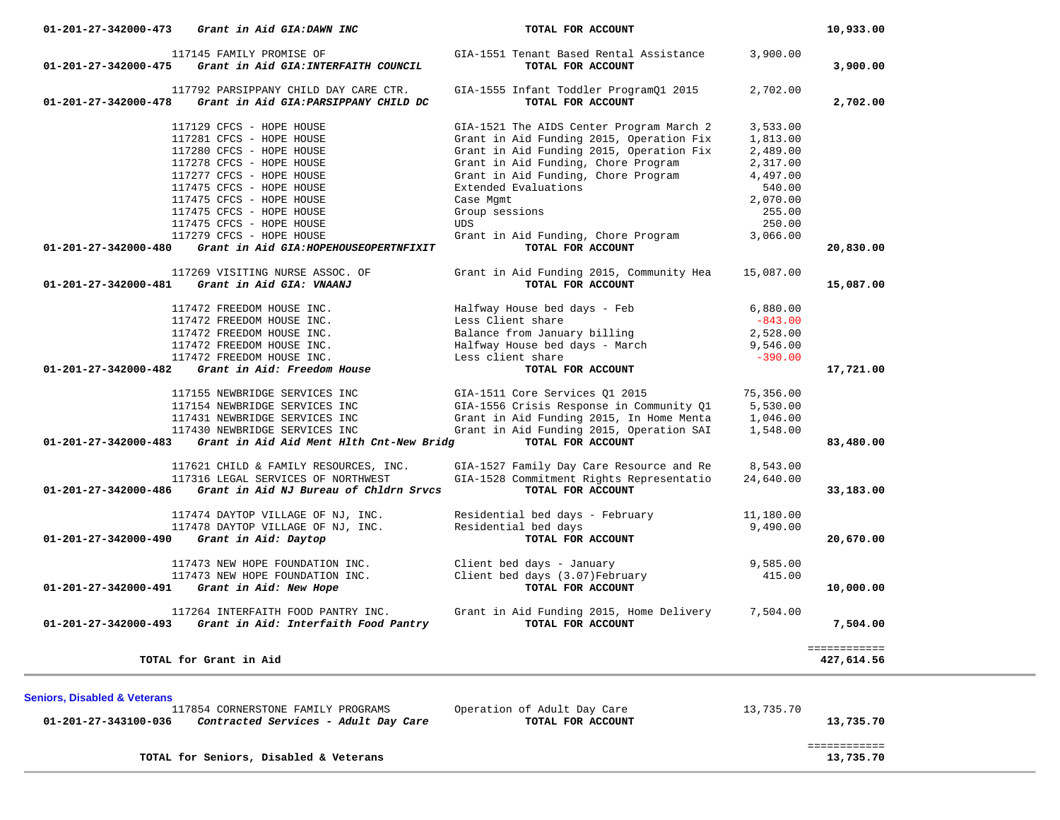| 117145 FAMILY PROMISE OF<br>Grant in Aid GIA: INTERFAITH COUNCIL<br>01-201-27-342000-475                         | GIA-1551 Tenant Based Rental Assistance<br>TOTAL FOR ACCOUNT  | 3,900.00  |              |
|------------------------------------------------------------------------------------------------------------------|---------------------------------------------------------------|-----------|--------------|
|                                                                                                                  |                                                               |           | 3,900.00     |
| 117792 PARSIPPANY CHILD DAY CARE CTR.<br>$01 - 201 - 27 - 342000 - 478$<br>Grant in Aid GIA: PARSIPPANY CHILD DC | GIA-1555 Infant Toddler ProgramQ1 2015<br>TOTAL FOR ACCOUNT   | 2,702.00  | 2,702.00     |
| 117129 CFCS - HOPE HOUSE                                                                                         | GIA-1521 The AIDS Center Program March 2                      | 3,533.00  |              |
| 117281 CFCS - HOPE HOUSE                                                                                         | Grant in Aid Funding 2015, Operation Fix                      | 1,813.00  |              |
| 117280 CFCS - HOPE HOUSE                                                                                         | Grant in Aid Funding 2015, Operation Fix                      | 2,489.00  |              |
| 117278 CFCS - HOPE HOUSE                                                                                         | Grant in Aid Funding, Chore Program                           | 2,317.00  |              |
| 117277 CFCS - HOPE HOUSE                                                                                         | Grant in Aid Funding, Chore Program                           | 4,497.00  |              |
| 117475 CFCS - HOPE HOUSE                                                                                         | Extended Evaluations                                          | 540.00    |              |
| 117475 CFCS - HOPE HOUSE                                                                                         | Case Mgmt                                                     | 2,070.00  |              |
| 117475 CFCS - HOPE HOUSE                                                                                         | Group sessions                                                | 255.00    |              |
| 117475 CFCS - HOPE HOUSE                                                                                         | UDS                                                           | 250.00    |              |
| 117279 CFCS - HOPE HOUSE                                                                                         | Grant in Aid Funding, Chore Program                           | 3,066.00  |              |
| Grant in Aid GIA: HOPEHOUSEOPERTNFIXIT<br>01-201-27-342000-480                                                   | TOTAL FOR ACCOUNT                                             |           | 20,830.00    |
| 117269 VISITING NURSE ASSOC. OF<br>01-201-27-342000-481<br>Grant in Aid GIA: VNAANJ                              | Grant in Aid Funding 2015, Community Hea<br>TOTAL FOR ACCOUNT | 15,087.00 | 15,087.00    |
| 117472 FREEDOM HOUSE INC.                                                                                        | Halfway House bed days - Feb                                  | 6,880.00  |              |
| 117472 FREEDOM HOUSE INC.                                                                                        | Less Client share                                             | $-843.00$ |              |
| 117472 FREEDOM HOUSE INC.                                                                                        | Balance from January billing                                  | 2,528.00  |              |
| 117472 FREEDOM HOUSE INC.                                                                                        | Halfway House bed days - March                                | 9,546.00  |              |
| 117472 FREEDOM HOUSE INC.                                                                                        | Less client share                                             | $-390.00$ |              |
| Grant in Aid: Freedom House<br>$01 - 201 - 27 - 342000 - 482$                                                    | TOTAL FOR ACCOUNT                                             |           | 17,721.00    |
| 117155 NEWBRIDGE SERVICES INC                                                                                    | GIA-1511 Core Services Q1 2015                                | 75,356.00 |              |
| 117154 NEWBRIDGE SERVICES INC                                                                                    | GIA-1556 Crisis Response in Community Q1                      | 5,530.00  |              |
| 117431 NEWBRIDGE SERVICES INC                                                                                    | Grant in Aid Funding 2015, In Home Menta                      | 1,046.00  |              |
| 117430 NEWBRIDGE SERVICES INC                                                                                    | Grant in Aid Funding 2015, Operation SAI                      | 1,548.00  |              |
| Grant in Aid Aid Ment Hlth Cnt-New Bridg<br>01-201-27-342000-483                                                 | TOTAL FOR ACCOUNT                                             |           | 83,480.00    |
| 117621 CHILD & FAMILY RESOURCES, INC.                                                                            | GIA-1527 Family Day Care Resource and Re                      | 8,543.00  |              |
| 117316 LEGAL SERVICES OF NORTHWEST                                                                               | GIA-1528 Commitment Rights Representatio                      | 24,640.00 |              |
| Grant in Aid NJ Bureau of Chldrn Srvcs<br>01-201-27-342000-486                                                   | TOTAL FOR ACCOUNT                                             |           | 33,183.00    |
| 117474 DAYTOP VILLAGE OF NJ, INC.                                                                                | Residential bed days - February                               | 11,180.00 |              |
| 117478 DAYTOP VILLAGE OF NJ, INC.                                                                                | Residential bed days                                          | 9,490.00  |              |
| Grant in Aid: Daytop<br>01-201-27-342000-490                                                                     | TOTAL FOR ACCOUNT                                             |           | 20,670.00    |
| 117473 NEW HOPE FOUNDATION INC.                                                                                  | Client bed days - January<br>Client bed days (3.07)February   | 9,585.00  |              |
| 117473 NEW HOPE FOUNDATION INC.                                                                                  |                                                               | 415.00    |              |
| 01-201-27-342000-491<br>Grant in Aid: New Hope                                                                   | TOTAL FOR ACCOUNT                                             |           | 10,000.00    |
| 117264 INTERFAITH FOOD PANTRY INC.                                                                               | Grant in Aid Funding 2015, Home Delivery                      | 7,504.00  |              |
| Grant in Aid: Interfaith Food Pantry<br>01-201-27-342000-493                                                     | TOTAL FOR ACCOUNT                                             |           | 7,504.00     |
|                                                                                                                  |                                                               |           | ============ |
| TOTAL for Grant in Aid                                                                                           |                                                               |           | 427,614.56   |
| <b>Seniors, Disabled &amp; Veterans</b>                                                                          |                                                               |           |              |
| 117854 CORNERSTONE FAMILY PROGRAMS                                                                               | Operation of Adult Day Care                                   | 13,735.70 |              |
| 01-201-27-343100-036<br>Contracted Services - Adult Day Care                                                     | TOTAL FOR ACCOUNT                                             |           | 13,735.70    |
|                                                                                                                  |                                                               |           |              |

**TOTAL for Seniors, Disabled & Veterans 13,735.70**

============

13,735.70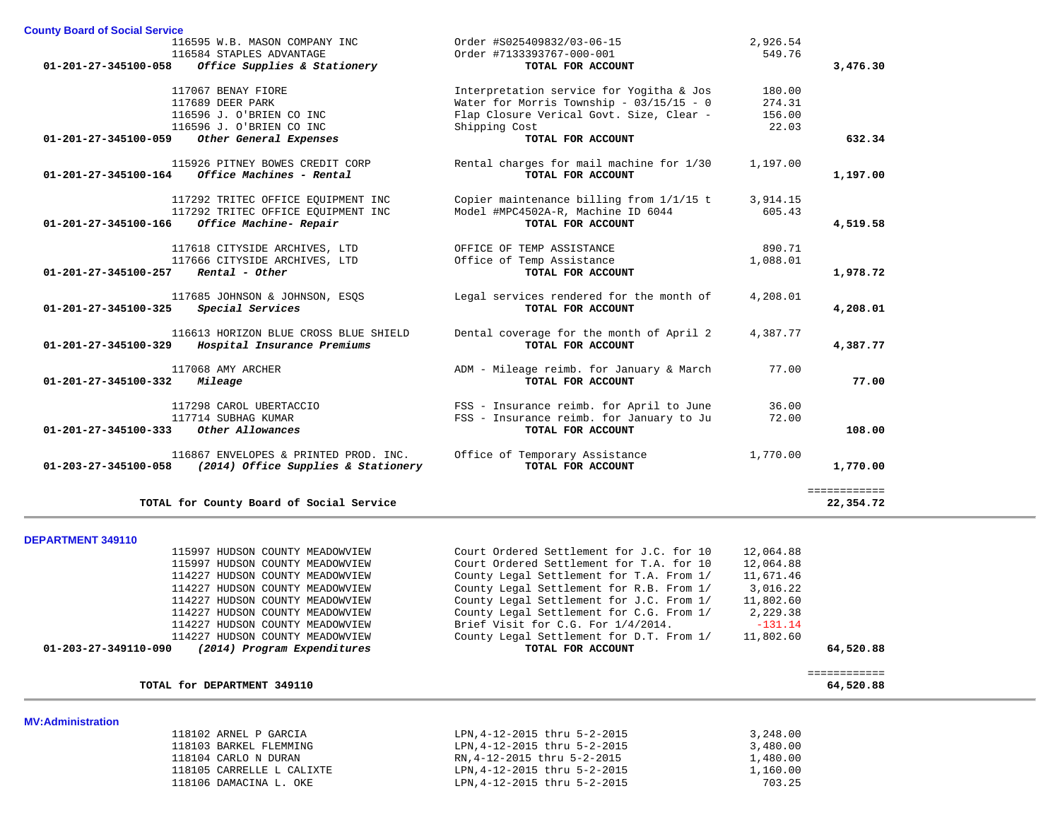| <b>County Board of Social Service</b> |                                          |                                            |           |              |
|---------------------------------------|------------------------------------------|--------------------------------------------|-----------|--------------|
|                                       | 116595 W.B. MASON COMPANY INC            | Order #S025409832/03-06-15                 | 2,926.54  |              |
|                                       | 116584 STAPLES ADVANTAGE                 | Order #7133393767-000-001                  | 549.76    |              |
| 01-201-27-345100-058                  | Office Supplies & Stationery             | TOTAL FOR ACCOUNT                          |           | 3,476.30     |
|                                       | 117067 BENAY FIORE                       | Interpretation service for Yogitha & Jos   | 180.00    |              |
|                                       | 117689 DEER PARK                         | Water for Morris Township - $03/15/15 - 0$ | 274.31    |              |
|                                       | 116596 J. O'BRIEN CO INC                 | Flap Closure Verical Govt. Size, Clear -   | 156.00    |              |
|                                       | 116596 J. O'BRIEN CO INC                 | Shipping Cost                              | 22.03     |              |
| 01-201-27-345100-059                  | Other General Expenses                   | TOTAL FOR ACCOUNT                          |           | 632.34       |
|                                       | 115926 PITNEY BOWES CREDIT CORP          | Rental charges for mail machine for 1/30   | 1,197.00  |              |
| 01-201-27-345100-164                  | Office Machines - Rental                 | TOTAL FOR ACCOUNT                          |           | 1,197.00     |
|                                       | 117292 TRITEC OFFICE EQUIPMENT INC       | Copier maintenance billing from 1/1/15 t   | 3,914.15  |              |
|                                       | 117292 TRITEC OFFICE EQUIPMENT INC       | Model #MPC4502A-R, Machine ID 6044         | 605.43    |              |
| 01-201-27-345100-166                  | Office Machine- Repair                   | TOTAL FOR ACCOUNT                          |           | 4,519.58     |
|                                       | 117618 CITYSIDE ARCHIVES, LTD            | OFFICE OF TEMP ASSISTANCE                  | 890.71    |              |
|                                       | 117666 CITYSIDE ARCHIVES, LTD            | Office of Temp Assistance                  | 1,088.01  |              |
| 01-201-27-345100-257                  | Rental - Other                           | TOTAL FOR ACCOUNT                          |           | 1,978.72     |
|                                       | 117685 JOHNSON & JOHNSON, ESOS           | Legal services rendered for the month of   | 4,208.01  |              |
| 01-201-27-345100-325                  | Special Services                         | TOTAL FOR ACCOUNT                          |           | 4,208.01     |
|                                       | 116613 HORIZON BLUE CROSS BLUE SHIELD    | Dental coverage for the month of April 2   | 4,387.77  |              |
| 01-201-27-345100-329                  | Hospital Insurance Premiums              | TOTAL FOR ACCOUNT                          |           | 4,387.77     |
|                                       | 117068 AMY ARCHER                        | ADM - Mileage reimb. for January & March   | 77.00     |              |
| $01 - 201 - 27 - 345100 - 332$        | Mileage                                  | TOTAL FOR ACCOUNT                          |           | 77.00        |
|                                       | 117298 CAROL UBERTACCIO                  | FSS - Insurance reimb. for April to June   | 36.00     |              |
|                                       | 117714 SUBHAG KUMAR                      | FSS - Insurance reimb. for January to Ju   | 72.00     |              |
| 01-201-27-345100-333                  | Other Allowances                         | TOTAL FOR ACCOUNT                          |           | 108.00       |
|                                       | 116867 ENVELOPES & PRINTED PROD. INC.    | Office of Temporary Assistance             | 1,770.00  |              |
| 01-203-27-345100-058                  | (2014) Office Supplies & Stationery      | TOTAL FOR ACCOUNT                          |           | 1,770.00     |
|                                       |                                          |                                            |           | ============ |
|                                       | TOTAL for County Board of Social Service |                                            |           | 22,354.72    |
|                                       |                                          |                                            |           |              |
| <b>DEPARTMENT 349110</b>              | 115997 HUDSON COUNTY MEADOWVIEW          | Court Ordered Settlement for J.C. for 10   | 12,064.88 |              |

|                          | 115997 HUDSON COUNTY MEADOWVIEW | Court Ordered Settlement for T.A. for 10 | 12,064.88 |           |
|--------------------------|---------------------------------|------------------------------------------|-----------|-----------|
|                          | 114227 HUDSON COUNTY MEADOWVIEW | County Legal Settlement for T.A. From 1/ | 11,671.46 |           |
|                          | 114227 HUDSON COUNTY MEADOWVIEW | County Legal Settlement for R.B. From 1/ | 3,016.22  |           |
|                          | 114227 HUDSON COUNTY MEADOWVIEW | County Legal Settlement for J.C. From 1/ | 11,802.60 |           |
|                          | 114227 HUDSON COUNTY MEADOWVIEW | County Legal Settlement for C.G. From 1/ | 2,229.38  |           |
|                          | 114227 HUDSON COUNTY MEADOWVIEW | Brief Visit for C.G. For 1/4/2014.       | $-131.14$ |           |
|                          | 114227 HUDSON COUNTY MEADOWVIEW | County Legal Settlement for D.T. From 1/ | 11,802.60 |           |
| 01-203-27-349110-090     | (2014) Program Expenditures     | TOTAL FOR ACCOUNT                        |           | 64,520.88 |
|                          |                                 |                                          |           |           |
|                          |                                 |                                          |           | .         |
|                          | TOTAL for DEPARTMENT 349110     |                                          |           | 64,520.88 |
|                          |                                 |                                          |           |           |
|                          |                                 |                                          |           |           |
|                          | 118102 ARNEL P GARCIA           | LPN, 4-12-2015 thru 5-2-2015             | 3,248.00  |           |
|                          | 118103 BARKEL FLEMMING          | LPN, 4-12-2015 thru 5-2-2015             | 3,480.00  |           |
|                          | 118104 CARLO N DURAN            | RN, 4-12-2015 thru 5-2-2015              | 1,480.00  |           |
| <b>MV:Administration</b> | 118105 CARRELLE L CALIXTE       | LPN, 4-12-2015 thru 5-2-2015             | 1,160.00  |           |

118106 DAMACINA L. OKE LPN,4-12-2015 thru 5-2-2015 703.25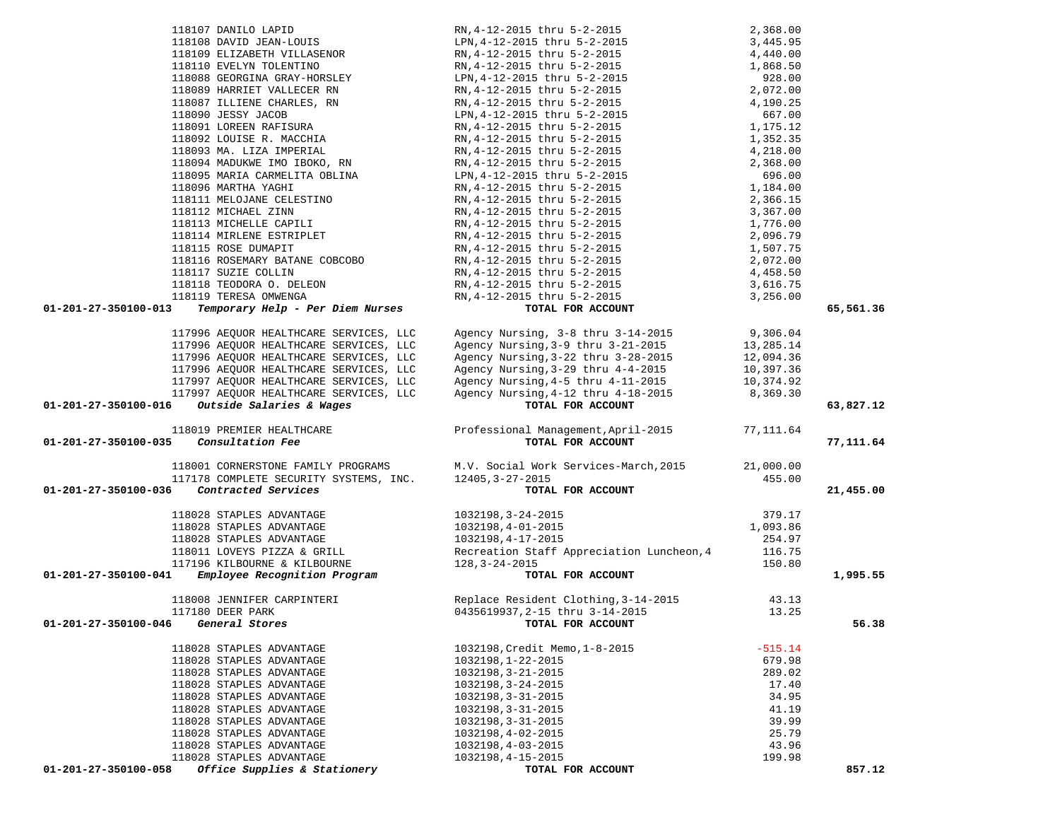| 01-201-27-350100-013                                                                                                                                                                                                                                                                                                                                         |                                                                                                                                                                                                                                            |           | 65,561.36 |
|--------------------------------------------------------------------------------------------------------------------------------------------------------------------------------------------------------------------------------------------------------------------------------------------------------------------------------------------------------------|--------------------------------------------------------------------------------------------------------------------------------------------------------------------------------------------------------------------------------------------|-----------|-----------|
|                                                                                                                                                                                                                                                                                                                                                              |                                                                                                                                                                                                                                            |           |           |
| 117996 AEQUOR HEALTHCARE SERVICES, LLC<br>117996 AEQUOR HEALTHCARE SERVICES, LLC                                                                                                                                                                                                                                                                             |                                                                                                                                                                                                                                            |           |           |
|                                                                                                                                                                                                                                                                                                                                                              |                                                                                                                                                                                                                                            |           |           |
| 117996 AEQUOR HEALTHCARE SERVICES, LLC<br>117996 AEQUOR HEALTHCARE SERVICES, LLC                                                                                                                                                                                                                                                                             |                                                                                                                                                                                                                                            |           |           |
|                                                                                                                                                                                                                                                                                                                                                              |                                                                                                                                                                                                                                            |           |           |
| 117997 AEQUOR HEALTHCARE SERVICES, LLC<br>117997 AEOUOR HEALTHCARE SERVICES, LLC                                                                                                                                                                                                                                                                             |                                                                                                                                                                                                                                            |           |           |
| $01-201-27-350100-016$ Outside Salaries & Wages                                                                                                                                                                                                                                                                                                              |                                                                                                                                                                                                                                            |           | 63,827.12 |
|                                                                                                                                                                                                                                                                                                                                                              | Agency Nursing, 3-8 thru 3-14-2015<br>Agency Nursing, 3-9 thru 3-21-2015<br>Agency Nursing, 3-22 thru 3-28-2015<br>Agency Nursing, 3-29 thru 4-4-2015<br>Agency Nursing, 4-5 thru 4-11-2015<br>Agency Nursing, 4-12 thru 4-18-2015<br>Agen |           |           |
| 118019 PREMIER HEALTHCARE                                                                                                                                                                                                                                                                                                                                    | Professional Management, April-2015 77, 111.64                                                                                                                                                                                             |           |           |
| Consultation Fee<br>01-201-27-350100-035                                                                                                                                                                                                                                                                                                                     | TOTAL FOR ACCOUNT                                                                                                                                                                                                                          |           | 77,111.64 |
|                                                                                                                                                                                                                                                                                                                                                              |                                                                                                                                                                                                                                            |           |           |
|                                                                                                                                                                                                                                                                                                                                                              | 118001 CORNERSTONE FAMILY PROGRAMS M.V. Social Work Services-March, 2015 21,000.00<br>117178 COMPLETE SECURITY SYSTEMS, INC. 12405, 3-27-2015 TOP ACCOUNT                                                                                  |           |           |
|                                                                                                                                                                                                                                                                                                                                                              |                                                                                                                                                                                                                                            |           |           |
| Contracted Services<br>01-201-27-350100-036                                                                                                                                                                                                                                                                                                                  | TOTAL FOR ACCOUNT                                                                                                                                                                                                                          |           | 21,455.00 |
|                                                                                                                                                                                                                                                                                                                                                              |                                                                                                                                                                                                                                            |           |           |
| $\begin{array}{cccc} & & & & 118028 \text{ STAPLES ADVANTAGE} & & & & 1032198,3-24-2015 & & & 379.17 \\ & & & & & 118028 \text{ STAPLES ADVANTAGE} & & & & 1032198,4-01-2015 & & & 1,093.86 \\ & & & & & 118028 \text{ STAPLES ADVANTAGE} & & & & 1032198,4-17-2015 & & & 1,093.86 \\ & & & & & 118011 \text{ LOVEYS PIZZA & & \text{GRILL} & & & & 1032198$ |                                                                                                                                                                                                                                            |           |           |
|                                                                                                                                                                                                                                                                                                                                                              |                                                                                                                                                                                                                                            |           |           |
|                                                                                                                                                                                                                                                                                                                                                              |                                                                                                                                                                                                                                            |           |           |
|                                                                                                                                                                                                                                                                                                                                                              |                                                                                                                                                                                                                                            |           |           |
|                                                                                                                                                                                                                                                                                                                                                              |                                                                                                                                                                                                                                            |           |           |
|                                                                                                                                                                                                                                                                                                                                                              |                                                                                                                                                                                                                                            |           | 1,995.55  |
|                                                                                                                                                                                                                                                                                                                                                              |                                                                                                                                                                                                                                            |           |           |
|                                                                                                                                                                                                                                                                                                                                                              |                                                                                                                                                                                                                                            |           |           |
|                                                                                                                                                                                                                                                                                                                                                              |                                                                                                                                                                                                                                            | 43.13     |           |
|                                                                                                                                                                                                                                                                                                                                                              |                                                                                                                                                                                                                                            | 13.25     |           |
| 01-201-27-350100-046 General Stores                                                                                                                                                                                                                                                                                                                          | 118008 JENNIFER CARPINTERI<br>117180 DEER PARK<br>2015 - 2015 0435619937,2-15 thru 3-14-2015<br>TOTAL FOR ACCOUNT                                                                                                                          |           | 56.38     |
|                                                                                                                                                                                                                                                                                                                                                              |                                                                                                                                                                                                                                            |           |           |
| 118028 STAPLES ADVANTAGE                                                                                                                                                                                                                                                                                                                                     | 1032198, Credit Memo, 1-8-2015                                                                                                                                                                                                             | $-515.14$ |           |
| 118028 STAPLES ADVANTAGE                                                                                                                                                                                                                                                                                                                                     | 1032198, 1-22-2015                                                                                                                                                                                                                         | 679.98    |           |
| 118028 STAPLES ADVANTAGE                                                                                                                                                                                                                                                                                                                                     | 1032198, 3-21-2015                                                                                                                                                                                                                         | 289.02    |           |
| 118028 STAPLES ADVANTAGE                                                                                                                                                                                                                                                                                                                                     | 1032198, 3-24-2015                                                                                                                                                                                                                         | 17.40     |           |
| 118028 STAPLES ADVANTAGE                                                                                                                                                                                                                                                                                                                                     | 1032198, 3-31-2015                                                                                                                                                                                                                         | 34.95     |           |
| 118028 STAPLES ADVANTAGE                                                                                                                                                                                                                                                                                                                                     | 1032198, 3-31-2015                                                                                                                                                                                                                         | 41.19     |           |
| 118028 STAPLES ADVANTAGE                                                                                                                                                                                                                                                                                                                                     | 1032198, 3-31-2015                                                                                                                                                                                                                         | 39.99     |           |
| 118028 STAPLES ADVANTAGE                                                                                                                                                                                                                                                                                                                                     | 1032198, 4-02-2015                                                                                                                                                                                                                         | 25.79     |           |
| 118028 STAPLES ADVANTAGE                                                                                                                                                                                                                                                                                                                                     | 1032198, 4-03-2015                                                                                                                                                                                                                         | 43.96     |           |
| 118028 STAPLES ADVANTAGE<br>01-201-27-350100-058<br>Office Supplies & Stationery                                                                                                                                                                                                                                                                             | 1032198, 4-15-2015<br>TOTAL FOR ACCOUNT                                                                                                                                                                                                    | 199.98    | 857.12    |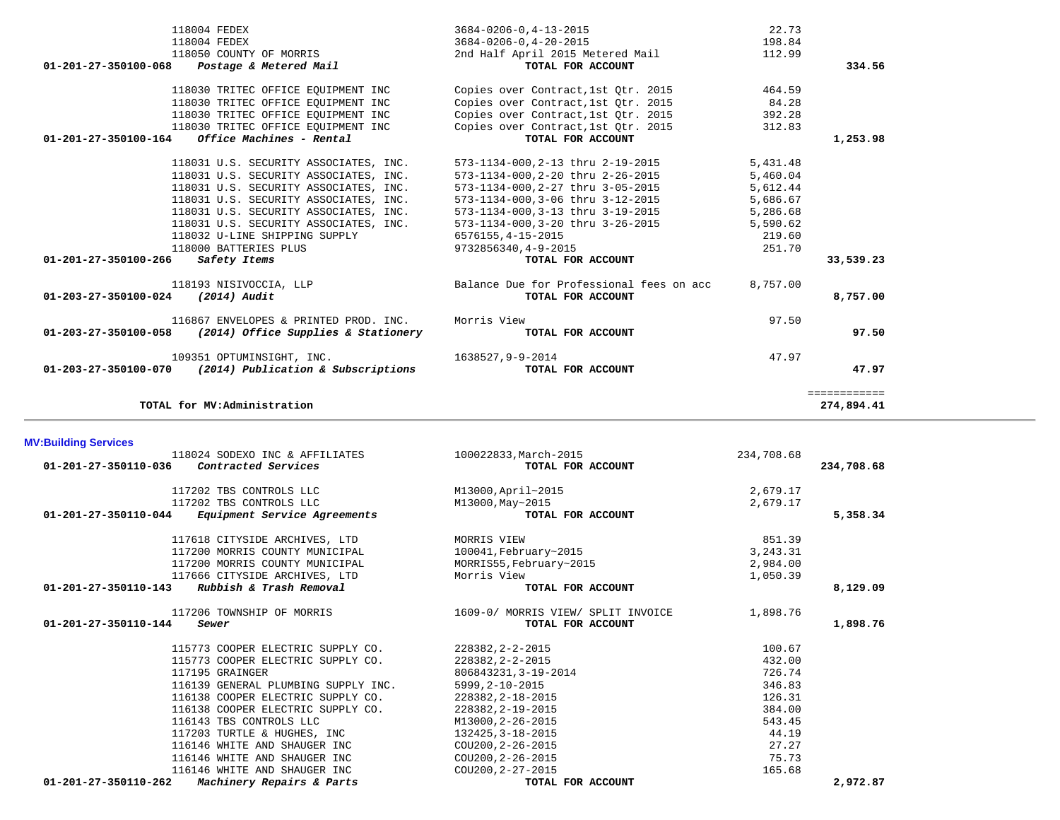|                                | 118024 SODEXO INC & AFFILIATES      | 100022833, March-2015              | 234,708.68 |            |
|--------------------------------|-------------------------------------|------------------------------------|------------|------------|
| 01-201-27-350110-036           | Contracted Services                 | TOTAL FOR ACCOUNT                  |            | 234,708.68 |
|                                | 117202 TBS CONTROLS LLC             | M13000, April~2015                 | 2,679.17   |            |
|                                | 117202 TBS CONTROLS LLC             | M13000, May~2015                   | 2,679.17   |            |
| 01-201-27-350110-044           | Equipment Service Agreements        | TOTAL FOR ACCOUNT                  |            | 5,358.34   |
|                                | 117618 CITYSIDE ARCHIVES, LTD       | MORRIS VIEW                        | 851.39     |            |
|                                | 117200 MORRIS COUNTY MUNICIPAL      | 100041, February~2015              | 3, 243. 31 |            |
|                                | 117200 MORRIS COUNTY MUNICIPAL      | MORRIS55, February~2015            | 2,984.00   |            |
|                                | 117666 CITYSIDE ARCHIVES, LTD       | Morris View                        | 1,050.39   |            |
| $01 - 201 - 27 - 350110 - 143$ | Rubbish & Trash Removal             | TOTAL FOR ACCOUNT                  |            | 8,129.09   |
|                                | 117206 TOWNSHIP OF MORRIS           | 1609-0/ MORRIS VIEW/ SPLIT INVOICE | 1,898.76   |            |
| $01 - 201 - 27 - 350110 - 144$ | Sewer                               | TOTAL FOR ACCOUNT                  |            | 1,898.76   |
|                                | 115773 COOPER ELECTRIC SUPPLY CO.   | 228382, 2-2-2015                   | 100.67     |            |
|                                | 115773 COOPER ELECTRIC SUPPLY CO.   | 228382, 2-2-2015                   | 432.00     |            |
|                                | 117195 GRAINGER                     | 806843231, 3-19-2014               | 726.74     |            |
|                                | 116139 GENERAL PLUMBING SUPPLY INC. | $5999, 2 - 10 - 2015$              | 346.83     |            |
|                                | 116138 COOPER ELECTRIC SUPPLY CO.   | 228382, 2-18-2015                  | 126.31     |            |
|                                | 116138 COOPER ELECTRIC SUPPLY CO.   | 228382, 2-19-2015                  | 384.00     |            |
|                                | 116143 TBS CONTROLS LLC             | M13000, 2-26-2015                  | 543.45     |            |
|                                | 117203 TURTLE & HUGHES, INC         | 132425, 3-18-2015                  | 44.19      |            |
|                                | 116146 WHITE AND SHAUGER INC        | COU200, 2-26-2015                  | 27.27      |            |
|                                | 116146 WHITE AND SHAUGER INC        | COU200, 2-26-2015                  | 75.73      |            |
|                                | 116146 WHITE AND SHAUGER INC        | COU200, 2-27-2015                  | 165.68     |            |
| 01-201-27-350110-262           | Machinery Repairs & Parts           | TOTAL FOR ACCOUNT                  |            | 2,972.87   |

| 118004 FEDEX                                                | $3684 - 0206 - 0.4 - 20 - 2015$          | 198.84   |              |
|-------------------------------------------------------------|------------------------------------------|----------|--------------|
| 118050 COUNTY OF MORRIS                                     | 2nd Half April 2015 Metered Mail         | 112.99   |              |
| $01 - 201 - 27 - 350100 - 068$ Postage & Metered Mail       | TOTAL FOR ACCOUNT                        |          | 334.56       |
| 118030 TRITEC OFFICE EOUIPMENT INC                          | Copies over Contract, 1st Qtr. 2015      | 464.59   |              |
| 118030 TRITEC OFFICE EQUIPMENT INC                          | Copies over Contract, 1st Otr. 2015      | 84.28    |              |
| 118030 TRITEC OFFICE EQUIPMENT INC                          | Copies over Contract, 1st Otr. 2015      | 392.28   |              |
| 118030 TRITEC OFFICE EQUIPMENT INC                          | Copies over Contract, 1st Otr. 2015      | 312.83   |              |
| Office Machines - Rental<br>01-201-27-350100-164            | TOTAL FOR ACCOUNT                        |          | 1,253.98     |
| 118031 U.S. SECURITY ASSOCIATES, INC.                       | 573-1134-000,2-13 thru 2-19-2015         | 5,431.48 |              |
| 118031 U.S. SECURITY ASSOCIATES, INC.                       | 573-1134-000, 2-20 thru 2-26-2015        | 5,460.04 |              |
| 118031 U.S. SECURITY ASSOCIATES, INC.                       | 573-1134-000, 2-27 thru 3-05-2015        | 5,612.44 |              |
| 118031 U.S. SECURITY ASSOCIATES, INC.                       | 573-1134-000,3-06 thru 3-12-2015         | 5,686.67 |              |
| 118031 U.S. SECURITY ASSOCIATES, INC.                       | 573-1134-000, 3-13 thru 3-19-2015        | 5,286.68 |              |
| 118031 U.S. SECURITY ASSOCIATES, INC.                       | 573-1134-000, 3-20 thru 3-26-2015        | 5,590.62 |              |
| 118032 U-LINE SHIPPING SUPPLY                               | 6576155, 4-15-2015                       | 219.60   |              |
| 118000 BATTERIES PLUS                                       | 9732856340, 4-9-2015                     | 251.70   |              |
| 01-201-27-350100-266 Safety Items                           | TOTAL FOR ACCOUNT                        |          | 33,539.23    |
| 118193 NISIVOCCIA, LLP                                      | Balance Due for Professional fees on acc | 8,757.00 |              |
| $01-203-27-350100-024$ (2014) Audit                         | TOTAL FOR ACCOUNT                        |          | 8,757.00     |
| 116867 ENVELOPES & PRINTED PROD. INC.                       | Morris View                              | 97.50    |              |
| (2014) Office Supplies & Stationery<br>01-203-27-350100-058 | TOTAL FOR ACCOUNT                        |          | 97.50        |
| 109351 OPTUMINSIGHT, INC.                                   | 1638527,9-9-2014                         | 47.97    |              |
| 01-203-27-350100-070<br>(2014) Publication & Subscriptions  | TOTAL FOR ACCOUNT                        |          | 47.97        |
|                                                             |                                          |          | ============ |
| TOTAL for MV:Administration                                 |                                          |          | 274,894.41   |

118004 FEDEX 3684-0206-0,4-13-2015 22.73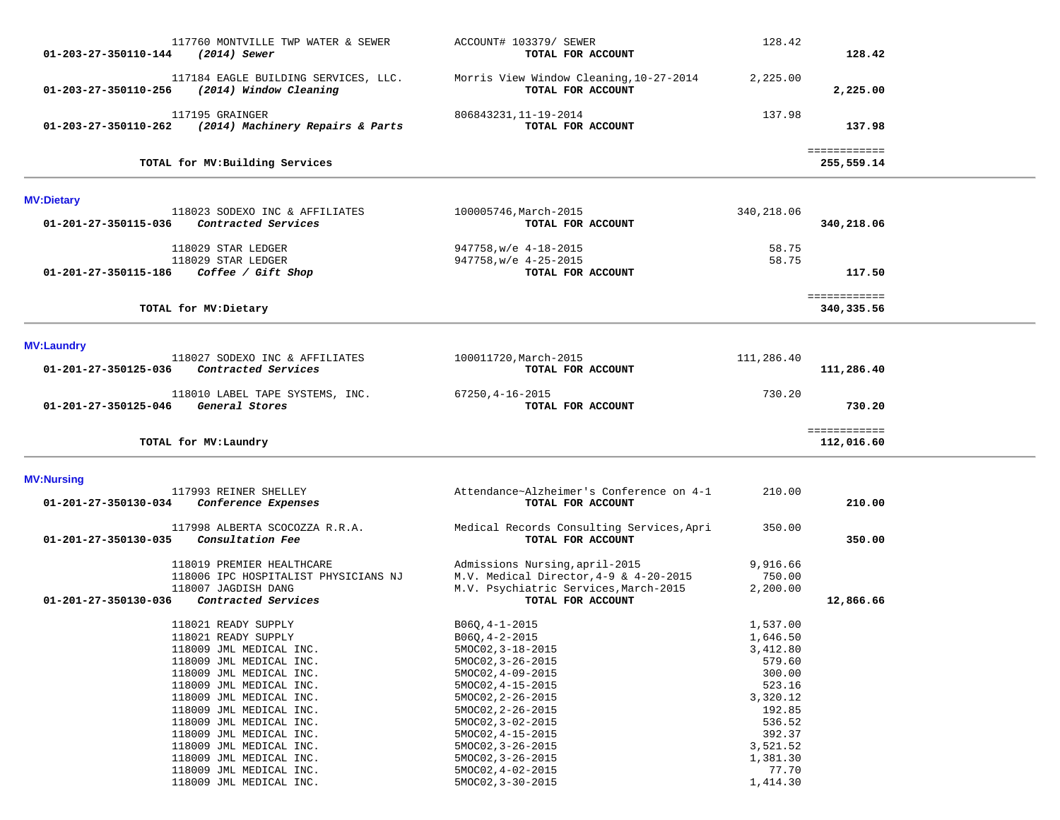| 117760 MONTVILLE TWP WATER & SEWER<br>01-203-27-350110-144<br>(2014) Sewer                                                                                                                                                                                                                                                                          | ACCOUNT# 103379/ SEWER<br>TOTAL FOR ACCOUNT                                                                                                                                                                                                              | 128.42                                                                                                                           | 128.42                     |  |
|-----------------------------------------------------------------------------------------------------------------------------------------------------------------------------------------------------------------------------------------------------------------------------------------------------------------------------------------------------|----------------------------------------------------------------------------------------------------------------------------------------------------------------------------------------------------------------------------------------------------------|----------------------------------------------------------------------------------------------------------------------------------|----------------------------|--|
| 117184 EAGLE BUILDING SERVICES, LLC.<br>01-203-27-350110-256<br>(2014) Window Cleaning                                                                                                                                                                                                                                                              | Morris View Window Cleaning, 10-27-2014<br>TOTAL FOR ACCOUNT                                                                                                                                                                                             | 2,225.00                                                                                                                         | 2,225.00                   |  |
| 117195 GRAINGER<br>01-203-27-350110-262<br>(2014) Machinery Repairs & Parts                                                                                                                                                                                                                                                                         | 806843231, 11-19-2014<br>TOTAL FOR ACCOUNT                                                                                                                                                                                                               | 137.98                                                                                                                           | 137.98                     |  |
| TOTAL for MV: Building Services                                                                                                                                                                                                                                                                                                                     |                                                                                                                                                                                                                                                          |                                                                                                                                  | ============<br>255,559.14 |  |
| <b>MV:Dietary</b>                                                                                                                                                                                                                                                                                                                                   |                                                                                                                                                                                                                                                          |                                                                                                                                  |                            |  |
| 118023 SODEXO INC & AFFILIATES<br>01-201-27-350115-036<br>Contracted Services                                                                                                                                                                                                                                                                       | 100005746, March-2015<br>TOTAL FOR ACCOUNT                                                                                                                                                                                                               | 340,218.06                                                                                                                       | 340,218.06                 |  |
| 118029 STAR LEDGER<br>118029 STAR LEDGER                                                                                                                                                                                                                                                                                                            | 947758, w/e 4-18-2015<br>947758, w/e 4-25-2015                                                                                                                                                                                                           | 58.75<br>58.75                                                                                                                   |                            |  |
| 01-201-27-350115-186<br>Coffee / Gift Shop                                                                                                                                                                                                                                                                                                          | TOTAL FOR ACCOUNT                                                                                                                                                                                                                                        |                                                                                                                                  | 117.50                     |  |
| TOTAL for MV: Dietary                                                                                                                                                                                                                                                                                                                               |                                                                                                                                                                                                                                                          |                                                                                                                                  | ============<br>340,335.56 |  |
| <b>MV:Laundry</b>                                                                                                                                                                                                                                                                                                                                   |                                                                                                                                                                                                                                                          |                                                                                                                                  |                            |  |
| 118027 SODEXO INC & AFFILIATES<br>Contracted Services<br>01-201-27-350125-036                                                                                                                                                                                                                                                                       | 100011720, March-2015<br>TOTAL FOR ACCOUNT                                                                                                                                                                                                               | 111,286.40                                                                                                                       | 111,286.40                 |  |
| 118010 LABEL TAPE SYSTEMS, INC.<br>General Stores<br>01-201-27-350125-046                                                                                                                                                                                                                                                                           | $67250, 4 - 16 - 2015$<br>TOTAL FOR ACCOUNT                                                                                                                                                                                                              | 730.20                                                                                                                           | 730.20                     |  |
| TOTAL for MV: Laundry                                                                                                                                                                                                                                                                                                                               |                                                                                                                                                                                                                                                          |                                                                                                                                  | ============<br>112,016.60 |  |
| <b>MV:Nursing</b>                                                                                                                                                                                                                                                                                                                                   |                                                                                                                                                                                                                                                          |                                                                                                                                  |                            |  |
| 117993 REINER SHELLEY<br>01-201-27-350130-034<br>Conference Expenses                                                                                                                                                                                                                                                                                | Attendance~Alzheimer's Conference on 4-1<br>TOTAL FOR ACCOUNT                                                                                                                                                                                            | 210.00                                                                                                                           | 210.00                     |  |
| 117998 ALBERTA SCOCOZZA R.R.A.<br>01-201-27-350130-035<br>Consultation Fee                                                                                                                                                                                                                                                                          | Medical Records Consulting Services, Apri<br>TOTAL FOR ACCOUNT                                                                                                                                                                                           | 350.00                                                                                                                           | 350.00                     |  |
| 118019 PREMIER HEALTHCARE<br>118006 IPC HOSPITALIST PHYSICIANS NJ<br>118007 JAGDISH DANG<br>Contracted Services<br>01-201-27-350130-036                                                                                                                                                                                                             | Admissions Nursing, april-2015<br>M.V. Medical Director, 4-9 & 4-20-2015<br>M.V. Psychiatric Services, March-2015<br>TOTAL FOR ACCOUNT                                                                                                                   | 9,916.66<br>750.00<br>2,200.00                                                                                                   | 12,866.66                  |  |
| 118021 READY SUPPLY<br>118021 READY SUPPLY<br>118009 JML MEDICAL INC.<br>118009 JML MEDICAL INC.<br>118009 JML MEDICAL INC.<br>118009 JML MEDICAL INC.<br>118009 JML MEDICAL INC.<br>118009 JML MEDICAL INC.<br>118009 JML MEDICAL INC.<br>118009 JML MEDICAL INC.<br>118009 JML MEDICAL INC.<br>118009 JML MEDICAL INC.<br>118009 JML MEDICAL INC. | $B06Q, 4-1-2015$<br>$B06Q, 4-2-2015$<br>$5MOCO2, 3-18-2015$<br>5MOC02, 3-26-2015<br>5MOC02, 4-09-2015<br>5MOC02, 4-15-2015<br>5MOC02, 2-26-2015<br>5MOC02, 2-26-2015<br>5MOC02, 3-02-2015<br>5MOC02, 4-15-2015<br>5MOC02, 3-26-2015<br>5MOC02, 3-26-2015 | 1,537.00<br>1,646.50<br>3,412.80<br>579.60<br>300.00<br>523.16<br>3,320.12<br>192.85<br>536.52<br>392.37<br>3,521.52<br>1,381.30 |                            |  |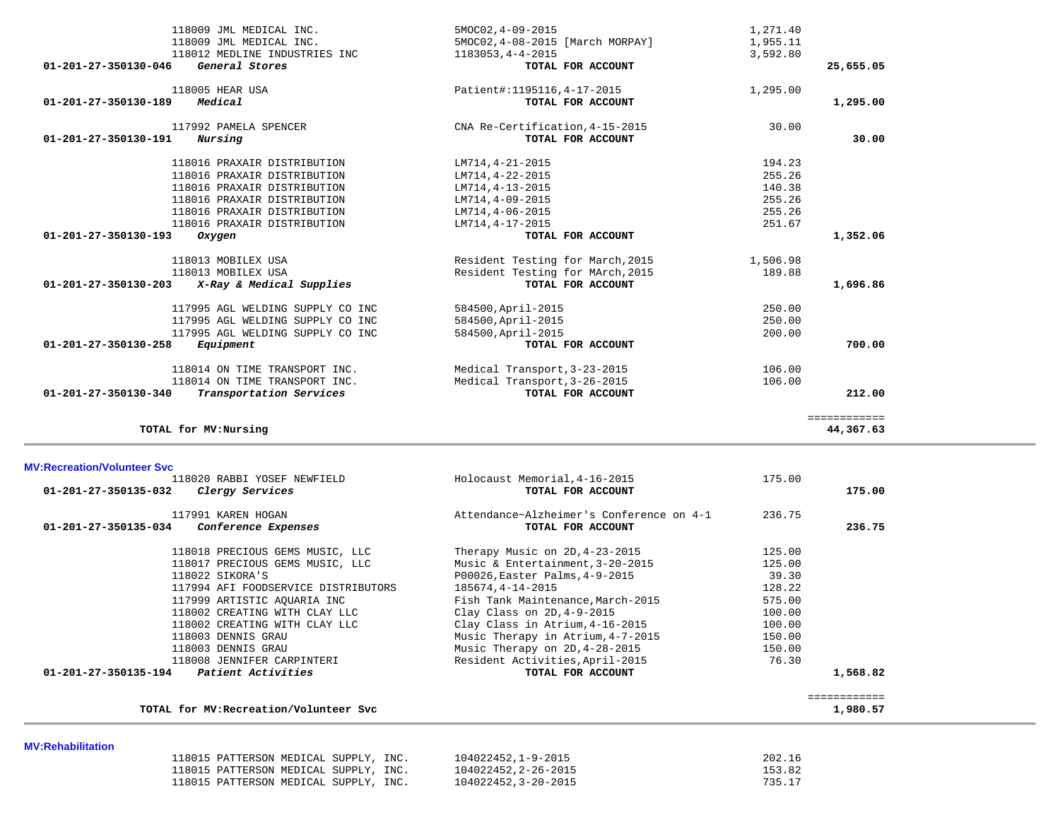|                                              | 118009 JML MEDICAL INC.<br>118009 JML MEDICAL INC.<br>118012 MEDLINE INDUSTRIES INC                                                                                                                                                                             | 5MOC02, 4-09-2015<br>5MOC02, 4-08-2015 [March MORPAY]<br>1183053, 4-4-2015                                                                                                                                                                       | 1,271.40<br>1,955.11<br>3,592.80                                     |                                 |
|----------------------------------------------|-----------------------------------------------------------------------------------------------------------------------------------------------------------------------------------------------------------------------------------------------------------------|--------------------------------------------------------------------------------------------------------------------------------------------------------------------------------------------------------------------------------------------------|----------------------------------------------------------------------|---------------------------------|
| 01-201-27-350130-046                         | General Stores                                                                                                                                                                                                                                                  | TOTAL FOR ACCOUNT                                                                                                                                                                                                                                |                                                                      | 25,655.05                       |
| 01-201-27-350130-189                         | 118005 HEAR USA<br>Medical                                                                                                                                                                                                                                      | Patient#:1195116, 4-17-2015<br>TOTAL FOR ACCOUNT                                                                                                                                                                                                 | 1,295.00                                                             | 1,295.00                        |
| 01-201-27-350130-191                         | 117992 PAMELA SPENCER<br>Nursing                                                                                                                                                                                                                                | CNA Re-Certification, 4-15-2015<br>TOTAL FOR ACCOUNT                                                                                                                                                                                             | 30.00                                                                | 30.00                           |
|                                              | 118016 PRAXAIR DISTRIBUTION<br>118016 PRAXAIR DISTRIBUTION<br>118016 PRAXAIR DISTRIBUTION<br>118016 PRAXAIR DISTRIBUTION<br>118016 PRAXAIR DISTRIBUTION<br>118016 PRAXAIR DISTRIBUTION                                                                          | LM714, 4-21-2015<br>LM714, 4-22-2015<br>LM714, 4-13-2015<br>LM714,4-09-2015<br>LM714,4-06-2015<br>LM714, 4-17-2015                                                                                                                               | 194.23<br>255.26<br>140.38<br>255.26<br>255.26<br>251.67             |                                 |
| 01-201-27-350130-193                         | Oxygen                                                                                                                                                                                                                                                          | TOTAL FOR ACCOUNT                                                                                                                                                                                                                                |                                                                      | 1,352.06                        |
| 01-201-27-350130-203<br>01-201-27-350130-258 | 118013 MOBILEX USA<br>118013 MOBILEX USA<br>X-Ray & Medical Supplies<br>117995 AGL WELDING SUPPLY CO INC<br>117995 AGL WELDING SUPPLY CO INC<br>117995 AGL WELDING SUPPLY CO INC<br>Equipment<br>118014 ON TIME TRANSPORT INC.<br>118014 ON TIME TRANSPORT INC. | Resident Testing for March, 2015<br>Resident Testing for MArch, 2015<br>TOTAL FOR ACCOUNT<br>584500, April-2015<br>584500, April-2015<br>584500, April-2015<br>TOTAL FOR ACCOUNT<br>Medical Transport, 3-23-2015<br>Medical Transport, 3-26-2015 | 1,506.98<br>189.88<br>250.00<br>250.00<br>200.00<br>106.00<br>106.00 | 1,696.86<br>700.00              |
| 01-201-27-350130-340                         | Transportation Services                                                                                                                                                                                                                                         | TOTAL FOR ACCOUNT                                                                                                                                                                                                                                |                                                                      | 212.00                          |
|                                              | TOTAL for MV: Nursing                                                                                                                                                                                                                                           |                                                                                                                                                                                                                                                  |                                                                      | <b>EEEEEEEEEEE</b><br>44,367.63 |
| <b>MV:Recreation/Volunteer Svc</b>           |                                                                                                                                                                                                                                                                 |                                                                                                                                                                                                                                                  |                                                                      |                                 |
| 01-201-27-350135-032                         | 118020 RABBI YOSEF NEWFIELD<br>Clergy Services                                                                                                                                                                                                                  | Holocaust Memorial, 4-16-2015<br>TOTAL FOR ACCOUNT                                                                                                                                                                                               | 175.00                                                               | 175.00                          |
|                                              | 117991 KAREN HOGAN<br>$01 - 201 - 27 - 350135 - 034$ Conference Expenses                                                                                                                                                                                        | Attendance~Alzheimer's Conference on 4-1<br>TOTAL FOR ACCOUNT                                                                                                                                                                                    | 236.75                                                               | 236.75                          |

# -350135-034 *Conference Expenses* **TOTAL FOR ACCOUNT**  118018 PRECIOUS GEMS MUSIC, LLC Therapy Music on 2D,4-23-2015 125.00 118017 PRECIOUS GEMS MUSIC, LLC Music & Entertainment,3-20-2015 125.00 118022 SIKORA'S P00026,Easter Palms,4-9-2015 39.30 117994 AFI FOODSERVICE DISTRIBUTORS 185674,4-14-2015 128.22 117999 ARTISTIC AQUARIA INC Fish Tank Maintenance,March-2015 575.00 118002 CREATING WITH CLAY LLC Clay Class on 2D,4-9-2015 100.00 118002 CREATING WITH CLAY LLC Clay Class in Atrium,4-16-2015 100.00 118003 DENNIS GRAU Music Therapy in Atrium,4-7-2015 150.00 118003 DENNIS GRAU Music Therapy on 2D,4-28-2015 150.00 118008 JENNIFER CARPINTERI Resident Activities,April-2015 76.30  **01-201-27-350135-194** *Patient Activities* **TOTAL FOR ACCOUNT 1,568.82** ============

**TOTAL for MV:Recreation/Volunteer Svc 1,980.57**

## **MV:Rehabilitation**

| 118015 PATTERSON MEDICAL SUPPLY, INC. | 104022452.1-9-2015   | 202.16 |
|---------------------------------------|----------------------|--------|
| 118015 PATTERSON MEDICAL SUPPLY, INC. | 104022452, 2-26-2015 | 153.82 |
| 118015 PATTERSON MEDICAL SUPPLY, INC. | 104022452, 3-20-2015 | 735.17 |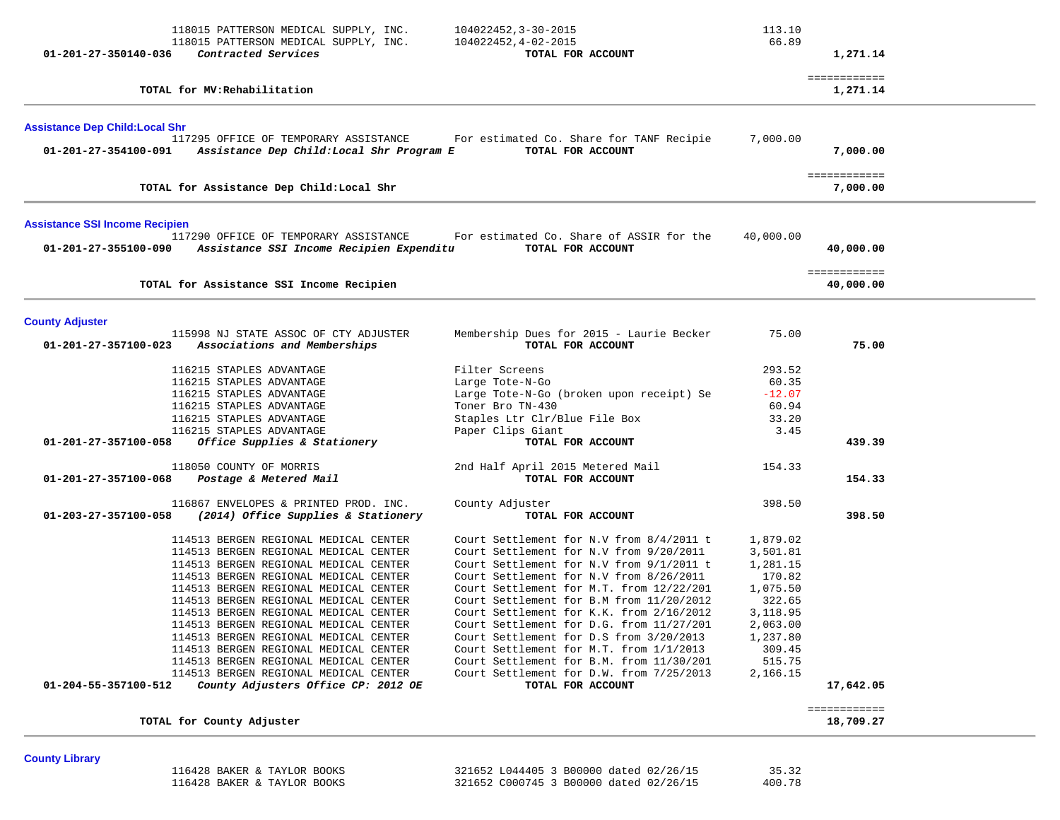| 01-201-27-350140-036                   | 118015 PATTERSON MEDICAL SUPPLY, INC.<br>118015 PATTERSON MEDICAL SUPPLY, INC.<br>Contracted Services                                                                                                                                                                                                                                                                                                                                                                                                                                           | 104022452, 3-30-2015<br>104022452, 4-02-2015<br>TOTAL FOR ACCOUNT                                                                                                                                                                                                                                                                                                                                                                                                                                                                                             | 113.10<br>66.89                                                                                                                      | 1,271.14                  |  |
|----------------------------------------|-------------------------------------------------------------------------------------------------------------------------------------------------------------------------------------------------------------------------------------------------------------------------------------------------------------------------------------------------------------------------------------------------------------------------------------------------------------------------------------------------------------------------------------------------|---------------------------------------------------------------------------------------------------------------------------------------------------------------------------------------------------------------------------------------------------------------------------------------------------------------------------------------------------------------------------------------------------------------------------------------------------------------------------------------------------------------------------------------------------------------|--------------------------------------------------------------------------------------------------------------------------------------|---------------------------|--|
|                                        | TOTAL for MV: Rehabilitation                                                                                                                                                                                                                                                                                                                                                                                                                                                                                                                    |                                                                                                                                                                                                                                                                                                                                                                                                                                                                                                                                                               |                                                                                                                                      | ============<br>1,271.14  |  |
| <b>Assistance Dep Child: Local Shr</b> |                                                                                                                                                                                                                                                                                                                                                                                                                                                                                                                                                 |                                                                                                                                                                                                                                                                                                                                                                                                                                                                                                                                                               |                                                                                                                                      |                           |  |
| 01-201-27-354100-091                   | 117295 OFFICE OF TEMPORARY ASSISTANCE<br>Assistance Dep Child: Local Shr Program E                                                                                                                                                                                                                                                                                                                                                                                                                                                              | For estimated Co. Share for TANF Recipie<br>TOTAL FOR ACCOUNT                                                                                                                                                                                                                                                                                                                                                                                                                                                                                                 | 7,000.00                                                                                                                             | 7,000.00                  |  |
|                                        | TOTAL for Assistance Dep Child: Local Shr                                                                                                                                                                                                                                                                                                                                                                                                                                                                                                       |                                                                                                                                                                                                                                                                                                                                                                                                                                                                                                                                                               |                                                                                                                                      | ============<br>7,000.00  |  |
| <b>Assistance SSI Income Recipien</b>  |                                                                                                                                                                                                                                                                                                                                                                                                                                                                                                                                                 |                                                                                                                                                                                                                                                                                                                                                                                                                                                                                                                                                               |                                                                                                                                      |                           |  |
|                                        | 117290 OFFICE OF TEMPORARY ASSISTANCE<br>01-201-27-355100-090 Assistance SSI Income Recipien Expenditu                                                                                                                                                                                                                                                                                                                                                                                                                                          | For estimated Co. Share of ASSIR for the<br>TOTAL FOR ACCOUNT                                                                                                                                                                                                                                                                                                                                                                                                                                                                                                 | 40,000.00                                                                                                                            | 40,000.00                 |  |
|                                        | TOTAL for Assistance SSI Income Recipien                                                                                                                                                                                                                                                                                                                                                                                                                                                                                                        |                                                                                                                                                                                                                                                                                                                                                                                                                                                                                                                                                               |                                                                                                                                      | ============<br>40,000.00 |  |
| <b>County Adjuster</b>                 |                                                                                                                                                                                                                                                                                                                                                                                                                                                                                                                                                 |                                                                                                                                                                                                                                                                                                                                                                                                                                                                                                                                                               |                                                                                                                                      |                           |  |
| 01-201-27-357100-023                   | 115998 NJ STATE ASSOC OF CTY ADJUSTER<br>Associations and Memberships                                                                                                                                                                                                                                                                                                                                                                                                                                                                           | Membership Dues for 2015 - Laurie Becker<br>TOTAL FOR ACCOUNT                                                                                                                                                                                                                                                                                                                                                                                                                                                                                                 | 75.00                                                                                                                                | 75.00                     |  |
|                                        | 116215 STAPLES ADVANTAGE<br>116215 STAPLES ADVANTAGE<br>116215 STAPLES ADVANTAGE<br>116215 STAPLES ADVANTAGE<br>116215 STAPLES ADVANTAGE                                                                                                                                                                                                                                                                                                                                                                                                        | Filter Screens<br>Large Tote-N-Go<br>Large Tote-N-Go (broken upon receipt) Se<br>Toner Bro TN-430<br>Staples Ltr Clr/Blue File Box                                                                                                                                                                                                                                                                                                                                                                                                                            | 293.52<br>60.35<br>$-12.07$<br>60.94<br>33.20                                                                                        |                           |  |
| 01-201-27-357100-058                   | 116215 STAPLES ADVANTAGE<br>Office Supplies & Stationery                                                                                                                                                                                                                                                                                                                                                                                                                                                                                        | Paper Clips Giant<br>TOTAL FOR ACCOUNT                                                                                                                                                                                                                                                                                                                                                                                                                                                                                                                        | 3.45                                                                                                                                 | 439.39                    |  |
| 01-201-27-357100-068                   | 118050 COUNTY OF MORRIS<br>Postage & Metered Mail                                                                                                                                                                                                                                                                                                                                                                                                                                                                                               | 2nd Half April 2015 Metered Mail<br>TOTAL FOR ACCOUNT                                                                                                                                                                                                                                                                                                                                                                                                                                                                                                         | 154.33                                                                                                                               | 154.33                    |  |
| 01-203-27-357100-058                   | 116867 ENVELOPES & PRINTED PROD. INC.<br>(2014) Office Supplies & Stationery                                                                                                                                                                                                                                                                                                                                                                                                                                                                    | County Adjuster<br>TOTAL FOR ACCOUNT                                                                                                                                                                                                                                                                                                                                                                                                                                                                                                                          | 398.50                                                                                                                               | 398.50                    |  |
| 01-204-55-357100-512                   | 114513 BERGEN REGIONAL MEDICAL CENTER<br>114513 BERGEN REGIONAL MEDICAL CENTER<br>114513 BERGEN REGIONAL MEDICAL CENTER<br>114513 BERGEN REGIONAL MEDICAL CENTER<br>114513 BERGEN REGIONAL MEDICAL CENTER<br>114513 BERGEN REGIONAL MEDICAL CENTER<br>114513 BERGEN REGIONAL MEDICAL CENTER<br>114513 BERGEN REGIONAL MEDICAL CENTER<br>114513 BERGEN REGIONAL MEDICAL CENTER<br>114513 BERGEN REGIONAL MEDICAL CENTER<br>114513 BERGEN REGIONAL MEDICAL CENTER<br>114513 BERGEN REGIONAL MEDICAL CENTER<br>County Adjusters Office CP: 2012 OE | Court Settlement for N.V from 8/4/2011 t<br>Court Settlement for N.V from 9/20/2011<br>Court Settlement for N.V from 9/1/2011 t<br>Court Settlement for N.V from 8/26/2011<br>Court Settlement for M.T. from 12/22/201<br>Court Settlement for B.M from 11/20/2012<br>Court Settlement for K.K. from 2/16/2012<br>Court Settlement for D.G. from 11/27/201<br>Court Settlement for D.S from 3/20/2013<br>Court Settlement for M.T. from 1/1/2013<br>Court Settlement for B.M. from 11/30/201<br>Court Settlement for D.W. from 7/25/2013<br>TOTAL FOR ACCOUNT | 1,879.02<br>3,501.81<br>1,281.15<br>170.82<br>1,075.50<br>322.65<br>3,118.95<br>2,063.00<br>1,237.80<br>309.45<br>515.75<br>2,166.15 | 17,642.05                 |  |
|                                        | TOTAL for County Adjuster                                                                                                                                                                                                                                                                                                                                                                                                                                                                                                                       |                                                                                                                                                                                                                                                                                                                                                                                                                                                                                                                                                               |                                                                                                                                      | ============<br>18,709.27 |  |

| <b>County Library</b> |  |  |
|-----------------------|--|--|
|                       |  |  |

|  | 116428 BAKER & TAYLOR BOOKS |  |
|--|-----------------------------|--|
|  | 116428 BAKER & TAYLOR BOOKS |  |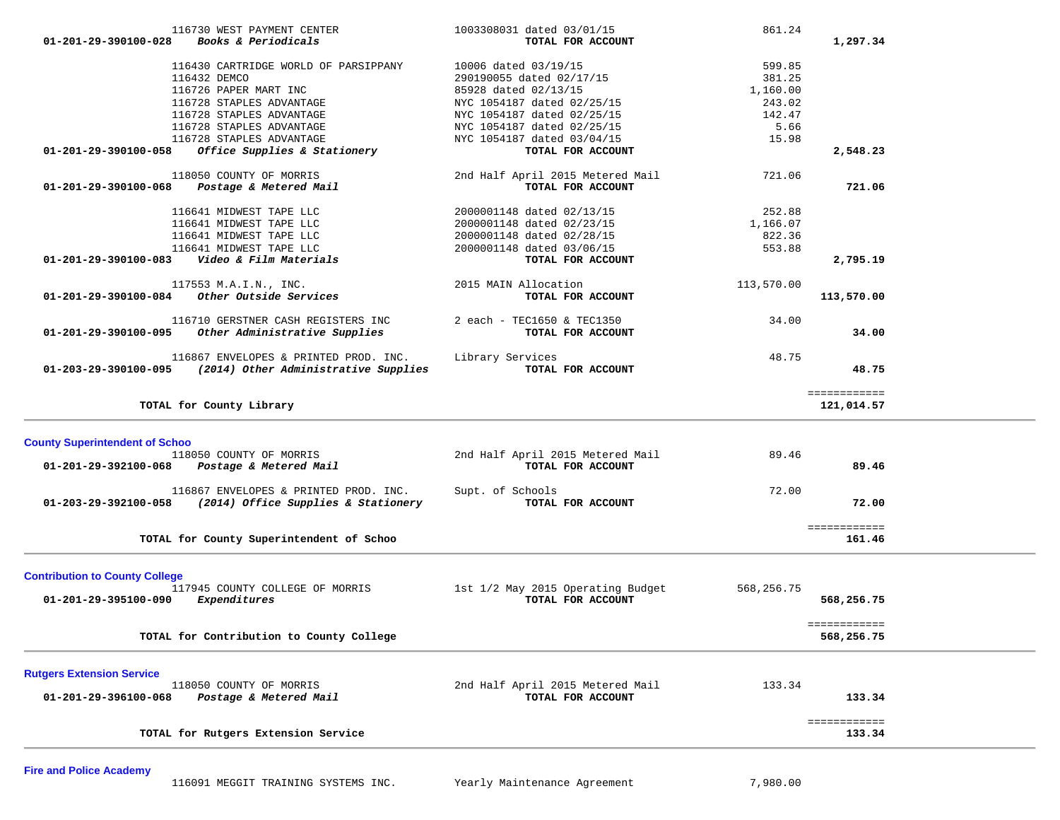| 116730 WEST PAYMENT CENTER<br>Books & Periodicals<br>$01 - 201 - 29 - 390100 - 028$                  | 1003308031 dated 03/01/15<br>TOTAL FOR ACCOUNT        | 861.24<br>1,297.34         |  |
|------------------------------------------------------------------------------------------------------|-------------------------------------------------------|----------------------------|--|
| 116430 CARTRIDGE WORLD OF PARSIPPANY                                                                 |                                                       |                            |  |
| 116432 DEMCO                                                                                         | 10006 dated 03/19/15<br>290190055 dated 02/17/15      | 599.85<br>381.25           |  |
| 116726 PAPER MART INC                                                                                | 85928 dated 02/13/15                                  | 1,160.00                   |  |
| 116728 STAPLES ADVANTAGE                                                                             |                                                       | 243.02                     |  |
|                                                                                                      | NYC 1054187 dated 02/25/15                            |                            |  |
| 116728 STAPLES ADVANTAGE                                                                             | NYC 1054187 dated 02/25/15                            | 142.47                     |  |
| 116728 STAPLES ADVANTAGE                                                                             | NYC 1054187 dated 02/25/15                            | 5.66                       |  |
| 116728 STAPLES ADVANTAGE                                                                             | NYC 1054187 dated 03/04/15                            | 15.98                      |  |
| 01-201-29-390100-058<br>Office Supplies & Stationery                                                 | TOTAL FOR ACCOUNT                                     | 2,548.23                   |  |
| 118050 COUNTY OF MORRIS                                                                              | 2nd Half April 2015 Metered Mail                      | 721.06                     |  |
| 01-201-29-390100-068<br>Postage & Metered Mail                                                       | TOTAL FOR ACCOUNT                                     | 721.06                     |  |
| 116641 MIDWEST TAPE LLC                                                                              | 2000001148 dated 02/13/15                             | 252.88                     |  |
| 116641 MIDWEST TAPE LLC                                                                              | 2000001148 dated 02/23/15                             | 1,166.07                   |  |
| 116641 MIDWEST TAPE LLC                                                                              | 2000001148 dated 02/28/15                             | 822.36                     |  |
| 116641 MIDWEST TAPE LLC                                                                              | 2000001148 dated 03/06/15                             | 553.88                     |  |
| Video & Film Materials<br>01-201-29-390100-083                                                       | TOTAL FOR ACCOUNT                                     | 2,795.19                   |  |
|                                                                                                      |                                                       |                            |  |
| 117553 M.A.I.N., INC.                                                                                | 2015 MAIN Allocation                                  | 113,570.00                 |  |
| 01-201-29-390100-084 Other Outside Services                                                          | TOTAL FOR ACCOUNT                                     | 113,570.00                 |  |
| 116710 GERSTNER CASH REGISTERS INC                                                                   | 2 each - TEC1650 & TEC1350                            | 34.00                      |  |
| 01-201-29-390100-095 Other Administrative Supplies                                                   | TOTAL FOR ACCOUNT                                     | 34.00                      |  |
|                                                                                                      |                                                       |                            |  |
| 116867 ENVELOPES & PRINTED PROD. INC.<br>$01-203-29-390100-095$ (2014) Other Administrative Supplies | Library Services<br>TOTAL FOR ACCOUNT                 | 48.75<br>48.75             |  |
|                                                                                                      |                                                       |                            |  |
| TOTAL for County Library                                                                             |                                                       | ============<br>121,014.57 |  |
|                                                                                                      |                                                       |                            |  |
|                                                                                                      |                                                       |                            |  |
| <b>County Superintendent of Schoo</b>                                                                |                                                       |                            |  |
| 118050 COUNTY OF MORRIS                                                                              |                                                       | 89.46                      |  |
| 01-201-29-392100-068 Postage & Metered Mail                                                          | 2nd Half April 2015 Metered Mail<br>TOTAL FOR ACCOUNT | 89.46                      |  |
|                                                                                                      |                                                       |                            |  |
| 116867 ENVELOPES & PRINTED PROD. INC.                                                                | Supt. of Schools                                      | 72.00                      |  |
| 01-203-29-392100-058 (2014) Office Supplies & Stationery                                             | TOTAL FOR ACCOUNT                                     | 72.00                      |  |
|                                                                                                      |                                                       | ============               |  |
| TOTAL for County Superintendent of Schoo                                                             |                                                       | 161.46                     |  |
|                                                                                                      |                                                       |                            |  |
| <b>Contribution to County College</b>                                                                |                                                       |                            |  |
| 117945 COUNTY COLLEGE OF MORRIS                                                                      | 1st 1/2 May 2015 Operating Budget                     | 568,256.75                 |  |
| Expenditures<br>01-201-29-395100-090                                                                 | TOTAL FOR ACCOUNT                                     | 568,256.75                 |  |
|                                                                                                      |                                                       |                            |  |
|                                                                                                      |                                                       | ============               |  |
| TOTAL for Contribution to County College                                                             |                                                       | 568,256.75                 |  |
|                                                                                                      |                                                       |                            |  |
| <b>Rutgers Extension Service</b>                                                                     |                                                       |                            |  |
| 118050 COUNTY OF MORRIS                                                                              | 2nd Half April 2015 Metered Mail                      | 133.34                     |  |
| Postage & Metered Mail<br>01-201-29-396100-068                                                       | TOTAL FOR ACCOUNT                                     | 133.34                     |  |
|                                                                                                      |                                                       | ============               |  |
| TOTAL for Rutgers Extension Service                                                                  |                                                       | 133.34                     |  |

**Fire and Police Academy**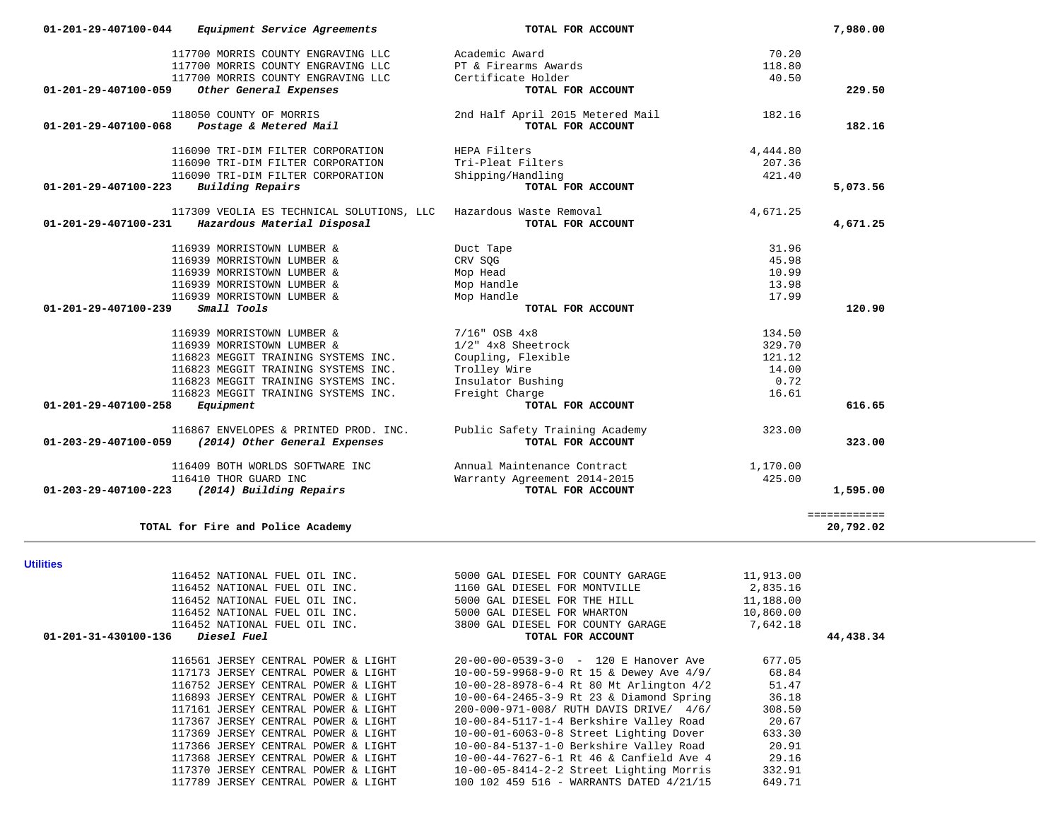| 116452 NATIONAL FUEL OIL INC.                        | 5000 GAL DIESEL FOR WHARTON              | 10,860.00 |
|------------------------------------------------------|------------------------------------------|-----------|
| 116452 NATIONAL FUEL OIL INC.                        | 3800 GAL DIESEL FOR COUNTY GARAGE        | 7,642.18  |
| $01 - 201 - 31 - 430100 - 136$<br><i>Diesel Fuel</i> | TOTAL FOR ACCOUNT                        |           |
| 116561 JERSEY CENTRAL POWER & LIGHT                  | $20-00-00-0539-3-0$ - 120 E Hanover Ave  | 677.05    |
| 117173 JERSEY CENTRAL POWER & LIGHT                  | 10-00-59-9968-9-0 Rt 15 & Dewey Ave 4/9/ | 68.84     |
| 116752 JERSEY CENTRAL POWER & LIGHT                  | 10-00-28-8978-6-4 Rt 80 Mt Arlington 4/2 | 51.47     |
| 116893 JERSEY CENTRAL POWER & LIGHT                  | 10-00-64-2465-3-9 Rt 23 & Diamond Spring | 36.18     |
| 117161 JERSEY CENTRAL POWER & LIGHT                  | 200-000-971-008/ RUTH DAVIS DRIVE/ 4/6/  | 308.50    |
| 117367 JERSEY CENTRAL POWER & LIGHT                  | 10-00-84-5117-1-4 Berkshire Valley Road  | 20.67     |
| 117369 JERSEY CENTRAL POWER & LIGHT                  | 10-00-01-6063-0-8 Street Lighting Dover  | 633.30    |
| 117366 JERSEY CENTRAL POWER & LIGHT                  | 10-00-84-5137-1-0 Berkshire Valley Road  | 20.91     |
| 117368 JERSEY CENTRAL POWER & LIGHT                  | 10-00-44-7627-6-1 Rt 46 & Canfield Ave 4 | 29.16     |
| 117370 JERSEY CENTRAL POWER & LIGHT                  | 10-00-05-8414-2-2 Street Lighting Morris | 332.91    |
| 117789 JERSEY CENTRAL POWER & LIGHT                  | 100 102 459 516 - WARRANTS DATED 4/21/15 | 649.71    |

| 01-201-31-430100-136 | <i>Diesel Fuel</i>            | TOTAL FOR ACCOUNT                 | 44,438.34 |
|----------------------|-------------------------------|-----------------------------------|-----------|
|                      | 116452 NATIONAL FUEL OIL INC. | 3800 GAL DIESEL FOR COUNTY GARAGE | 7,642.18  |
|                      | 116452 NATIONAL FUEL OIL INC. | 5000 GAL DIESEL FOR WHARTON       | 10,860.00 |
|                      | 116452 NATIONAL FUEL OIL INC. | 5000 GAL DIESEL FOR THE HILL      | 11,188.00 |
|                      | 116452 NATIONAL FUEL OIL INC. | 1160 GAL DIESEL FOR MONTVILLE     | 2,835.16  |
|                      | 116452 NATIONAL FUEL OIL INC. | 5000 GAL DIESEL FOR COUNTY GARAGE | 11,913.00 |
| <b>Utilities</b>     |                               |                                   |           |

| Hillitiae |  |  |
|-----------|--|--|

| 01-201-29-407100-059           | Other General Expenses                             | TOTAL FOR ACCOUNT                |          | 229.50       |
|--------------------------------|----------------------------------------------------|----------------------------------|----------|--------------|
|                                | 118050 COUNTY OF MORRIS                            | 2nd Half April 2015 Metered Mail | 182.16   |              |
| $01 - 201 - 29 - 407100 - 068$ | Postage & Metered Mail                             | TOTAL FOR ACCOUNT                |          | 182.16       |
|                                | 116090 TRI-DIM FILTER CORPORATION                  | HEPA Filters                     | 4,444.80 |              |
|                                | 116090 TRI-DIM FILTER CORPORATION                  | Tri-Pleat Filters                | 207.36   |              |
|                                | 116090 TRI-DIM FILTER CORPORATION                  | Shipping/Handling                | 421.40   |              |
| 01-201-29-407100-223           | Building Repairs                                   | TOTAL FOR ACCOUNT                |          | 5,073.56     |
|                                | 117309 VEOLIA ES TECHNICAL SOLUTIONS, LLC          | Hazardous Waste Removal          | 4,671.25 |              |
| 01-201-29-407100-231           | Hazardous Material Disposal                        | TOTAL FOR ACCOUNT                |          | 4,671.25     |
|                                | 116939 MORRISTOWN LUMBER &                         | Duct Tape                        | 31.96    |              |
|                                | 116939 MORRISTOWN LUMBER &                         | CRV SQG                          | 45.98    |              |
|                                | 116939 MORRISTOWN LUMBER &                         | Mop Head                         | 10.99    |              |
|                                | 116939 MORRISTOWN LUMBER &                         | Mop Handle                       | 13.98    |              |
|                                | 116939 MORRISTOWN LUMBER &                         | Mop Handle                       | 17.99    |              |
| 01-201-29-407100-239           | Small Tools                                        | TOTAL FOR ACCOUNT                |          | 120.90       |
|                                | 116939 MORRISTOWN LUMBER &                         | $7/16$ " OSB $4x8$               | 134.50   |              |
|                                | 116939 MORRISTOWN LUMBER &                         | 1/2" 4x8 Sheetrock               | 329.70   |              |
|                                | 116823 MEGGIT TRAINING SYSTEMS INC.                | Coupling, Flexible               | 121.12   |              |
|                                | 116823 MEGGIT TRAINING SYSTEMS INC.                | Trolley Wire                     | 14.00    |              |
|                                | 116823 MEGGIT TRAINING SYSTEMS INC.                | Insulator Bushing                | 0.72     |              |
|                                | 116823 MEGGIT TRAINING SYSTEMS INC.                | Freight Charge                   | 16.61    |              |
| 01-201-29-407100-258           | Equipment                                          | TOTAL FOR ACCOUNT                |          | 616.65       |
|                                | 116867 ENVELOPES & PRINTED PROD. INC.              | Public Safety Training Academy   | 323.00   |              |
|                                | 01-203-29-407100-059 (2014) Other General Expenses | TOTAL FOR ACCOUNT                |          | 323.00       |
|                                | 116409 BOTH WORLDS SOFTWARE INC                    | Annual Maintenance Contract      | 1,170.00 |              |
|                                | 116410 THOR GUARD INC                              | Warranty Agreement 2014-2015     | 425.00   |              |
| 01-203-29-407100-223           | (2014) Building Repairs                            | TOTAL FOR ACCOUNT                |          | 1,595.00     |
|                                |                                                    |                                  |          | ============ |
|                                | TOTAL for Fire and Police Academy                  |                                  |          | 20,792.02    |

 **01-201-29-407100-044** *Equipment Service Agreements* **TOTAL FOR ACCOUNT 7,980.00**

117700 MORRIS COUNTY ENGRAVING LLC PT & Firearms Awards 117700 MORRIS COUNTY ENGRAVING LLC Certificate Holder

117700 MORRIS COUNTY ENGRAVING LLC Academic Award 70.20

118.80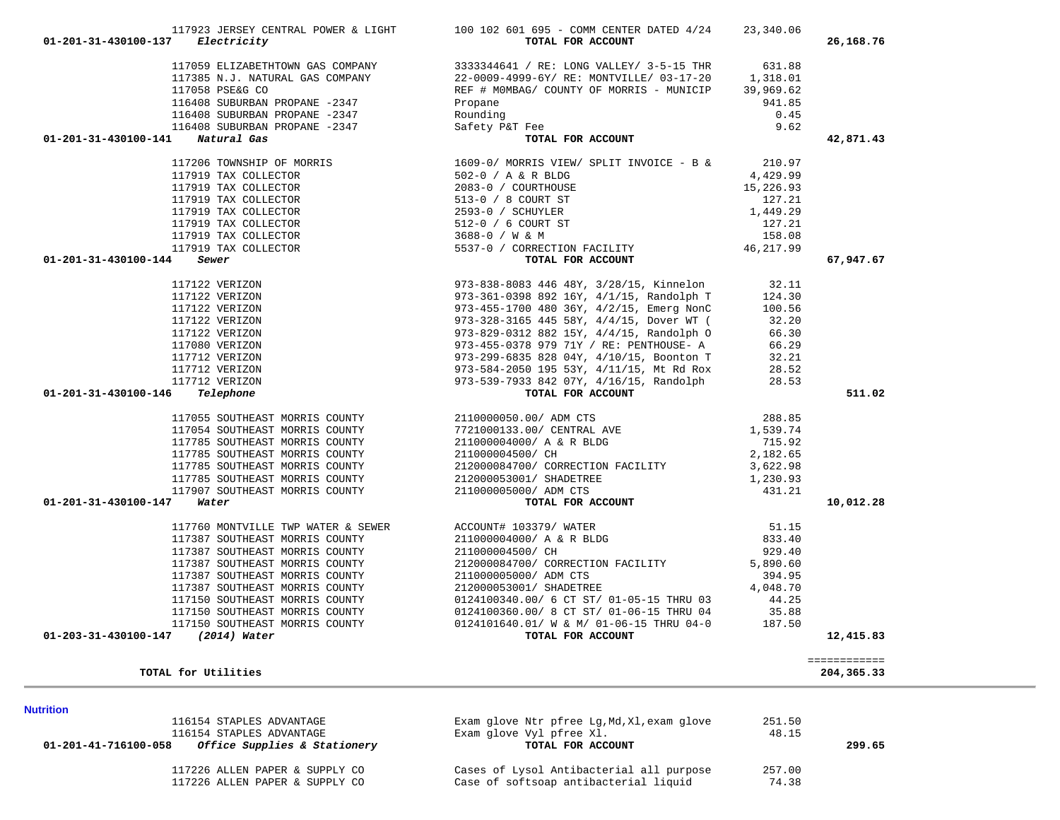| 117059 ELIZABETHTOWN GAS COMPANY $3333344641 / RE: LONG VALUEY / 3-5-15 THEN 631.88$<br>117385 N.J. NATURAL GAS COMPANY $22-0009-4999-6Y/ RE: MONTVILLE/ 03-17-20 1,318.01$<br>117058 PSE&G CO<br>116408 SUBURBAN PROPANE -2347 Propane 941.85<br>116408 SUBUR<br>Propane<br>Rounding<br>Safety P&T Fee<br><b>TOTAL FOR ACCOUNT</b><br>116408 SUBURBAN PROPANE -2347 Safety<br>1 Natural Gas<br>9.62<br>01-201-31-430100-141 Natural Gas<br>42,871.43<br>117206 TOWNSHIP OF MORRIS $1609-0/$ MORRIS VIEW/ SPLIT INVOICE - B & 210.97<br>$[17206 TOMISHIP OF MORRES\n117919 TAX COLLECTOR\n117919 TAX COLLECTOR\n117919 TAX COLLECTOR\n117919 TAX COLLECTOR\n117919 TAX COLLECTOR\n117919 TAX COLLECTOR\n117919 TAX COLLECTOR\n117919 TAX COLLECTOR\n117919 TAX COLLECTOR\n117919 TAX COLLECTOR\n117919 TAX COLLECTOR\n117919 TAX COLLECTOR\n117919 TAX COLLECTOR\n117919 TAX COLLECTOR\n117919 T$<br>$01 - 201 - 31 - 430100 - 144$ Sewer<br>67,947.67<br>511.02<br>01-201-31-430100-146<br>$01 - 201 - 31 - 430100 - 147$ Water<br>10,012.28<br>117387 SOUTHEAST MORRIS COUNTY<br>117387 SOUTHEAST MORRIS COUNTY<br>117387 SOUTHEAST MORRIS COUNTY<br>117387 SOUTHEAST MORRIS COUNTY<br>212000053001/ 211000005000/ ADM CTS<br>212000053001/ SHADETREE<br>212000053001/ SHADETREE<br>4,048.7<br>0124100360.00/ 8 CT ST/ 01-06-15 THRU 04<br>117150 SOUTHEAST MORRIS COUNTY<br>35.88<br>0124101640.01/ W & M/ 01-06-15 THRU 04-0<br>117150 SOUTHEAST MORRIS COUNTY<br>187.50<br>01-203-31-430100-147<br>(2014) Water<br>TOTAL FOR ACCOUNT<br>12,415.83<br>============<br>TOTAL for Utilities<br>204,365.33<br><b>Nutrition</b><br>116154 STAPLES ADVANTAGE<br>Exam glove Ntr pfree Lg, Md, Xl, exam glove<br>251.50<br>Exam glove Vyl pfree Xl.<br>116154 STAPLES ADVANTAGE<br>48.15<br>Office Supplies & Stationery<br>01-201-41-716100-058<br>TOTAL FOR ACCOUNT<br>299.65 | $01 - 201 - 31 - 430100 - 137$ Electricity | 117923 JERSEY CENTRAL POWER & LIGHT 100 102 601 695 - COMM CENTER DATED 4/24 23,340.06<br>TOTAL FOR ACCOUNT | 26,168.76 |
|------------------------------------------------------------------------------------------------------------------------------------------------------------------------------------------------------------------------------------------------------------------------------------------------------------------------------------------------------------------------------------------------------------------------------------------------------------------------------------------------------------------------------------------------------------------------------------------------------------------------------------------------------------------------------------------------------------------------------------------------------------------------------------------------------------------------------------------------------------------------------------------------------------------------------------------------------------------------------------------------------------------------------------------------------------------------------------------------------------------------------------------------------------------------------------------------------------------------------------------------------------------------------------------------------------------------------------------------------------------------------------------------------------------------------------------------------------------------------------------------------------------------------------------------------------------------------------------------------------------------------------------------------------------------------------------------------------------------------------------------------------------------------------------------------------------------------------------------------------------------------|--------------------------------------------|-------------------------------------------------------------------------------------------------------------|-----------|
|                                                                                                                                                                                                                                                                                                                                                                                                                                                                                                                                                                                                                                                                                                                                                                                                                                                                                                                                                                                                                                                                                                                                                                                                                                                                                                                                                                                                                                                                                                                                                                                                                                                                                                                                                                                                                                                                              |                                            |                                                                                                             |           |
|                                                                                                                                                                                                                                                                                                                                                                                                                                                                                                                                                                                                                                                                                                                                                                                                                                                                                                                                                                                                                                                                                                                                                                                                                                                                                                                                                                                                                                                                                                                                                                                                                                                                                                                                                                                                                                                                              |                                            |                                                                                                             |           |
|                                                                                                                                                                                                                                                                                                                                                                                                                                                                                                                                                                                                                                                                                                                                                                                                                                                                                                                                                                                                                                                                                                                                                                                                                                                                                                                                                                                                                                                                                                                                                                                                                                                                                                                                                                                                                                                                              |                                            |                                                                                                             |           |
|                                                                                                                                                                                                                                                                                                                                                                                                                                                                                                                                                                                                                                                                                                                                                                                                                                                                                                                                                                                                                                                                                                                                                                                                                                                                                                                                                                                                                                                                                                                                                                                                                                                                                                                                                                                                                                                                              |                                            |                                                                                                             |           |
|                                                                                                                                                                                                                                                                                                                                                                                                                                                                                                                                                                                                                                                                                                                                                                                                                                                                                                                                                                                                                                                                                                                                                                                                                                                                                                                                                                                                                                                                                                                                                                                                                                                                                                                                                                                                                                                                              |                                            |                                                                                                             |           |
|                                                                                                                                                                                                                                                                                                                                                                                                                                                                                                                                                                                                                                                                                                                                                                                                                                                                                                                                                                                                                                                                                                                                                                                                                                                                                                                                                                                                                                                                                                                                                                                                                                                                                                                                                                                                                                                                              |                                            |                                                                                                             |           |
|                                                                                                                                                                                                                                                                                                                                                                                                                                                                                                                                                                                                                                                                                                                                                                                                                                                                                                                                                                                                                                                                                                                                                                                                                                                                                                                                                                                                                                                                                                                                                                                                                                                                                                                                                                                                                                                                              |                                            |                                                                                                             |           |
|                                                                                                                                                                                                                                                                                                                                                                                                                                                                                                                                                                                                                                                                                                                                                                                                                                                                                                                                                                                                                                                                                                                                                                                                                                                                                                                                                                                                                                                                                                                                                                                                                                                                                                                                                                                                                                                                              |                                            |                                                                                                             |           |
|                                                                                                                                                                                                                                                                                                                                                                                                                                                                                                                                                                                                                                                                                                                                                                                                                                                                                                                                                                                                                                                                                                                                                                                                                                                                                                                                                                                                                                                                                                                                                                                                                                                                                                                                                                                                                                                                              |                                            |                                                                                                             |           |
|                                                                                                                                                                                                                                                                                                                                                                                                                                                                                                                                                                                                                                                                                                                                                                                                                                                                                                                                                                                                                                                                                                                                                                                                                                                                                                                                                                                                                                                                                                                                                                                                                                                                                                                                                                                                                                                                              |                                            |                                                                                                             |           |
|                                                                                                                                                                                                                                                                                                                                                                                                                                                                                                                                                                                                                                                                                                                                                                                                                                                                                                                                                                                                                                                                                                                                                                                                                                                                                                                                                                                                                                                                                                                                                                                                                                                                                                                                                                                                                                                                              |                                            |                                                                                                             |           |
|                                                                                                                                                                                                                                                                                                                                                                                                                                                                                                                                                                                                                                                                                                                                                                                                                                                                                                                                                                                                                                                                                                                                                                                                                                                                                                                                                                                                                                                                                                                                                                                                                                                                                                                                                                                                                                                                              |                                            |                                                                                                             |           |
|                                                                                                                                                                                                                                                                                                                                                                                                                                                                                                                                                                                                                                                                                                                                                                                                                                                                                                                                                                                                                                                                                                                                                                                                                                                                                                                                                                                                                                                                                                                                                                                                                                                                                                                                                                                                                                                                              |                                            |                                                                                                             |           |
|                                                                                                                                                                                                                                                                                                                                                                                                                                                                                                                                                                                                                                                                                                                                                                                                                                                                                                                                                                                                                                                                                                                                                                                                                                                                                                                                                                                                                                                                                                                                                                                                                                                                                                                                                                                                                                                                              |                                            |                                                                                                             |           |
|                                                                                                                                                                                                                                                                                                                                                                                                                                                                                                                                                                                                                                                                                                                                                                                                                                                                                                                                                                                                                                                                                                                                                                                                                                                                                                                                                                                                                                                                                                                                                                                                                                                                                                                                                                                                                                                                              |                                            |                                                                                                             |           |
|                                                                                                                                                                                                                                                                                                                                                                                                                                                                                                                                                                                                                                                                                                                                                                                                                                                                                                                                                                                                                                                                                                                                                                                                                                                                                                                                                                                                                                                                                                                                                                                                                                                                                                                                                                                                                                                                              |                                            |                                                                                                             |           |
|                                                                                                                                                                                                                                                                                                                                                                                                                                                                                                                                                                                                                                                                                                                                                                                                                                                                                                                                                                                                                                                                                                                                                                                                                                                                                                                                                                                                                                                                                                                                                                                                                                                                                                                                                                                                                                                                              |                                            |                                                                                                             |           |
|                                                                                                                                                                                                                                                                                                                                                                                                                                                                                                                                                                                                                                                                                                                                                                                                                                                                                                                                                                                                                                                                                                                                                                                                                                                                                                                                                                                                                                                                                                                                                                                                                                                                                                                                                                                                                                                                              |                                            |                                                                                                             |           |
|                                                                                                                                                                                                                                                                                                                                                                                                                                                                                                                                                                                                                                                                                                                                                                                                                                                                                                                                                                                                                                                                                                                                                                                                                                                                                                                                                                                                                                                                                                                                                                                                                                                                                                                                                                                                                                                                              |                                            |                                                                                                             |           |
|                                                                                                                                                                                                                                                                                                                                                                                                                                                                                                                                                                                                                                                                                                                                                                                                                                                                                                                                                                                                                                                                                                                                                                                                                                                                                                                                                                                                                                                                                                                                                                                                                                                                                                                                                                                                                                                                              |                                            |                                                                                                             |           |
|                                                                                                                                                                                                                                                                                                                                                                                                                                                                                                                                                                                                                                                                                                                                                                                                                                                                                                                                                                                                                                                                                                                                                                                                                                                                                                                                                                                                                                                                                                                                                                                                                                                                                                                                                                                                                                                                              |                                            |                                                                                                             |           |
|                                                                                                                                                                                                                                                                                                                                                                                                                                                                                                                                                                                                                                                                                                                                                                                                                                                                                                                                                                                                                                                                                                                                                                                                                                                                                                                                                                                                                                                                                                                                                                                                                                                                                                                                                                                                                                                                              |                                            |                                                                                                             |           |
|                                                                                                                                                                                                                                                                                                                                                                                                                                                                                                                                                                                                                                                                                                                                                                                                                                                                                                                                                                                                                                                                                                                                                                                                                                                                                                                                                                                                                                                                                                                                                                                                                                                                                                                                                                                                                                                                              |                                            |                                                                                                             |           |
|                                                                                                                                                                                                                                                                                                                                                                                                                                                                                                                                                                                                                                                                                                                                                                                                                                                                                                                                                                                                                                                                                                                                                                                                                                                                                                                                                                                                                                                                                                                                                                                                                                                                                                                                                                                                                                                                              |                                            |                                                                                                             |           |
|                                                                                                                                                                                                                                                                                                                                                                                                                                                                                                                                                                                                                                                                                                                                                                                                                                                                                                                                                                                                                                                                                                                                                                                                                                                                                                                                                                                                                                                                                                                                                                                                                                                                                                                                                                                                                                                                              |                                            |                                                                                                             |           |
|                                                                                                                                                                                                                                                                                                                                                                                                                                                                                                                                                                                                                                                                                                                                                                                                                                                                                                                                                                                                                                                                                                                                                                                                                                                                                                                                                                                                                                                                                                                                                                                                                                                                                                                                                                                                                                                                              |                                            |                                                                                                             |           |
|                                                                                                                                                                                                                                                                                                                                                                                                                                                                                                                                                                                                                                                                                                                                                                                                                                                                                                                                                                                                                                                                                                                                                                                                                                                                                                                                                                                                                                                                                                                                                                                                                                                                                                                                                                                                                                                                              |                                            |                                                                                                             |           |
|                                                                                                                                                                                                                                                                                                                                                                                                                                                                                                                                                                                                                                                                                                                                                                                                                                                                                                                                                                                                                                                                                                                                                                                                                                                                                                                                                                                                                                                                                                                                                                                                                                                                                                                                                                                                                                                                              |                                            |                                                                                                             |           |
|                                                                                                                                                                                                                                                                                                                                                                                                                                                                                                                                                                                                                                                                                                                                                                                                                                                                                                                                                                                                                                                                                                                                                                                                                                                                                                                                                                                                                                                                                                                                                                                                                                                                                                                                                                                                                                                                              |                                            |                                                                                                             |           |
|                                                                                                                                                                                                                                                                                                                                                                                                                                                                                                                                                                                                                                                                                                                                                                                                                                                                                                                                                                                                                                                                                                                                                                                                                                                                                                                                                                                                                                                                                                                                                                                                                                                                                                                                                                                                                                                                              |                                            |                                                                                                             |           |
|                                                                                                                                                                                                                                                                                                                                                                                                                                                                                                                                                                                                                                                                                                                                                                                                                                                                                                                                                                                                                                                                                                                                                                                                                                                                                                                                                                                                                                                                                                                                                                                                                                                                                                                                                                                                                                                                              |                                            |                                                                                                             |           |
|                                                                                                                                                                                                                                                                                                                                                                                                                                                                                                                                                                                                                                                                                                                                                                                                                                                                                                                                                                                                                                                                                                                                                                                                                                                                                                                                                                                                                                                                                                                                                                                                                                                                                                                                                                                                                                                                              |                                            |                                                                                                             |           |
|                                                                                                                                                                                                                                                                                                                                                                                                                                                                                                                                                                                                                                                                                                                                                                                                                                                                                                                                                                                                                                                                                                                                                                                                                                                                                                                                                                                                                                                                                                                                                                                                                                                                                                                                                                                                                                                                              |                                            |                                                                                                             |           |
|                                                                                                                                                                                                                                                                                                                                                                                                                                                                                                                                                                                                                                                                                                                                                                                                                                                                                                                                                                                                                                                                                                                                                                                                                                                                                                                                                                                                                                                                                                                                                                                                                                                                                                                                                                                                                                                                              |                                            |                                                                                                             |           |
|                                                                                                                                                                                                                                                                                                                                                                                                                                                                                                                                                                                                                                                                                                                                                                                                                                                                                                                                                                                                                                                                                                                                                                                                                                                                                                                                                                                                                                                                                                                                                                                                                                                                                                                                                                                                                                                                              |                                            |                                                                                                             |           |
|                                                                                                                                                                                                                                                                                                                                                                                                                                                                                                                                                                                                                                                                                                                                                                                                                                                                                                                                                                                                                                                                                                                                                                                                                                                                                                                                                                                                                                                                                                                                                                                                                                                                                                                                                                                                                                                                              |                                            |                                                                                                             |           |
|                                                                                                                                                                                                                                                                                                                                                                                                                                                                                                                                                                                                                                                                                                                                                                                                                                                                                                                                                                                                                                                                                                                                                                                                                                                                                                                                                                                                                                                                                                                                                                                                                                                                                                                                                                                                                                                                              |                                            |                                                                                                             |           |
|                                                                                                                                                                                                                                                                                                                                                                                                                                                                                                                                                                                                                                                                                                                                                                                                                                                                                                                                                                                                                                                                                                                                                                                                                                                                                                                                                                                                                                                                                                                                                                                                                                                                                                                                                                                                                                                                              |                                            |                                                                                                             |           |
|                                                                                                                                                                                                                                                                                                                                                                                                                                                                                                                                                                                                                                                                                                                                                                                                                                                                                                                                                                                                                                                                                                                                                                                                                                                                                                                                                                                                                                                                                                                                                                                                                                                                                                                                                                                                                                                                              |                                            |                                                                                                             |           |
|                                                                                                                                                                                                                                                                                                                                                                                                                                                                                                                                                                                                                                                                                                                                                                                                                                                                                                                                                                                                                                                                                                                                                                                                                                                                                                                                                                                                                                                                                                                                                                                                                                                                                                                                                                                                                                                                              |                                            |                                                                                                             |           |
|                                                                                                                                                                                                                                                                                                                                                                                                                                                                                                                                                                                                                                                                                                                                                                                                                                                                                                                                                                                                                                                                                                                                                                                                                                                                                                                                                                                                                                                                                                                                                                                                                                                                                                                                                                                                                                                                              |                                            |                                                                                                             |           |
|                                                                                                                                                                                                                                                                                                                                                                                                                                                                                                                                                                                                                                                                                                                                                                                                                                                                                                                                                                                                                                                                                                                                                                                                                                                                                                                                                                                                                                                                                                                                                                                                                                                                                                                                                                                                                                                                              |                                            |                                                                                                             |           |
|                                                                                                                                                                                                                                                                                                                                                                                                                                                                                                                                                                                                                                                                                                                                                                                                                                                                                                                                                                                                                                                                                                                                                                                                                                                                                                                                                                                                                                                                                                                                                                                                                                                                                                                                                                                                                                                                              |                                            |                                                                                                             |           |
|                                                                                                                                                                                                                                                                                                                                                                                                                                                                                                                                                                                                                                                                                                                                                                                                                                                                                                                                                                                                                                                                                                                                                                                                                                                                                                                                                                                                                                                                                                                                                                                                                                                                                                                                                                                                                                                                              |                                            |                                                                                                             |           |
|                                                                                                                                                                                                                                                                                                                                                                                                                                                                                                                                                                                                                                                                                                                                                                                                                                                                                                                                                                                                                                                                                                                                                                                                                                                                                                                                                                                                                                                                                                                                                                                                                                                                                                                                                                                                                                                                              |                                            |                                                                                                             |           |
|                                                                                                                                                                                                                                                                                                                                                                                                                                                                                                                                                                                                                                                                                                                                                                                                                                                                                                                                                                                                                                                                                                                                                                                                                                                                                                                                                                                                                                                                                                                                                                                                                                                                                                                                                                                                                                                                              |                                            |                                                                                                             |           |
|                                                                                                                                                                                                                                                                                                                                                                                                                                                                                                                                                                                                                                                                                                                                                                                                                                                                                                                                                                                                                                                                                                                                                                                                                                                                                                                                                                                                                                                                                                                                                                                                                                                                                                                                                                                                                                                                              |                                            |                                                                                                             |           |
|                                                                                                                                                                                                                                                                                                                                                                                                                                                                                                                                                                                                                                                                                                                                                                                                                                                                                                                                                                                                                                                                                                                                                                                                                                                                                                                                                                                                                                                                                                                                                                                                                                                                                                                                                                                                                                                                              |                                            |                                                                                                             |           |
|                                                                                                                                                                                                                                                                                                                                                                                                                                                                                                                                                                                                                                                                                                                                                                                                                                                                                                                                                                                                                                                                                                                                                                                                                                                                                                                                                                                                                                                                                                                                                                                                                                                                                                                                                                                                                                                                              |                                            |                                                                                                             |           |
|                                                                                                                                                                                                                                                                                                                                                                                                                                                                                                                                                                                                                                                                                                                                                                                                                                                                                                                                                                                                                                                                                                                                                                                                                                                                                                                                                                                                                                                                                                                                                                                                                                                                                                                                                                                                                                                                              |                                            |                                                                                                             |           |
|                                                                                                                                                                                                                                                                                                                                                                                                                                                                                                                                                                                                                                                                                                                                                                                                                                                                                                                                                                                                                                                                                                                                                                                                                                                                                                                                                                                                                                                                                                                                                                                                                                                                                                                                                                                                                                                                              |                                            |                                                                                                             |           |
|                                                                                                                                                                                                                                                                                                                                                                                                                                                                                                                                                                                                                                                                                                                                                                                                                                                                                                                                                                                                                                                                                                                                                                                                                                                                                                                                                                                                                                                                                                                                                                                                                                                                                                                                                                                                                                                                              |                                            |                                                                                                             |           |

117226 ALLEN PAPER & SUPPLY CO Cases of Lysol Antibacterial all purpose 257.00<br>117226 ALLEN PAPER & SUPPLY CO Case of softsoap antibacterial liquid 74.38

Case of softsoap antibacterial liquid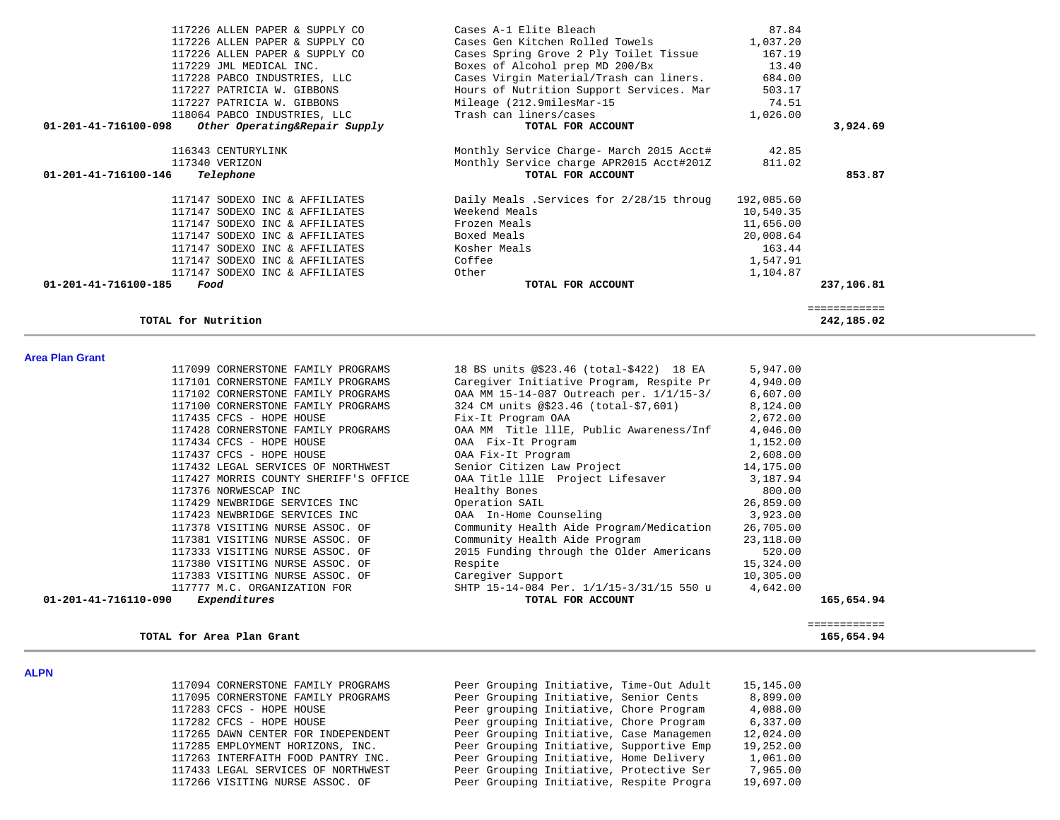| 117226 ALLEN PAPER & SUPPLY CO                        | Cases A-1 Elite Bleach                   | 87.84      |              |
|-------------------------------------------------------|------------------------------------------|------------|--------------|
| 117226 ALLEN PAPER & SUPPLY CO                        | Cases Gen Kitchen Rolled Towels          | 1,037.20   |              |
| 117226 ALLEN PAPER & SUPPLY CO                        | Cases Spring Grove 2 Ply Toilet Tissue   | 167.19     |              |
| 117229 JML MEDICAL INC.                               | Boxes of Alcohol prep MD 200/Bx          | 13.40      |              |
| 117228 PABCO INDUSTRIES, LLC                          | Cases Virgin Material/Trash can liners.  | 684.00     |              |
| 117227 PATRICIA W. GIBBONS                            | Hours of Nutrition Support Services. Mar | 503.17     |              |
| 117227 PATRICIA W. GIBBONS                            | Mileage (212.9milesMar-15                | 74.51      |              |
| 118064 PABCO INDUSTRIES, LLC                          | Trash can liners/cases                   | 1,026.00   |              |
| Other Operating&Repair Supply<br>01-201-41-716100-098 | TOTAL FOR ACCOUNT                        |            | 3,924.69     |
| 116343 CENTURYLINK                                    | Monthly Service Charge- March 2015 Acct# | 42.85      |              |
| 117340 VERIZON                                        | Monthly Service charge APR2015 Acct#201Z | 811.02     |              |
| 01-201-41-716100-146<br>Telephone                     | TOTAL FOR ACCOUNT                        |            | 853.87       |
| 117147 SODEXO INC & AFFILIATES                        | Daily Meals .Services for 2/28/15 throug | 192,085.60 |              |
| 117147 SODEXO INC & AFFILIATES                        | Weekend Meals                            | 10,540.35  |              |
| 117147 SODEXO INC & AFFILIATES                        | Frozen Meals                             | 11,656.00  |              |
| 117147 SODEXO INC & AFFILIATES                        | Boxed Meals                              | 20,008.64  |              |
| 117147 SODEXO INC & AFFILIATES                        | Kosher Meals                             | 163.44     |              |
| 117147 SODEXO INC & AFFILIATES                        | Coffee                                   | 1,547.91   |              |
| 117147 SODEXO INC & AFFILIATES                        | Other                                    | 1,104.87   |              |
| 01-201-41-716100-185<br>Food                          | TOTAL FOR ACCOUNT                        |            | 237,106.81   |
|                                                       |                                          |            | ============ |
| TOTAL for Nutrition                                   |                                          |            | 242,185.02   |

#### **Area Plan Grant**

| 01-201-41-716110-090<br>Expenditures  | TOTAL FOR ACCOUNT                        |           | 165,654.94 |
|---------------------------------------|------------------------------------------|-----------|------------|
| 117777 M.C. ORGANIZATION FOR          | SHTP 15-14-084 Per. 1/1/15-3/31/15 550 u | 4,642.00  |            |
| 117383 VISITING NURSE ASSOC. OF       | Caregiver Support                        | 10,305.00 |            |
| 117380 VISITING NURSE ASSOC. OF       | Respite                                  | 15,324.00 |            |
| 117333 VISITING NURSE ASSOC. OF       | 2015 Funding through the Older Americans | 520.00    |            |
| 117381 VISITING NURSE ASSOC. OF       | Community Health Aide Program            | 23,118.00 |            |
| 117378 VISITING NURSE ASSOC. OF       | Community Health Aide Program/Medication | 26,705.00 |            |
| 117423 NEWBRIDGE SERVICES INC         | OAA In-Home Counseling                   | 3,923.00  |            |
| 117429 NEWBRIDGE SERVICES INC         | Operation SAIL                           | 26,859.00 |            |
| 117376 NORWESCAP INC                  | Healthy Bones                            | 800.00    |            |
| 117427 MORRIS COUNTY SHERIFF'S OFFICE | OAA Title lllE Project Lifesaver         | 3,187.94  |            |
| 117432 LEGAL SERVICES OF NORTHWEST    | Senior Citizen Law Project               | 14,175.00 |            |
| 117437 CFCS - HOPE HOUSE              | OAA Fix-It Program                       | 2,608.00  |            |
| 117434 CFCS - HOPE HOUSE              | OAA Fix-It Program                       | 1,152.00  |            |
| 117428 CORNERSTONE FAMILY PROGRAMS    | OAA MM Title 111E, Public Awareness/Inf  | 4,046.00  |            |
| 117435 CFCS - HOPE HOUSE              | Fix-It Program OAA                       | 2,672.00  |            |
| 117100 CORNERSTONE FAMILY PROGRAMS    | 324 CM units @\$23.46 (total-\$7,601)    | 8,124.00  |            |
| 117102 CORNERSTONE FAMILY PROGRAMS    | OAA MM 15-14-087 Outreach per. 1/1/15-3/ | 6,607.00  |            |
| 117101 CORNERSTONE FAMILY PROGRAMS    | Caregiver Initiative Program, Respite Pr | 4,940.00  |            |
| 117099 CORNERSTONE FAMILY PROGRAMS    | 18 BS units @\$23.46 (total-\$422) 18 EA | 5,947.00  |            |
|                                       |                                          |           |            |

#### TOTAL for Area Plan Grant

 ============ 165,654.94

**ALPN** 

| . |                                    |                                          |           |
|---|------------------------------------|------------------------------------------|-----------|
|   | 117094 CORNERSTONE FAMILY PROGRAMS | Peer Grouping Initiative, Time-Out Adult | 15,145.00 |
|   | 117095 CORNERSTONE FAMILY PROGRAMS | Peer Grouping Initiative, Senior Cents   | 8,899.00  |
|   | 117283 CFCS - HOPE HOUSE           | Peer grouping Initiative, Chore Program  | 4,088.00  |
|   | 117282 CFCS - HOPE HOUSE           | Peer grouping Initiative, Chore Program  | 6,337.00  |
|   | 117265 DAWN CENTER FOR INDEPENDENT | Peer Grouping Initiative, Case Managemen | 12,024.00 |
|   | 117285 EMPLOYMENT HORIZONS, INC.   | Peer Grouping Initiative, Supportive Emp | 19,252.00 |
|   | 117263 INTERFAITH FOOD PANTRY INC. | Peer Grouping Initiative, Home Delivery  | 1,061.00  |
|   | 117433 LEGAL SERVICES OF NORTHWEST | Peer Grouping Initiative, Protective Ser | 7,965.00  |
|   | 117266 VISITING NURSE ASSOC. OF    | Peer Grouping Initiative, Respite Progra | 19,697.00 |
|   |                                    |                                          |           |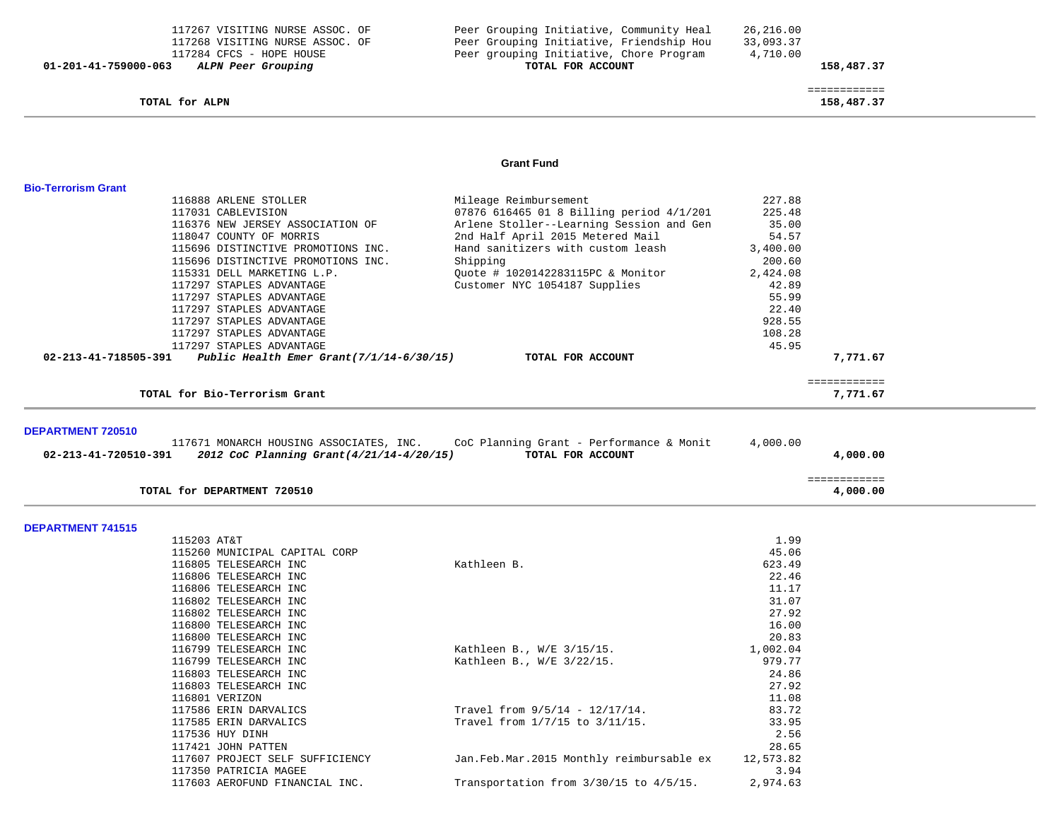## TOTAL for ALPN

| TOTAL FOR ACCOUNT | 158,487.37                                                                                                                      |
|-------------------|---------------------------------------------------------------------------------------------------------------------------------|
| 4,710.00          |                                                                                                                                 |
| 33,093.37         |                                                                                                                                 |
| 26,216.00         |                                                                                                                                 |
|                   | Peer Grouping Initiative, Community Heal<br>Peer Grouping Initiative, Friendship Hou<br>Peer grouping Initiative, Chore Program |

 ============ 158,487.37

## **Grant Fund**

| <b>Bio-Terrorism Grant</b> |                                                |                                                                                                       |                |              |  |
|----------------------------|------------------------------------------------|-------------------------------------------------------------------------------------------------------|----------------|--------------|--|
|                            | 116888 ARLENE STOLLER                          | Mileage Reimbursement                                                                                 | 227.88         |              |  |
|                            | 117031 CABLEVISION                             | 07876 616465 01 8 Billing period 4/1/201                                                              | 225.48         |              |  |
|                            | 116376 NEW JERSEY ASSOCIATION OF               | Arlene Stoller--Learning Session and Gen                                                              | 35.00          |              |  |
|                            | 118047 COUNTY OF MORRIS                        | 2nd Half April 2015 Metered Mail                                                                      | 54.57          |              |  |
|                            | 115696 DISTINCTIVE PROMOTIONS INC.             | Hand sanitizers with custom leash                                                                     | 3,400.00       |              |  |
|                            | 115696 DISTINCTIVE PROMOTIONS INC.             | Shipping                                                                                              | 200.60         |              |  |
|                            | 115331 DELL MARKETING L.P.                     | Quote # 1020142283115PC & Monitor                                                                     | 2,424.08       |              |  |
|                            | 117297 STAPLES ADVANTAGE                       | Customer NYC 1054187 Supplies                                                                         | 42.89          |              |  |
|                            | 117297 STAPLES ADVANTAGE                       |                                                                                                       | 55.99          |              |  |
|                            | 117297 STAPLES ADVANTAGE                       |                                                                                                       | 22.40          |              |  |
|                            | 117297 STAPLES ADVANTAGE                       |                                                                                                       | 928.55         |              |  |
|                            | 117297 STAPLES ADVANTAGE                       |                                                                                                       | 108.28         |              |  |
|                            | 117297 STAPLES ADVANTAGE                       |                                                                                                       | 45.95          |              |  |
| 02-213-41-718505-391       | Public Health Emer Grant $(7/1/14-6/30/15)$    | TOTAL FOR ACCOUNT                                                                                     |                | 7,771.67     |  |
|                            |                                                |                                                                                                       |                | ============ |  |
|                            | TOTAL for Bio-Terrorism Grant                  |                                                                                                       |                | 7,771.67     |  |
|                            |                                                |                                                                                                       |                |              |  |
| <b>DEPARTMENT 720510</b>   |                                                |                                                                                                       |                |              |  |
| 02-213-41-720510-391       | 2012 CoC Planning Grant(4/21/14-4/20/15)       | 117671 MONARCH HOUSING ASSOCIATES, INC. CoC Planning Grant - Performance & Monit<br>TOTAL FOR ACCOUNT | 4,000.00       | 4,000.00     |  |
|                            |                                                |                                                                                                       |                |              |  |
|                            |                                                |                                                                                                       |                | ============ |  |
|                            | TOTAL for DEPARTMENT 720510                    |                                                                                                       |                | 4,000.00     |  |
|                            |                                                |                                                                                                       |                |              |  |
| <b>DEPARTMENT 741515</b>   |                                                |                                                                                                       |                |              |  |
|                            | 115203 AT&T                                    |                                                                                                       | 1.99           |              |  |
|                            | 115260 MUNICIPAL CAPITAL CORP                  |                                                                                                       | 45.06          |              |  |
|                            | 116805 TELESEARCH INC                          | Kathleen B.                                                                                           | 623.49         |              |  |
|                            | 116806 TELESEARCH INC                          |                                                                                                       | 22.46<br>11.17 |              |  |
|                            | 116806 TELESEARCH INC<br>116802 TELESEARCH INC |                                                                                                       | 31.07          |              |  |
|                            | 116802 TELESEARCH INC                          |                                                                                                       | 27.92          |              |  |
|                            | 116800 TELESEARCH INC                          |                                                                                                       | 16.00          |              |  |
|                            | 116800 TELESEARCH INC                          |                                                                                                       | 20.83          |              |  |
|                            | 116799 TELESEARCH INC                          | Kathleen B., W/E 3/15/15.                                                                             | 1,002.04       |              |  |
|                            | 116799 TELESEARCH INC                          | Kathleen B., W/E 3/22/15.                                                                             | 979.77         |              |  |
|                            | 116803 TELESEARCH INC                          |                                                                                                       | 24.86          |              |  |
|                            | 116803 TELESEARCH INC                          |                                                                                                       | 27.92          |              |  |
|                            | 116801 VERIZON                                 |                                                                                                       | 11.08          |              |  |
|                            | 117586 ERIN DARVALICS                          | Travel from $9/5/14 - 12/17/14$ .                                                                     | 83.72          |              |  |
|                            | 117585 ERIN DARVALICS                          | Travel from 1/7/15 to 3/11/15.                                                                        | 33.95          |              |  |
|                            | 117536 HUY DINH                                |                                                                                                       | 2.56           |              |  |
|                            | 117421 JOHN PATTEN                             |                                                                                                       | 28.65          |              |  |
|                            | 117607 PROJECT SELF SUFFICIENCY                | Jan.Feb.Mar.2015 Monthly reimbursable ex                                                              | 12,573.82      |              |  |
|                            | 117350 PATRICIA MAGEE                          |                                                                                                       | 3.94           |              |  |
|                            | 117603 AEROFUND FINANCIAL INC.                 | Transportation from $3/30/15$ to $4/5/15$ .                                                           | 2,974.63       |              |  |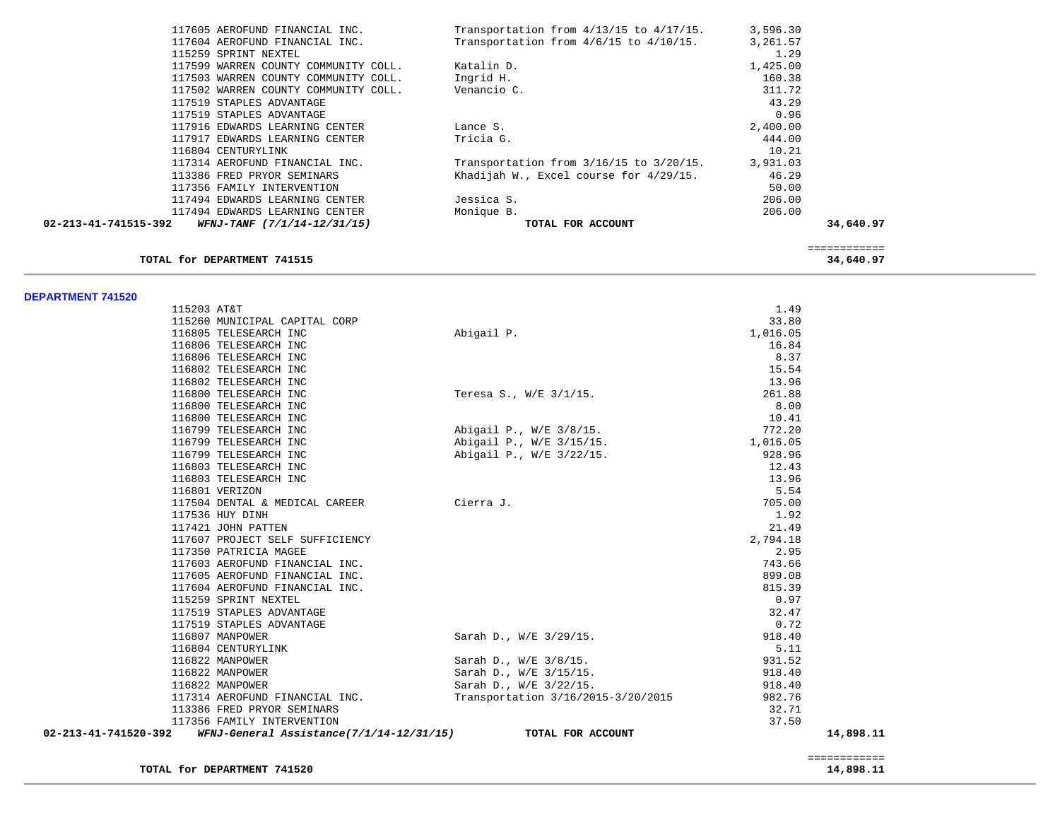| 117605 AEROFUND FINANCIAL INC.                      | Transportation from $4/13/15$ to $4/17/15$ . | 3,596.30 |             |
|-----------------------------------------------------|----------------------------------------------|----------|-------------|
| 117604 AEROFUND FINANCIAL INC.                      | Transportation from $4/6/15$ to $4/10/15$ .  | 3,261.57 |             |
| 115259 SPRINT NEXTEL                                |                                              | 1.29     |             |
| 117599 WARREN COUNTY COMMUNITY COLL.                | Katalin D.                                   | 1,425.00 |             |
| 117503 WARREN COUNTY COMMUNITY COLL.                | Ingrid H.                                    | 160.38   |             |
| 117502 WARREN COUNTY COMMUNITY COLL.                | Venancio C.                                  | 311.72   |             |
| 117519 STAPLES ADVANTAGE                            |                                              | 43.29    |             |
| 117519 STAPLES ADVANTAGE                            |                                              | 0.96     |             |
| 117916 EDWARDS LEARNING CENTER                      | Lance S.                                     | 2,400.00 |             |
| 117917 EDWARDS LEARNING CENTER                      | Tricia G.                                    | 444.00   |             |
| 116804 CENTURYLINK                                  |                                              | 10.21    |             |
| 117314 AEROFUND FINANCIAL INC.                      | Transportation from $3/16/15$ to $3/20/15$ . | 3,931.03 |             |
| 113386 FRED PRYOR SEMINARS                          | Khadijah W., Excel course for 4/29/15.       | 46.29    |             |
| 117356 FAMILY INTERVENTION                          |                                              | 50.00    |             |
| 117494 EDWARDS LEARNING CENTER                      | Jessica S.                                   | 206.00   |             |
| 117494 EDWARDS LEARNING CENTER                      | Monique B.                                   | 206.00   |             |
| 02-213-41-741515-392<br>WFNJ-TANF (7/1/14-12/31/15) | TOTAL FOR ACCOUNT                            |          | 34,640.97   |
|                                                     |                                              |          | =========== |
| TOTAL for DEPARTMENT 741515                         |                                              |          | 34,640.97   |

**DEPARTMENT 741520** 

| 115203 AT&T           |                                          |                                    | 1.49     |           |
|-----------------------|------------------------------------------|------------------------------------|----------|-----------|
|                       | 115260 MUNICIPAL CAPITAL CORP            |                                    | 33.80    |           |
| 116805 TELESEARCH INC |                                          | Abigail P.                         | 1,016.05 |           |
| 116806 TELESEARCH INC |                                          |                                    | 16.84    |           |
| 116806 TELESEARCH INC |                                          |                                    | 8.37     |           |
| 116802 TELESEARCH INC |                                          |                                    | 15.54    |           |
| 116802 TELESEARCH INC |                                          |                                    | 13.96    |           |
| 116800 TELESEARCH INC |                                          | Teresa S., W/E 3/1/15.             | 261.88   |           |
| 116800 TELESEARCH INC |                                          |                                    | 8.00     |           |
| 116800 TELESEARCH INC |                                          |                                    | 10.41    |           |
|                       | 116799 TELESEARCH INC                    | Abigail P., W/E 3/8/15.            | 772.20   |           |
|                       | 116799 TELESEARCH INC                    | Abigail P., W/E 3/15/15.           | 1,016.05 |           |
| 116799 TELESEARCH INC |                                          | Abigail P., W/E 3/22/15.           | 928.96   |           |
| 116803 TELESEARCH INC |                                          |                                    | 12.43    |           |
| 116803 TELESEARCH INC |                                          |                                    | 13.96    |           |
| 116801 VERIZON        |                                          |                                    | 5.54     |           |
|                       | 117504 DENTAL & MEDICAL CAREER           | Cierra J.                          | 705.00   |           |
| 117536 HUY DINH       |                                          |                                    | 1.92     |           |
| 117421 JOHN PATTEN    |                                          |                                    | 21.49    |           |
|                       | 117607 PROJECT SELF SUFFICIENCY          |                                    | 2,794.18 |           |
| 117350 PATRICIA MAGEE |                                          |                                    | 2.95     |           |
|                       | 117603 AEROFUND FINANCIAL INC.           |                                    | 743.66   |           |
|                       | 117605 AEROFUND FINANCIAL INC.           |                                    | 899.08   |           |
|                       | 117604 AEROFUND FINANCIAL INC.           |                                    | 815.39   |           |
| 115259 SPRINT NEXTEL  |                                          |                                    | 0.97     |           |
|                       | 117519 STAPLES ADVANTAGE                 |                                    | 32.47    |           |
|                       | 117519 STAPLES ADVANTAGE                 |                                    | 0.72     |           |
| 116807 MANPOWER       |                                          | Sarah D., W/E 3/29/15.             | 918.40   |           |
| 116804 CENTURYLINK    |                                          |                                    | 5.11     |           |
| 116822 MANPOWER       |                                          | Sarah D., W/E 3/8/15.              | 931.52   |           |
| 116822 MANPOWER       |                                          | Sarah D., W/E 3/15/15.             | 918.40   |           |
| 116822 MANPOWER       |                                          | Sarah D., W/E 3/22/15.             | 918.40   |           |
|                       | 117314 AEROFUND FINANCIAL INC.           | Transportation 3/16/2015-3/20/2015 | 982.76   |           |
|                       | 113386 FRED PRYOR SEMINARS               |                                    | 32.71    |           |
|                       | 117356 FAMILY INTERVENTION               |                                    | 37.50    |           |
| 02-213-41-741520-392  | WFNJ-General Assistance(7/1/14-12/31/15) | TOTAL FOR ACCOUNT                  |          | 14,898.11 |

 ============ 14,898.11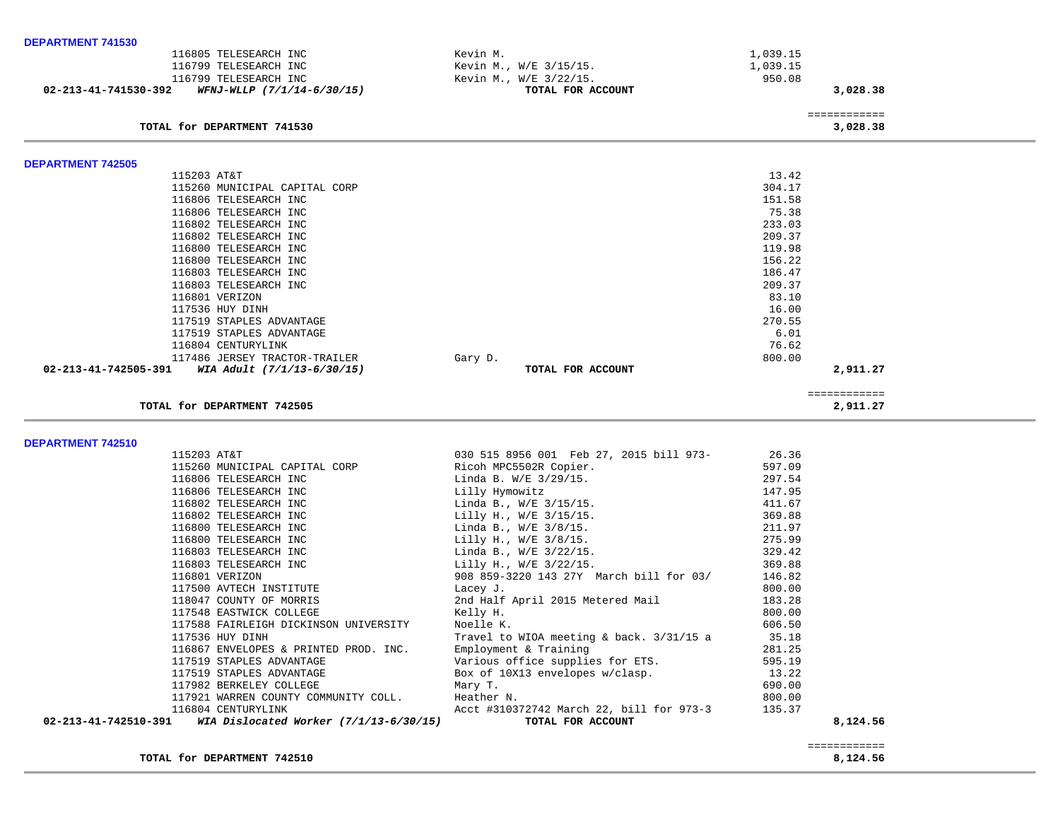| 02-213-41-741530-392<br>WFNJ-WLLP (7/1/14-6/30/15) | TOTAL FOR ACCOUNT      | 3,028.38 |
|----------------------------------------------------|------------------------|----------|
| 116799 TELESEARCH INC                              | Kevin M., W/E 3/22/15. | 950.08   |
| 116799 TELESEARCH INC                              | Kevin M., W/E 3/15/15. | 1,039.15 |
| 116805 TELESEARCH INC                              | Kevin M.               | L.039.15 |

### ============

| <b>DEPARTMENT 742505</b>                           |                   |           |
|----------------------------------------------------|-------------------|-----------|
| 115203 AT&T                                        |                   | 13.42     |
| 115260 MUNICIPAL CAPITAL CORP                      |                   | 304.17    |
| 116806 TELESEARCH INC                              |                   | 151.58    |
| 116806 TELESEARCH INC                              |                   | 75.38     |
| 116802 TELESEARCH INC                              |                   | 233.03    |
| 116802 TELESEARCH INC                              |                   | 209.37    |
| 116800 TELESEARCH INC                              |                   | 119.98    |
| 116800 TELESEARCH INC                              |                   | 156.22    |
| 116803 TELESEARCH INC                              |                   | 186.47    |
| 116803 TELESEARCH INC                              |                   | 209.37    |
| 116801 VERIZON                                     |                   | 83.10     |
| 117536 HUY DINH                                    |                   | 16.00     |
| 117519 STAPLES ADVANTAGE                           |                   | 270.55    |
| 117519 STAPLES ADVANTAGE                           |                   | 6.01      |
| 116804 CENTURYLINK                                 |                   | 76.62     |
| 117486 JERSEY TRACTOR-TRAILER                      | Gary D.           | 800.00    |
| 02-213-41-742505-391<br>WIA Adult (7/1/13-6/30/15) | TOTAL FOR ACCOUNT | 2,911.27  |
|                                                    |                   | --------- |
| TOTAL for DEPARTMENT 742505                        |                   | 2,911.27  |

**DEPARTMENT 742510** 

|                    | 02-213-41-742510-391 WIA Dislocated Worker (7/1/13-6/30/15) | TOTAL FOR ACCOUNT                                                                                                                                                                                             |        | 8,124.56 |
|--------------------|-------------------------------------------------------------|---------------------------------------------------------------------------------------------------------------------------------------------------------------------------------------------------------------|--------|----------|
|                    |                                                             | 116804 CENTURYLINK THE ROOM ACCL #310372742 March 22, bill for 973-3                                                                                                                                          | 135.37 |          |
|                    | 117921 WARREN COUNTY COMMUNITY COLL. Heather N.             |                                                                                                                                                                                                               | 800.00 |          |
|                    | 117982 BERKELEY COLLEGE MAY T.                              |                                                                                                                                                                                                               | 690.00 |          |
|                    |                                                             | 117519 STAPLES ADVANTAGE Box of 10X13 envelopes w/clasp. 13.22                                                                                                                                                |        |          |
|                    |                                                             | 117519 STAPLES ADVANTAGE Various office supplies for ETS. 595.19                                                                                                                                              |        |          |
|                    |                                                             | 116867 ENVELOPES & PRINTED PROD. INC. Employment & Training                                                                                                                                                   | 281.25 |          |
|                    | 117536 HUY DINH                                             | Travel to WIOA meeting $\&$ back. $3/31/15$ a $35.18$                                                                                                                                                         |        |          |
|                    | 117588 FAIRLEIGH DICKINSON UNIVERSITY Moelle K.             |                                                                                                                                                                                                               | 606.50 |          |
|                    |                                                             | 118047 COUNTY OF MORRIS 2nd Half April 2015 Metered Mail<br>117548 EASTWICK COLLEGE Relly H.                                                                                                                  | 800.00 |          |
|                    |                                                             |                                                                                                                                                                                                               | 183.28 |          |
|                    | 117500 AVTECH INSTITUTE                                     | Lacey J.                                                                                                                                                                                                      | 800.00 |          |
|                    | 116801 VERIZON                                              | 908 859-3220 143 27Y March bill for 03/                                                                                                                                                                       | 146.82 |          |
|                    |                                                             | 116803 TELESEARCH INC $Lilly H., W/E 3/22/15.$ 369.88                                                                                                                                                         |        |          |
|                    |                                                             |                                                                                                                                                                                                               | 329.42 |          |
|                    |                                                             |                                                                                                                                                                                                               | 275.99 |          |
|                    |                                                             |                                                                                                                                                                                                               | 211.97 |          |
|                    |                                                             | 115260 MUNICIPAL CAPITAL CORP<br>116806 TELESEARCH INC<br>116806 TELESEARCH INC<br>116802 TELESEARCH INC<br>116802 TELESEARCH INC<br>116802 TELESEARCH INC<br>116802 TELESEARCH INC<br>1111y H., W/E 3/15/15. | 369.88 |          |
|                    |                                                             |                                                                                                                                                                                                               | 411.67 |          |
|                    |                                                             |                                                                                                                                                                                                               | 147.95 |          |
|                    |                                                             |                                                                                                                                                                                                               | 297.54 |          |
|                    |                                                             |                                                                                                                                                                                                               | 597.09 |          |
| 115203 AT&T        |                                                             | 030 515 8956 001 Feb 27, 2015 bill 973-<br>26.36                                                                                                                                                              |        |          |
| ------------------ |                                                             |                                                                                                                                                                                                               |        |          |

TOTAL for DEPARTMENT 742510

TOTAL for DEPARTMENT 741530

 ============ 8,124.56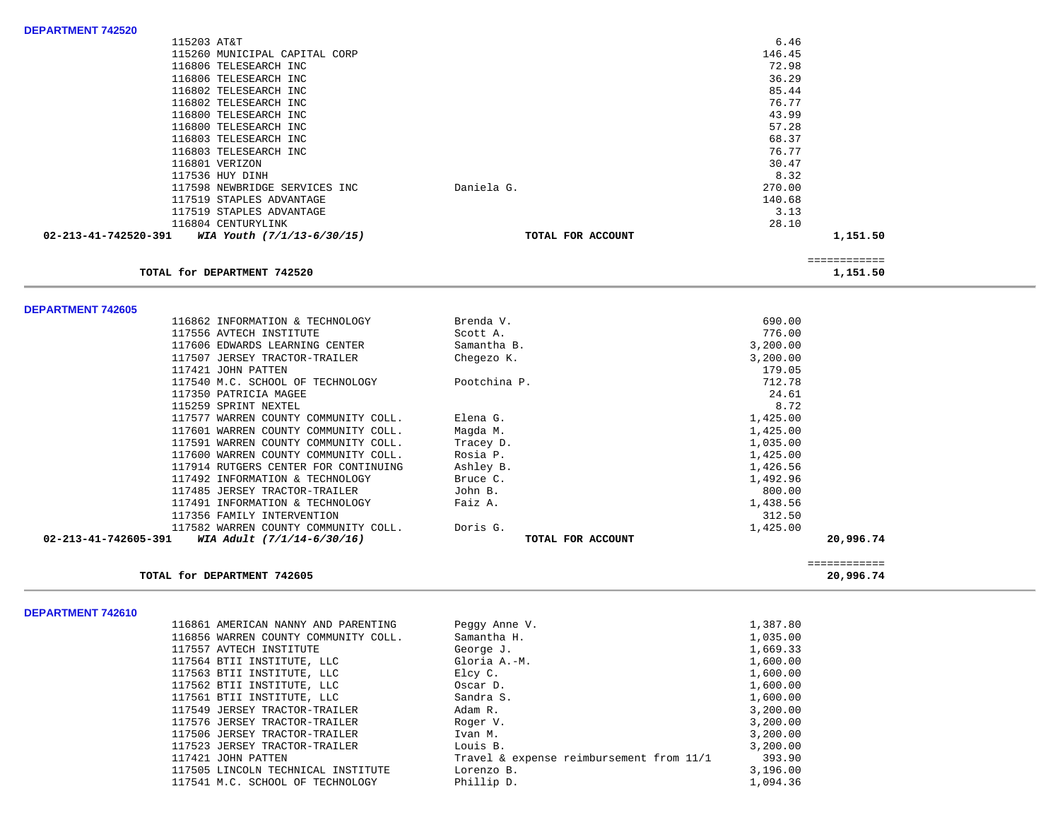| <b>DEPARTMENT 742520</b>                           |                   |              |          |
|----------------------------------------------------|-------------------|--------------|----------|
| 115203 AT&T                                        |                   | 6.46         |          |
| 115260 MUNICIPAL CAPITAL CORP                      |                   | 146.45       |          |
| 116806 TELESEARCH INC                              |                   | 72.98        |          |
| 116806 TELESEARCH INC                              |                   | 36.29        |          |
| 116802 TELESEARCH INC                              |                   | 85.44        |          |
| 116802 TELESEARCH INC                              |                   | 76.77        |          |
| 116800 TELESEARCH INC                              |                   | 43.99        |          |
| 116800 TELESEARCH INC                              |                   | 57.28        |          |
| 116803 TELESEARCH INC                              |                   | 68.37        |          |
| 116803 TELESEARCH INC                              |                   | 76.77        |          |
| 116801 VERIZON                                     |                   | 30.47        |          |
| 117536 HUY DINH                                    |                   | 8.32         |          |
| 117598 NEWBRIDGE SERVICES INC                      | Daniela G.        | 270.00       |          |
| 117519 STAPLES ADVANTAGE                           |                   | 140.68       |          |
| 117519 STAPLES ADVANTAGE                           |                   | 3.13         |          |
| 116804 CENTURYLINK                                 |                   | 28.10        |          |
| 02-213-41-742520-391<br>WIA Youth (7/1/13-6/30/15) | TOTAL FOR ACCOUNT |              | 1,151.50 |
|                                                    |                   | ============ |          |
| TOTAL for DEPARTMENT 742520                        |                   |              | 1,151.50 |
|                                                    |                   |              |          |

**DEPARTMENT 742605** 

| 116862 INFORMATION & TECHNOLOGY                    | Brenda V.         | 690.00       |  |
|----------------------------------------------------|-------------------|--------------|--|
| 117556 AVTECH INSTITUTE                            | Scott A.          | 776.00       |  |
| 117606 EDWARDS LEARNING CENTER                     | Samantha B.       | 3,200.00     |  |
| 117507 JERSEY TRACTOR-TRAILER                      | Chegezo K.        | 3,200.00     |  |
| 117421 JOHN PATTEN                                 |                   | 179.05       |  |
| 117540 M.C. SCHOOL OF TECHNOLOGY                   | Pootchina P.      | 712.78       |  |
| 117350 PATRICIA MAGEE                              |                   | 24.61        |  |
| 115259 SPRINT NEXTEL                               |                   | 8.72         |  |
| 117577 WARREN COUNTY COMMUNITY COLL.               | Elena G.          | 1,425.00     |  |
| 117601 WARREN COUNTY COMMUNITY COLL.               | Magda M.          | 1,425.00     |  |
| 117591 WARREN COUNTY COMMUNITY COLL.               | Tracey D.         | 1,035.00     |  |
| 117600 WARREN COUNTY COMMUNITY COLL.               | Rosia P.          | 1,425.00     |  |
| 117914 RUTGERS CENTER FOR CONTINUING               | Ashley B.         | 1,426.56     |  |
| 117492 INFORMATION & TECHNOLOGY                    | Bruce C.          | 1,492.96     |  |
| 117485 JERSEY TRACTOR-TRAILER                      | John B.           | 800.00       |  |
| 117491 INFORMATION & TECHNOLOGY                    | Faiz A.           | 1,438.56     |  |
| 117356 FAMILY INTERVENTION                         |                   | 312.50       |  |
| 117582 WARREN COUNTY COMMUNITY COLL.               | Doris G.          | 1,425.00     |  |
| 02-213-41-742605-391<br>WIA Adult (7/1/14-6/30/16) | TOTAL FOR ACCOUNT | 20,996.74    |  |
|                                                    |                   | ============ |  |
| TOTAL for DEPARTMENT 742605                        |                   | 20,996.74    |  |

#### **DEPARTMENT 742610**

| 116861 AMERICAN NANNY AND PARENTING  | Peggy Anne V.                            | 1,387.80 |
|--------------------------------------|------------------------------------------|----------|
| 116856 WARREN COUNTY COMMUNITY COLL. | Samantha H.                              | 1,035.00 |
| 117557 AVTECH INSTITUTE              | George J.                                | 1,669.33 |
| 117564 BTII INSTITUTE, LLC           | Gloria A.-M.                             | 1,600.00 |
| 117563 BTII INSTITUTE, LLC           | Elcy C.                                  | 1,600.00 |
| 117562 BTII INSTITUTE, LLC           | Oscar D.                                 | 1,600.00 |
| 117561 BTII INSTITUTE, LLC           | Sandra S.                                | 1,600.00 |
| 117549 JERSEY TRACTOR-TRAILER        | Adam R.                                  | 3,200.00 |
| 117576 JERSEY TRACTOR-TRAILER        | Roger V.                                 | 3,200.00 |
| 117506 JERSEY TRACTOR-TRAILER        | Ivan M.                                  | 3,200.00 |
| 117523 JERSEY TRACTOR-TRAILER        | Louis B.                                 | 3,200.00 |
| 117421 JOHN PATTEN                   | Travel & expense reimbursement from 11/1 | 393.90   |
| 117505 LINCOLN TECHNICAL INSTITUTE   | Lorenzo B.                               | 3,196.00 |
| 117541 M.C. SCHOOL OF TECHNOLOGY     | Phillip D.                               | 1,094.36 |
|                                      |                                          |          |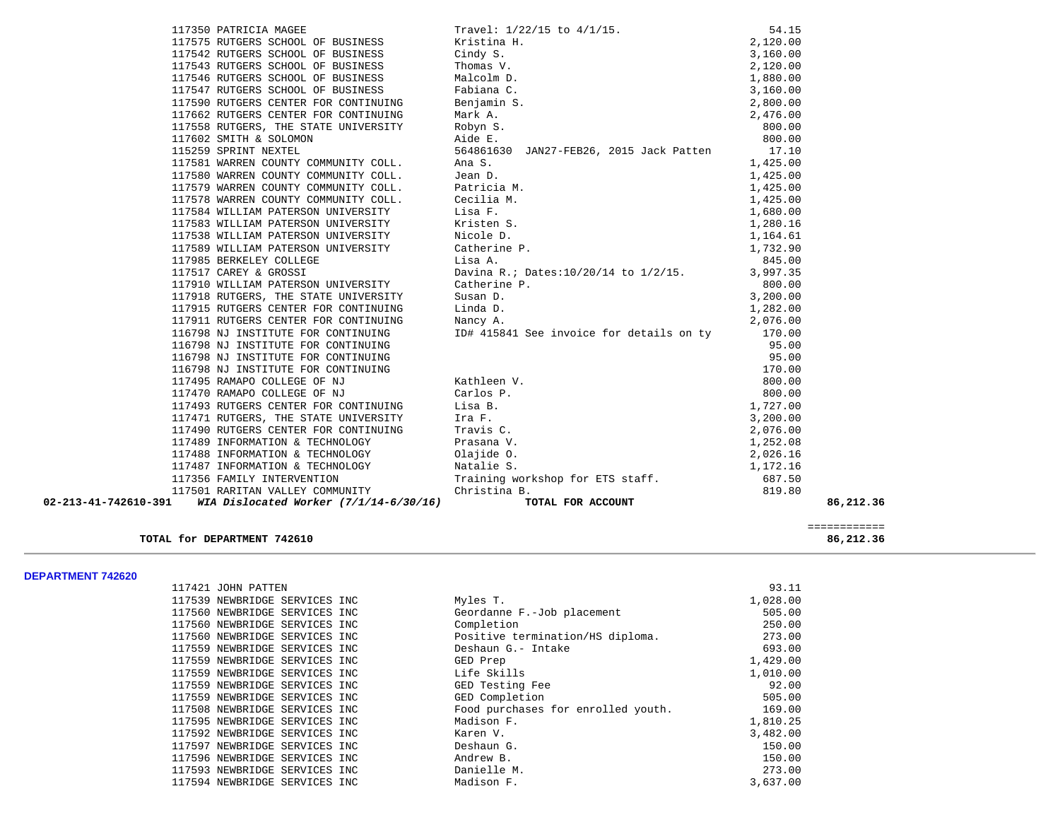| 02-213-41-742610-391 | WIA Dislocated Worker $(7/1/14-6/30/16)$                                                    | TOTAL FOR ACCOUNT                                                                                                                                                                                                                                                      |          | 86,212.36 |
|----------------------|---------------------------------------------------------------------------------------------|------------------------------------------------------------------------------------------------------------------------------------------------------------------------------------------------------------------------------------------------------------------------|----------|-----------|
|                      |                                                                                             | 117488 INFORMATION & TECHNOLOGY<br>117487 INFORMATION & TECHNOLOGY<br>117356 FAMILY INTERVENTION<br>117556 FAMILY INTERVENTION<br>11756 FAMILY INTERVENTION<br>11756 FAMILY INTERVENTION<br>11756 FAMILY INTERVENTION<br>11756 FAMILY INTERV                           |          |           |
|                      |                                                                                             |                                                                                                                                                                                                                                                                        |          |           |
|                      |                                                                                             |                                                                                                                                                                                                                                                                        |          |           |
|                      |                                                                                             |                                                                                                                                                                                                                                                                        |          |           |
|                      | 117489 INFORMATION & TECHNOLOGY                                                             | Prasana V.                                                                                                                                                                                                                                                             | 1,252.08 |           |
|                      | 117490 RUTGERS CENTER FOR CONTINUING                                                        | Travis C.                                                                                                                                                                                                                                                              | 2,076.00 |           |
|                      |                                                                                             |                                                                                                                                                                                                                                                                        | 3,200.00 |           |
|                      | 117493 RUTGERS CENTER FOR CONTINUING Lisa B.<br>117471 RUTGERS, THE STATE UNIVERSITY Ira F. |                                                                                                                                                                                                                                                                        | 1,727.00 |           |
|                      | 117470 RAMAPO COLLEGE OF NJ                                                                 | Carlos P.                                                                                                                                                                                                                                                              | 800.00   |           |
|                      | 117495 RAMAPO COLLEGE OF NJ                                                                 | Kathleen V.                                                                                                                                                                                                                                                            | 800.00   |           |
|                      | 116798 NJ INSTITUTE FOR CONTINUING                                                          |                                                                                                                                                                                                                                                                        | 170.00   |           |
|                      | 116798 NJ INSTITUTE FOR CONTINUING                                                          |                                                                                                                                                                                                                                                                        | 95.00    |           |
|                      | 116798 NJ INSTITUTE FOR CONTINUING                                                          |                                                                                                                                                                                                                                                                        | 95.00    |           |
|                      | 116798 NJ INSTITUTE FOR CONTINUING                                                          | ID# 415841 See invoice for details on ty                                                                                                                                                                                                                               | 170.00   |           |
|                      | 117911 RUTGERS CENTER FOR CONTINUING                                                        | Nancy A.                                                                                                                                                                                                                                                               | 2,076.00 |           |
|                      | 117915 RUTGERS CENTER FOR CONTINUING                                                        | Linda D.                                                                                                                                                                                                                                                               | 1,282.00 |           |
|                      | 117918 RUTGERS, THE STATE UNIVERSITY                                                        | Susan D.                                                                                                                                                                                                                                                               | 3,200.00 |           |
|                      | 117910 WILLIAM PATERSON UNIVERSITY                                                          | Catherine P.                                                                                                                                                                                                                                                           | 800.00   |           |
|                      | 117517 CAREY & GROSSI                                                                       |                                                                                                                                                                                                                                                                        |          |           |
|                      | 117985 BERKELEY COLLEGE                                                                     | Lisa A. $845.00$<br>Davina R.; Dates:10/20/14 to 1/2/15. 3,997.35                                                                                                                                                                                                      |          |           |
|                      | 117589 WILLIAM PATERSON UNIVERSITY                                                          | Ana S.<br>Jean D.<br>2017 - Analysis of the Maria M.<br>Cecilia M.<br>Cecilia M.<br>Lisa F.<br>1,425.00<br>Lisa F.<br>1,425.00<br>1,425.00<br>1,425.00<br>1,425.00<br>1,425.00<br>1,425.00<br>1,425.00<br>1,425.00<br>1,425.00<br>1,425.00<br>1,425.00<br>1,425.00<br> |          |           |
|                      | 117538 WILLIAM PATERSON UNIVERSITY                                                          |                                                                                                                                                                                                                                                                        |          |           |
|                      | 117583 WILLIAM PATERSON UNIVERSITY                                                          |                                                                                                                                                                                                                                                                        |          |           |
|                      | 117584 WILLIAM PATERSON UNIVERSITY                                                          |                                                                                                                                                                                                                                                                        |          |           |
|                      | 117578 WARREN COUNTY COMMUNITY COLL.                                                        |                                                                                                                                                                                                                                                                        |          |           |
|                      | 117579 WARREN COUNTY COMMUNITY COLL.                                                        |                                                                                                                                                                                                                                                                        |          |           |
|                      | 117580 WARREN COUNTY COMMUNITY COLL.                                                        |                                                                                                                                                                                                                                                                        |          |           |
|                      | 117581 WARREN COUNTY COMMUNITY COLL.                                                        | Ana S.                                                                                                                                                                                                                                                                 | 1,425.00 |           |
|                      | 115259 SPRINT NEXTEL                                                                        | 564861630 JAN27-FEB26, 2015 Jack Patten                                                                                                                                                                                                                                | 17.10    |           |
|                      | 117602 SMITH & SOLOMON                                                                      | Aide E.                                                                                                                                                                                                                                                                | 800.00   |           |
|                      | 117558 RUTGERS, THE STATE UNIVERSITY                                                        | Robyn S.                                                                                                                                                                                                                                                               | 800.00   |           |
|                      | 117662 RUTGERS CENTER FOR CONTINUING                                                        |                                                                                                                                                                                                                                                                        |          |           |
|                      | 117590 RUTGERS CENTER FOR CONTINUING                                                        |                                                                                                                                                                                                                                                                        |          |           |
|                      | 117547 RUTGERS SCHOOL OF BUSINESS                                                           |                                                                                                                                                                                                                                                                        |          |           |
|                      | 117546 RUTGERS SCHOOL OF BUSINESS                                                           |                                                                                                                                                                                                                                                                        |          |           |
|                      | 117543 RUTGERS SCHOOL OF BUSINESS                                                           |                                                                                                                                                                                                                                                                        |          |           |
|                      | 117542 RUTGERS SCHOOL OF BUSINESS                                                           |                                                                                                                                                                                                                                                                        |          |           |
|                      | 117575 RUTGERS SCHOOL OF BUSINESS                                                           |                                                                                                                                                                                                                                                                        |          |           |
|                      | 117350 PATRICIA MAGEE                                                                       | Travel: 1/22/15 to 4/1/15.<br>Existina H. 2,120.00<br>Cindy S. 3,160.00<br>Thomas V. 2,120.00<br>Malcolm D. 1,880.00<br>Fabiana C. 3,160.00<br>Mark A. 2,800.00<br>Nork A. 2,476.00<br>Robyn S. 3,160.00                                                               |          |           |
|                      |                                                                                             |                                                                                                                                                                                                                                                                        |          |           |

# **TOTAL for DEPARTMENT 742610** 86,212.36

|                                   | _____________<br>_____________ |
|-----------------------------------|--------------------------------|
| DEPARTMENT 742610<br>TOTAL<br>for | $\sim$ $\sim$<br>86.2<br>- 56  |

## **DEPARTMENT 742620**

| 117421 JOHN PATTEN            |  |                                    | 93.11    |
|-------------------------------|--|------------------------------------|----------|
| 117539 NEWBRIDGE SERVICES INC |  | Myles T.                           | 1,028.00 |
| 117560 NEWBRIDGE SERVICES INC |  | Geordanne F.-Job placement         | 505.00   |
| 117560 NEWBRIDGE SERVICES INC |  | Completion                         | 250.00   |
| 117560 NEWBRIDGE SERVICES INC |  | Positive termination/HS diploma.   | 273.00   |
| 117559 NEWBRIDGE SERVICES INC |  | Deshaun G.- Intake                 | 693.00   |
| 117559 NEWBRIDGE SERVICES INC |  | GED Prep                           | 1,429.00 |
| 117559 NEWBRIDGE SERVICES INC |  | Life Skills                        | 1,010.00 |
| 117559 NEWBRIDGE SERVICES INC |  | GED Testing Fee                    | 92.00    |
| 117559 NEWBRIDGE SERVICES INC |  | GED Completion                     | 505.00   |
| 117508 NEWBRIDGE SERVICES INC |  | Food purchases for enrolled youth. | 169.00   |
| 117595 NEWBRIDGE SERVICES INC |  | Madison F.                         | 1,810.25 |
| 117592 NEWBRIDGE SERVICES INC |  | Karen V.                           | 3,482.00 |
| 117597 NEWBRIDGE SERVICES INC |  | Deshaun G.                         | 150.00   |
| 117596 NEWBRIDGE SERVICES INC |  | Andrew B.                          | 150.00   |
| 117593 NEWBRIDGE SERVICES INC |  | Danielle M.                        | 273.00   |
| 117594 NEWBRIDGE SERVICES INC |  | Madison F.                         | 3,637.00 |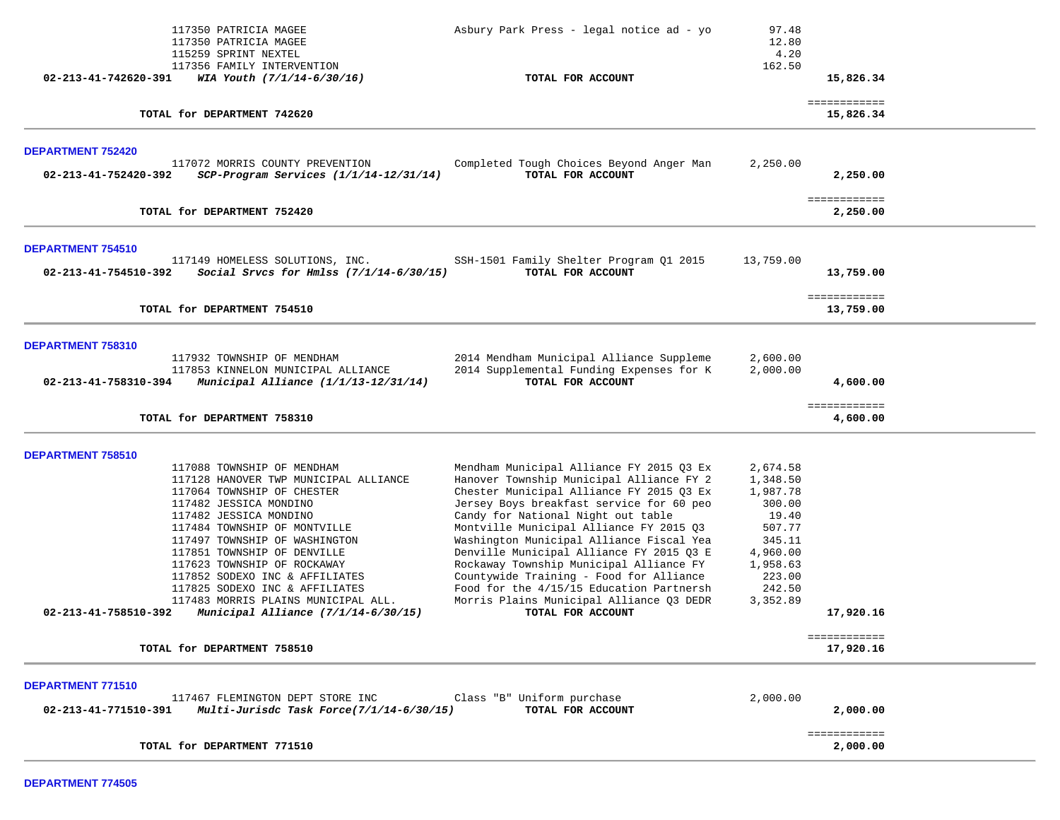| 117350 PATRICIA MAGEE<br>Asbury Park Press - legal notice ad - yo<br>117350 PATRICIA MAGEE                                                                            | 97.48<br>12.80       |                           |  |
|-----------------------------------------------------------------------------------------------------------------------------------------------------------------------|----------------------|---------------------------|--|
| 115259 SPRINT NEXTEL                                                                                                                                                  | 4.20                 |                           |  |
| 117356 FAMILY INTERVENTION                                                                                                                                            | 162.50               |                           |  |
| WIA Youth (7/1/14-6/30/16)<br>02-213-41-742620-391<br>TOTAL FOR ACCOUNT                                                                                               |                      | 15,826.34                 |  |
| TOTAL for DEPARTMENT 742620                                                                                                                                           |                      | ============<br>15,826.34 |  |
| <b>DEPARTMENT 752420</b>                                                                                                                                              |                      |                           |  |
| 117072 MORRIS COUNTY PREVENTION<br>Completed Tough Choices Beyond Anger Man<br>TOTAL FOR ACCOUNT<br>SCP-Program Services (1/1/14-12/31/14)<br>02-213-41-752420-392    | 2,250.00             | 2,250.00                  |  |
| TOTAL for DEPARTMENT 752420                                                                                                                                           |                      | ============<br>2,250.00  |  |
| DEPARTMENT 754510                                                                                                                                                     |                      |                           |  |
| SSH-1501 Family Shelter Program Q1 2015<br>117149 HOMELESS SOLUTIONS, INC.<br>TOTAL FOR ACCOUNT<br>Social Srvcs for Hmlss $(7/1/14-6/30/15)$<br>02-213-41-754510-392  | 13,759.00            | 13,759.00                 |  |
| TOTAL for DEPARTMENT 754510                                                                                                                                           |                      | ============<br>13,759.00 |  |
|                                                                                                                                                                       |                      |                           |  |
| DEPARTMENT 758310                                                                                                                                                     |                      |                           |  |
| 2014 Mendham Municipal Alliance Suppleme<br>117932 TOWNSHIP OF MENDHAM                                                                                                | 2,600.00             |                           |  |
| 2014 Supplemental Funding Expenses for K<br>117853 KINNELON MUNICIPAL ALLIANCE<br>TOTAL FOR ACCOUNT<br>02-213-41-758310-394<br>Municipal Alliance $(1/1/13-12/31/14)$ | 2,000.00             | 4,600.00                  |  |
| TOTAL for DEPARTMENT 758310                                                                                                                                           |                      | ============<br>4,600.00  |  |
|                                                                                                                                                                       |                      |                           |  |
| DEPARTMENT 758510                                                                                                                                                     |                      |                           |  |
| 117088 TOWNSHIP OF MENDHAM<br>Mendham Municipal Alliance FY 2015 Q3 Ex                                                                                                | 2,674.58             |                           |  |
| Hanover Township Municipal Alliance FY 2<br>117128 HANOVER TWP MUNICIPAL ALLIANCE<br>Chester Municipal Alliance FY 2015 Q3 Ex<br>117064 TOWNSHIP OF CHESTER           | 1,348.50<br>1,987.78 |                           |  |
| Jersey Boys breakfast service for 60 peo<br>117482 JESSICA MONDINO                                                                                                    | 300.00               |                           |  |
| Candy for National Night out table<br>117482 JESSICA MONDINO                                                                                                          | 19.40                |                           |  |
| Montville Municipal Alliance FY 2015 Q3<br>117484 TOWNSHIP OF MONTVILLE                                                                                               | 507.77               |                           |  |
| Washington Municipal Alliance Fiscal Yea<br>117497 TOWNSHIP OF WASHINGTON                                                                                             | 345.11               |                           |  |
| Denville Municipal Alliance FY 2015 03 E<br>117851 TOWNSHIP OF DENVILLE                                                                                               | 4,960.00             |                           |  |
| Rockaway Township Municipal Alliance FY<br>117623 TOWNSHIP OF ROCKAWAY                                                                                                | 1,958.63             |                           |  |
| Countywide Training - Food for Alliance<br>117852 SODEXO INC & AFFILIATES                                                                                             | 223.00               |                           |  |
| Food for the 4/15/15 Education Partnersh<br>117825 SODEXO INC & AFFILIATES                                                                                            | 242.50               |                           |  |
| Morris Plains Municipal Alliance Q3 DEDR<br>117483 MORRIS PLAINS MUNICIPAL ALL.<br>02-213-41-758510-392<br>Municipal Alliance (7/1/14-6/30/15)<br>TOTAL FOR ACCOUNT   | 3,352.89             | 17,920.16                 |  |
|                                                                                                                                                                       |                      | ============              |  |
| TOTAL for DEPARTMENT 758510                                                                                                                                           |                      | 17,920.16                 |  |
| DEPARTMENT 771510                                                                                                                                                     |                      |                           |  |
| 117467 FLEMINGTON DEPT STORE INC<br>Class "B" Uniform purchase                                                                                                        | 2,000.00             |                           |  |
| 02-213-41-771510-391<br>Multi-Jurisdc Task Force(7/1/14-6/30/15)<br>TOTAL FOR ACCOUNT                                                                                 |                      | 2,000.00                  |  |
| TOTAL for DEPARTMENT 771510                                                                                                                                           |                      | ============<br>2,000.00  |  |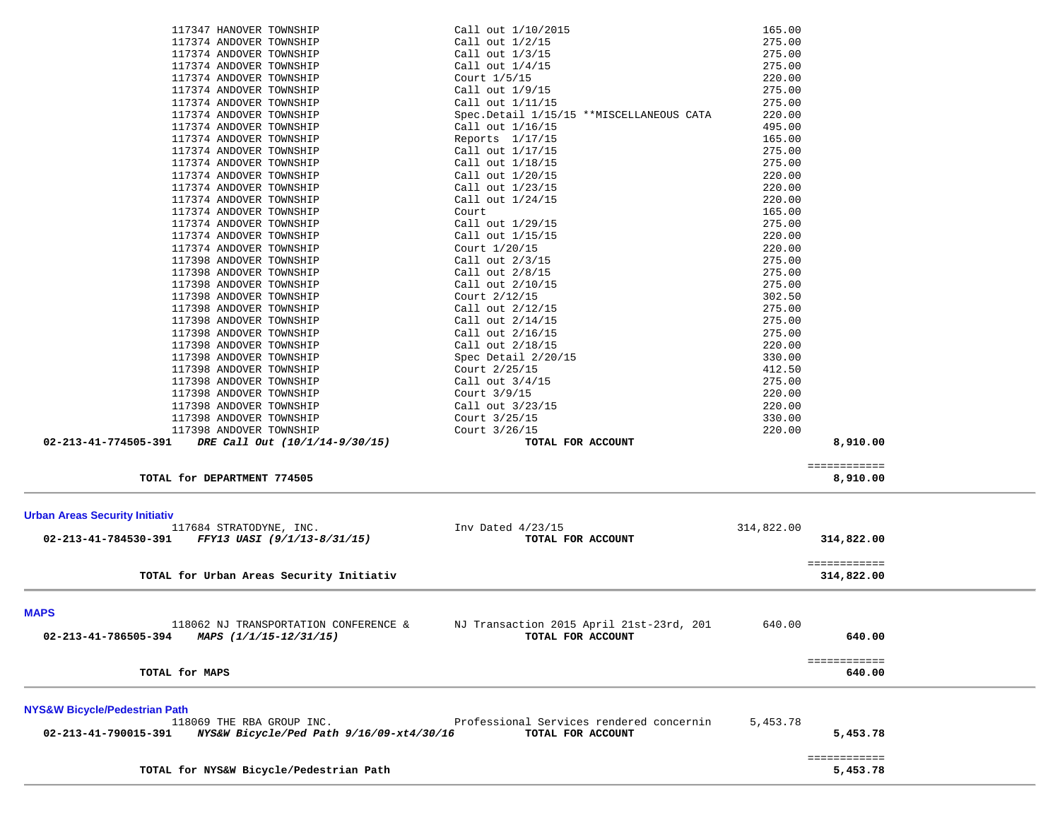| 117347 HANOVER TOWNSHIP                                          | Call out $1/10/2015$                     | 165.00     |              |  |
|------------------------------------------------------------------|------------------------------------------|------------|--------------|--|
| 117374 ANDOVER TOWNSHIP                                          | Call out 1/2/15                          | 275.00     |              |  |
| 117374 ANDOVER TOWNSHIP                                          | Call out 1/3/15                          | 275.00     |              |  |
| 117374 ANDOVER TOWNSHIP                                          | Call out 1/4/15                          | 275.00     |              |  |
| 117374 ANDOVER TOWNSHIP                                          | Court 1/5/15                             | 220.00     |              |  |
| 117374 ANDOVER TOWNSHIP                                          | Call out 1/9/15                          | 275.00     |              |  |
| 117374 ANDOVER TOWNSHIP                                          | Call out 1/11/15                         | 275.00     |              |  |
| 117374 ANDOVER TOWNSHIP                                          | Spec.Detail 1/15/15 **MISCELLANEOUS CATA | 220.00     |              |  |
| 117374 ANDOVER TOWNSHIP                                          | Call out 1/16/15                         | 495.00     |              |  |
| 117374 ANDOVER TOWNSHIP                                          | Reports $1/17/15$                        | 165.00     |              |  |
| 117374 ANDOVER TOWNSHIP                                          | Call out 1/17/15                         | 275.00     |              |  |
| 117374 ANDOVER TOWNSHIP                                          | Call out 1/18/15                         | 275.00     |              |  |
| 117374 ANDOVER TOWNSHIP                                          | Call out 1/20/15                         | 220.00     |              |  |
| 117374 ANDOVER TOWNSHIP                                          | Call out 1/23/15                         | 220.00     |              |  |
| 117374 ANDOVER TOWNSHIP                                          | Call out $1/24/15$                       | 220.00     |              |  |
| 117374 ANDOVER TOWNSHIP                                          | Court                                    | 165.00     |              |  |
| 117374 ANDOVER TOWNSHIP                                          | Call out 1/29/15                         | 275.00     |              |  |
| 117374 ANDOVER TOWNSHIP                                          | Call out 1/15/15                         | 220.00     |              |  |
| 117374 ANDOVER TOWNSHIP                                          | Court 1/20/15                            | 220.00     |              |  |
| 117398 ANDOVER TOWNSHIP                                          | Call out $2/3/15$                        | 275.00     |              |  |
| 117398 ANDOVER TOWNSHIP                                          | Call out 2/8/15                          | 275.00     |              |  |
| 117398 ANDOVER TOWNSHIP                                          | Call out 2/10/15                         | 275.00     |              |  |
| 117398 ANDOVER TOWNSHIP                                          | Court 2/12/15                            | 302.50     |              |  |
| 117398 ANDOVER TOWNSHIP                                          | Call out 2/12/15                         | 275.00     |              |  |
| 117398 ANDOVER TOWNSHIP                                          | Call out 2/14/15                         | 275.00     |              |  |
| 117398 ANDOVER TOWNSHIP                                          | Call out 2/16/15                         | 275.00     |              |  |
| 117398 ANDOVER TOWNSHIP                                          | Call out 2/18/15                         | 220.00     |              |  |
| 117398 ANDOVER TOWNSHIP                                          | Spec Detail 2/20/15                      | 330.00     |              |  |
| 117398 ANDOVER TOWNSHIP                                          | Court 2/25/15                            | 412.50     |              |  |
| 117398 ANDOVER TOWNSHIP                                          | Call out 3/4/15                          | 275.00     |              |  |
|                                                                  |                                          | 220.00     |              |  |
| 117398 ANDOVER TOWNSHIP                                          | Court 3/9/15                             |            |              |  |
| 117398 ANDOVER TOWNSHIP                                          | Call out 3/23/15                         | 220.00     |              |  |
| 117398 ANDOVER TOWNSHIP                                          | Court 3/25/15                            | 330.00     |              |  |
| 117398 ANDOVER TOWNSHIP                                          | Court 3/26/15                            | 220.00     |              |  |
| 02-213-41-774505-391<br>DRE Call Out (10/1/14-9/30/15)           | TOTAL FOR ACCOUNT                        |            | 8,910.00     |  |
|                                                                  |                                          |            | ============ |  |
| TOTAL for DEPARTMENT 774505                                      |                                          |            | 8,910.00     |  |
|                                                                  |                                          |            |              |  |
| <b>Urban Areas Security Initiativ</b>                            |                                          |            |              |  |
| 117684 STRATODYNE, INC.                                          | Inv Dated $4/23/15$                      | 314,822.00 |              |  |
| 02-213-41-784530-391<br>FFY13 UASI (9/1/13-8/31/15)              | TOTAL FOR ACCOUNT                        |            | 314,822.00   |  |
|                                                                  |                                          |            | ============ |  |
| TOTAL for Urban Areas Security Initiativ                         |                                          |            | 314,822.00   |  |
|                                                                  |                                          |            |              |  |
| <b>MAPS</b>                                                      |                                          |            |              |  |
| 118062 NJ TRANSPORTATION CONFERENCE &                            | NJ Transaction 2015 April 21st-23rd, 201 | 640.00     |              |  |
| 02-213-41-786505-394<br>MAPS (1/1/15-12/31/15)                   | TOTAL FOR ACCOUNT                        |            | 640.00       |  |
|                                                                  |                                          |            |              |  |
|                                                                  |                                          |            | ============ |  |
| TOTAL for MAPS                                                   |                                          |            | 640.00       |  |
| <b>NYS&amp;W Bicycle/Pedestrian Path</b>                         |                                          |            |              |  |
| 118069 THE RBA GROUP INC.                                        | Professional Services rendered concernin | 5,453.78   |              |  |
| 02-213-41-790015-391<br>NYS&W Bicycle/Ped Path 9/16/09-xt4/30/16 | TOTAL FOR ACCOUNT                        |            | 5,453.78     |  |
|                                                                  |                                          |            |              |  |
|                                                                  |                                          |            | ============ |  |
| TOTAL for NYS&W Bicycle/Pedestrian Path                          |                                          |            | 5,453.78     |  |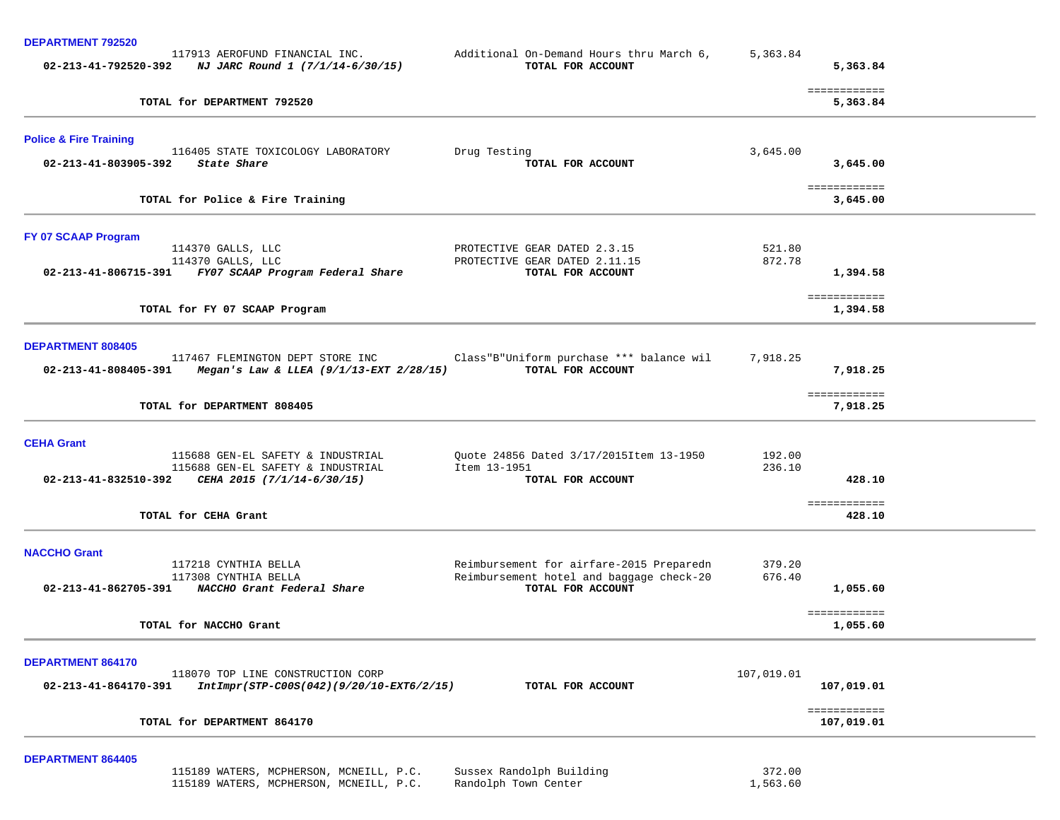| <u>DEI ARTIVIENT TJZJZJ</u>       | 117913 AEROFUND FINANCIAL INC.<br>$02 - 213 - 41 - 792520 - 392$ NJ JARC Round 1 (7/1/14-6/30/15) | Additional On-Demand Hours thru March 6,<br>TOTAL FOR ACCOUNT                        | 5,363.84           | 5,363.84                   |
|-----------------------------------|---------------------------------------------------------------------------------------------------|--------------------------------------------------------------------------------------|--------------------|----------------------------|
|                                   | TOTAL for DEPARTMENT 792520                                                                       |                                                                                      |                    | ============<br>5,363.84   |
| <b>Police &amp; Fire Training</b> | 116405 STATE TOXICOLOGY LABORATORY                                                                | Drug Testing                                                                         | 3,645.00           |                            |
| 02-213-41-803905-392              | State Share                                                                                       | TOTAL FOR ACCOUNT                                                                    |                    | 3,645.00                   |
|                                   | TOTAL for Police & Fire Training                                                                  |                                                                                      |                    | ============<br>3,645.00   |
| FY 07 SCAAP Program               |                                                                                                   |                                                                                      |                    |                            |
|                                   | 114370 GALLS, LLC<br>114370 GALLS, LLC                                                            | PROTECTIVE GEAR DATED 2.3.15<br>PROTECTIVE GEAR DATED 2.11.15                        | 521.80<br>872.78   |                            |
|                                   | 02-213-41-806715-391 FY07 SCAAP Program Federal Share                                             | TOTAL FOR ACCOUNT                                                                    |                    | 1,394.58                   |
|                                   | TOTAL for FY 07 SCAAP Program                                                                     |                                                                                      |                    | ============<br>1,394.58   |
| <b>DEPARTMENT 808405</b>          |                                                                                                   |                                                                                      |                    |                            |
|                                   | 117467 FLEMINGTON DEPT STORE INC<br>02-213-41-808405-391 Megan's Law & LLEA (9/1/13-EXT 2/28/15)  | Class"B"Uniform purchase *** balance wil<br>TOTAL FOR ACCOUNT                        | 7,918.25           | 7,918.25                   |
|                                   | TOTAL for DEPARTMENT 808405                                                                       |                                                                                      |                    | ============<br>7,918.25   |
| <b>CEHA Grant</b>                 |                                                                                                   |                                                                                      |                    |                            |
|                                   | 115688 GEN-EL SAFETY & INDUSTRIAL<br>115688 GEN-EL SAFETY & INDUSTRIAL                            | Quote 24856 Dated 3/17/2015Item 13-1950<br>Item 13-1951                              | 192.00<br>236.10   |                            |
|                                   | 02-213-41-832510-392 CEHA 2015 $(7/1/14-6/30/15)$                                                 | TOTAL FOR ACCOUNT                                                                    |                    | 428.10                     |
|                                   | TOTAL for CEHA Grant                                                                              |                                                                                      |                    | ============<br>428.10     |
| <b>NACCHO Grant</b>               |                                                                                                   |                                                                                      |                    |                            |
|                                   | 117218 CYNTHIA BELLA<br>117308 CYNTHIA BELLA                                                      | Reimbursement for airfare-2015 Preparedn<br>Reimbursement hotel and baggage check-20 | 379.20<br>676.40   |                            |
|                                   | 02-213-41-862705-391 NACCHO Grant Federal Share                                                   | TOTAL FOR ACCOUNT                                                                    |                    | 1,055.60                   |
|                                   | TOTAL for NACCHO Grant                                                                            |                                                                                      |                    | ============<br>1,055.60   |
| DEPARTMENT 864170                 |                                                                                                   |                                                                                      |                    |                            |
| 02-213-41-864170-391              | 118070 TOP LINE CONSTRUCTION CORP<br>IntImpr(STP-C00S(042)(9/20/10-EXT6/2/15)                     | TOTAL FOR ACCOUNT                                                                    | 107,019.01         | 107,019.01                 |
|                                   | TOTAL for DEPARTMENT 864170                                                                       |                                                                                      |                    | ============<br>107,019.01 |
|                                   |                                                                                                   |                                                                                      |                    |                            |
| <b>DEPARTMENT 864405</b>          | 115189 WATERS, MCPHERSON, MCNEILL, P.C.<br>115189 WATERS, MCPHERSON, MCNEILL, P.C.                | Sussex Randolph Building<br>Randolph Town Center                                     | 372.00<br>1,563.60 |                            |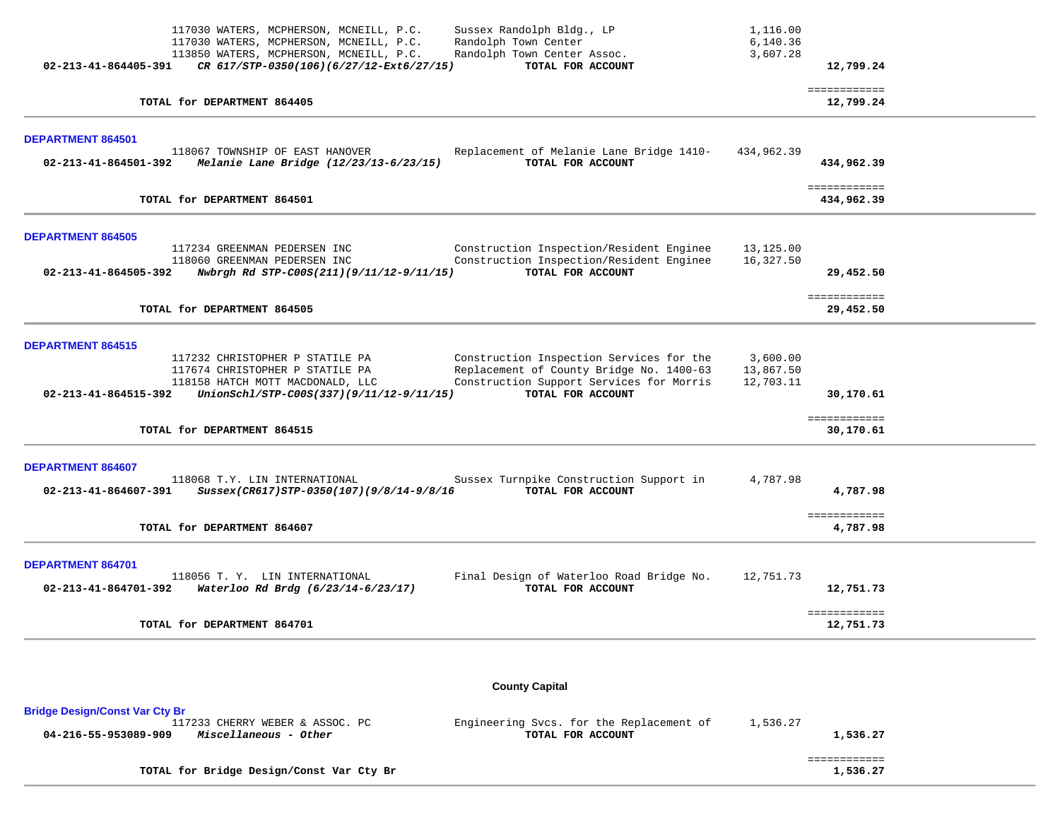|                                                  | 117030 WATERS, MCPHERSON, MCNEILL, P.C.<br>117030 WATERS, MCPHERSON, MCNEILL, P.C.<br>113850 WATERS, MCPHERSON, MCNEILL, P.C.                      | Sussex Randolph Bldg., LP<br>Randolph Town Center<br>Randolph Town Center Assoc.                                                                      | 1,116.00<br>6,140.36<br>3,607.28   |                            |
|--------------------------------------------------|----------------------------------------------------------------------------------------------------------------------------------------------------|-------------------------------------------------------------------------------------------------------------------------------------------------------|------------------------------------|----------------------------|
| 02-213-41-864405-391                             | CR 617/STP-0350(106)(6/27/12-Ext6/27/15)                                                                                                           | TOTAL FOR ACCOUNT                                                                                                                                     |                                    | 12,799.24                  |
|                                                  | TOTAL for DEPARTMENT 864405                                                                                                                        |                                                                                                                                                       |                                    | ============<br>12,799.24  |
| DEPARTMENT 864501                                |                                                                                                                                                    |                                                                                                                                                       |                                    |                            |
| 02-213-41-864501-392                             | 118067 TOWNSHIP OF EAST HANOVER<br>Melanie Lane Bridge (12/23/13-6/23/15)                                                                          | Replacement of Melanie Lane Bridge 1410-<br>TOTAL FOR ACCOUNT                                                                                         | 434,962.39                         | 434,962.39                 |
|                                                  | TOTAL for DEPARTMENT 864501                                                                                                                        |                                                                                                                                                       |                                    | ============<br>434,962.39 |
| <b>DEPARTMENT 864505</b>                         |                                                                                                                                                    |                                                                                                                                                       |                                    |                            |
| 02-213-41-864505-392                             | 117234 GREENMAN PEDERSEN INC<br>118060 GREENMAN PEDERSEN INC<br>Nwbrgh Rd STP-C00S(211)(9/11/12-9/11/15)                                           | Construction Inspection/Resident Enginee<br>Construction Inspection/Resident Enginee<br>TOTAL FOR ACCOUNT                                             | 13,125.00<br>16,327.50             | 29,452.50                  |
|                                                  | TOTAL for DEPARTMENT 864505                                                                                                                        |                                                                                                                                                       |                                    | ============<br>29,452.50  |
| <b>DEPARTMENT 864515</b><br>02-213-41-864515-392 | 117232 CHRISTOPHER P STATILE PA<br>117674 CHRISTOPHER P STATILE PA<br>118158 HATCH MOTT MACDONALD, LLC<br>UnionSchl/STP-C00S(337)(9/11/12-9/11/15) | Construction Inspection Services for the<br>Replacement of County Bridge No. 1400-63<br>Construction Support Services for Morris<br>TOTAL FOR ACCOUNT | 3,600.00<br>13,867.50<br>12,703.11 | 30,170.61                  |
|                                                  | TOTAL for DEPARTMENT 864515                                                                                                                        |                                                                                                                                                       |                                    | ============<br>30,170.61  |
| DEPARTMENT 864607<br>02-213-41-864607-391        | 118068 T.Y. LIN INTERNATIONAL<br>Sussex(CR617)STP-0350(107)(9/8/14-9/8/16                                                                          | Sussex Turnpike Construction Support in<br>TOTAL FOR ACCOUNT                                                                                          | 4,787.98                           | 4,787.98                   |
|                                                  | TOTAL for DEPARTMENT 864607                                                                                                                        |                                                                                                                                                       |                                    | ============<br>4,787.98   |
| <b>DEPARTMENT 864701</b>                         | 118056 T. Y. LIN INTERNATIONAL<br>02-213-41-864701-392 Waterloo Rd Brdg (6/23/14-6/23/17)                                                          | Final Design of Waterloo Road Bridge No.<br>TOTAL FOR ACCOUNT                                                                                         | 12,751.73                          | 12,751.73                  |
|                                                  | TOTAL for DEPARTMENT 864701                                                                                                                        |                                                                                                                                                       |                                    | ============<br>12,751.73  |
|                                                  |                                                                                                                                                    | $A = 1$                                                                                                                                               |                                    |                            |

**County Capital** 

| <b>Bridge Design/Const Var Cty Br</b>         |                                          |          |          |
|-----------------------------------------------|------------------------------------------|----------|----------|
| 117233 CHERRY WEBER & ASSOC. PC               | Engineering Sycs. for the Replacement of | 1,536.27 |          |
| Miscellaneous - Other<br>04-216-55-953089-909 | TOTAL FOR ACCOUNT                        |          | 1,536.27 |
|                                               |                                          |          |          |
|                                               |                                          |          |          |
| TOTAL for Bridge Design/Const Var Cty Br      |                                          |          | 1,536.27 |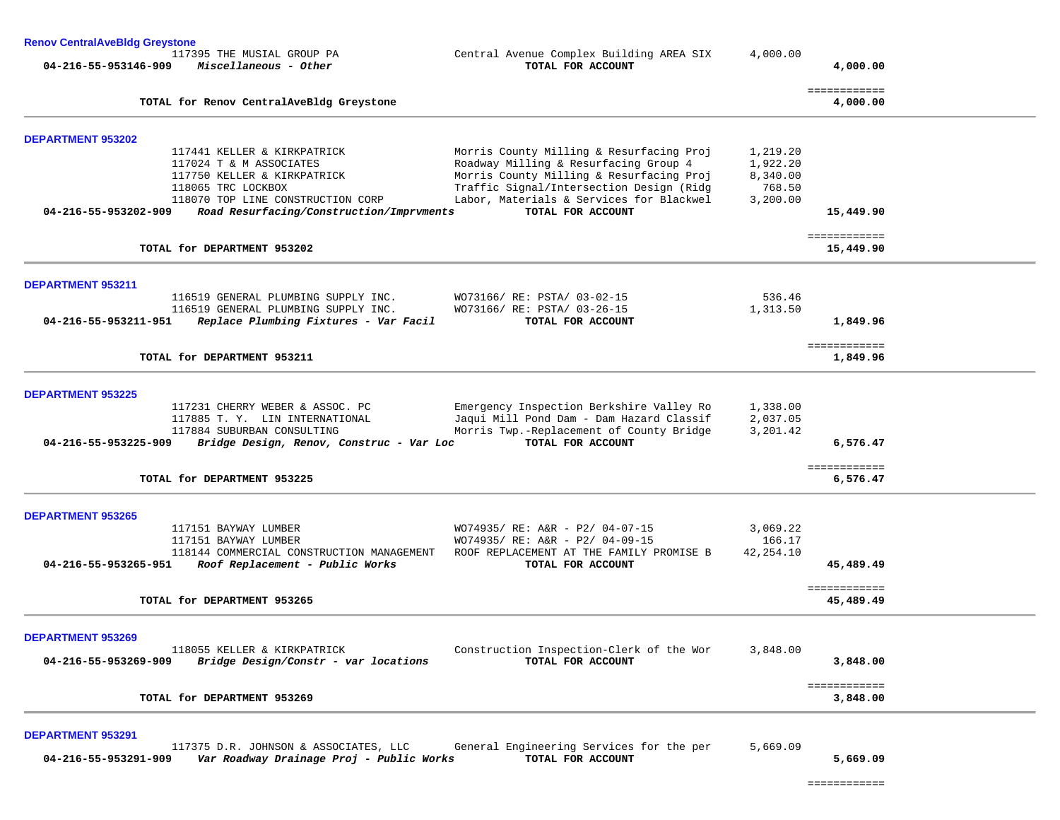| <b>Renov CentralAveBldg Greystone</b> |                                                                              |                                                               |            |                           |
|---------------------------------------|------------------------------------------------------------------------------|---------------------------------------------------------------|------------|---------------------------|
| 04-216-55-953146-909                  | 117395 THE MUSIAL GROUP PA<br>Miscellaneous - Other                          | Central Avenue Complex Building AREA SIX<br>TOTAL FOR ACCOUNT | 4,000.00   | 4,000.00                  |
|                                       | TOTAL for Renov CentralAveBldg Greystone                                     |                                                               |            | ============<br>4,000.00  |
| <b>DEPARTMENT 953202</b>              |                                                                              |                                                               |            |                           |
|                                       | 117441 KELLER & KIRKPATRICK                                                  | Morris County Milling & Resurfacing Proj                      | 1,219.20   |                           |
|                                       | 117024 T & M ASSOCIATES                                                      | Roadway Milling & Resurfacing Group 4                         | 1,922.20   |                           |
|                                       | 117750 KELLER & KIRKPATRICK                                                  | Morris County Milling & Resurfacing Proj                      | 8,340.00   |                           |
|                                       | 118065 TRC LOCKBOX                                                           | Traffic Signal/Intersection Design (Ridg                      | 768.50     |                           |
|                                       | 118070 TOP LINE CONSTRUCTION CORP                                            | Labor, Materials & Services for Blackwel                      | 3,200.00   |                           |
| 04-216-55-953202-909                  | Road Resurfacing/Construction/Imprvments                                     | TOTAL FOR ACCOUNT                                             |            | 15,449.90                 |
|                                       | TOTAL for DEPARTMENT 953202                                                  |                                                               |            | ============<br>15,449.90 |
|                                       |                                                                              |                                                               |            |                           |
| <b>DEPARTMENT 953211</b>              |                                                                              |                                                               |            |                           |
|                                       | 116519 GENERAL PLUMBING SUPPLY INC.                                          | WO73166/ RE: PSTA/ 03-02-15<br>WO73166/ RE: PSTA/ 03-26-15    | 536.46     |                           |
| 04-216-55-953211-951                  | 116519 GENERAL PLUMBING SUPPLY INC.<br>Replace Plumbing Fixtures - Var Facil | TOTAL FOR ACCOUNT                                             | 1,313.50   |                           |
|                                       |                                                                              |                                                               |            | 1,849.96                  |
|                                       | TOTAL for DEPARTMENT 953211                                                  |                                                               |            | ============<br>1,849.96  |
| <b>DEPARTMENT 953225</b>              |                                                                              |                                                               |            |                           |
|                                       | 117231 CHERRY WEBER & ASSOC. PC                                              | Emergency Inspection Berkshire Valley Ro                      | 1,338.00   |                           |
|                                       | 117885 T. Y. LIN INTERNATIONAL                                               | Jaqui Mill Pond Dam - Dam Hazard Classif                      | 2,037.05   |                           |
|                                       | 117884 SUBURBAN CONSULTING                                                   | Morris Twp.-Replacement of County Bridge                      | 3,201.42   |                           |
| 04-216-55-953225-909                  | Bridge Design, Renov, Construc - Var Loc                                     | TOTAL FOR ACCOUNT                                             |            | 6,576.47                  |
|                                       |                                                                              |                                                               |            | ============              |
|                                       | TOTAL for DEPARTMENT 953225                                                  |                                                               |            | 6,576.47                  |
|                                       |                                                                              |                                                               |            |                           |
| <b>DEPARTMENT 953265</b>              | 117151 BAYWAY LUMBER                                                         | WO74935/ RE: A&R - P2/ 04-07-15                               | 3,069.22   |                           |
|                                       | 117151 BAYWAY LUMBER                                                         | WO74935/ RE: A&R - P2/ 04-09-15                               | 166.17     |                           |
|                                       | 118144 COMMERCIAL CONSTRUCTION MANAGEMENT                                    | ROOF REPLACEMENT AT THE FAMILY PROMISE B                      | 42, 254.10 |                           |
| 04-216-55-953265-951                  | Roof Replacement - Public Works                                              | TOTAL FOR ACCOUNT                                             |            | 45,489.49                 |
|                                       |                                                                              |                                                               |            | ============              |
|                                       | TOTAL for DEPARTMENT 953265                                                  |                                                               |            | 45,489.49                 |
| <b>DEPARTMENT 953269</b>              |                                                                              |                                                               |            |                           |
|                                       | 118055 KELLER & KIRKPATRICK                                                  | Construction Inspection-Clerk of the Wor                      | 3,848.00   |                           |
| 04-216-55-953269-909                  | Bridge Design/Constr - var locations                                         | TOTAL FOR ACCOUNT                                             |            | 3,848.00                  |
|                                       |                                                                              |                                                               |            | ============              |

 117375 D.R. JOHNSON & ASSOCIATES, LLC General Engineering Services for the per 5,669.09  **04-216-55-953291-909** *Var Roadway Drainage Proj - Public Works* **TOTAL FOR ACCOUNT 5,669.09**

============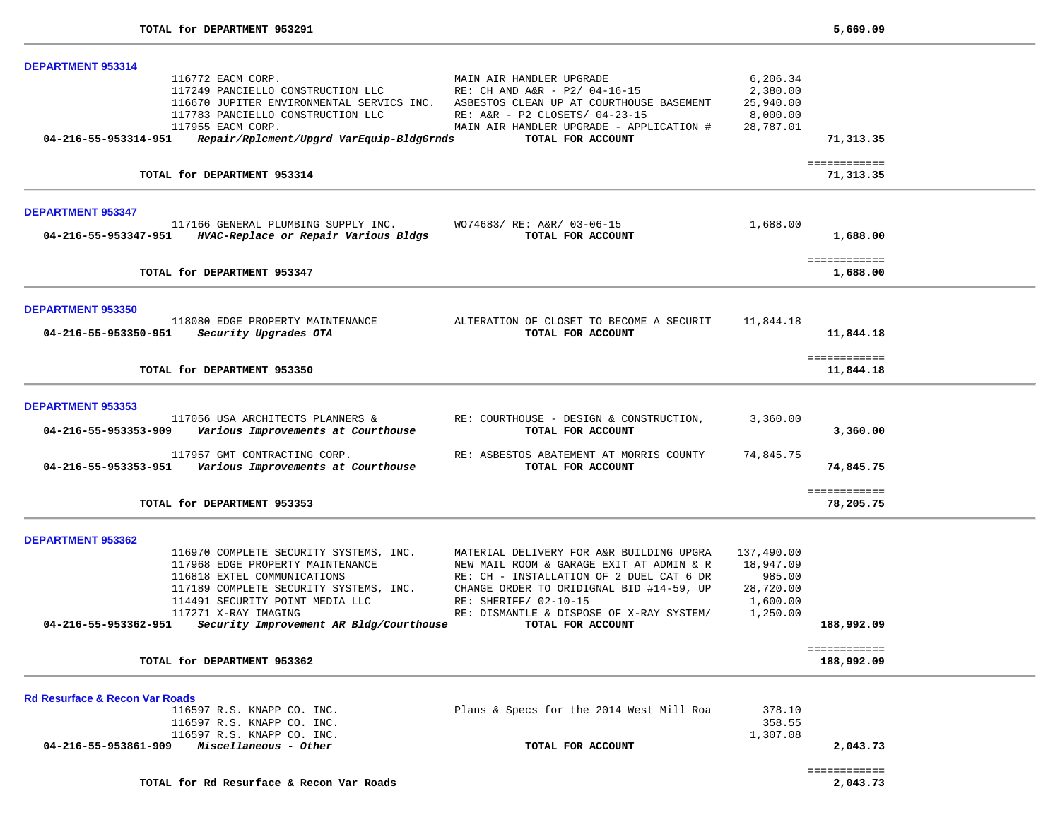| DEPARTMENT 953314                                                |                                                                                     |            |              |  |
|------------------------------------------------------------------|-------------------------------------------------------------------------------------|------------|--------------|--|
| 116772 EACM CORP.                                                | MAIN AIR HANDLER UPGRADE                                                            | 6,206.34   |              |  |
| 117249 PANCIELLO CONSTRUCTION LLC                                | RE: CH AND A&R - P2/ 04-16-15                                                       | 2,380.00   |              |  |
|                                                                  | 116670 JUPITER ENVIRONMENTAL SERVICS INC. ASBESTOS CLEAN UP AT COURTHOUSE BASEMENT  | 25,940.00  |              |  |
| 117783 PANCIELLO CONSTRUCTION LLC                                | RE: A&R - P2 CLOSETS/ 04-23-15                                                      | 8,000.00   |              |  |
| 117955 EACM CORP.                                                | MAIN AIR HANDLER UPGRADE - APPLICATION #                                            | 28,787.01  |              |  |
| Repair/Rplcment/Upgrd VarEquip-BldgGrnds<br>04-216-55-953314-951 | TOTAL FOR ACCOUNT                                                                   |            | 71,313.35    |  |
|                                                                  |                                                                                     |            | ============ |  |
| TOTAL for DEPARTMENT 953314                                      |                                                                                     |            | 71,313.35    |  |
| <b>DEPARTMENT 953347</b>                                         |                                                                                     |            |              |  |
|                                                                  | 117166 GENERAL PLUMBING SUPPLY INC. WO74683/ RE: A&R/ 03-06-15                      | 1,688.00   |              |  |
| 04-216-55-953347-951 HVAC-Replace or Repair Various Bldgs        | TOTAL FOR ACCOUNT                                                                   |            | 1,688.00     |  |
|                                                                  |                                                                                     |            | ============ |  |
| TOTAL for DEPARTMENT 953347                                      |                                                                                     |            | 1,688.00     |  |
| <b>DEPARTMENT 953350</b>                                         |                                                                                     |            |              |  |
|                                                                  | 118080 EDGE PROPERTY MAINTENANCE ALTERATION OF CLOSET TO BECOME A SECURIT 11,844.18 |            |              |  |
| Security Upgrades OTA<br>04-216-55-953350-951                    | TOTAL FOR ACCOUNT                                                                   |            | 11,844.18    |  |
|                                                                  |                                                                                     |            |              |  |
|                                                                  |                                                                                     |            | ============ |  |
| TOTAL for DEPARTMENT 953350                                      |                                                                                     |            | 11,844.18    |  |
| <b>DEPARTMENT 953353</b>                                         |                                                                                     |            |              |  |
|                                                                  | 117056 USA ARCHITECTS PLANNERS & RE: COURTHOUSE - DESIGN & CONSTRUCTION,            | 3,360.00   |              |  |
| 04-216-55-953353-909<br>Various Improvements at Courthouse       | TOTAL FOR ACCOUNT                                                                   |            | 3,360.00     |  |
| 117957 GMT CONTRACTING CORP.                                     | RE: ASBESTOS ABATEMENT AT MORRIS COUNTY                                             | 74,845.75  |              |  |
| 04-216-55-953353-951 Various Improvements at Courthouse          | TOTAL FOR ACCOUNT                                                                   |            | 74,845.75    |  |
|                                                                  |                                                                                     |            |              |  |
|                                                                  |                                                                                     |            | ============ |  |
| TOTAL for DEPARTMENT 953353                                      |                                                                                     |            | 78,205.75    |  |
| <b>DEPARTMENT 953362</b>                                         |                                                                                     |            |              |  |
| 116970 COMPLETE SECURITY SYSTEMS, INC.                           | MATERIAL DELIVERY FOR A&R BUILDING UPGRA                                            | 137,490.00 |              |  |
| 117968 EDGE PROPERTY MAINTENANCE                                 | NEW MAIL ROOM & GARAGE EXIT AT ADMIN & R                                            | 18,947.09  |              |  |
| 116818 EXTEL COMMUNICATIONS                                      | RE: CH - INSTALLATION OF 2 DUEL CAT 6 DR                                            | 985.00     |              |  |
| 117189 COMPLETE SECURITY SYSTEMS, INC.                           | CHANGE ORDER TO ORIDIGNAL BID #14-59, UP                                            | 28,720.00  |              |  |
| 114491 SECURITY POINT MEDIA LLC                                  | RE: SHERIFF/ 02-10-15                                                               | 1,600.00   |              |  |
| 117271 X-RAY IMAGING                                             | RE: DISMANTLE & DISPOSE OF X-RAY SYSTEM/                                            | 1,250.00   |              |  |
| Security Improvement AR Bldg/Courthouse<br>04-216-55-953362-951  | TOTAL FOR ACCOUNT                                                                   |            | 188,992.09   |  |
|                                                                  |                                                                                     |            | ============ |  |
| TOTAL for DEPARTMENT 953362                                      |                                                                                     |            | 188,992.09   |  |
| <b>Rd Resurface &amp; Recon Var Roads</b>                        |                                                                                     |            |              |  |
| 116597 R.S. KNAPP CO. INC.                                       | Plans & Specs for the 2014 West Mill Roa                                            | 378.10     |              |  |
| 116597 R.S. KNAPP CO. INC.                                       |                                                                                     | 358.55     |              |  |
| 116597 R.S. KNAPP CO. INC.                                       |                                                                                     | 1,307.08   |              |  |
| 04-216-55-953861-909<br>Miscellaneous - Other                    | TOTAL FOR ACCOUNT                                                                   |            | 2,043.73     |  |
|                                                                  |                                                                                     |            | ============ |  |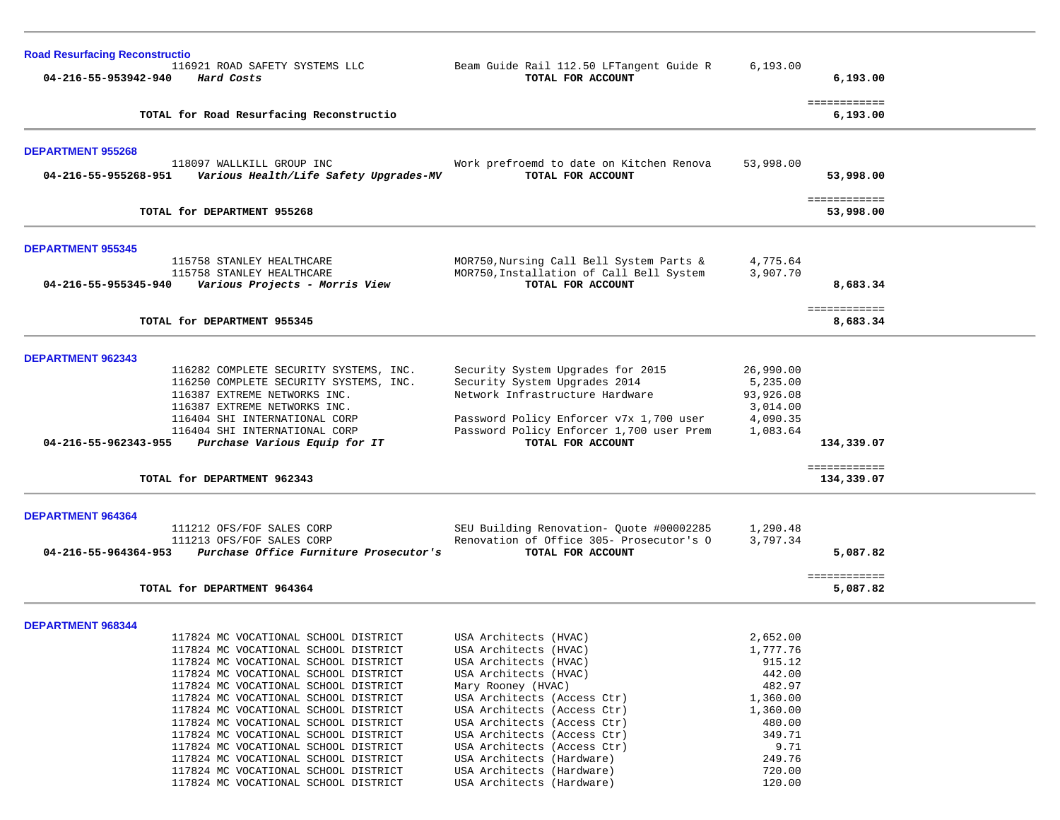| <b>Road Resurfacing Reconstructio</b>                                                  |                                                                                      |                      |                            |
|----------------------------------------------------------------------------------------|--------------------------------------------------------------------------------------|----------------------|----------------------------|
| 116921 ROAD SAFETY SYSTEMS LLC<br>04-216-55-953942-940<br>Hard Costs                   | Beam Guide Rail 112.50 LFTangent Guide R<br>TOTAL FOR ACCOUNT                        | 6, 193.00            | 6,193.00                   |
| TOTAL for Road Resurfacing Reconstructio                                               |                                                                                      |                      | ============<br>6,193.00   |
|                                                                                        |                                                                                      |                      |                            |
| <b>DEPARTMENT 955268</b><br>118097 WALLKILL GROUP INC                                  | Work prefroemd to date on Kitchen Renova                                             | 53,998.00            |                            |
| 04-216-55-955268-951<br>Various Health/Life Safety Upgrades-MV                         | TOTAL FOR ACCOUNT                                                                    |                      | 53,998.00                  |
| TOTAL for DEPARTMENT 955268                                                            |                                                                                      |                      | ============<br>53,998.00  |
|                                                                                        |                                                                                      |                      |                            |
| <b>DEPARTMENT 955345</b>                                                               |                                                                                      |                      |                            |
| 115758 STANLEY HEALTHCARE<br>115758 STANLEY HEALTHCARE                                 | MOR750, Nursing Call Bell System Parts &<br>MOR750, Installation of Call Bell System | 4,775.64<br>3,907.70 |                            |
| Various Projects - Morris View<br>04-216-55-955345-940                                 | TOTAL FOR ACCOUNT                                                                    |                      | 8,683.34                   |
|                                                                                        |                                                                                      |                      | ============               |
| TOTAL for DEPARTMENT 955345                                                            |                                                                                      |                      | 8,683.34                   |
| <b>DEPARTMENT 962343</b>                                                               |                                                                                      |                      |                            |
| 116282 COMPLETE SECURITY SYSTEMS, INC.                                                 | Security System Upgrades for 2015                                                    | 26,990.00            |                            |
| 116250 COMPLETE SECURITY SYSTEMS, INC.                                                 | Security System Upgrades 2014                                                        | 5,235.00             |                            |
| 116387 EXTREME NETWORKS INC.                                                           | Network Infrastructure Hardware                                                      | 93,926.08            |                            |
| 116387 EXTREME NETWORKS INC.                                                           |                                                                                      | 3,014.00             |                            |
| 116404 SHI INTERNATIONAL CORP                                                          | Password Policy Enforcer v7x 1,700 user                                              | 4,090.35             |                            |
| 116404 SHI INTERNATIONAL CORP<br>04-216-55-962343-955<br>Purchase Various Equip for IT | Password Policy Enforcer 1,700 user Prem<br>TOTAL FOR ACCOUNT                        | 1,083.64             | 134,339.07                 |
|                                                                                        |                                                                                      |                      |                            |
| TOTAL for DEPARTMENT 962343                                                            |                                                                                      |                      | ============<br>134,339.07 |
|                                                                                        |                                                                                      |                      |                            |
| DEPARTMENT 964364                                                                      |                                                                                      |                      |                            |
| 111212 OFS/FOF SALES CORP<br>111213 OFS/FOF SALES CORP                                 | SEU Building Renovation- Quote #00002285<br>Renovation of Office 305- Prosecutor's O | 1,290.48<br>3,797.34 |                            |
| Purchase Office Furniture Prosecutor's<br>04-216-55-964364-953                         | TOTAL FOR ACCOUNT                                                                    |                      | 5,087.82                   |
|                                                                                        |                                                                                      |                      | ============               |
| TOTAL for DEPARTMENT 964364                                                            |                                                                                      |                      | 5,087.82                   |
| <b>DEPARTMENT 968344</b>                                                               |                                                                                      |                      |                            |
| 117824 MC VOCATIONAL SCHOOL DISTRICT                                                   | USA Architects (HVAC)                                                                | 2,652.00             |                            |
| 117824 MC VOCATIONAL SCHOOL DISTRICT                                                   | USA Architects (HVAC)                                                                | 1,777.76             |                            |
| 117824 MC VOCATIONAL SCHOOL DISTRICT                                                   | USA Architects (HVAC)                                                                | 915.12               |                            |
| 117824 MC VOCATIONAL SCHOOL DISTRICT                                                   | USA Architects (HVAC)                                                                | 442.00               |                            |
| 117824 MC VOCATIONAL SCHOOL DISTRICT                                                   | Mary Rooney (HVAC)                                                                   | 482.97               |                            |
| 117824 MC VOCATIONAL SCHOOL DISTRICT                                                   | USA Architects (Access Ctr)                                                          | 1,360.00             |                            |
| 117824 MC VOCATIONAL SCHOOL DISTRICT                                                   | USA Architects (Access Ctr)                                                          | 1,360.00             |                            |
| 117824 MC VOCATIONAL SCHOOL DISTRICT                                                   | USA Architects (Access Ctr)<br>USA Architects (Access Ctr)                           | 480.00<br>349.71     |                            |
| 117824 MC VOCATIONAL SCHOOL DISTRICT<br>117824 MC VOCATIONAL SCHOOL DISTRICT           | USA Architects (Access Ctr)                                                          | 9.71                 |                            |
| 117824 MC VOCATIONAL SCHOOL DISTRICT                                                   | USA Architects (Hardware)                                                            | 249.76               |                            |
| 117824 MC VOCATIONAL SCHOOL DISTRICT                                                   | USA Architects (Hardware)                                                            | 720.00               |                            |
| 117824 MC VOCATIONAL SCHOOL DISTRICT                                                   | USA Architects (Hardware)                                                            | 120.00               |                            |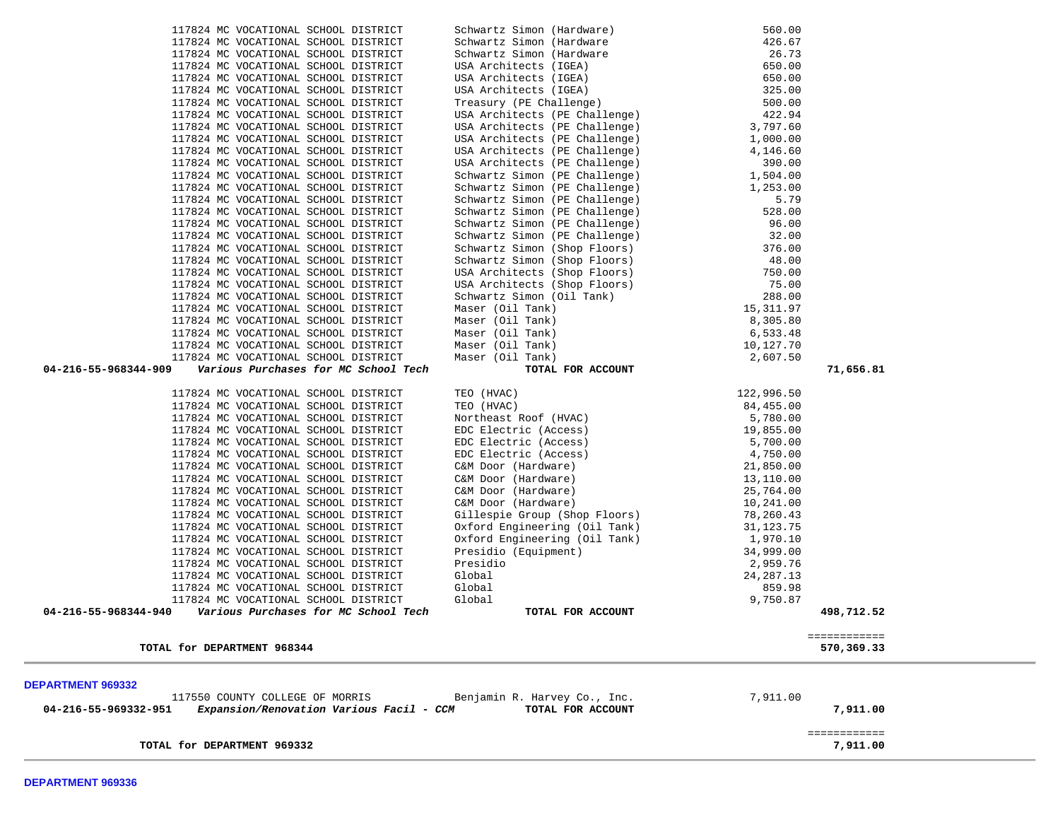| 117824 MC VOCATIONAL SCHOOL DISTRICT                             | Schwartz Simon (Hardware                                                                                                                                                                                                                            | 426.67      |                            |
|------------------------------------------------------------------|-----------------------------------------------------------------------------------------------------------------------------------------------------------------------------------------------------------------------------------------------------|-------------|----------------------------|
| 117824 MC VOCATIONAL SCHOOL DISTRICT                             | Schwartz Simon (Hardware                                                                                                                                                                                                                            | 26.73       |                            |
| 117824 MC VOCATIONAL SCHOOL DISTRICT                             | USA Architects (IGEA)                                                                                                                                                                                                                               | 650.00      |                            |
| 117824 MC VOCATIONAL SCHOOL DISTRICT                             |                                                                                                                                                                                                                                                     | 650.00      |                            |
| 117824 MC VOCATIONAL SCHOOL DISTRICT                             |                                                                                                                                                                                                                                                     | 325.00      |                            |
| 117824 MC VOCATIONAL SCHOOL DISTRICT                             | -- US (IGEA)<br>USA Architects (PE Challenge)<br>USA Architects (PE Challenge)<br>USA Architects (PE Challenge)<br>ISA Architects (PE Challenge)<br>SA Architect                                                                                    | 500.00      |                            |
| 117824 MC VOCATIONAL SCHOOL DISTRICT                             |                                                                                                                                                                                                                                                     | 422.94      |                            |
| 117824 MC VOCATIONAL SCHOOL DISTRICT                             |                                                                                                                                                                                                                                                     | 3,797.60    |                            |
| 117824 MC VOCATIONAL SCHOOL DISTRICT                             |                                                                                                                                                                                                                                                     | 1,000.00    |                            |
| 117824 MC VOCATIONAL SCHOOL DISTRICT                             |                                                                                                                                                                                                                                                     | 4,146.60    |                            |
| 117824 MC VOCATIONAL SCHOOL DISTRICT                             | USA Architects (PE Challenge)                                                                                                                                                                                                                       | 390.00      |                            |
| 117824 MC VOCATIONAL SCHOOL DISTRICT                             | Schwartz Simon (PE Challenge)                                                                                                                                                                                                                       | 1,504.00    |                            |
| 117824 MC VOCATIONAL SCHOOL DISTRICT                             | Schwartz Simon (PE Challenge)                                                                                                                                                                                                                       | 1,253.00    |                            |
| 117824 MC VOCATIONAL SCHOOL DISTRICT                             |                                                                                                                                                                                                                                                     | 5.79        |                            |
| 117824 MC VOCATIONAL SCHOOL DISTRICT                             |                                                                                                                                                                                                                                                     | 528.00      |                            |
| 117824 MC VOCATIONAL SCHOOL DISTRICT                             |                                                                                                                                                                                                                                                     | 96.00       |                            |
| 117824 MC VOCATIONAL SCHOOL DISTRICT                             |                                                                                                                                                                                                                                                     | 32.00       |                            |
| 117824 MC VOCATIONAL SCHOOL DISTRICT                             |                                                                                                                                                                                                                                                     | 376.00      |                            |
| 117824 MC VOCATIONAL SCHOOL DISTRICT                             |                                                                                                                                                                                                                                                     | 48.00       |                            |
| 117824 MC VOCATIONAL SCHOOL DISTRICT                             | Schwartz Simon (PE Challenge)<br>Schwartz Simon (PE Challenge)<br>Schwartz Simon (PE Challenge)<br>Schwartz Simon (PE Challenge)<br>Schwartz Simon (PE Challenge)<br>Schwartz Simon (Shop Floors)<br>USA Architects (Shop Floors)<br>USA Architects | 750.00      |                            |
| 117824 MC VOCATIONAL SCHOOL DISTRICT                             |                                                                                                                                                                                                                                                     | 75.00       |                            |
| 117824 MC VOCATIONAL SCHOOL DISTRICT                             | USA Architects (Shop Floors)<br>Schwartz Simon (Oil Tank)                                                                                                                                                                                           | 288.00      |                            |
| 117824 MC VOCATIONAL SCHOOL DISTRICT                             | Maser (Oil Tank)                                                                                                                                                                                                                                    | 15,311.97   |                            |
| 117824 MC VOCATIONAL SCHOOL DISTRICT                             | Maser (Oil Tank)                                                                                                                                                                                                                                    | 8,305.80    |                            |
| 117824 MC VOCATIONAL SCHOOL DISTRICT                             | Maser (Oil Tank)                                                                                                                                                                                                                                    | 6,533.48    |                            |
| 117824 MC VOCATIONAL SCHOOL DISTRICT                             | Maser (Oil Tank)                                                                                                                                                                                                                                    | 10,127.70   |                            |
| 117824 MC VOCATIONAL SCHOOL DISTRICT                             | Maser (Oil Tank)                                                                                                                                                                                                                                    | 2,607.50    |                            |
| 04-216-55-968344-909<br>Various Purchases for MC School Tech     | TOTAL FOR ACCOUNT                                                                                                                                                                                                                                   |             | 71,656.81                  |
|                                                                  |                                                                                                                                                                                                                                                     |             |                            |
| 117824 MC VOCATIONAL SCHOOL DISTRICT                             | TEO (HVAC)                                                                                                                                                                                                                                          | 122,996.50  |                            |
| 117824 MC VOCATIONAL SCHOOL DISTRICT                             | TEO (HVAC)                                                                                                                                                                                                                                          | 84,455.00   |                            |
| 117824 MC VOCATIONAL SCHOOL DISTRICT                             | Northeast Roof (HVAC)                                                                                                                                                                                                                               | 5,780.00    |                            |
| 117824 MC VOCATIONAL SCHOOL DISTRICT                             | EDC Electric (Access)                                                                                                                                                                                                                               | 19,855.00   |                            |
| 117824 MC VOCATIONAL SCHOOL DISTRICT                             | EDC Electric (Access)                                                                                                                                                                                                                               | 5,700.00    |                            |
| 117824 MC VOCATIONAL SCHOOL DISTRICT                             |                                                                                                                                                                                                                                                     | 4,750.00    |                            |
| 117824 MC VOCATIONAL SCHOOL DISTRICT                             | EDC Electric (Access)<br>CAM Door (Hardware)<br>C&M Door (Hardware)                                                                                                                                                                                 | 21,850.00   |                            |
| 117824 MC VOCATIONAL SCHOOL DISTRICT                             | C&M Door (Hardware)                                                                                                                                                                                                                                 | 13,110.00   |                            |
| 117824 MC VOCATIONAL SCHOOL DISTRICT                             | C&M Door (Hardware)                                                                                                                                                                                                                                 | 25,764.00   |                            |
| 117824 MC VOCATIONAL SCHOOL DISTRICT                             | C&M Door (Hardware)                                                                                                                                                                                                                                 | 10,241.00   |                            |
| 117824 MC VOCATIONAL SCHOOL DISTRICT                             | Gillespie Group (Shop Floors)                                                                                                                                                                                                                       | 78,260.43   |                            |
| 117824 MC VOCATIONAL SCHOOL DISTRICT                             | Oxford Engineering (Oil Tank)                                                                                                                                                                                                                       | 31, 123. 75 |                            |
| 117824 MC VOCATIONAL SCHOOL DISTRICT                             | Oxford Engineering (Oil Tank)                                                                                                                                                                                                                       | 1,970.10    |                            |
| 117824 MC VOCATIONAL SCHOOL DISTRICT                             | Presidio (Equipment)                                                                                                                                                                                                                                | 34,999.00   |                            |
| 117824 MC VOCATIONAL SCHOOL DISTRICT                             | Presidio                                                                                                                                                                                                                                            | 2,959.76    |                            |
| 117824 MC VOCATIONAL SCHOOL DISTRICT                             | Global                                                                                                                                                                                                                                              | 24, 287. 13 |                            |
| 117824 MC VOCATIONAL SCHOOL DISTRICT                             | Global                                                                                                                                                                                                                                              | 859.98      |                            |
| 117824 MC VOCATIONAL SCHOOL DISTRICT                             | Global                                                                                                                                                                                                                                              | 9,750.87    |                            |
| 04-216-55-968344-940<br>Various Purchases for MC School Tech     | TOTAL FOR ACCOUNT                                                                                                                                                                                                                                   |             | 498,712.52                 |
|                                                                  |                                                                                                                                                                                                                                                     |             |                            |
|                                                                  |                                                                                                                                                                                                                                                     |             |                            |
| TOTAL for DEPARTMENT 968344                                      |                                                                                                                                                                                                                                                     |             | ============<br>570,369.33 |
|                                                                  |                                                                                                                                                                                                                                                     |             |                            |
|                                                                  |                                                                                                                                                                                                                                                     |             |                            |
| DEPARTMENT 969332                                                |                                                                                                                                                                                                                                                     |             |                            |
| 117550 COUNTY COLLEGE OF MORRIS                                  | Benjamin R. Harvey Co., Inc.                                                                                                                                                                                                                        | 7,911.00    |                            |
| Expansion/Renovation Various Facil - CCM<br>04-216-55-969332-951 | TOTAL FOR ACCOUNT                                                                                                                                                                                                                                   |             | 7,911.00                   |
|                                                                  |                                                                                                                                                                                                                                                     |             |                            |
|                                                                  |                                                                                                                                                                                                                                                     |             | ============               |
| TOTAL for DEPARTMENT 969332                                      |                                                                                                                                                                                                                                                     |             | 7,911.00                   |
|                                                                  |                                                                                                                                                                                                                                                     |             |                            |

117824 MC VOCATIONAL SCHOOL DISTRICT Schwartz Simon (Hardware) 560.00

**DEPARTMENT 969336**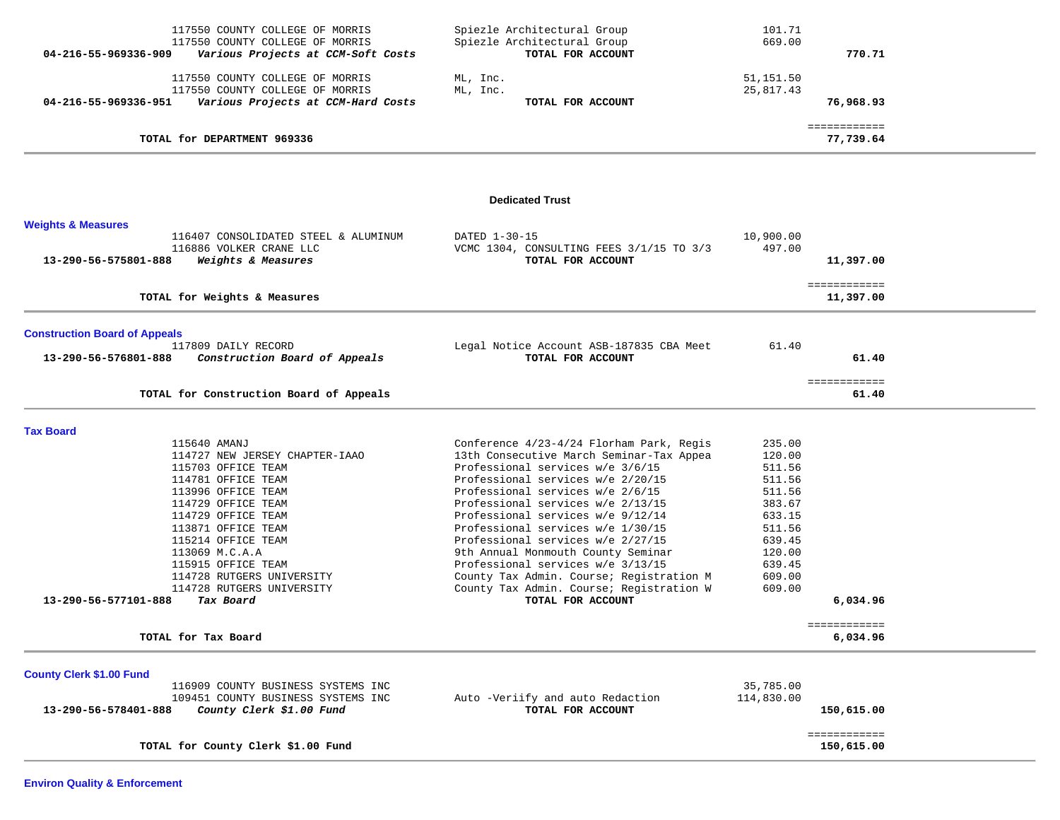|                                      | 117550 COUNTY COLLEGE OF MORRIS<br>117550 COUNTY COLLEGE OF MORRIS    | Spiezle Architectural Group<br>Spiezle Architectural Group            | 101.71<br>669.00    |                            |  |
|--------------------------------------|-----------------------------------------------------------------------|-----------------------------------------------------------------------|---------------------|----------------------------|--|
| 04-216-55-969336-909                 | Various Projects at CCM-Soft Costs                                    | TOTAL FOR ACCOUNT                                                     |                     | 770.71                     |  |
|                                      | 117550 COUNTY COLLEGE OF MORRIS                                       | ML, Inc.                                                              | 51,151.50           |                            |  |
| 04-216-55-969336-951                 | 117550 COUNTY COLLEGE OF MORRIS<br>Various Projects at CCM-Hard Costs | ML, Inc.<br>TOTAL FOR ACCOUNT                                         | 25, 817.43          | 76,968.93                  |  |
|                                      |                                                                       |                                                                       |                     |                            |  |
|                                      | TOTAL for DEPARTMENT 969336                                           |                                                                       |                     | ============<br>77,739.64  |  |
|                                      |                                                                       |                                                                       |                     |                            |  |
|                                      |                                                                       | <b>Dedicated Trust</b>                                                |                     |                            |  |
| <b>Weights &amp; Measures</b>        |                                                                       |                                                                       |                     |                            |  |
|                                      | 116407 CONSOLIDATED STEEL & ALUMINUM<br>116886 VOLKER CRANE LLC       | DATED 1-30-15<br>VCMC 1304, CONSULTING FEES 3/1/15 TO 3/3             | 10,900.00<br>497.00 |                            |  |
| 13-290-56-575801-888                 | Weights & Measures                                                    | TOTAL FOR ACCOUNT                                                     |                     | 11,397.00                  |  |
|                                      |                                                                       |                                                                       |                     | ============               |  |
|                                      | TOTAL for Weights & Measures                                          |                                                                       |                     | 11,397.00                  |  |
| <b>Construction Board of Appeals</b> |                                                                       |                                                                       |                     |                            |  |
|                                      | 117809 DAILY RECORD                                                   | Legal Notice Account ASB-187835 CBA Meet                              | 61.40               |                            |  |
| 13-290-56-576801-888                 | Construction Board of Appeals                                         | TOTAL FOR ACCOUNT                                                     |                     | 61.40                      |  |
|                                      |                                                                       |                                                                       |                     | ============               |  |
|                                      | TOTAL for Construction Board of Appeals                               |                                                                       |                     | 61.40                      |  |
| <b>Tax Board</b>                     |                                                                       |                                                                       |                     |                            |  |
|                                      | 115640 AMANJ                                                          | Conference 4/23-4/24 Florham Park, Regis                              | 235.00              |                            |  |
|                                      | 114727 NEW JERSEY CHAPTER-IAAO                                        | 13th Consecutive March Seminar-Tax Appea                              | 120.00              |                            |  |
|                                      | 115703 OFFICE TEAM                                                    | Professional services w/e 3/6/15                                      | 511.56              |                            |  |
|                                      | 114781 OFFICE TEAM<br>113996 OFFICE TEAM                              | Professional services w/e 2/20/15<br>Professional services w/e 2/6/15 | 511.56<br>511.56    |                            |  |
|                                      | 114729 OFFICE TEAM                                                    | Professional services w/e 2/13/15                                     | 383.67              |                            |  |
|                                      | 114729 OFFICE TEAM                                                    | Professional services w/e 9/12/14                                     | 633.15              |                            |  |
|                                      | 113871 OFFICE TEAM                                                    | Professional services w/e 1/30/15                                     | 511.56              |                            |  |
|                                      | 115214 OFFICE TEAM                                                    | Professional services w/e 2/27/15                                     | 639.45              |                            |  |
|                                      | 113069 M.C.A.A                                                        | 9th Annual Monmouth County Seminar                                    | 120.00              |                            |  |
|                                      | 115915 OFFICE TEAM                                                    | Professional services w/e 3/13/15                                     | 639.45              |                            |  |
|                                      | 114728 RUTGERS UNIVERSITY                                             | County Tax Admin. Course; Registration M                              | 609.00              |                            |  |
|                                      | 114728 RUTGERS UNIVERSITY                                             | County Tax Admin. Course; Registration W                              | 609.00              |                            |  |
| 13-290-56-577101-888                 | Tax Board                                                             | TOTAL FOR ACCOUNT                                                     |                     | 6,034.96                   |  |
|                                      | TOTAL for Tax Board                                                   |                                                                       |                     | ============<br>6,034.96   |  |
|                                      |                                                                       |                                                                       |                     |                            |  |
| <b>County Clerk \$1.00 Fund</b>      |                                                                       |                                                                       |                     |                            |  |
|                                      | 116909 COUNTY BUSINESS SYSTEMS INC                                    |                                                                       | 35,785.00           |                            |  |
| 13-290-56-578401-888                 | 109451 COUNTY BUSINESS SYSTEMS INC<br>County Clerk \$1.00 Fund        | Auto -Veriify and auto Redaction<br>TOTAL FOR ACCOUNT                 | 114,830.00          | 150,615.00                 |  |
|                                      |                                                                       |                                                                       |                     |                            |  |
|                                      | TOTAL for County Clerk \$1.00 Fund                                    |                                                                       |                     | ============<br>150,615.00 |  |